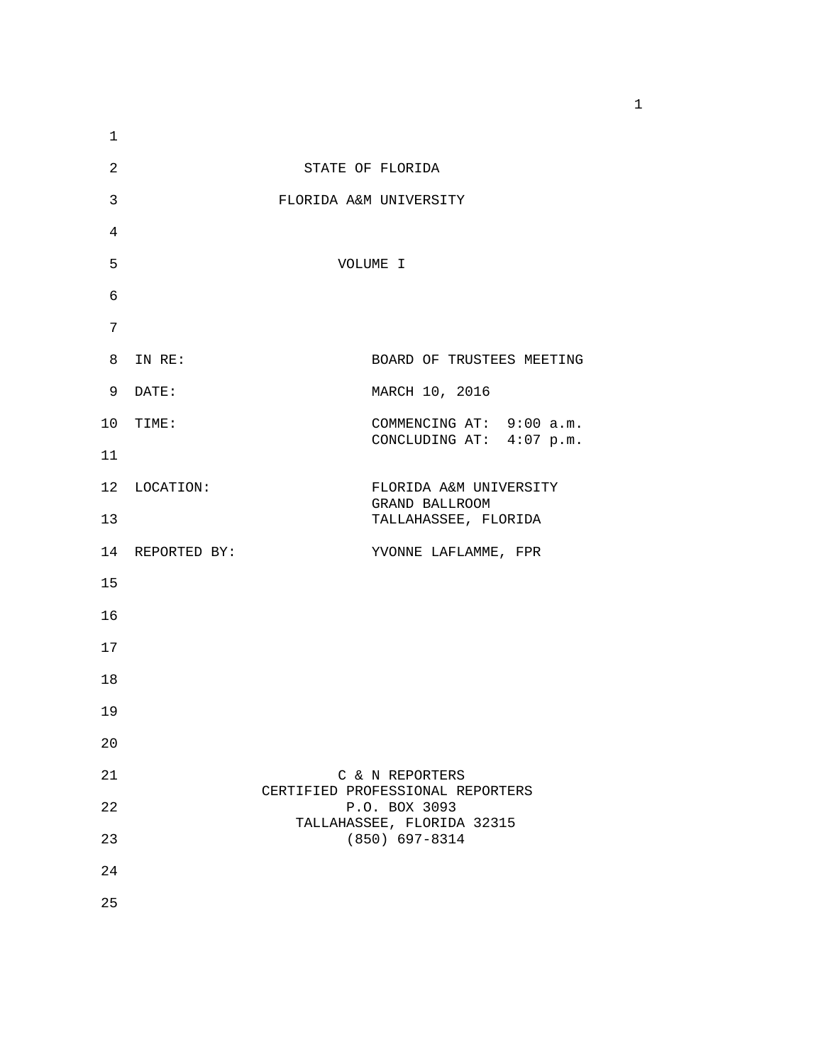| $\mathbf{1}$ |                 |                                                      |
|--------------|-----------------|------------------------------------------------------|
| 2            |                 | STATE OF FLORIDA                                     |
| 3            |                 | FLORIDA A&M UNIVERSITY                               |
| 4            |                 |                                                      |
| 5            |                 | VOLUME I                                             |
| 6            |                 |                                                      |
| 7            |                 |                                                      |
|              | 8 IN RE:        | BOARD OF TRUSTEES MEETING                            |
|              | 9 DATE:         | MARCH 10, 2016                                       |
|              | 10 TIME:        | COMMENCING AT: 9:00 a.m.<br>CONCLUDING AT: 4:07 p.m. |
| 11           |                 |                                                      |
|              | 12 LOCATION:    | FLORIDA A&M UNIVERSITY<br>GRAND BALLROOM             |
| 13           |                 | TALLAHASSEE, FLORIDA                                 |
|              | 14 REPORTED BY: | YVONNE LAFLAMME, FPR                                 |
| 15           |                 |                                                      |
| 16           |                 |                                                      |
| 17           |                 |                                                      |
| 18           |                 |                                                      |
| 19           |                 |                                                      |
| 20           |                 |                                                      |
| 21           |                 | C & N REPORTERS<br>CERTIFIED PROFESSIONAL REPORTERS  |
| 22           |                 | P.O. BOX 3093<br>TALLAHASSEE, FLORIDA 32315          |
| 23           |                 | $(850)$ 697-8314                                     |
| 24           |                 |                                                      |
| 25           |                 |                                                      |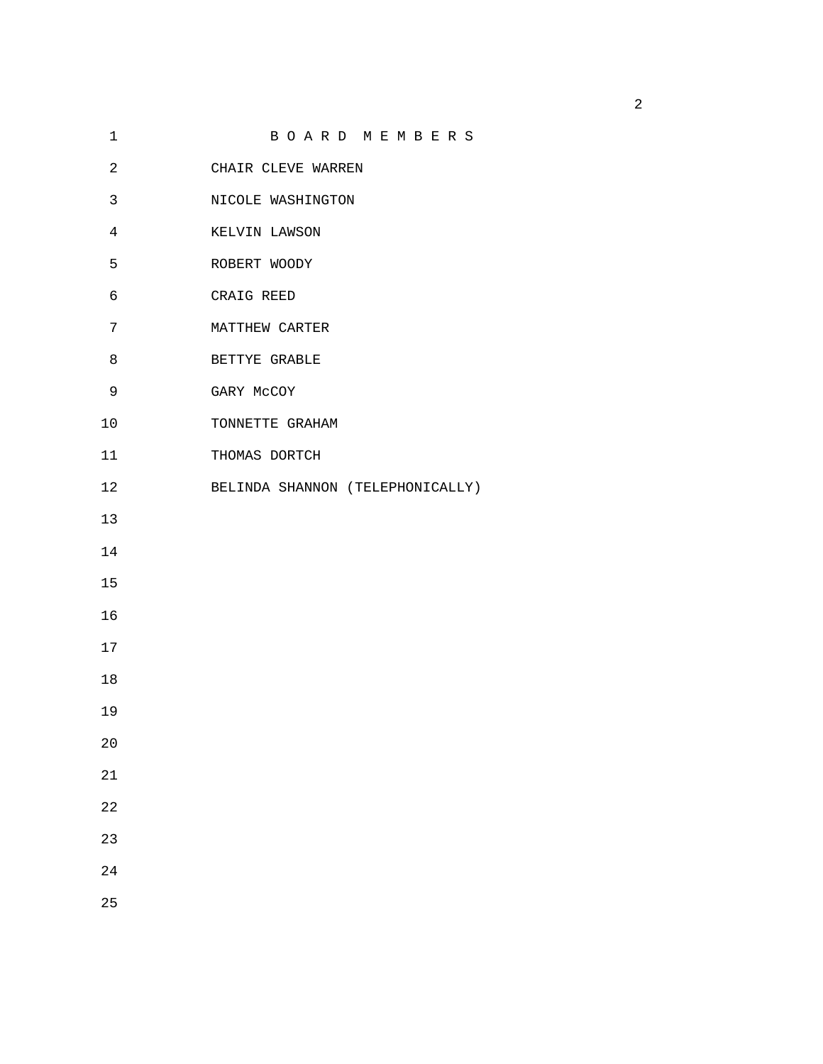| $\mathbf 1$    | BOARD MEMBERS                    |
|----------------|----------------------------------|
| 2              | CHAIR CLEVE WARREN               |
| 3              | NICOLE WASHINGTON                |
| $\overline{4}$ | KELVIN LAWSON                    |
| 5              | ROBERT WOODY                     |
| 6              | CRAIG REED                       |
| 7              | MATTHEW CARTER                   |
| 8              | BETTYE GRABLE                    |
| 9              | GARY McCOY                       |
| 10             | TONNETTE GRAHAM                  |
| 11             | THOMAS DORTCH                    |
| 12             | BELINDA SHANNON (TELEPHONICALLY) |
| 13             |                                  |
| 14             |                                  |
| 15             |                                  |
| 16             |                                  |
| 17             |                                  |
| 18             |                                  |
| 19             |                                  |
| 20             |                                  |
| 21             |                                  |
| 22             |                                  |
| 23             |                                  |
| 24             |                                  |
|                |                                  |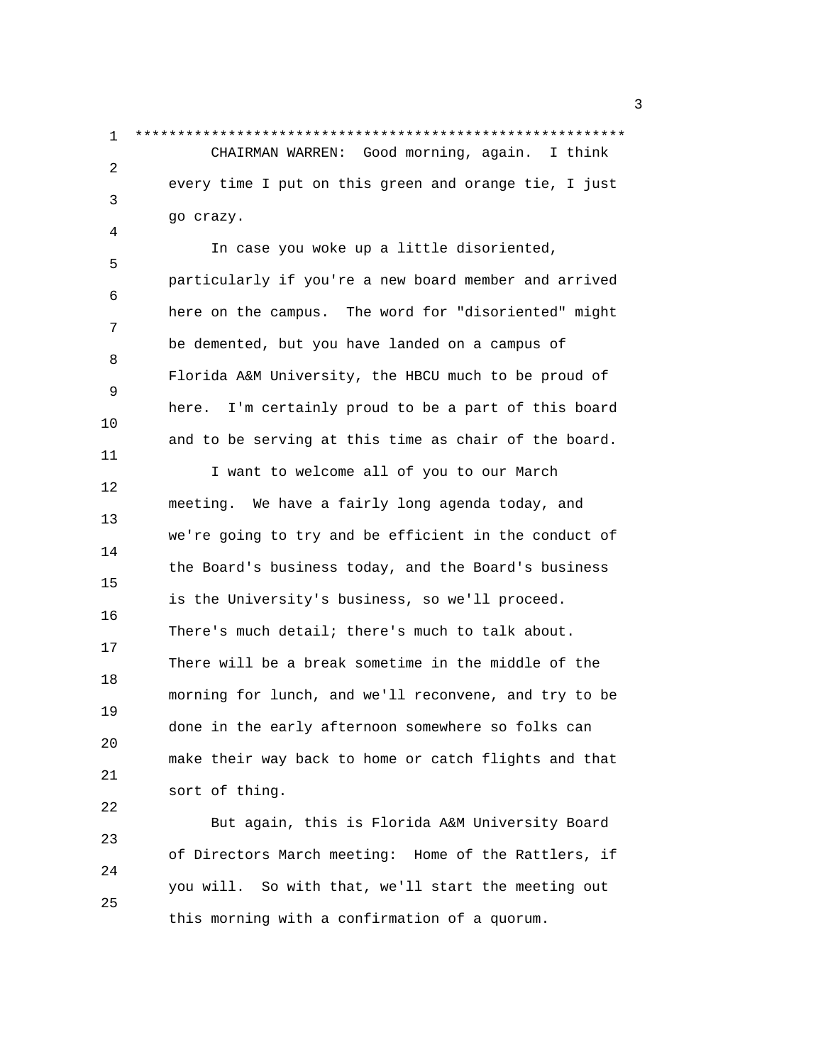1 \*\*\*\*\*\*\*\*\*\*\*\*\*\*\*\*\*\*\*\*\*\*\*\*\*\*\*\*\*\*\*\*\*\*\*\*\*\*\*\*\*\*\*\*\*\*\*\*\*\*\*\*\*\*\*\*\*\* CHAIRMAN WARREN: Good morning, again. I think 2 every time I put on this green and orange tie, I just 3 go crazy.

4

11

 In case you woke up a little disoriented, 5 particularly if you're a new board member and arrived 6 here on the campus. The word for "disoriented" might 7 be demented, but you have landed on a campus of 8 Florida A&M University, the HBCU much to be proud of 9 here. I'm certainly proud to be a part of this board 10 and to be serving at this time as chair of the board.

 I want to welcome all of you to our March 12 meeting. We have a fairly long agenda today, and 13 we're going to try and be efficient in the conduct of 14 the Board's business today, and the Board's business 15 is the University's business, so we'll proceed. 16 There's much detail; there's much to talk about. 17 There will be a break sometime in the middle of the 18 morning for lunch, and we'll reconvene, and try to be 19 done in the early afternoon somewhere so folks can 20 make their way back to home or catch flights and that 21 sort of thing. 22

 But again, this is Florida A&M University Board 23 of Directors March meeting: Home of the Rattlers, if 24 you will. So with that, we'll start the meeting out 25 this morning with a confirmation of a quorum.

 $\sim$  3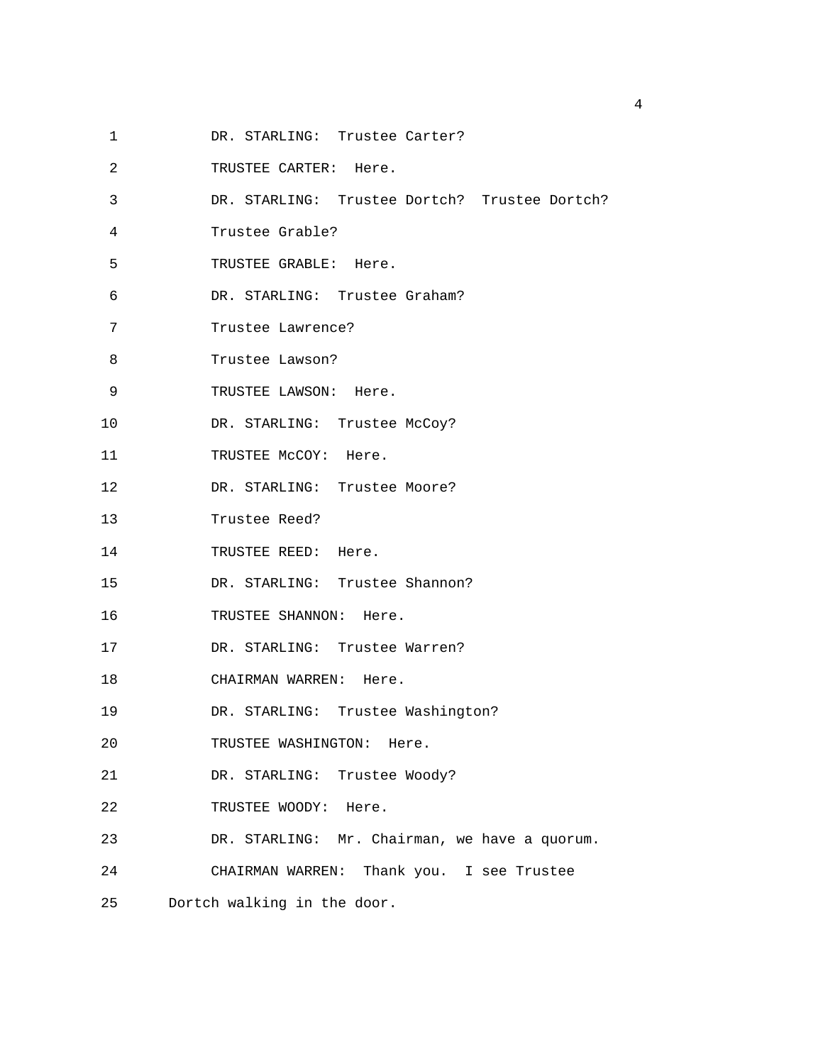- 1 DR. STARLING: Trustee Carter?
- 2 TRUSTEE CARTER: Here.
- 3 DR. STARLING: Trustee Dortch? Trustee Dortch?
- 4 Trustee Grable?
- 5 TRUSTEE GRABLE: Here.
- 6 DR. STARLING: Trustee Graham?
- 7 Trustee Lawrence?
- 8 Trustee Lawson?
- 9 TRUSTEE LAWSON: Here.
- 10 DR. STARLING: Trustee McCoy?
- 11 TRUSTEE McCOY: Here.
- 12 DR. STARLING: Trustee Moore?
- 13 Trustee Reed?
- 14 TRUSTEE REED: Here.
- 15 DR. STARLING: Trustee Shannon?
- 16 TRUSTEE SHANNON: Here.
- 17 DR. STARLING: Trustee Warren?
- 18 CHAIRMAN WARREN: Here.
- 19 DR. STARLING: Trustee Washington?
- 20 TRUSTEE WASHINGTON: Here.
- 21 DR. STARLING: Trustee Woody?
- 22 TRUSTEE WOODY: Here.
- 23 DR. STARLING: Mr. Chairman, we have a quorum.
- 24 CHAIRMAN WARREN: Thank you. I see Trustee
- 25 Dortch walking in the door.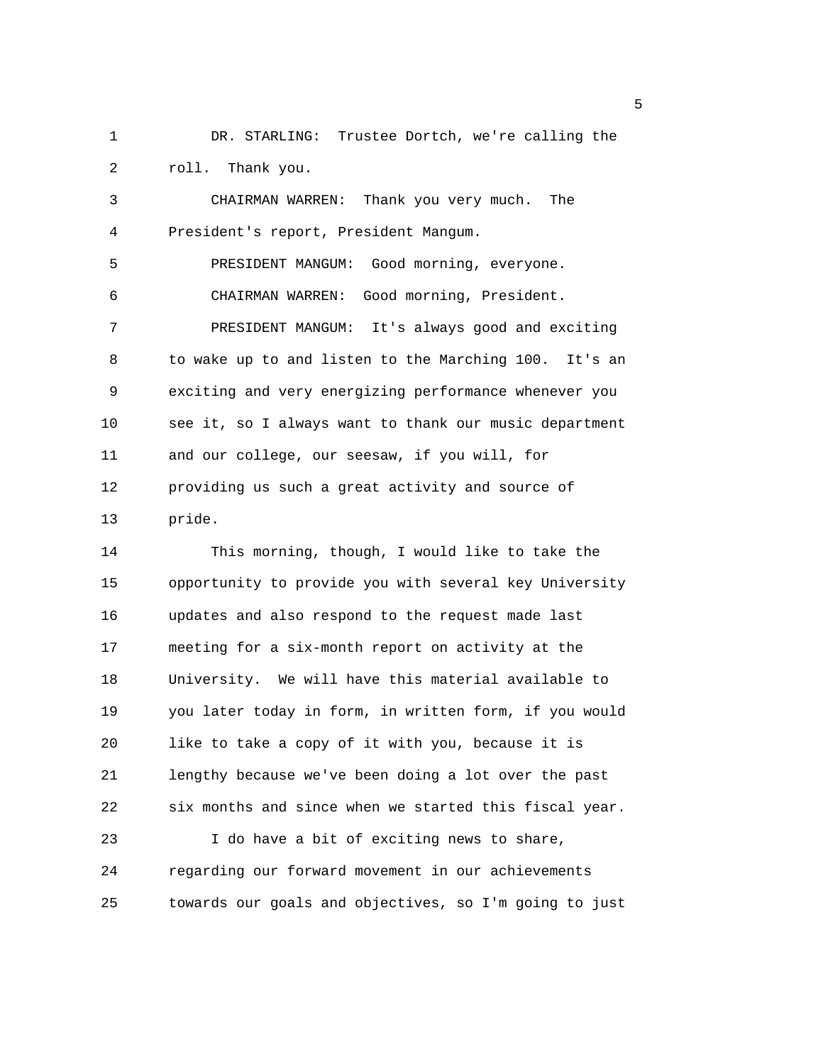1 DR. STARLING: Trustee Dortch, we're calling the 2 roll. Thank you.

3 CHAIRMAN WARREN: Thank you very much. The 4 President's report, President Mangum. 5 PRESIDENT MANGUM: Good morning, everyone. 6 CHAIRMAN WARREN: Good morning, President. 7 PRESIDENT MANGUM: It's always good and exciting 8 to wake up to and listen to the Marching 100. It's an 9 exciting and very energizing performance whenever you 10 see it, so I always want to thank our music department 11 and our college, our seesaw, if you will, for 12 providing us such a great activity and source of 13 pride.

14 This morning, though, I would like to take the 15 opportunity to provide you with several key University 16 updates and also respond to the request made last 17 meeting for a six-month report on activity at the 18 University. We will have this material available to 19 you later today in form, in written form, if you would 20 like to take a copy of it with you, because it is 21 lengthy because we've been doing a lot over the past 22 six months and since when we started this fiscal year. 23 I do have a bit of exciting news to share, 24 regarding our forward movement in our achievements 25 towards our goals and objectives, so I'm going to just

 $\sim$  5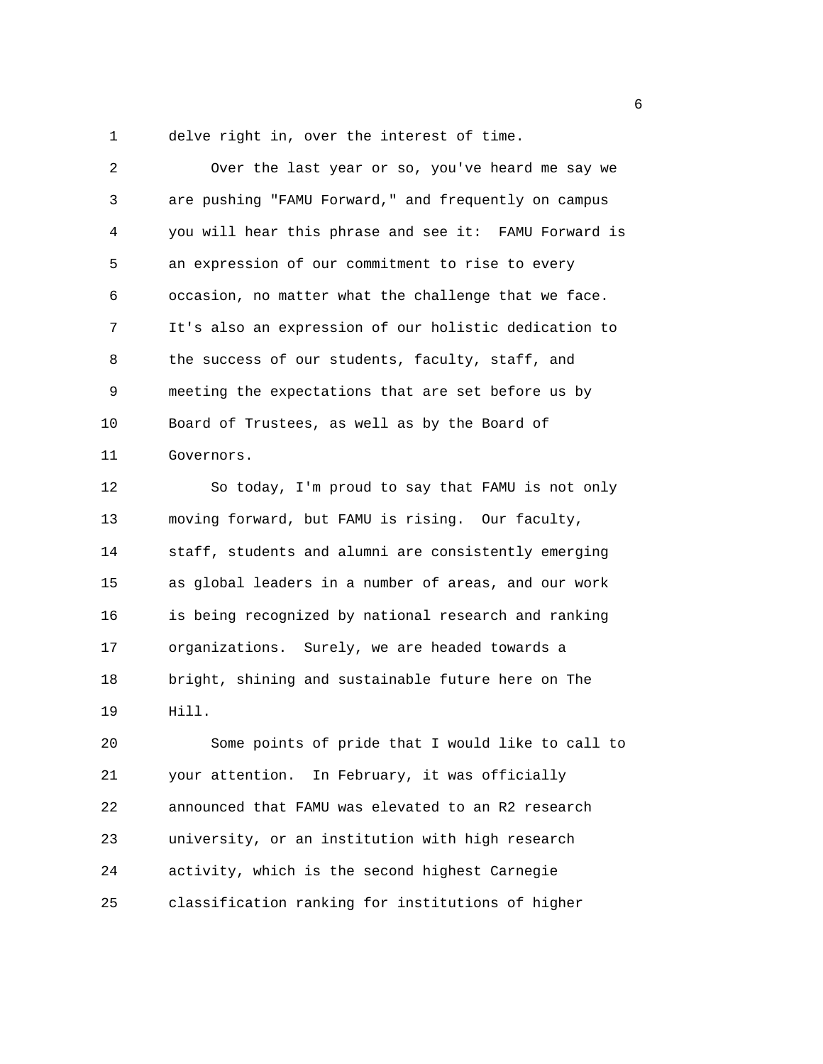1 delve right in, over the interest of time.

2 Over the last year or so, you've heard me say we 3 are pushing "FAMU Forward," and frequently on campus 4 you will hear this phrase and see it: FAMU Forward is 5 an expression of our commitment to rise to every 6 occasion, no matter what the challenge that we face. 7 It's also an expression of our holistic dedication to 8 the success of our students, faculty, staff, and 9 meeting the expectations that are set before us by 10 Board of Trustees, as well as by the Board of 11 Governors. 12 So today, I'm proud to say that FAMU is not only 13 moving forward, but FAMU is rising. Our faculty,

14 staff, students and alumni are consistently emerging 15 as global leaders in a number of areas, and our work 16 is being recognized by national research and ranking 17 organizations. Surely, we are headed towards a 18 bright, shining and sustainable future here on The 19 Hill.

20 Some points of pride that I would like to call to 21 your attention. In February, it was officially 22 announced that FAMU was elevated to an R2 research 23 university, or an institution with high research 24 activity, which is the second highest Carnegie 25 classification ranking for institutions of higher

entration of the contract of the contract of the contract of the contract of the contract of the contract of t<br>The contract of the contract of the contract of the contract of the contract of the contract of the contract o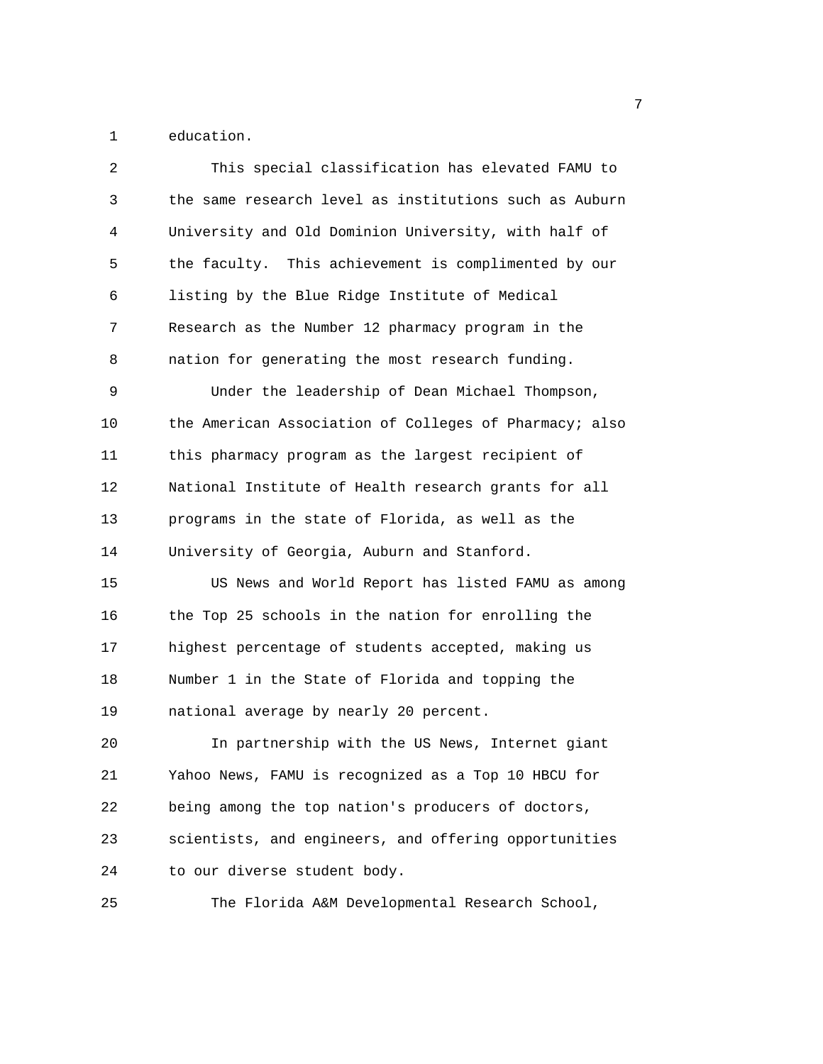1 education.

| 2  | This special classification has elevated FAMU to       |
|----|--------------------------------------------------------|
| 3  | the same research level as institutions such as Auburn |
| 4  | University and Old Dominion University, with half of   |
| 5  | the faculty. This achievement is complimented by our   |
| 6  | listing by the Blue Ridge Institute of Medical         |
| 7  | Research as the Number 12 pharmacy program in the      |
| 8  | nation for generating the most research funding.       |
| 9  | Under the leadership of Dean Michael Thompson,         |
| 10 | the American Association of Colleges of Pharmacy; also |
| 11 | this pharmacy program as the largest recipient of      |
| 12 | National Institute of Health research grants for all   |
| 13 | programs in the state of Florida, as well as the       |
| 14 | University of Georgia, Auburn and Stanford.            |
| 15 | US News and World Report has listed FAMU as among      |
| 16 | the Top 25 schools in the nation for enrolling the     |
| 17 | highest percentage of students accepted, making us     |
| 18 | Number 1 in the State of Florida and topping the       |
| 19 | national average by nearly 20 percent.                 |
| 20 | In partnership with the US News, Internet giant        |
| 21 | Yahoo News, FAMU is recognized as a Top 10 HBCU for    |
| 22 | being among the top nation's producers of doctors,     |
| 23 | scientists, and engineers, and offering opportunities  |
| 24 | to our diverse student body.                           |
| 25 | The Florida A&M Developmental Research School,         |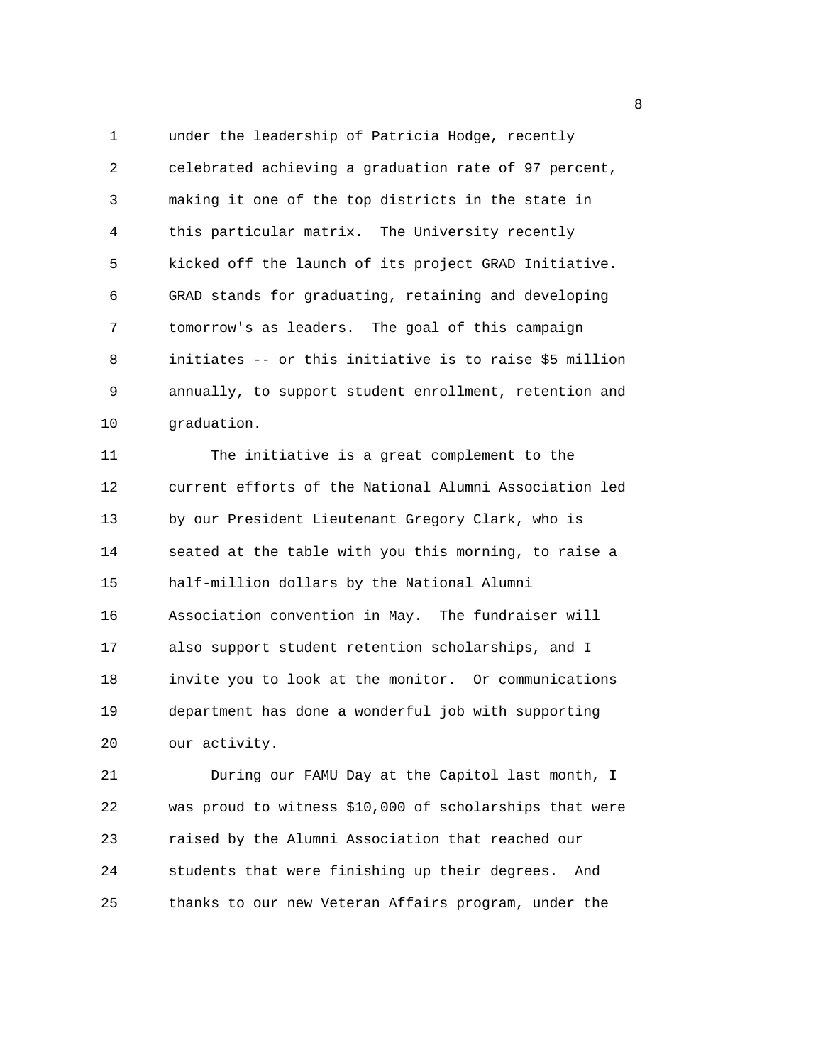1 under the leadership of Patricia Hodge, recently 2 celebrated achieving a graduation rate of 97 percent, 3 making it one of the top districts in the state in 4 this particular matrix. The University recently 5 kicked off the launch of its project GRAD Initiative. 6 GRAD stands for graduating, retaining and developing 7 tomorrow's as leaders. The goal of this campaign 8 initiates -- or this initiative is to raise \$5 million 9 annually, to support student enrollment, retention and 10 graduation.

11 The initiative is a great complement to the 12 current efforts of the National Alumni Association led 13 by our President Lieutenant Gregory Clark, who is 14 seated at the table with you this morning, to raise a 15 half-million dollars by the National Alumni 16 Association convention in May. The fundraiser will 17 also support student retention scholarships, and I 18 invite you to look at the monitor. Or communications 19 department has done a wonderful job with supporting 20 our activity.

21 During our FAMU Day at the Capitol last month, I 22 was proud to witness \$10,000 of scholarships that were 23 raised by the Alumni Association that reached our 24 students that were finishing up their degrees. And 25 thanks to our new Veteran Affairs program, under the

en de la construction de la construction de la construction de la construction de la construction de la constr<br>La construction de la construction de la construction de la construction de la construction de la construction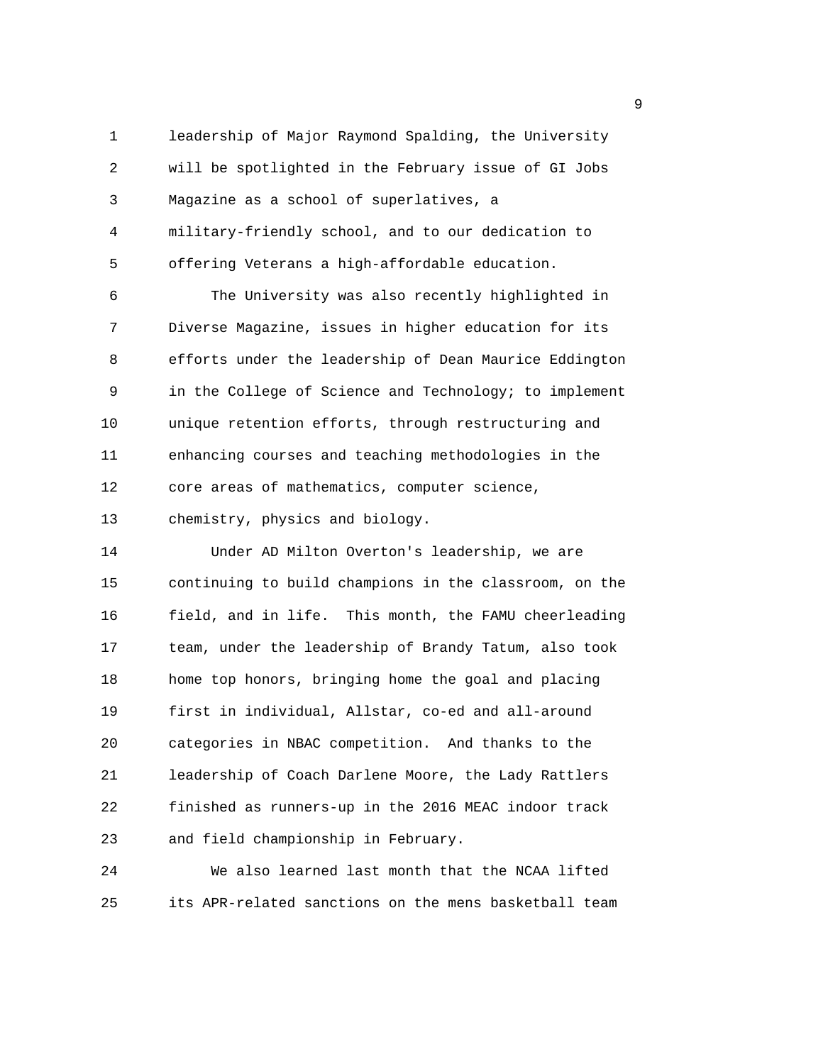1 leadership of Major Raymond Spalding, the University 2 will be spotlighted in the February issue of GI Jobs 3 Magazine as a school of superlatives, a 4 military-friendly school, and to our dedication to 5 offering Veterans a high-affordable education.

6 The University was also recently highlighted in 7 Diverse Magazine, issues in higher education for its 8 efforts under the leadership of Dean Maurice Eddington 9 in the College of Science and Technology; to implement 10 unique retention efforts, through restructuring and 11 enhancing courses and teaching methodologies in the 12 core areas of mathematics, computer science, 13 chemistry, physics and biology.

14 Under AD Milton Overton's leadership, we are 15 continuing to build champions in the classroom, on the 16 field, and in life. This month, the FAMU cheerleading 17 team, under the leadership of Brandy Tatum, also took 18 home top honors, bringing home the goal and placing 19 first in individual, Allstar, co-ed and all-around 20 categories in NBAC competition. And thanks to the 21 leadership of Coach Darlene Moore, the Lady Rattlers 22 finished as runners-up in the 2016 MEAC indoor track 23 and field championship in February.

24 We also learned last month that the NCAA lifted 25 its APR-related sanctions on the mens basketball team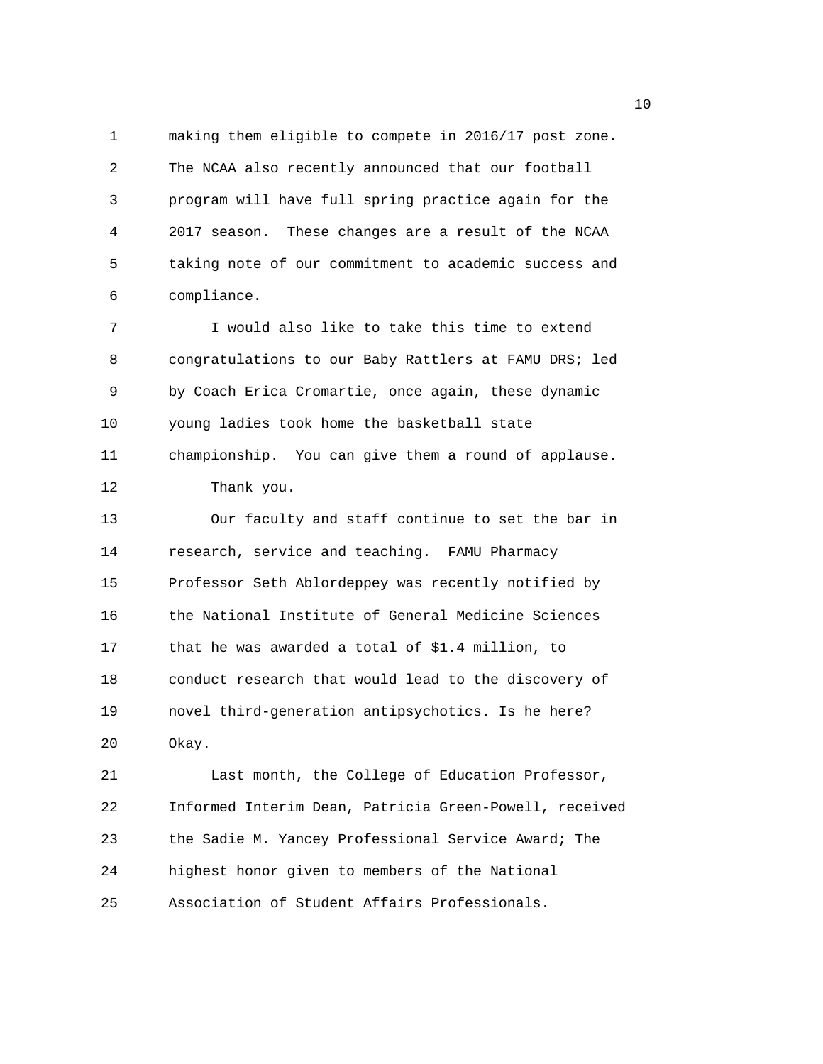1 making them eligible to compete in 2016/17 post zone. 2 The NCAA also recently announced that our football 3 program will have full spring practice again for the 4 2017 season. These changes are a result of the NCAA 5 taking note of our commitment to academic success and 6 compliance.

7 I would also like to take this time to extend 8 congratulations to our Baby Rattlers at FAMU DRS; led 9 by Coach Erica Cromartie, once again, these dynamic 10 young ladies took home the basketball state 11 championship. You can give them a round of applause. 12 Thank you.

13 Our faculty and staff continue to set the bar in 14 research, service and teaching. FAMU Pharmacy 15 Professor Seth Ablordeppey was recently notified by 16 the National Institute of General Medicine Sciences 17 that he was awarded a total of \$1.4 million, to 18 conduct research that would lead to the discovery of 19 novel third-generation antipsychotics. Is he here? 20 Okay.

21 Last month, the College of Education Professor, 22 Informed Interim Dean, Patricia Green-Powell, received 23 the Sadie M. Yancey Professional Service Award; The 24 highest honor given to members of the National 25 Association of Student Affairs Professionals.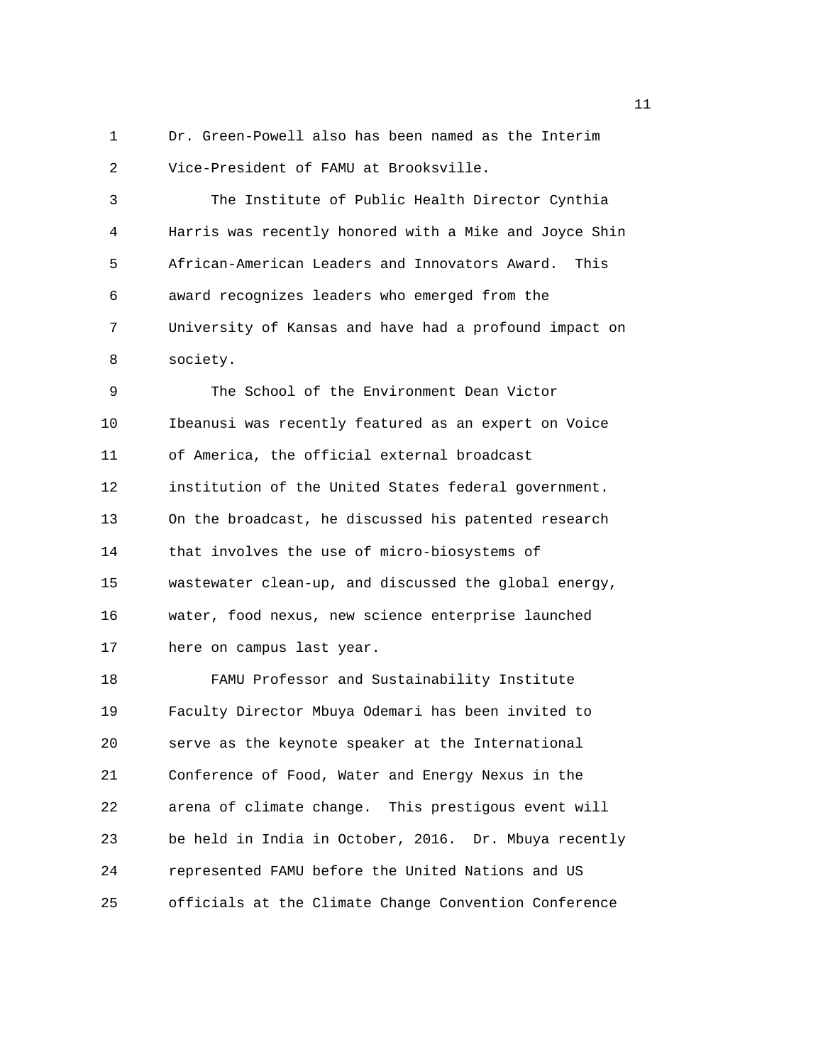1 Dr. Green-Powell also has been named as the Interim 2 Vice-President of FAMU at Brooksville.

3 The Institute of Public Health Director Cynthia 4 Harris was recently honored with a Mike and Joyce Shin 5 African-American Leaders and Innovators Award. This 6 award recognizes leaders who emerged from the 7 University of Kansas and have had a profound impact on 8 society.

9 The School of the Environment Dean Victor 10 Ibeanusi was recently featured as an expert on Voice 11 of America, the official external broadcast 12 institution of the United States federal government. 13 On the broadcast, he discussed his patented research 14 that involves the use of micro-biosystems of 15 wastewater clean-up, and discussed the global energy, 16 water, food nexus, new science enterprise launched 17 here on campus last year.

18 FAMU Professor and Sustainability Institute 19 Faculty Director Mbuya Odemari has been invited to 20 serve as the keynote speaker at the International 21 Conference of Food, Water and Energy Nexus in the 22 arena of climate change. This prestigous event will 23 be held in India in October, 2016. Dr. Mbuya recently 24 represented FAMU before the United Nations and US 25 officials at the Climate Change Convention Conference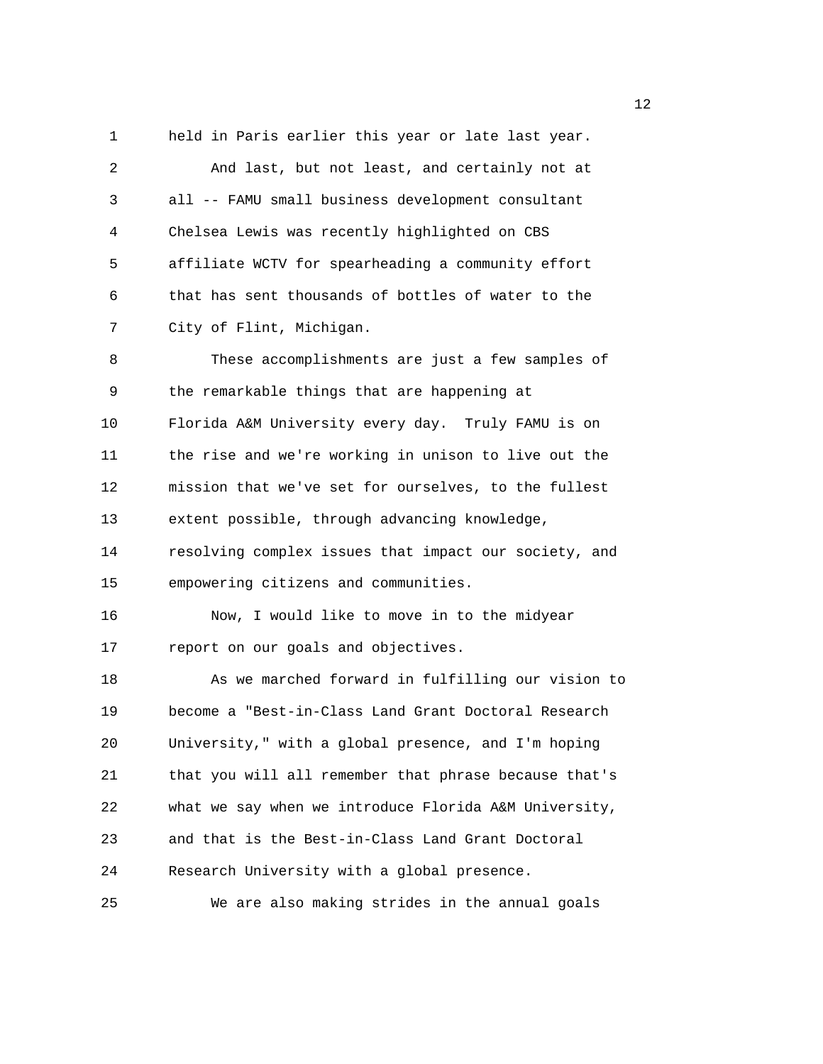1 held in Paris earlier this year or late last year. 2 And last, but not least, and certainly not at 3 all -- FAMU small business development consultant 4 Chelsea Lewis was recently highlighted on CBS 5 affiliate WCTV for spearheading a community effort 6 that has sent thousands of bottles of water to the 7 City of Flint, Michigan. 8 These accomplishments are just a few samples of 9 the remarkable things that are happening at 10 Florida A&M University every day. Truly FAMU is on 11 the rise and we're working in unison to live out the 12 mission that we've set for ourselves, to the fullest 13 extent possible, through advancing knowledge, 14 resolving complex issues that impact our society, and 15 empowering citizens and communities. 16 Now, I would like to move in to the midyear 17 report on our goals and objectives. 18 As we marched forward in fulfilling our vision to 19 become a "Best-in-Class Land Grant Doctoral Research 20 University," with a global presence, and I'm hoping 21 that you will all remember that phrase because that's 22 what we say when we introduce Florida A&M University, 23 and that is the Best-in-Class Land Grant Doctoral 24 Research University with a global presence. 25 We are also making strides in the annual goals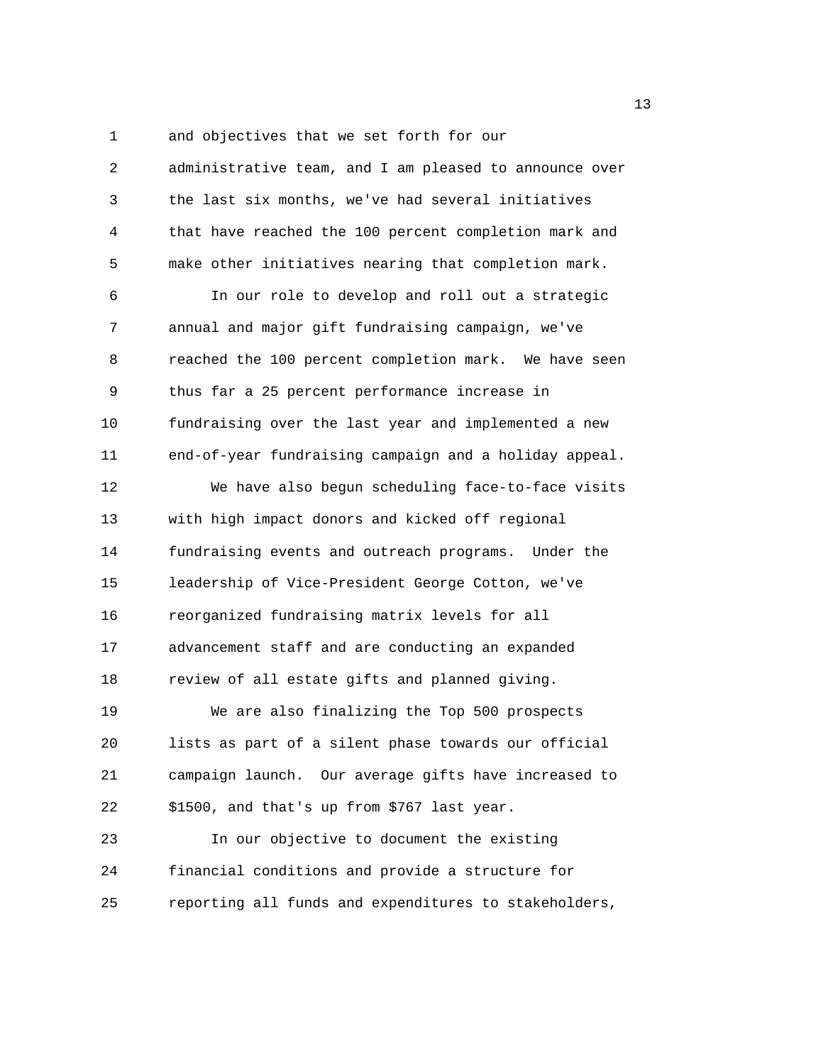1 and objectives that we set forth for our 2 administrative team, and I am pleased to announce over 3 the last six months, we've had several initiatives 4 that have reached the 100 percent completion mark and 5 make other initiatives nearing that completion mark. 6 In our role to develop and roll out a strategic 7 annual and major gift fundraising campaign, we've 8 reached the 100 percent completion mark. We have seen 9 thus far a 25 percent performance increase in 10 fundraising over the last year and implemented a new 11 end-of-year fundraising campaign and a holiday appeal. 12 We have also begun scheduling face-to-face visits 13 with high impact donors and kicked off regional 14 fundraising events and outreach programs. Under the 15 leadership of Vice-President George Cotton, we've 16 reorganized fundraising matrix levels for all 17 advancement staff and are conducting an expanded 18 review of all estate gifts and planned giving. 19 We are also finalizing the Top 500 prospects 20 lists as part of a silent phase towards our official 21 campaign launch. Our average gifts have increased to 22 \$1500, and that's up from \$767 last year. 23 In our objective to document the existing 24 financial conditions and provide a structure for 25 reporting all funds and expenditures to stakeholders,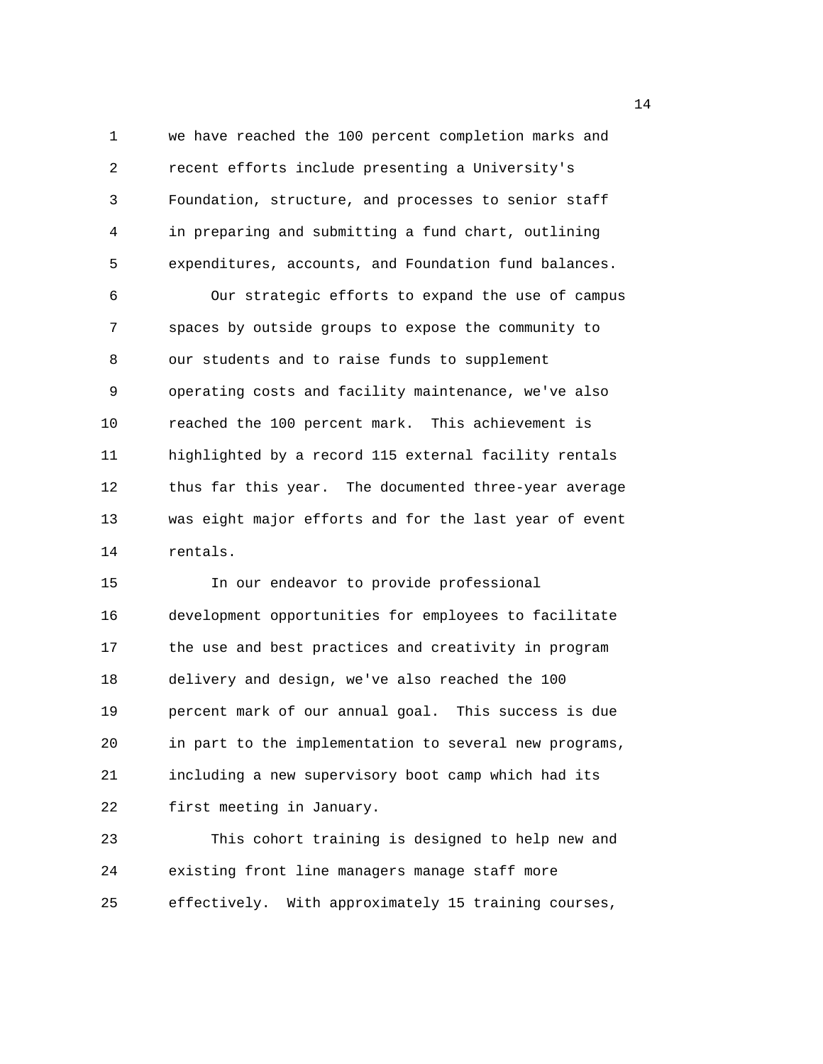1 we have reached the 100 percent completion marks and 2 recent efforts include presenting a University's 3 Foundation, structure, and processes to senior staff 4 in preparing and submitting a fund chart, outlining 5 expenditures, accounts, and Foundation fund balances.

6 Our strategic efforts to expand the use of campus 7 spaces by outside groups to expose the community to 8 our students and to raise funds to supplement 9 operating costs and facility maintenance, we've also 10 reached the 100 percent mark. This achievement is 11 highlighted by a record 115 external facility rentals 12 thus far this year. The documented three-year average 13 was eight major efforts and for the last year of event 14 rentals.

15 In our endeavor to provide professional 16 development opportunities for employees to facilitate 17 the use and best practices and creativity in program 18 delivery and design, we've also reached the 100 19 percent mark of our annual goal. This success is due 20 in part to the implementation to several new programs, 21 including a new supervisory boot camp which had its 22 first meeting in January.

23 This cohort training is designed to help new and 24 existing front line managers manage staff more 25 effectively. With approximately 15 training courses,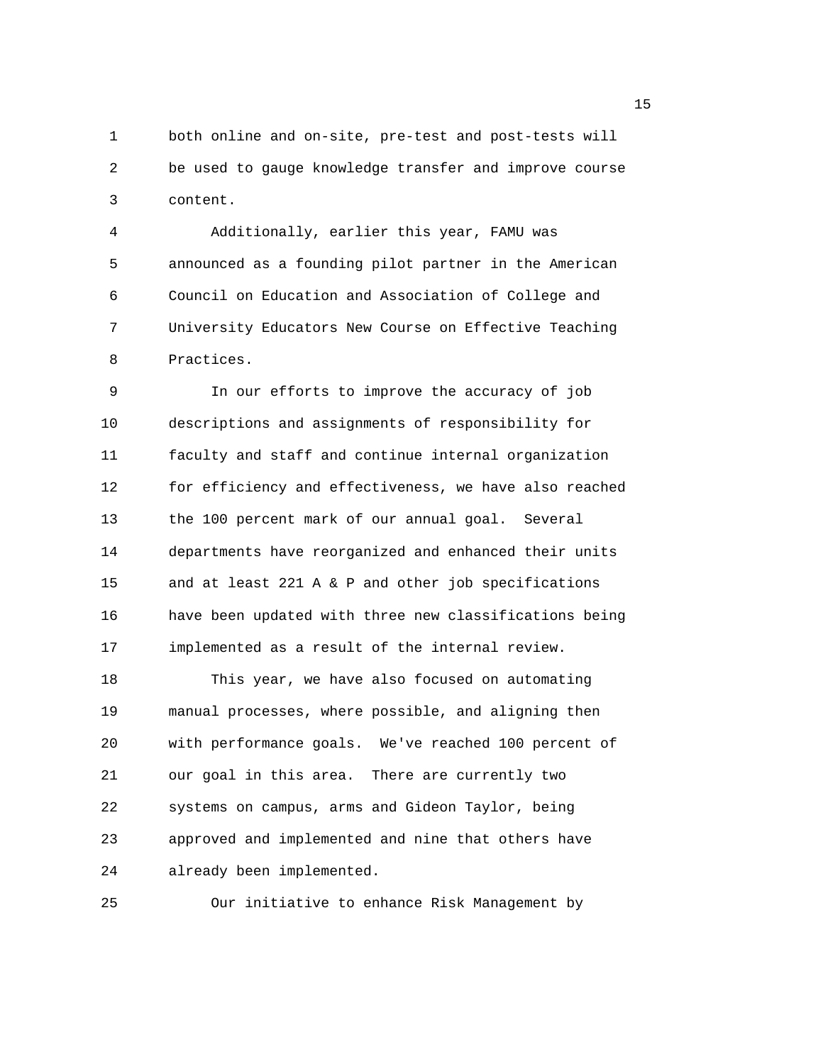1 both online and on-site, pre-test and post-tests will 2 be used to gauge knowledge transfer and improve course 3 content.

4 Additionally, earlier this year, FAMU was 5 announced as a founding pilot partner in the American 6 Council on Education and Association of College and 7 University Educators New Course on Effective Teaching 8 Practices.

9 In our efforts to improve the accuracy of job 10 descriptions and assignments of responsibility for 11 faculty and staff and continue internal organization 12 for efficiency and effectiveness, we have also reached 13 the 100 percent mark of our annual goal. Several 14 departments have reorganized and enhanced their units 15 and at least 221 A & P and other job specifications 16 have been updated with three new classifications being 17 implemented as a result of the internal review.

18 This year, we have also focused on automating 19 manual processes, where possible, and aligning then 20 with performance goals. We've reached 100 percent of 21 our goal in this area. There are currently two 22 systems on campus, arms and Gideon Taylor, being 23 approved and implemented and nine that others have 24 already been implemented.

25 Our initiative to enhance Risk Management by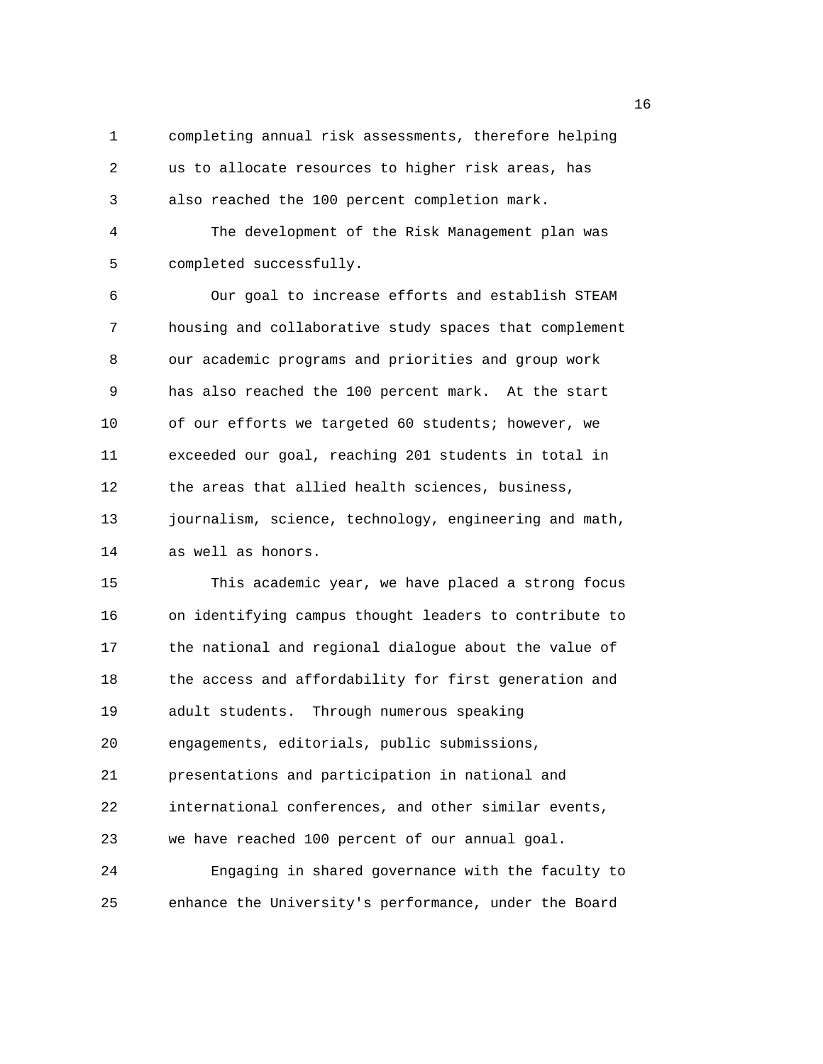1 completing annual risk assessments, therefore helping 2 us to allocate resources to higher risk areas, has 3 also reached the 100 percent completion mark.

4 The development of the Risk Management plan was 5 completed successfully.

6 Our goal to increase efforts and establish STEAM 7 housing and collaborative study spaces that complement 8 our academic programs and priorities and group work 9 has also reached the 100 percent mark. At the start 10 of our efforts we targeted 60 students; however, we 11 exceeded our goal, reaching 201 students in total in 12 the areas that allied health sciences, business, 13 journalism, science, technology, engineering and math, 14 as well as honors.

15 This academic year, we have placed a strong focus 16 on identifying campus thought leaders to contribute to 17 the national and regional dialogue about the value of 18 the access and affordability for first generation and 19 adult students. Through numerous speaking 20 engagements, editorials, public submissions, 21 presentations and participation in national and 22 international conferences, and other similar events, 23 we have reached 100 percent of our annual goal. 24 Engaging in shared governance with the faculty to

25 enhance the University's performance, under the Board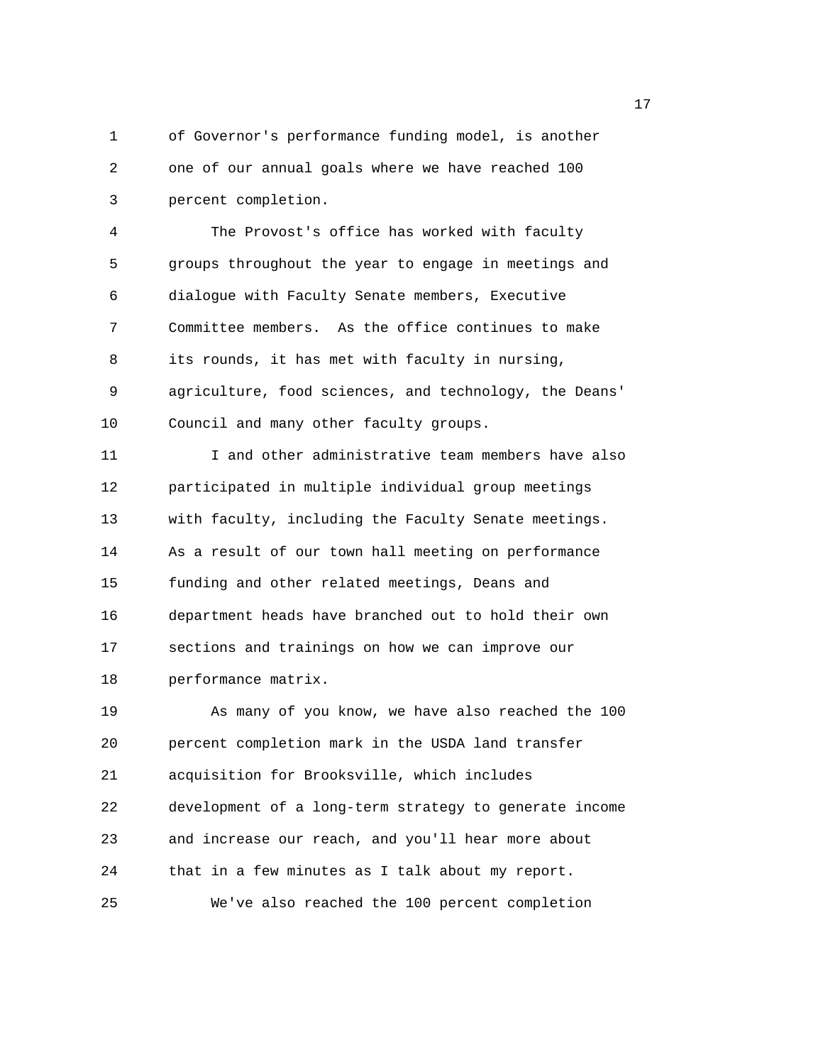1 of Governor's performance funding model, is another 2 one of our annual goals where we have reached 100 3 percent completion.

4 The Provost's office has worked with faculty 5 groups throughout the year to engage in meetings and 6 dialogue with Faculty Senate members, Executive 7 Committee members. As the office continues to make 8 its rounds, it has met with faculty in nursing, 9 agriculture, food sciences, and technology, the Deans' 10 Council and many other faculty groups.

11 I and other administrative team members have also 12 participated in multiple individual group meetings 13 with faculty, including the Faculty Senate meetings. 14 As a result of our town hall meeting on performance 15 funding and other related meetings, Deans and 16 department heads have branched out to hold their own 17 sections and trainings on how we can improve our 18 performance matrix.

19 As many of you know, we have also reached the 100 20 percent completion mark in the USDA land transfer 21 acquisition for Brooksville, which includes 22 development of a long-term strategy to generate income 23 and increase our reach, and you'll hear more about 24 that in a few minutes as I talk about my report. 25 We've also reached the 100 percent completion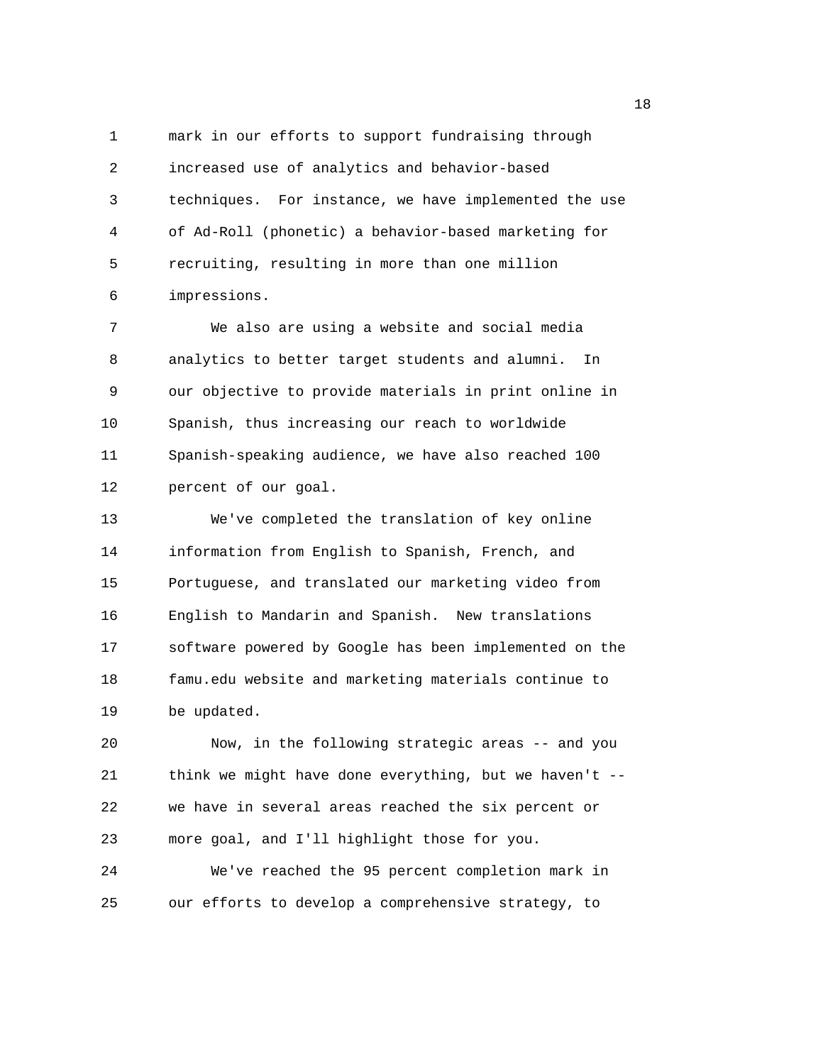1 mark in our efforts to support fundraising through 2 increased use of analytics and behavior-based 3 techniques. For instance, we have implemented the use 4 of Ad-Roll (phonetic) a behavior-based marketing for 5 recruiting, resulting in more than one million 6 impressions.

7 We also are using a website and social media 8 analytics to better target students and alumni. In 9 our objective to provide materials in print online in 10 Spanish, thus increasing our reach to worldwide 11 Spanish-speaking audience, we have also reached 100 12 percent of our goal.

13 We've completed the translation of key online 14 information from English to Spanish, French, and 15 Portuguese, and translated our marketing video from 16 English to Mandarin and Spanish. New translations 17 software powered by Google has been implemented on the 18 famu.edu website and marketing materials continue to 19 be updated.

20 Now, in the following strategic areas -- and you 21 think we might have done everything, but we haven't -- 22 we have in several areas reached the six percent or 23 more goal, and I'll highlight those for you.

24 We've reached the 95 percent completion mark in 25 our efforts to develop a comprehensive strategy, to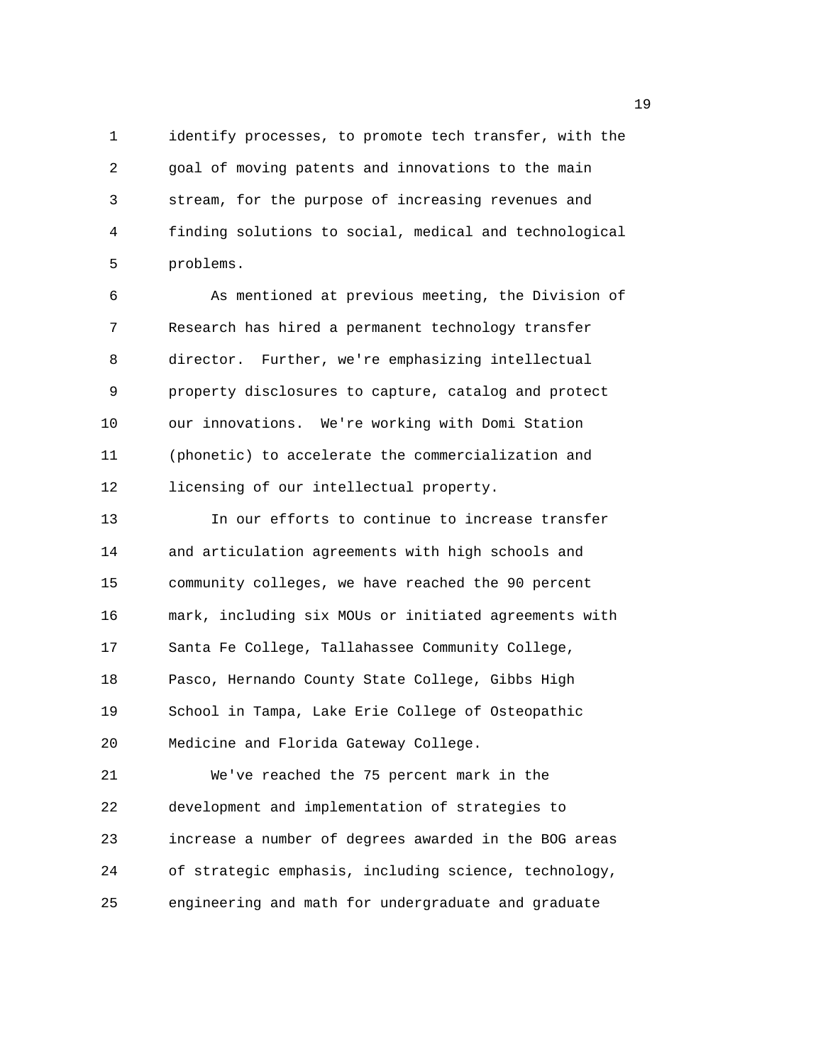1 identify processes, to promote tech transfer, with the 2 goal of moving patents and innovations to the main 3 stream, for the purpose of increasing revenues and 4 finding solutions to social, medical and technological 5 problems.

6 As mentioned at previous meeting, the Division of 7 Research has hired a permanent technology transfer 8 director. Further, we're emphasizing intellectual 9 property disclosures to capture, catalog and protect 10 our innovations. We're working with Domi Station 11 (phonetic) to accelerate the commercialization and 12 licensing of our intellectual property.

13 In our efforts to continue to increase transfer 14 and articulation agreements with high schools and 15 community colleges, we have reached the 90 percent 16 mark, including six MOUs or initiated agreements with 17 Santa Fe College, Tallahassee Community College, 18 Pasco, Hernando County State College, Gibbs High 19 School in Tampa, Lake Erie College of Osteopathic 20 Medicine and Florida Gateway College. 21 We've reached the 75 percent mark in the

22 development and implementation of strategies to 23 increase a number of degrees awarded in the BOG areas 24 of strategic emphasis, including science, technology, 25 engineering and math for undergraduate and graduate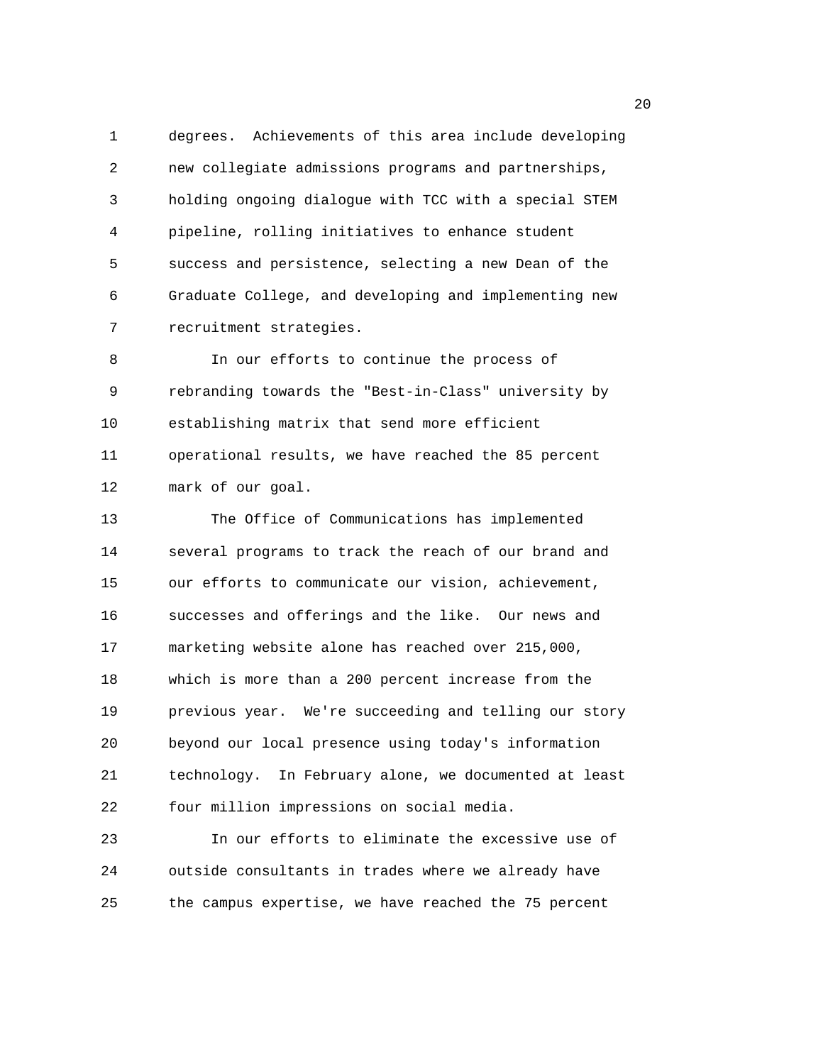1 degrees. Achievements of this area include developing 2 new collegiate admissions programs and partnerships, 3 holding ongoing dialogue with TCC with a special STEM 4 pipeline, rolling initiatives to enhance student 5 success and persistence, selecting a new Dean of the 6 Graduate College, and developing and implementing new 7 recruitment strategies.

8 In our efforts to continue the process of 9 rebranding towards the "Best-in-Class" university by 10 establishing matrix that send more efficient 11 operational results, we have reached the 85 percent 12 mark of our goal.

13 The Office of Communications has implemented 14 several programs to track the reach of our brand and 15 our efforts to communicate our vision, achievement, 16 successes and offerings and the like. Our news and 17 marketing website alone has reached over 215,000, 18 which is more than a 200 percent increase from the 19 previous year. We're succeeding and telling our story 20 beyond our local presence using today's information 21 technology. In February alone, we documented at least 22 four million impressions on social media.

23 In our efforts to eliminate the excessive use of 24 outside consultants in trades where we already have 25 the campus expertise, we have reached the 75 percent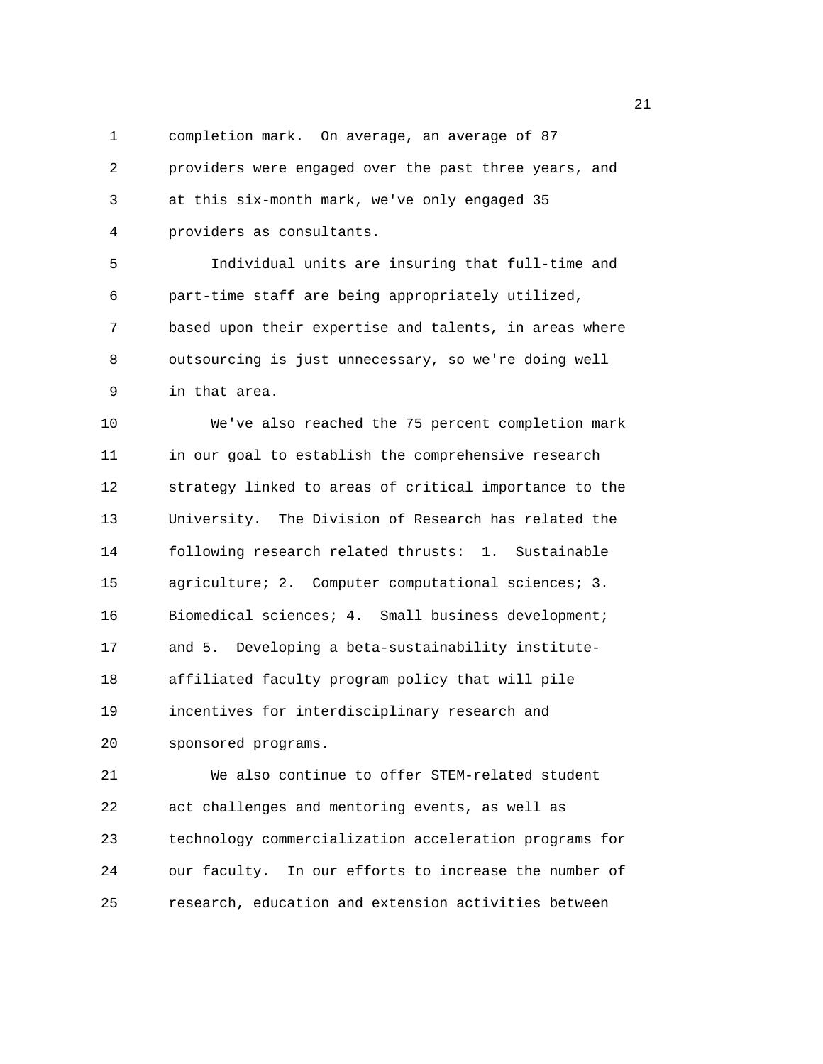1 completion mark. On average, an average of 87

2 providers were engaged over the past three years, and 3 at this six-month mark, we've only engaged 35 4 providers as consultants.

5 Individual units are insuring that full-time and 6 part-time staff are being appropriately utilized, 7 based upon their expertise and talents, in areas where 8 outsourcing is just unnecessary, so we're doing well 9 in that area.

10 We've also reached the 75 percent completion mark 11 in our goal to establish the comprehensive research 12 strategy linked to areas of critical importance to the 13 University. The Division of Research has related the 14 following research related thrusts: 1. Sustainable 15 agriculture; 2. Computer computational sciences; 3. 16 Biomedical sciences; 4. Small business development; 17 and 5. Developing a beta-sustainability institute-18 affiliated faculty program policy that will pile 19 incentives for interdisciplinary research and 20 sponsored programs.

21 We also continue to offer STEM-related student 22 act challenges and mentoring events, as well as 23 technology commercialization acceleration programs for 24 our faculty. In our efforts to increase the number of 25 research, education and extension activities between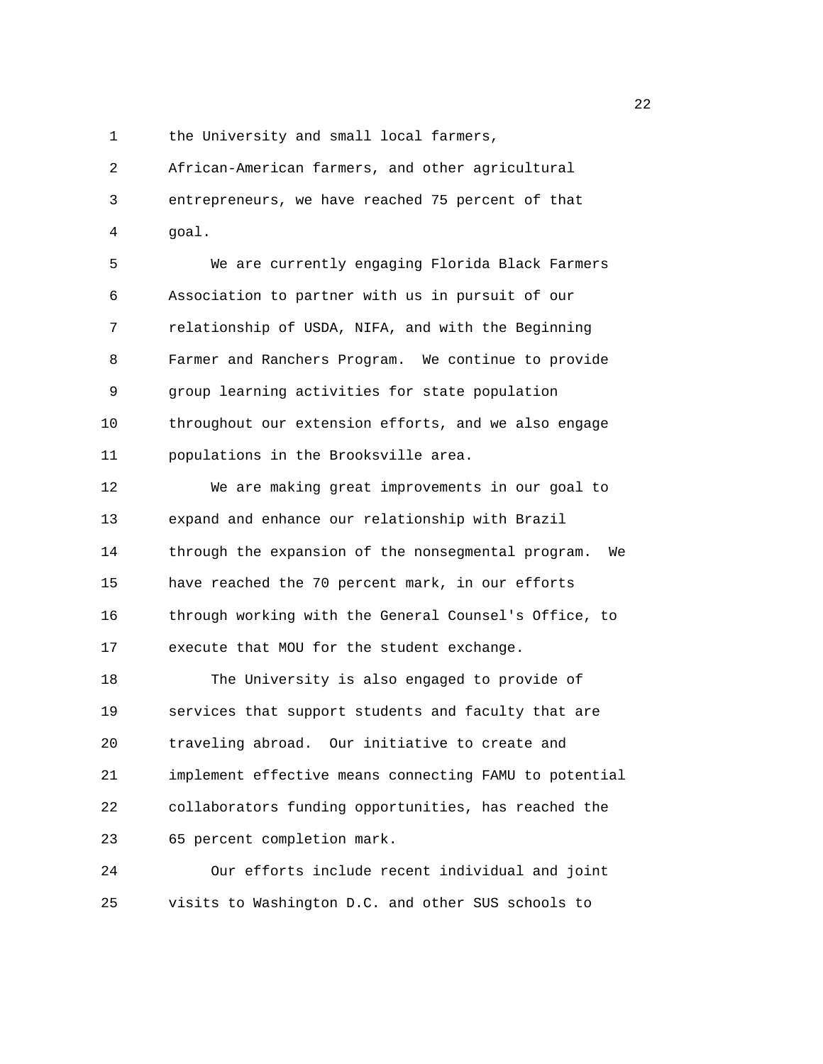1 the University and small local farmers,

2 African-American farmers, and other agricultural 3 entrepreneurs, we have reached 75 percent of that 4 goal.

5 We are currently engaging Florida Black Farmers 6 Association to partner with us in pursuit of our 7 relationship of USDA, NIFA, and with the Beginning 8 Farmer and Ranchers Program. We continue to provide 9 group learning activities for state population 10 throughout our extension efforts, and we also engage 11 populations in the Brooksville area.

12 We are making great improvements in our goal to 13 expand and enhance our relationship with Brazil 14 through the expansion of the nonsegmental program. We 15 have reached the 70 percent mark, in our efforts 16 through working with the General Counsel's Office, to 17 execute that MOU for the student exchange.

18 The University is also engaged to provide of 19 services that support students and faculty that are 20 traveling abroad. Our initiative to create and 21 implement effective means connecting FAMU to potential 22 collaborators funding opportunities, has reached the 23 65 percent completion mark.

24 Our efforts include recent individual and joint 25 visits to Washington D.C. and other SUS schools to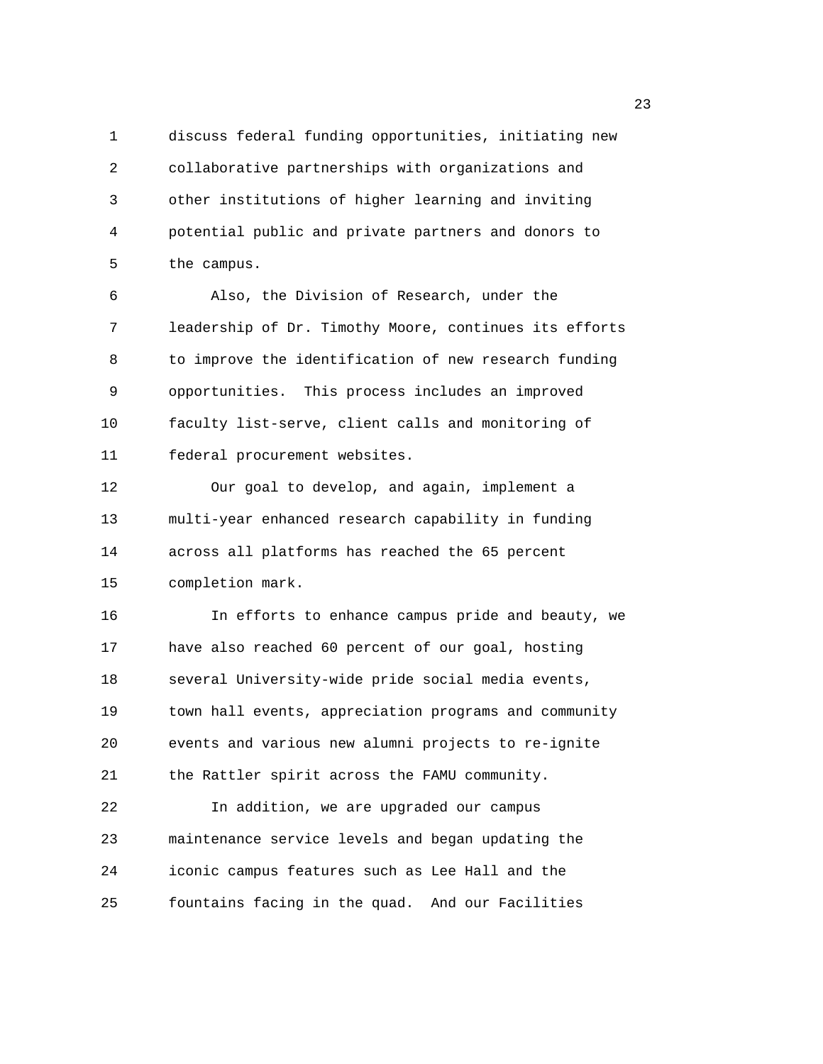1 discuss federal funding opportunities, initiating new 2 collaborative partnerships with organizations and 3 other institutions of higher learning and inviting 4 potential public and private partners and donors to 5 the campus.

6 Also, the Division of Research, under the 7 leadership of Dr. Timothy Moore, continues its efforts 8 to improve the identification of new research funding 9 opportunities. This process includes an improved 10 faculty list-serve, client calls and monitoring of 11 federal procurement websites.

12 Our goal to develop, and again, implement a 13 multi-year enhanced research capability in funding 14 across all platforms has reached the 65 percent 15 completion mark.

16 In efforts to enhance campus pride and beauty, we 17 have also reached 60 percent of our goal, hosting 18 several University-wide pride social media events, 19 town hall events, appreciation programs and community 20 events and various new alumni projects to re-ignite 21 the Rattler spirit across the FAMU community. 22 In addition, we are upgraded our campus 23 maintenance service levels and began updating the 24 iconic campus features such as Lee Hall and the

25 fountains facing in the quad. And our Facilities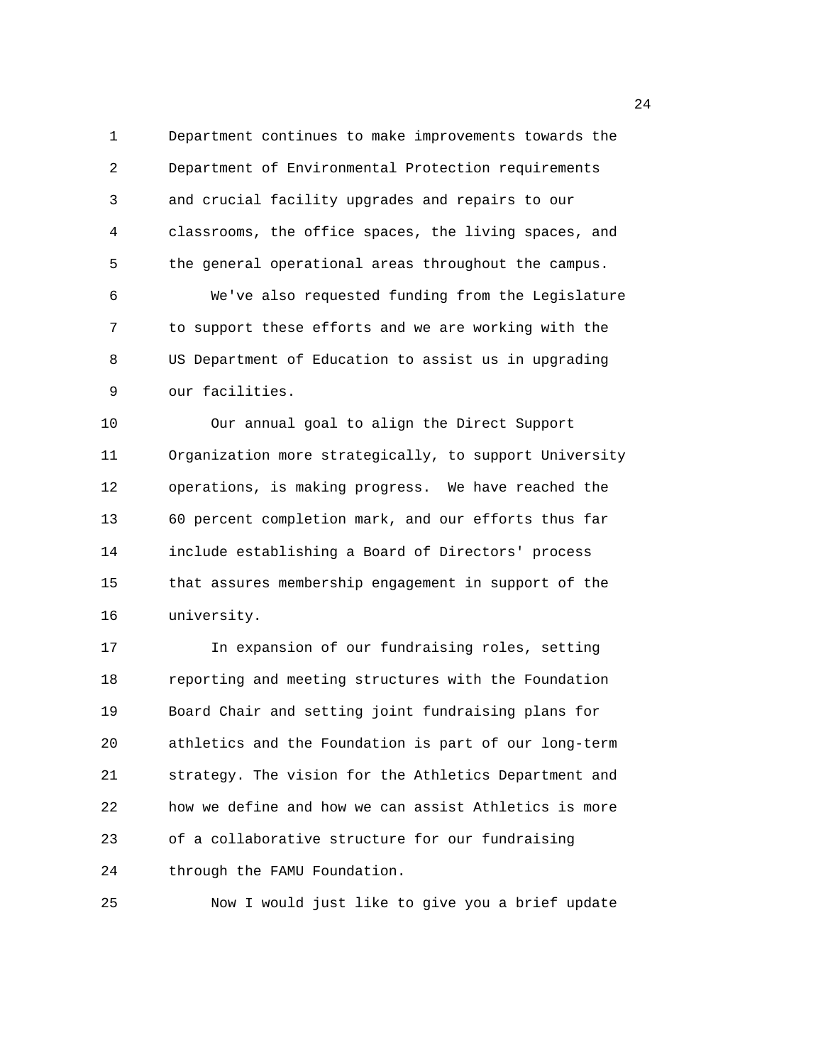1 Department continues to make improvements towards the 2 Department of Environmental Protection requirements 3 and crucial facility upgrades and repairs to our 4 classrooms, the office spaces, the living spaces, and 5 the general operational areas throughout the campus. 6 We've also requested funding from the Legislature 7 to support these efforts and we are working with the 8 US Department of Education to assist us in upgrading 9 our facilities.

10 Our annual goal to align the Direct Support 11 Organization more strategically, to support University 12 operations, is making progress. We have reached the 13 60 percent completion mark, and our efforts thus far 14 include establishing a Board of Directors' process 15 that assures membership engagement in support of the 16 university.

17 In expansion of our fundraising roles, setting 18 reporting and meeting structures with the Foundation 19 Board Chair and setting joint fundraising plans for 20 athletics and the Foundation is part of our long-term 21 strategy. The vision for the Athletics Department and 22 how we define and how we can assist Athletics is more 23 of a collaborative structure for our fundraising 24 through the FAMU Foundation.

25 Now I would just like to give you a brief update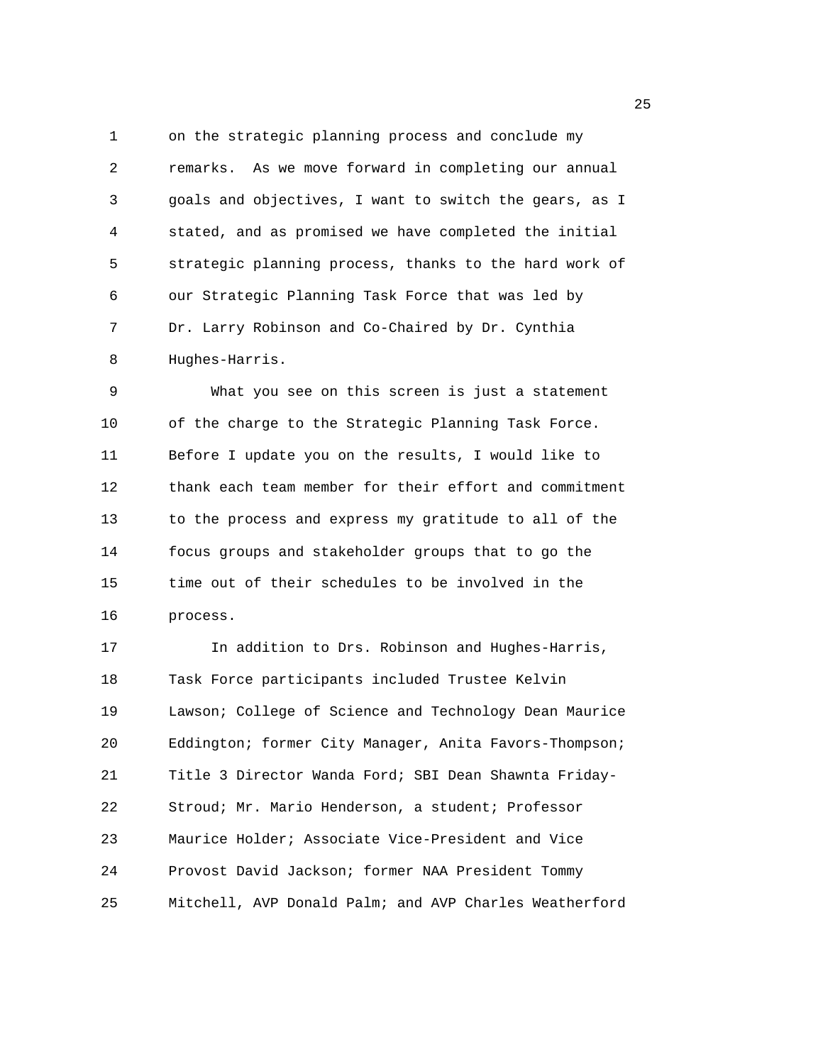1 on the strategic planning process and conclude my 2 remarks. As we move forward in completing our annual 3 goals and objectives, I want to switch the gears, as I 4 stated, and as promised we have completed the initial 5 strategic planning process, thanks to the hard work of 6 our Strategic Planning Task Force that was led by 7 Dr. Larry Robinson and Co-Chaired by Dr. Cynthia 8 Hughes-Harris.

9 What you see on this screen is just a statement 10 of the charge to the Strategic Planning Task Force. 11 Before I update you on the results, I would like to 12 thank each team member for their effort and commitment 13 to the process and express my gratitude to all of the 14 focus groups and stakeholder groups that to go the 15 time out of their schedules to be involved in the 16 process.

17 In addition to Drs. Robinson and Hughes-Harris, 18 Task Force participants included Trustee Kelvin 19 Lawson; College of Science and Technology Dean Maurice 20 Eddington; former City Manager, Anita Favors-Thompson; 21 Title 3 Director Wanda Ford; SBI Dean Shawnta Friday-22 Stroud; Mr. Mario Henderson, a student; Professor 23 Maurice Holder; Associate Vice-President and Vice 24 Provost David Jackson; former NAA President Tommy 25 Mitchell, AVP Donald Palm; and AVP Charles Weatherford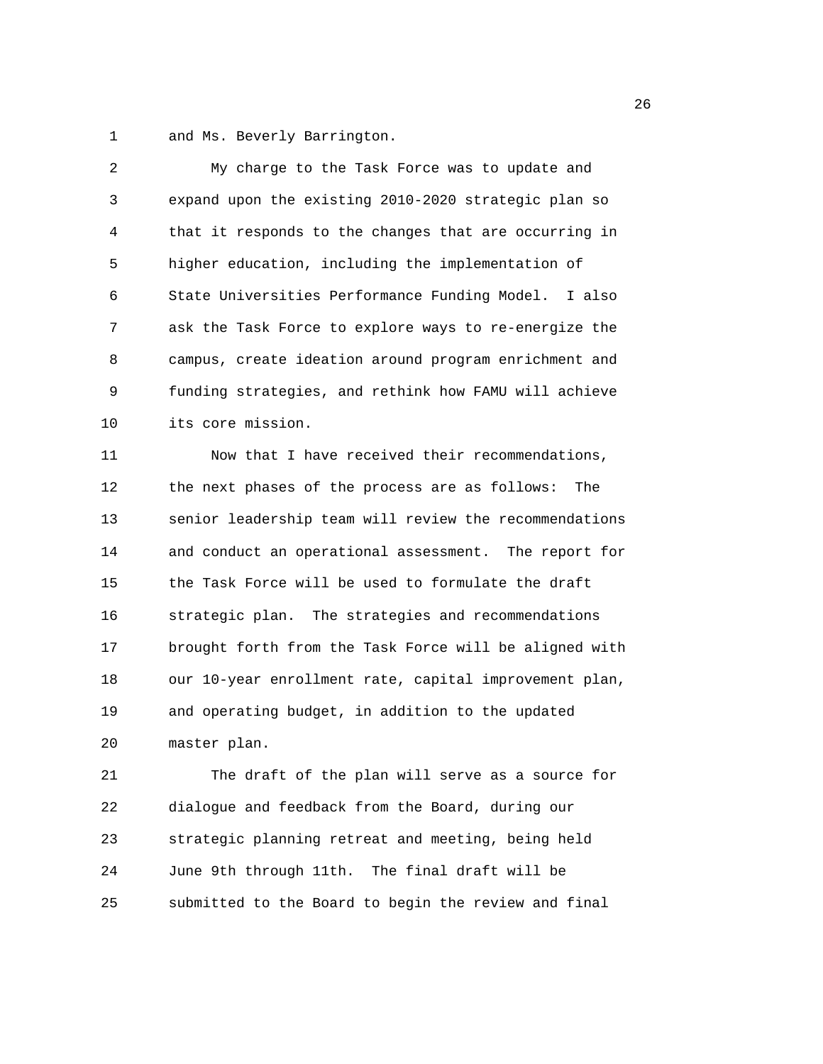1 and Ms. Beverly Barrington.

| $\overline{2}$ | My charge to the Task Force was to update and          |
|----------------|--------------------------------------------------------|
| 3              | expand upon the existing 2010-2020 strategic plan so   |
| 4              | that it responds to the changes that are occurring in  |
| 5              | higher education, including the implementation of      |
| 6              | State Universities Performance Funding Model. I also   |
| 7              | ask the Task Force to explore ways to re-energize the  |
| 8              | campus, create ideation around program enrichment and  |
| 9              | funding strategies, and rethink how FAMU will achieve  |
| 10             | its core mission.                                      |
| 11             | Now that I have received their recommendations,        |
| 12             | the next phases of the process are as follows: The     |
| 13             | senior leadership team will review the recommendations |
| 14             | and conduct an operational assessment. The report for  |
| 15             | the Task Force will be used to formulate the draft     |
| 16             | strategic plan. The strategies and recommendations     |
| 17             | brought forth from the Task Force will be aligned with |
| 18             | our 10-year enrollment rate, capital improvement plan, |
| 19             | and operating budget, in addition to the updated       |
| 20             | master plan.                                           |
| 21             | The draft of the plan will serve as a source for       |
| 22             | dialogue and feedback from the Board, during our       |
| 23             | strategic planning retreat and meeting, being held     |
| 24             | June 9th through 11th. The final draft will be         |
| 25             | submitted to the Board to begin the review and final   |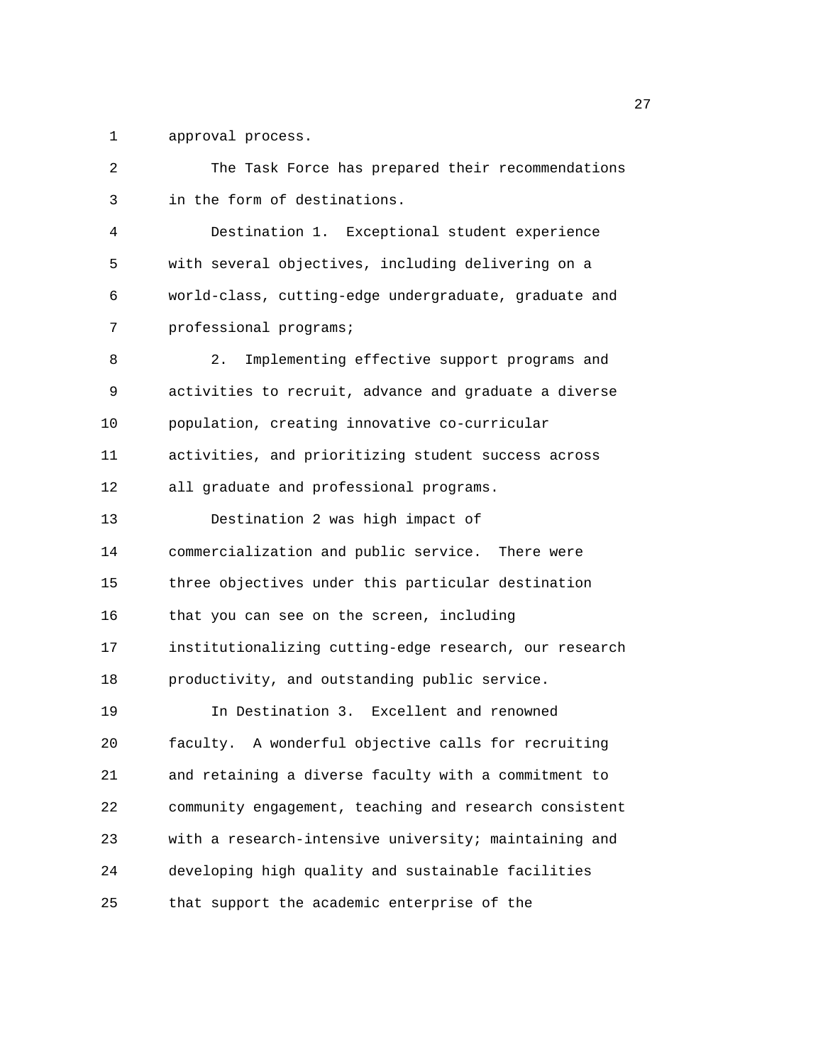1 approval process.

2 The Task Force has prepared their recommendations 3 in the form of destinations. 4 Destination 1. Exceptional student experience 5 with several objectives, including delivering on a 6 world-class, cutting-edge undergraduate, graduate and 7 professional programs; 8 2. Implementing effective support programs and 9 activities to recruit, advance and graduate a diverse 10 population, creating innovative co-curricular 11 activities, and prioritizing student success across 12 all graduate and professional programs. 13 Destination 2 was high impact of 14 commercialization and public service. There were 15 three objectives under this particular destination 16 that you can see on the screen, including 17 institutionalizing cutting-edge research, our research 18 productivity, and outstanding public service. 19 In Destination 3. Excellent and renowned 20 faculty. A wonderful objective calls for recruiting 21 and retaining a diverse faculty with a commitment to 22 community engagement, teaching and research consistent 23 with a research-intensive university; maintaining and 24 developing high quality and sustainable facilities 25 that support the academic enterprise of the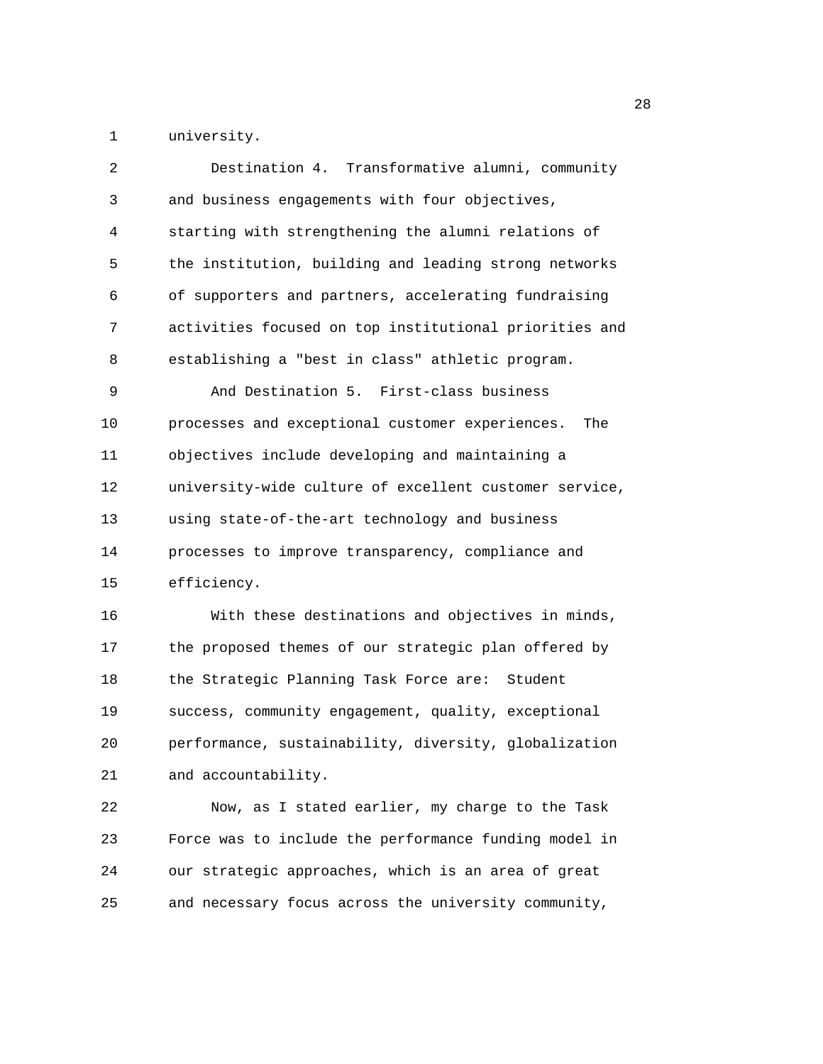1 university.

| 2  | Destination 4. Transformative alumni, community        |
|----|--------------------------------------------------------|
| 3  | and business engagements with four objectives,         |
| 4  | starting with strengthening the alumni relations of    |
| 5  | the institution, building and leading strong networks  |
| 6  | of supporters and partners, accelerating fundraising   |
| 7  | activities focused on top institutional priorities and |
| 8  | establishing a "best in class" athletic program.       |
| 9  | And Destination 5. First-class business                |
| 10 | processes and exceptional customer experiences.<br>The |
| 11 | objectives include developing and maintaining a        |
| 12 | university-wide culture of excellent customer service, |
| 13 | using state-of-the-art technology and business         |
| 14 | processes to improve transparency, compliance and      |
| 15 | efficiency.                                            |
| 16 | With these destinations and objectives in minds,       |
| 17 | the proposed themes of our strategic plan offered by   |
| 18 | the Strategic Planning Task Force are: Student         |
| 19 | success, community engagement, quality, exceptional    |
| 20 | performance, sustainability, diversity, globalization  |
| 21 | and accountability.                                    |
|    |                                                        |

22 Now, as I stated earlier, my charge to the Task 23 Force was to include the performance funding model in 24 our strategic approaches, which is an area of great 25 and necessary focus across the university community,

<u>28 and 28</u>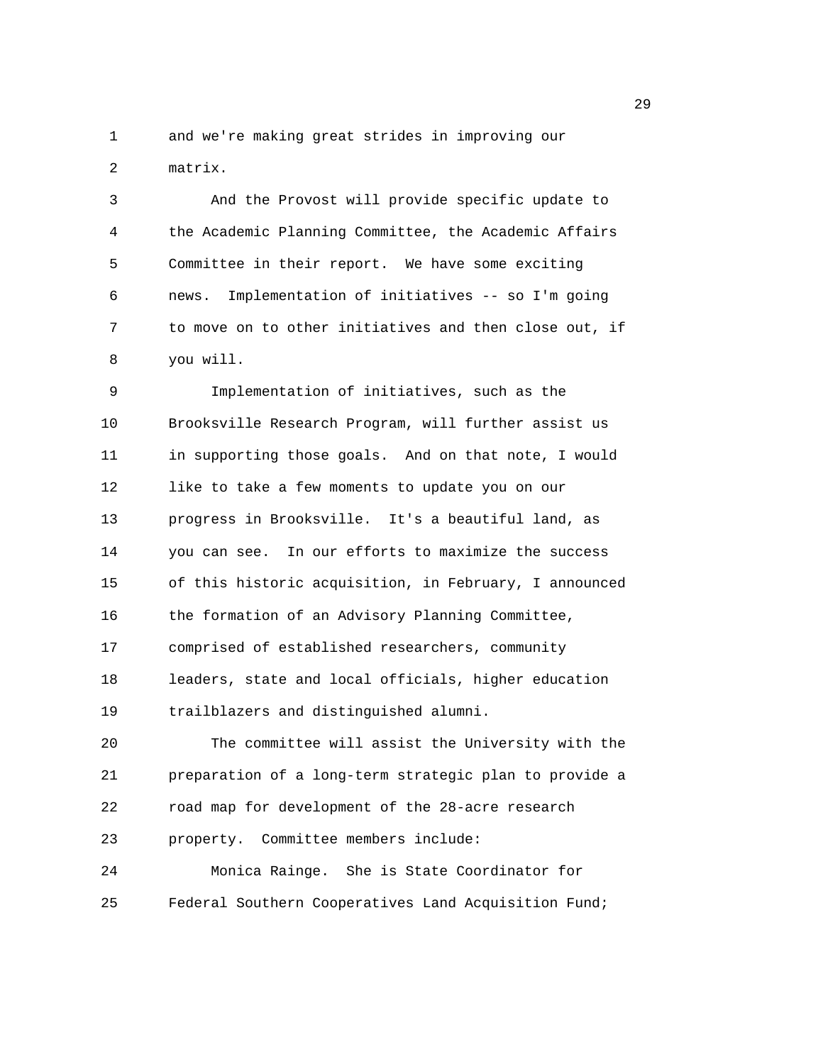1 and we're making great strides in improving our 2 matrix.

3 And the Provost will provide specific update to 4 the Academic Planning Committee, the Academic Affairs 5 Committee in their report. We have some exciting 6 news. Implementation of initiatives -- so I'm going 7 to move on to other initiatives and then close out, if 8 you will.

9 Implementation of initiatives, such as the 10 Brooksville Research Program, will further assist us 11 in supporting those goals. And on that note, I would 12 like to take a few moments to update you on our 13 progress in Brooksville. It's a beautiful land, as 14 you can see. In our efforts to maximize the success 15 of this historic acquisition, in February, I announced 16 the formation of an Advisory Planning Committee, 17 comprised of established researchers, community 18 leaders, state and local officials, higher education 19 trailblazers and distinguished alumni. 20 The committee will assist the University with the 21 preparation of a long-term strategic plan to provide a 22 road map for development of the 28-acre research

23 property. Committee members include:

24 Monica Rainge. She is State Coordinator for 25 Federal Southern Cooperatives Land Acquisition Fund;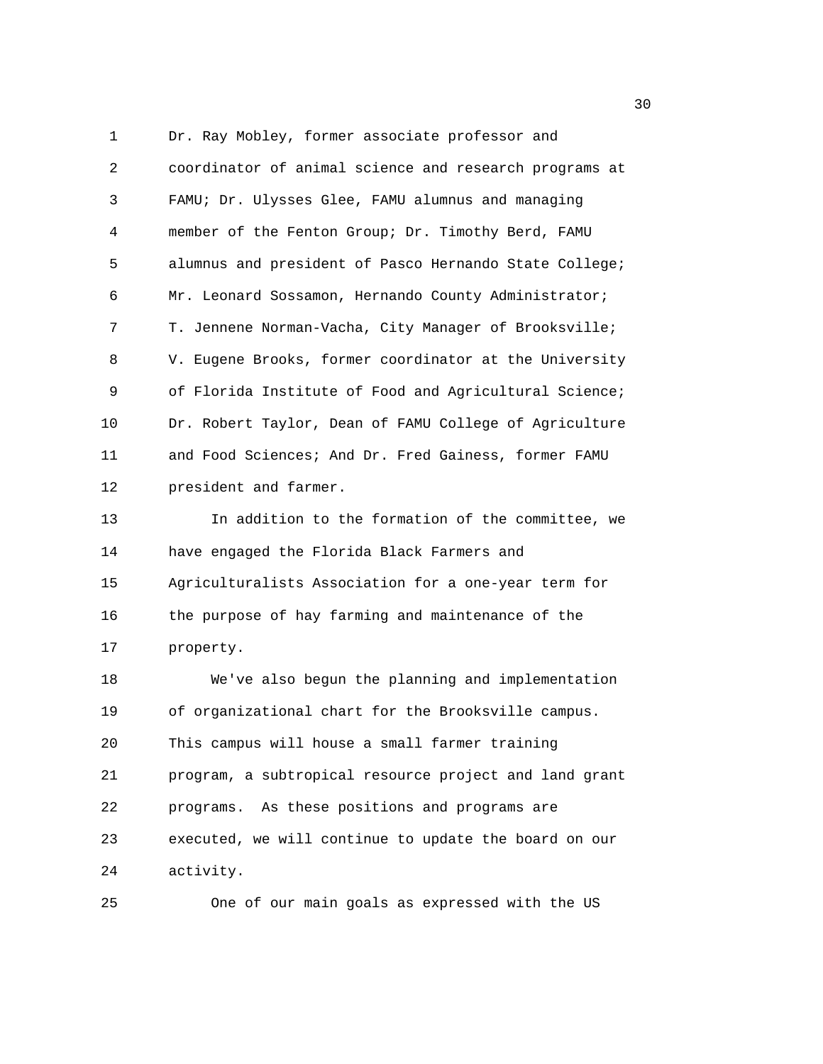1 Dr. Ray Mobley, former associate professor and 2 coordinator of animal science and research programs at 3 FAMU; Dr. Ulysses Glee, FAMU alumnus and managing 4 member of the Fenton Group; Dr. Timothy Berd, FAMU 5 alumnus and president of Pasco Hernando State College; 6 Mr. Leonard Sossamon, Hernando County Administrator; 7 T. Jennene Norman-Vacha, City Manager of Brooksville; 8 V. Eugene Brooks, former coordinator at the University 9 of Florida Institute of Food and Agricultural Science; 10 Dr. Robert Taylor, Dean of FAMU College of Agriculture 11 and Food Sciences; And Dr. Fred Gainess, former FAMU 12 president and farmer. 13 In addition to the formation of the committee, we 14 have engaged the Florida Black Farmers and 15 Agriculturalists Association for a one-year term for 16 the purpose of hay farming and maintenance of the 17 property. 18 We've also begun the planning and implementation 19 of organizational chart for the Brooksville campus. 20 This campus will house a small farmer training 21 program, a subtropical resource project and land grant 22 programs. As these positions and programs are 23 executed, we will continue to update the board on our 24 activity.

25 One of our main goals as expressed with the US

 $30<sup>2</sup>$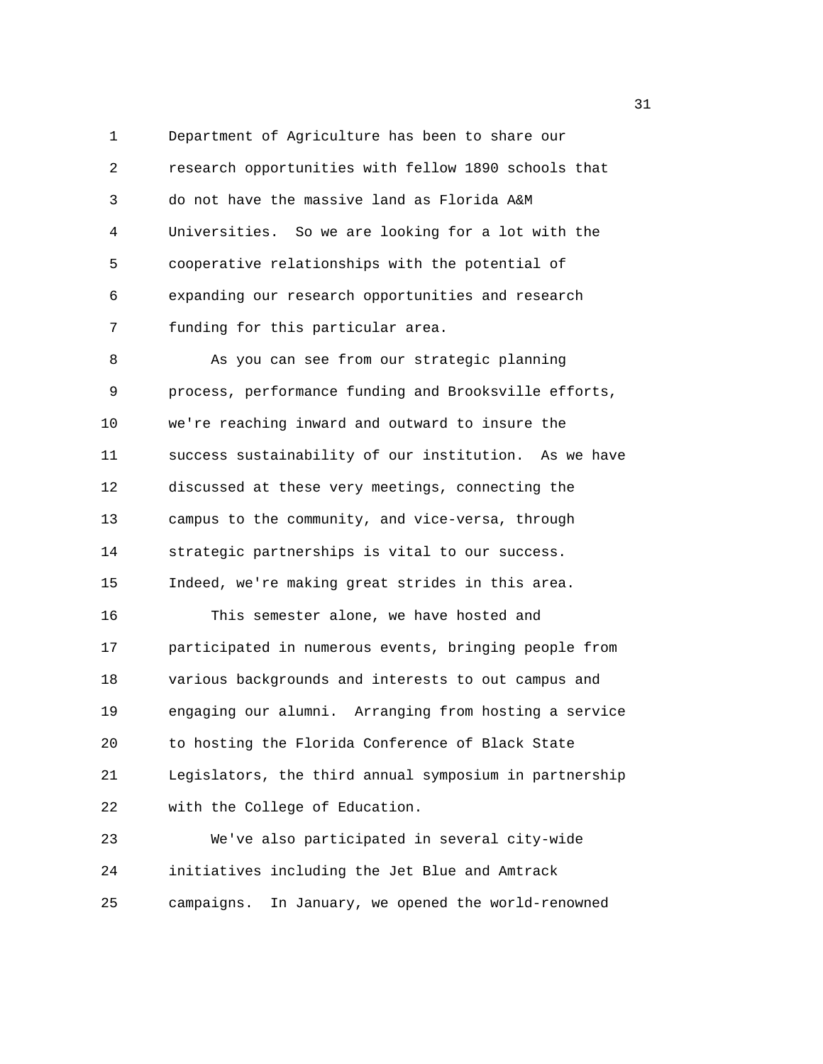1 Department of Agriculture has been to share our 2 research opportunities with fellow 1890 schools that 3 do not have the massive land as Florida A&M 4 Universities. So we are looking for a lot with the 5 cooperative relationships with the potential of 6 expanding our research opportunities and research 7 funding for this particular area. 8 As you can see from our strategic planning 9 process, performance funding and Brooksville efforts, 10 we're reaching inward and outward to insure the 11 success sustainability of our institution. As we have 12 discussed at these very meetings, connecting the 13 campus to the community, and vice-versa, through 14 strategic partnerships is vital to our success. 15 Indeed, we're making great strides in this area. 16 This semester alone, we have hosted and

17 participated in numerous events, bringing people from 18 various backgrounds and interests to out campus and 19 engaging our alumni. Arranging from hosting a service 20 to hosting the Florida Conference of Black State 21 Legislators, the third annual symposium in partnership 22 with the College of Education.

23 We've also participated in several city-wide 24 initiatives including the Jet Blue and Amtrack 25 campaigns. In January, we opened the world-renowned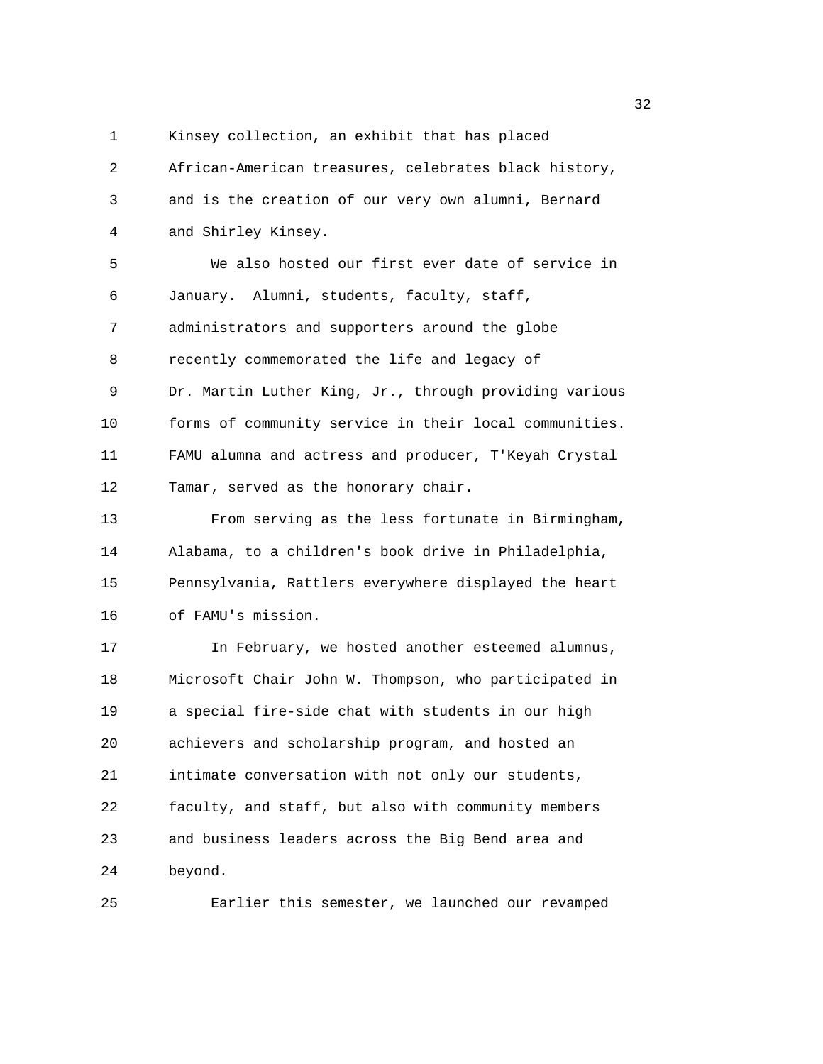1 Kinsey collection, an exhibit that has placed

2 African-American treasures, celebrates black history, 3 and is the creation of our very own alumni, Bernard 4 and Shirley Kinsey. 5 We also hosted our first ever date of service in 6 January. Alumni, students, faculty, staff, 7 administrators and supporters around the globe 8 recently commemorated the life and legacy of 9 Dr. Martin Luther King, Jr., through providing various 10 forms of community service in their local communities. 11 FAMU alumna and actress and producer, T'Keyah Crystal 12 Tamar, served as the honorary chair. 13 From serving as the less fortunate in Birmingham, 14 Alabama, to a children's book drive in Philadelphia, 15 Pennsylvania, Rattlers everywhere displayed the heart 16 of FAMU's mission. 17 In February, we hosted another esteemed alumnus, 18 Microsoft Chair John W. Thompson, who participated in 19 a special fire-side chat with students in our high 20 achievers and scholarship program, and hosted an 21 intimate conversation with not only our students, 22 faculty, and staff, but also with community members 23 and business leaders across the Big Bend area and 24 beyond.

25 Earlier this semester, we launched our revamped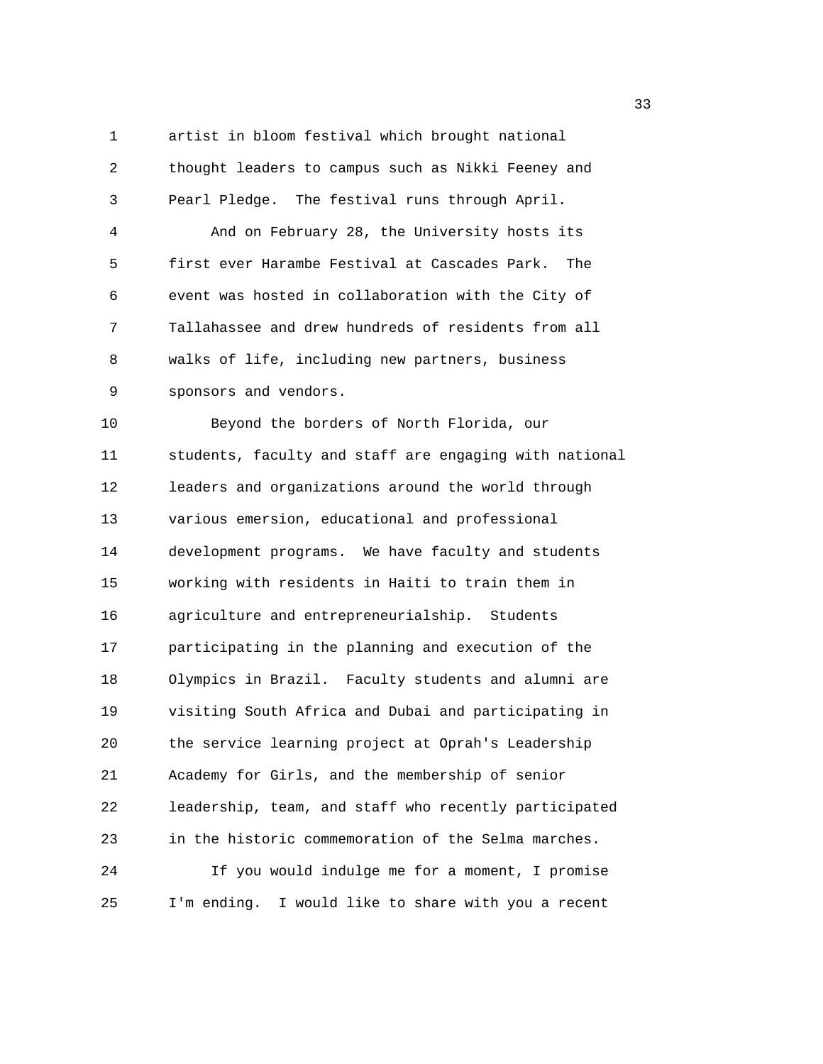1 artist in bloom festival which brought national 2 thought leaders to campus such as Nikki Feeney and

4 And on February 28, the University hosts its 5 first ever Harambe Festival at Cascades Park. The 6 event was hosted in collaboration with the City of 7 Tallahassee and drew hundreds of residents from all 8 walks of life, including new partners, business 9 sponsors and vendors.

3 Pearl Pledge. The festival runs through April.

10 Beyond the borders of North Florida, our 11 students, faculty and staff are engaging with national 12 leaders and organizations around the world through 13 various emersion, educational and professional 14 development programs. We have faculty and students 15 working with residents in Haiti to train them in 16 agriculture and entrepreneurialship. Students 17 participating in the planning and execution of the 18 Olympics in Brazil. Faculty students and alumni are 19 visiting South Africa and Dubai and participating in 20 the service learning project at Oprah's Leadership 21 Academy for Girls, and the membership of senior 22 leadership, team, and staff who recently participated 23 in the historic commemoration of the Selma marches. 24 If you would indulge me for a moment, I promise 25 I'm ending. I would like to share with you a recent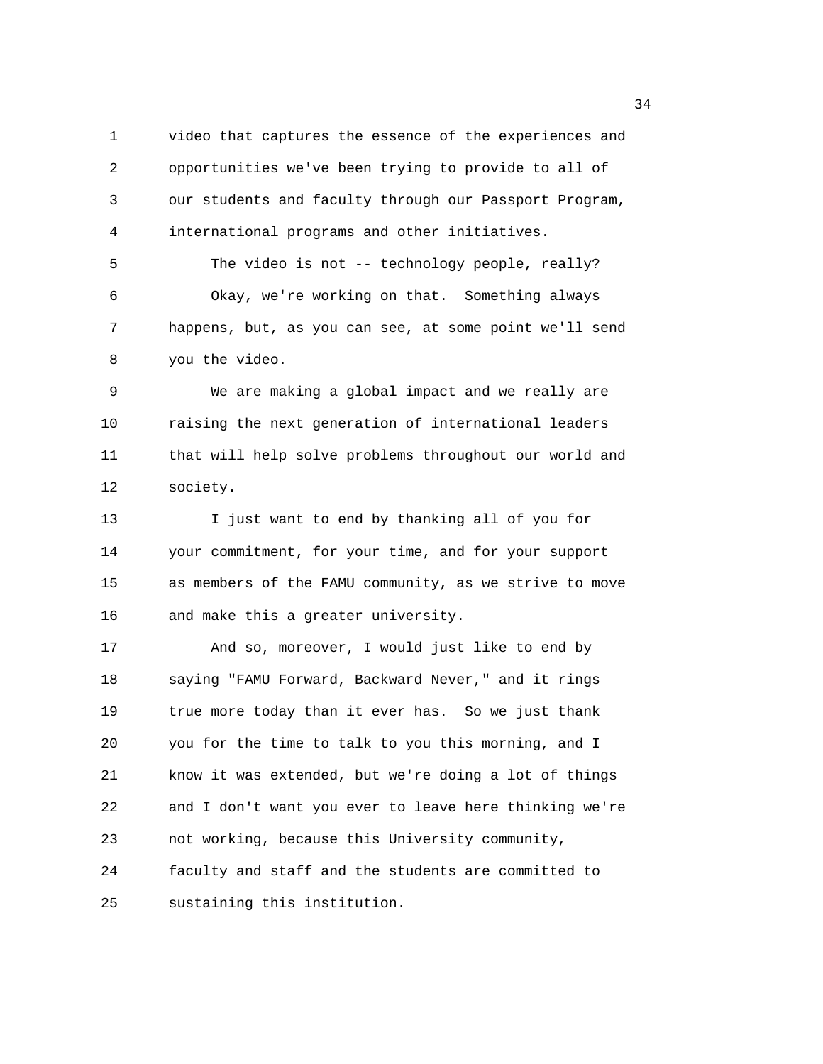1 video that captures the essence of the experiences and 2 opportunities we've been trying to provide to all of 3 our students and faculty through our Passport Program, 4 international programs and other initiatives. 5 The video is not -- technology people, really? 6 Okay, we're working on that. Something always 7 happens, but, as you can see, at some point we'll send

8 you the video.

9 We are making a global impact and we really are 10 raising the next generation of international leaders 11 that will help solve problems throughout our world and 12 society.

13 I just want to end by thanking all of you for 14 your commitment, for your time, and for your support 15 as members of the FAMU community, as we strive to move 16 and make this a greater university.

17 And so, moreover, I would just like to end by 18 saying "FAMU Forward, Backward Never," and it rings 19 true more today than it ever has. So we just thank 20 you for the time to talk to you this morning, and I 21 know it was extended, but we're doing a lot of things 22 and I don't want you ever to leave here thinking we're 23 not working, because this University community, 24 faculty and staff and the students are committed to 25 sustaining this institution.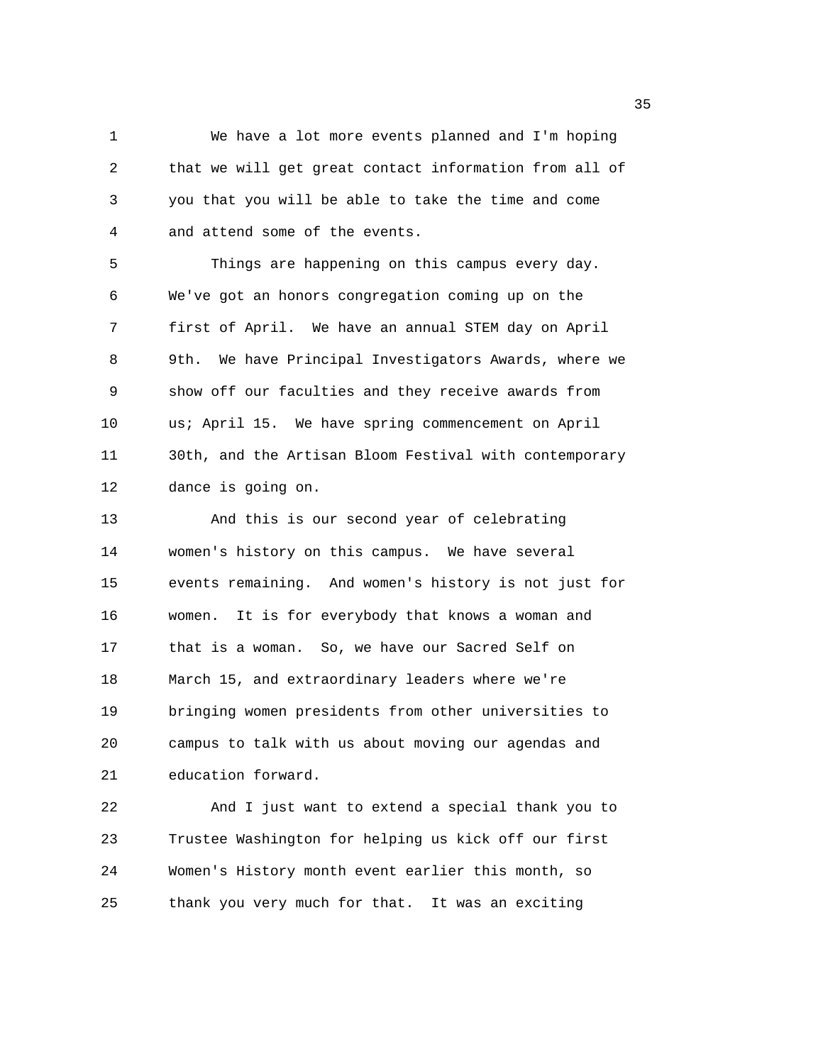1 We have a lot more events planned and I'm hoping 2 that we will get great contact information from all of 3 you that you will be able to take the time and come 4 and attend some of the events.

5 Things are happening on this campus every day. 6 We've got an honors congregation coming up on the 7 first of April. We have an annual STEM day on April 8 9th. We have Principal Investigators Awards, where we 9 show off our faculties and they receive awards from 10 us; April 15. We have spring commencement on April 11 30th, and the Artisan Bloom Festival with contemporary 12 dance is going on.

13 And this is our second year of celebrating 14 women's history on this campus. We have several 15 events remaining. And women's history is not just for 16 women. It is for everybody that knows a woman and 17 that is a woman. So, we have our Sacred Self on 18 March 15, and extraordinary leaders where we're 19 bringing women presidents from other universities to 20 campus to talk with us about moving our agendas and 21 education forward.

22 And I just want to extend a special thank you to 23 Trustee Washington for helping us kick off our first 24 Women's History month event earlier this month, so 25 thank you very much for that. It was an exciting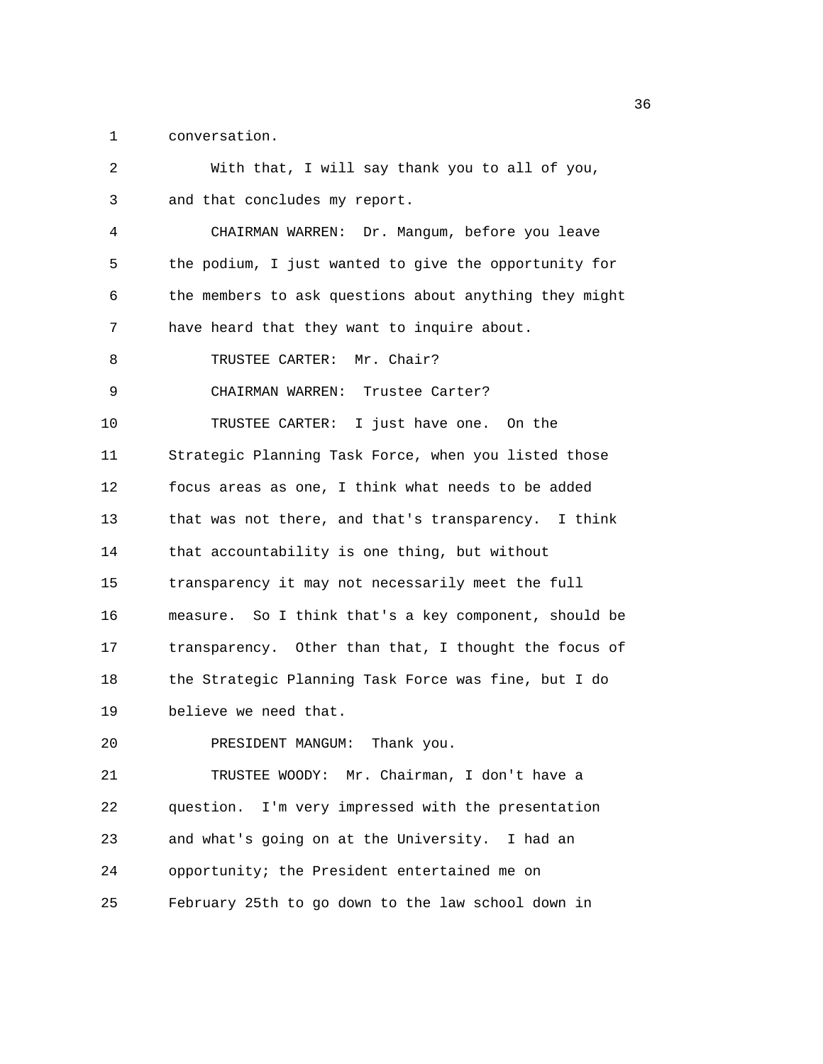1 conversation.

| 2  | With that, I will say thank you to all of you,         |
|----|--------------------------------------------------------|
| 3  | and that concludes my report.                          |
| 4  | CHAIRMAN WARREN: Dr. Mangum, before you leave          |
| 5  | the podium, I just wanted to give the opportunity for  |
| 6  | the members to ask questions about anything they might |
| 7  | have heard that they want to inquire about.            |
| 8  | TRUSTEE CARTER: Mr. Chair?                             |
| 9  | CHAIRMAN WARREN: Trustee Carter?                       |
| 10 | TRUSTEE CARTER: I just have one. On the                |
| 11 | Strategic Planning Task Force, when you listed those   |
| 12 | focus areas as one, I think what needs to be added     |
| 13 | that was not there, and that's transparency. I think   |
| 14 | that accountability is one thing, but without          |
| 15 | transparency it may not necessarily meet the full      |
| 16 | measure. So I think that's a key component, should be  |
| 17 | transparency. Other than that, I thought the focus of  |
| 18 | the Strategic Planning Task Force was fine, but I do   |
| 19 | believe we need that.                                  |
| 20 | PRESIDENT MANGUM: Thank you.                           |
| 21 | TRUSTEE WOODY: Mr. Chairman, I don't have a            |
| 22 | question. I'm very impressed with the presentation     |
| 23 | and what's going on at the University. I had an        |
| 24 | opportunity; the President entertained me on           |
| 25 | February 25th to go down to the law school down in     |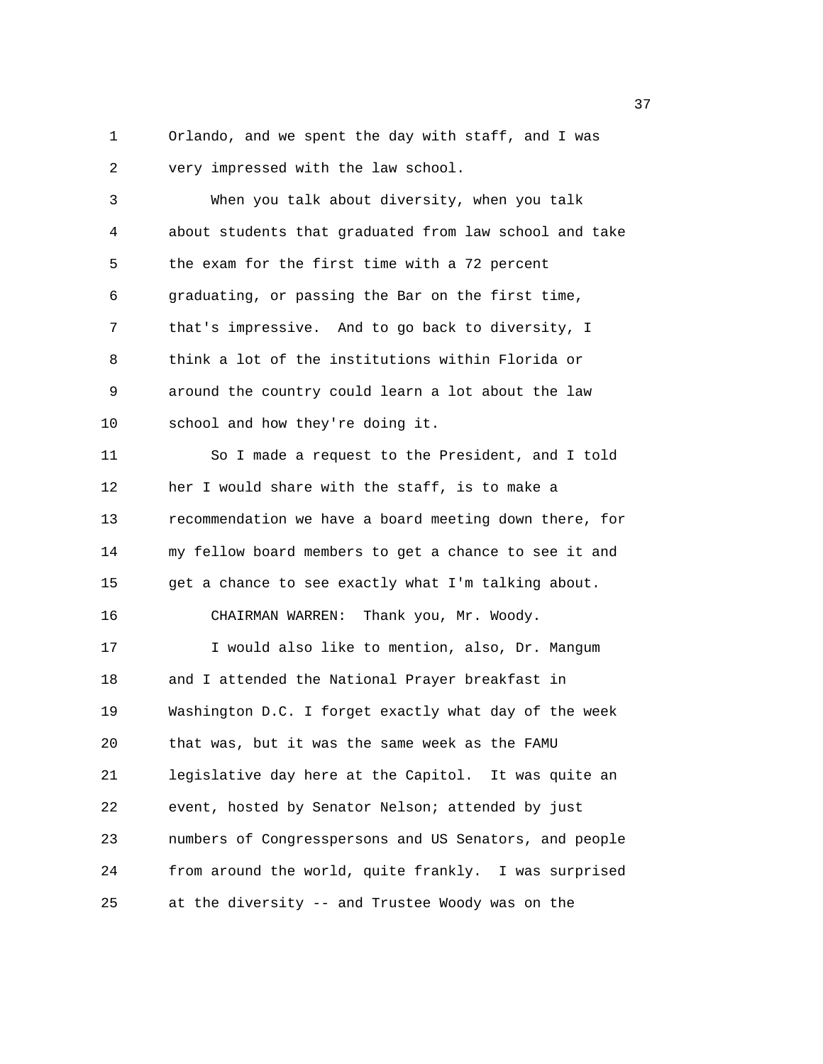1 Orlando, and we spent the day with staff, and I was 2 very impressed with the law school.

3 When you talk about diversity, when you talk 4 about students that graduated from law school and take 5 the exam for the first time with a 72 percent 6 graduating, or passing the Bar on the first time, 7 that's impressive. And to go back to diversity, I 8 think a lot of the institutions within Florida or 9 around the country could learn a lot about the law 10 school and how they're doing it. 11 So I made a request to the President, and I told 12 her I would share with the staff, is to make a 13 recommendation we have a board meeting down there, for 14 my fellow board members to get a chance to see it and 15 get a chance to see exactly what I'm talking about. 16 CHAIRMAN WARREN: Thank you, Mr. Woody. 17 I would also like to mention, also, Dr. Mangum 18 and I attended the National Prayer breakfast in 19 Washington D.C. I forget exactly what day of the week 20 that was, but it was the same week as the FAMU 21 legislative day here at the Capitol. It was quite an 22 event, hosted by Senator Nelson; attended by just 23 numbers of Congresspersons and US Senators, and people 24 from around the world, quite frankly. I was surprised 25 at the diversity -- and Trustee Woody was on the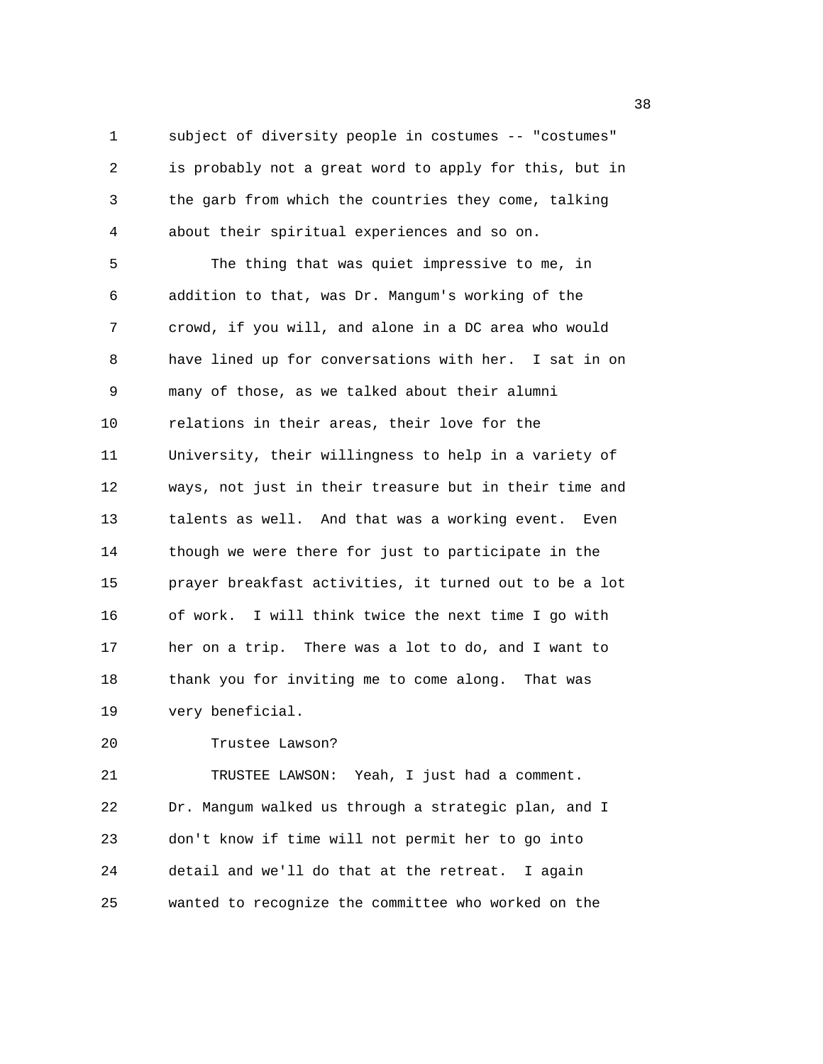1 subject of diversity people in costumes -- "costumes" 2 is probably not a great word to apply for this, but in 3 the garb from which the countries they come, talking 4 about their spiritual experiences and so on. 5 The thing that was quiet impressive to me, in 6 addition to that, was Dr. Mangum's working of the 7 crowd, if you will, and alone in a DC area who would 8 have lined up for conversations with her. I sat in on 9 many of those, as we talked about their alumni 10 relations in their areas, their love for the 11 University, their willingness to help in a variety of 12 ways, not just in their treasure but in their time and 13 talents as well. And that was a working event. Even 14 though we were there for just to participate in the 15 prayer breakfast activities, it turned out to be a lot 16 of work. I will think twice the next time I go with 17 her on a trip. There was a lot to do, and I want to 18 thank you for inviting me to come along. That was 19 very beneficial.

20 Trustee Lawson?

21 TRUSTEE LAWSON: Yeah, I just had a comment. 22 Dr. Mangum walked us through a strategic plan, and I 23 don't know if time will not permit her to go into 24 detail and we'll do that at the retreat. I again 25 wanted to recognize the committee who worked on the

 $38<sup>3</sup>$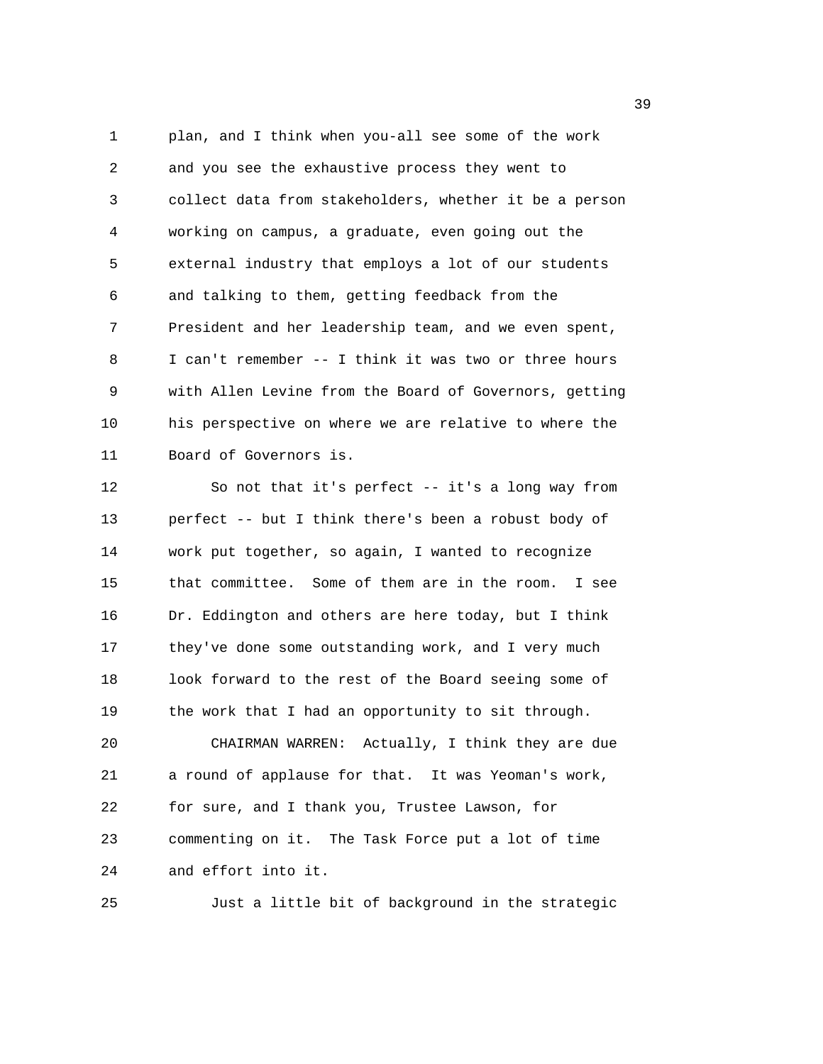1 plan, and I think when you-all see some of the work 2 and you see the exhaustive process they went to 3 collect data from stakeholders, whether it be a person 4 working on campus, a graduate, even going out the 5 external industry that employs a lot of our students 6 and talking to them, getting feedback from the 7 President and her leadership team, and we even spent, 8 I can't remember -- I think it was two or three hours 9 with Allen Levine from the Board of Governors, getting 10 his perspective on where we are relative to where the 11 Board of Governors is.

12 So not that it's perfect -- it's a long way from 13 perfect -- but I think there's been a robust body of 14 work put together, so again, I wanted to recognize 15 that committee. Some of them are in the room. I see 16 Dr. Eddington and others are here today, but I think 17 they've done some outstanding work, and I very much 18 look forward to the rest of the Board seeing some of 19 the work that I had an opportunity to sit through. 20 CHAIRMAN WARREN: Actually, I think they are due 21 a round of applause for that. It was Yeoman's work, 22 for sure, and I thank you, Trustee Lawson, for

23 commenting on it. The Task Force put a lot of time 24 and effort into it.

25 Just a little bit of background in the strategic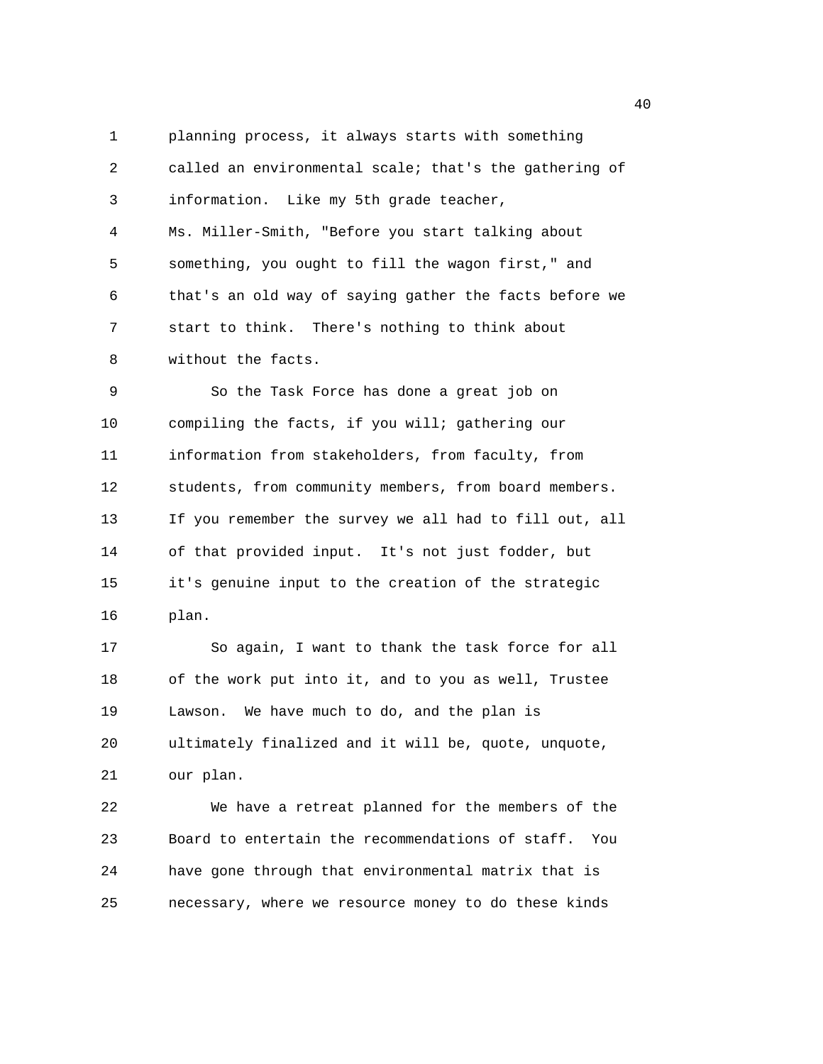1 planning process, it always starts with something 2 called an environmental scale; that's the gathering of 3 information. Like my 5th grade teacher, 4 Ms. Miller-Smith, "Before you start talking about 5 something, you ought to fill the wagon first," and 6 that's an old way of saying gather the facts before we 7 start to think. There's nothing to think about 8 without the facts. 9 So the Task Force has done a great job on 10 compiling the facts, if you will; gathering our 11 information from stakeholders, from faculty, from 12 students, from community members, from board members. 13 If you remember the survey we all had to fill out, all 14 of that provided input. It's not just fodder, but 15 it's genuine input to the creation of the strategic 16 plan. 17 So again, I want to thank the task force for all 18 of the work put into it, and to you as well, Trustee 19 Lawson. We have much to do, and the plan is 20 ultimately finalized and it will be, quote, unquote, 21 our plan. 22 We have a retreat planned for the members of the 23 Board to entertain the recommendations of staff. You

25 necessary, where we resource money to do these kinds

24 have gone through that environmental matrix that is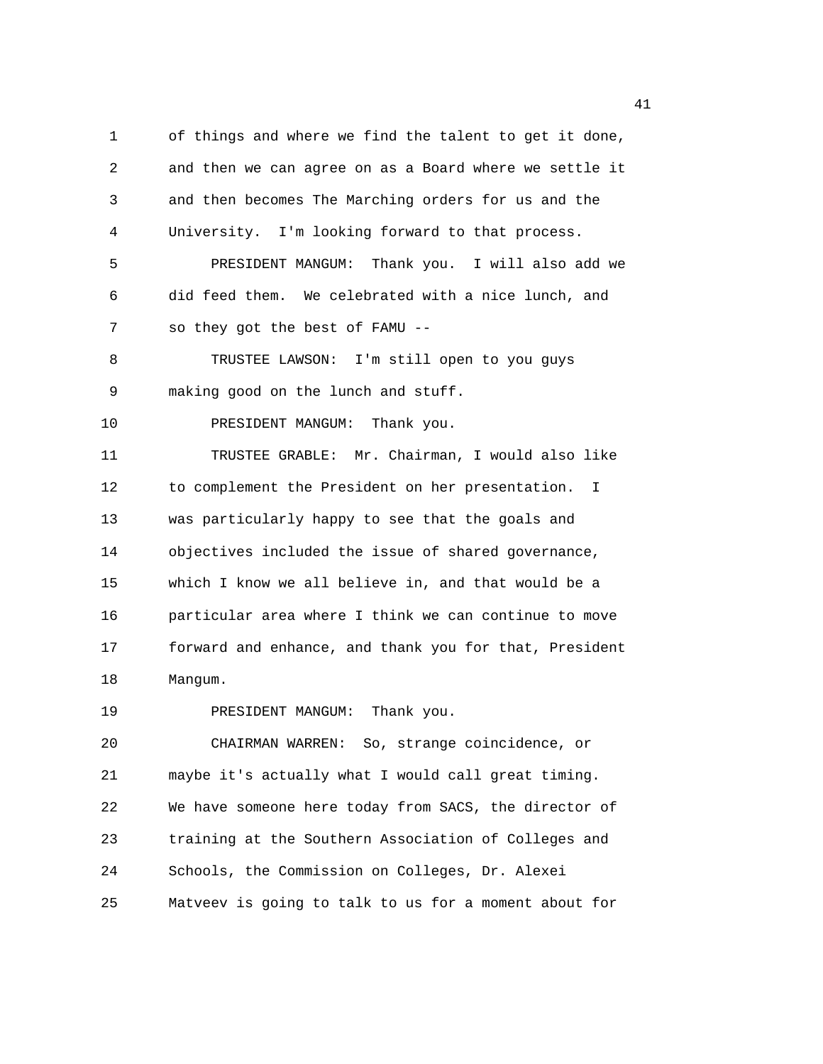1 of things and where we find the talent to get it done, 2 and then we can agree on as a Board where we settle it 3 and then becomes The Marching orders for us and the 4 University. I'm looking forward to that process. 5 PRESIDENT MANGUM: Thank you. I will also add we 6 did feed them. We celebrated with a nice lunch, and 7 so they got the best of FAMU -- 8 TRUSTEE LAWSON: I'm still open to you guys 9 making good on the lunch and stuff. 10 PRESIDENT MANGUM: Thank you. 11 TRUSTEE GRABLE: Mr. Chairman, I would also like 12 to complement the President on her presentation. I 13 was particularly happy to see that the goals and 14 objectives included the issue of shared governance, 15 which I know we all believe in, and that would be a 16 particular area where I think we can continue to move 17 forward and enhance, and thank you for that, President 18 Mangum. 19 PRESIDENT MANGUM: Thank you. 20 CHAIRMAN WARREN: So, strange coincidence, or 21 maybe it's actually what I would call great timing. 22 We have someone here today from SACS, the director of 23 training at the Southern Association of Colleges and

25 Matveev is going to talk to us for a moment about for

24 Schools, the Commission on Colleges, Dr. Alexei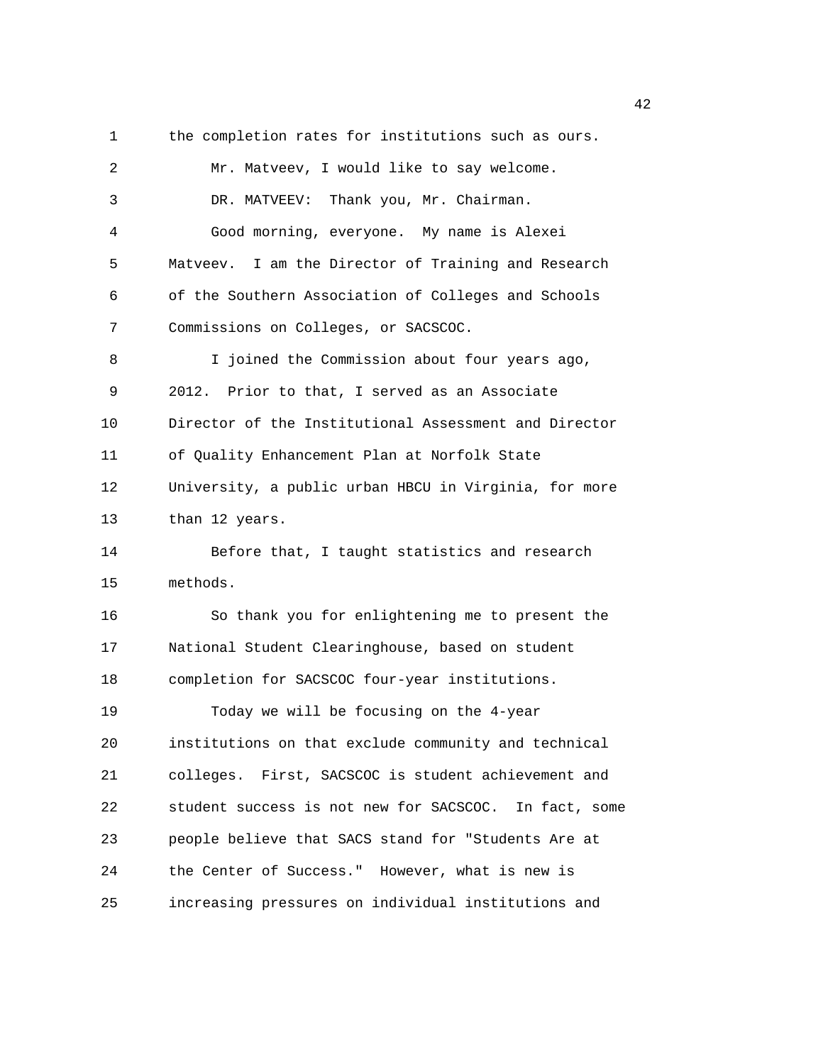1 the completion rates for institutions such as ours. 2 Mr. Matveev, I would like to say welcome. 3 DR. MATVEEV: Thank you, Mr. Chairman. 4 Good morning, everyone. My name is Alexei 5 Matveev. I am the Director of Training and Research 6 of the Southern Association of Colleges and Schools 7 Commissions on Colleges, or SACSCOC. 8 I joined the Commission about four years ago, 9 2012. Prior to that, I served as an Associate 10 Director of the Institutional Assessment and Director 11 of Quality Enhancement Plan at Norfolk State 12 University, a public urban HBCU in Virginia, for more 13 than 12 years. 14 Before that, I taught statistics and research 15 methods. 16 So thank you for enlightening me to present the 17 National Student Clearinghouse, based on student 18 completion for SACSCOC four-year institutions. 19 Today we will be focusing on the 4-year 20 institutions on that exclude community and technical 21 colleges. First, SACSCOC is student achievement and 22 student success is not new for SACSCOC. In fact, some 23 people believe that SACS stand for "Students Are at 24 the Center of Success." However, what is new is 25 increasing pressures on individual institutions and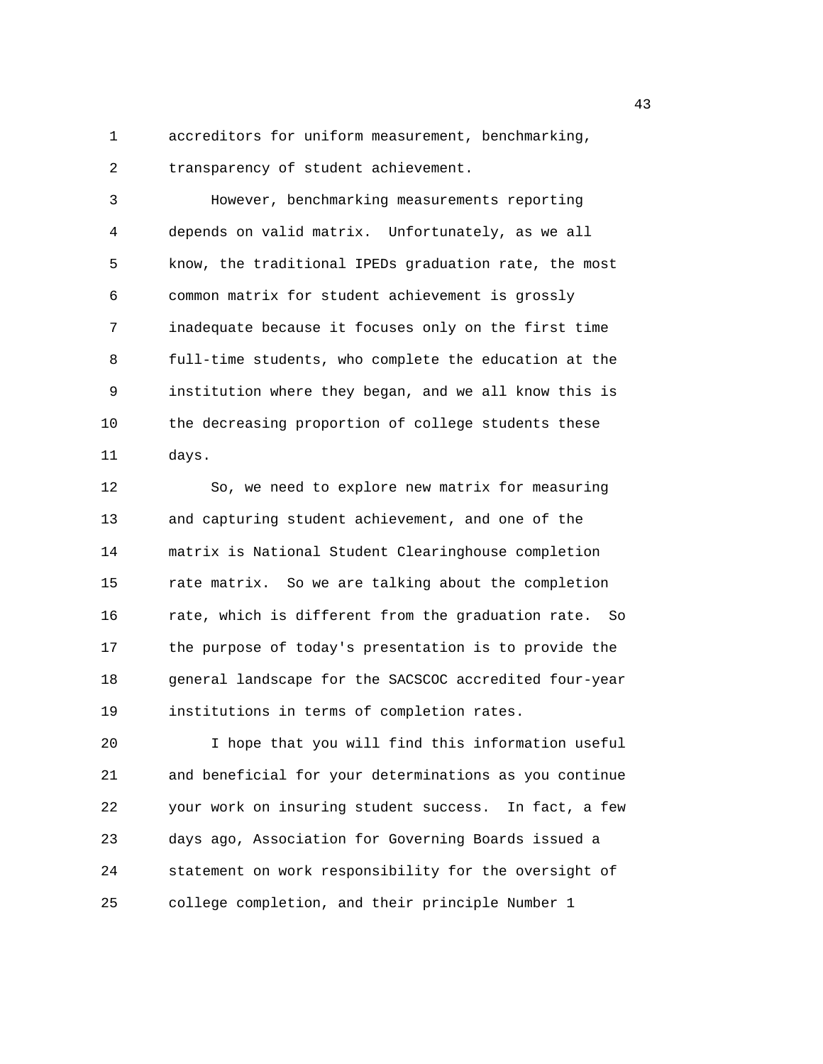1 accreditors for uniform measurement, benchmarking, 2 transparency of student achievement.

3 However, benchmarking measurements reporting 4 depends on valid matrix. Unfortunately, as we all 5 know, the traditional IPEDs graduation rate, the most 6 common matrix for student achievement is grossly 7 inadequate because it focuses only on the first time 8 full-time students, who complete the education at the 9 institution where they began, and we all know this is 10 the decreasing proportion of college students these 11 days.

12 So, we need to explore new matrix for measuring 13 and capturing student achievement, and one of the 14 matrix is National Student Clearinghouse completion 15 rate matrix. So we are talking about the completion 16 rate, which is different from the graduation rate. So 17 the purpose of today's presentation is to provide the 18 general landscape for the SACSCOC accredited four-year 19 institutions in terms of completion rates.

20 I hope that you will find this information useful 21 and beneficial for your determinations as you continue 22 your work on insuring student success. In fact, a few 23 days ago, Association for Governing Boards issued a 24 statement on work responsibility for the oversight of 25 college completion, and their principle Number 1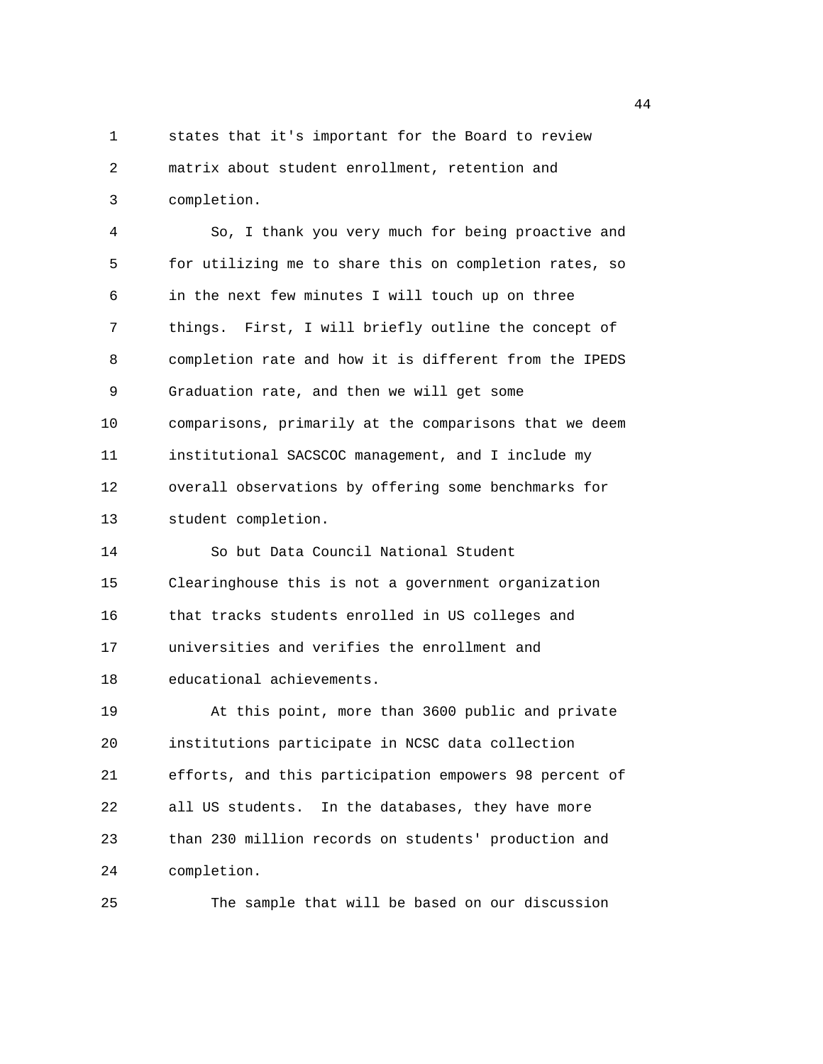1 states that it's important for the Board to review 2 matrix about student enrollment, retention and 3 completion.

4 So, I thank you very much for being proactive and 5 for utilizing me to share this on completion rates, so 6 in the next few minutes I will touch up on three 7 things. First, I will briefly outline the concept of 8 completion rate and how it is different from the IPEDS 9 Graduation rate, and then we will get some 10 comparisons, primarily at the comparisons that we deem 11 institutional SACSCOC management, and I include my 12 overall observations by offering some benchmarks for 13 student completion. 14 So but Data Council National Student 15 Clearinghouse this is not a government organization 16 that tracks students enrolled in US colleges and 17 universities and verifies the enrollment and 18 educational achievements. 19 At this point, more than 3600 public and private 20 institutions participate in NCSC data collection 21 efforts, and this participation empowers 98 percent of 22 all US students. In the databases, they have more 23 than 230 million records on students' production and 24 completion.

25 The sample that will be based on our discussion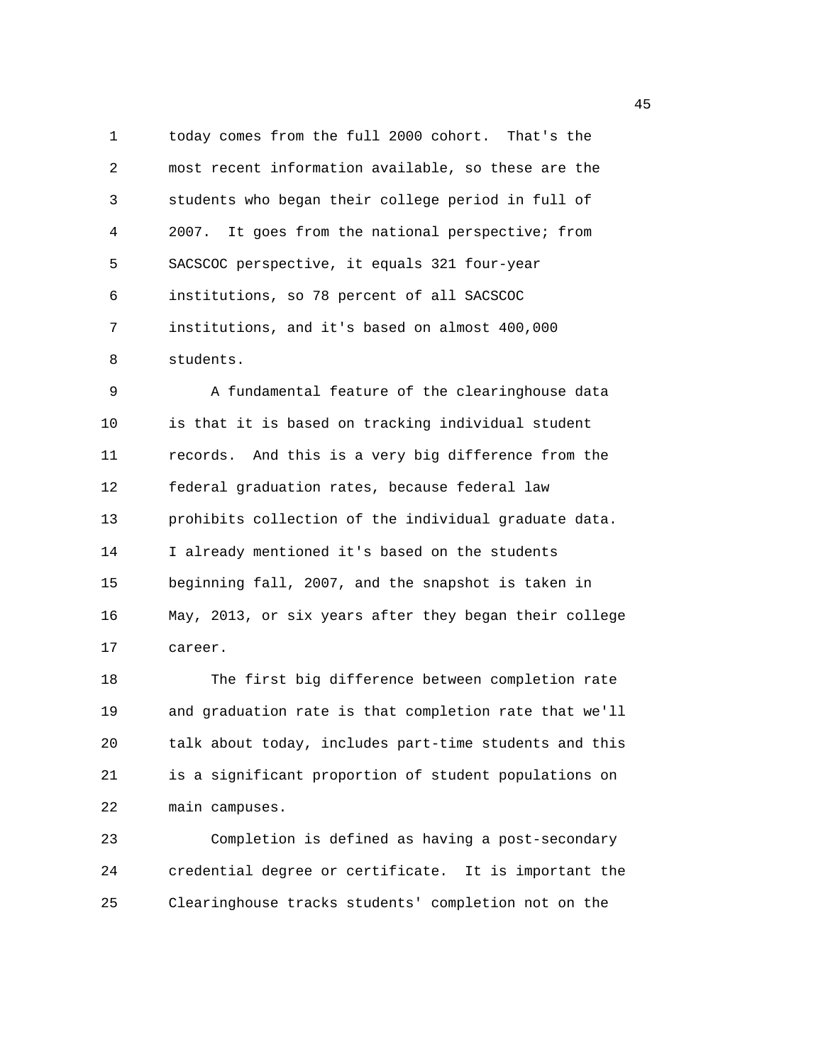1 today comes from the full 2000 cohort. That's the 2 most recent information available, so these are the 3 students who began their college period in full of 4 2007. It goes from the national perspective; from 5 SACSCOC perspective, it equals 321 four-year 6 institutions, so 78 percent of all SACSCOC 7 institutions, and it's based on almost 400,000 8 students.

9 A fundamental feature of the clearinghouse data 10 is that it is based on tracking individual student 11 records. And this is a very big difference from the 12 federal graduation rates, because federal law 13 prohibits collection of the individual graduate data. 14 I already mentioned it's based on the students 15 beginning fall, 2007, and the snapshot is taken in 16 May, 2013, or six years after they began their college 17 career.

18 The first big difference between completion rate 19 and graduation rate is that completion rate that we'll 20 talk about today, includes part-time students and this 21 is a significant proportion of student populations on 22 main campuses.

23 Completion is defined as having a post-secondary 24 credential degree or certificate. It is important the 25 Clearinghouse tracks students' completion not on the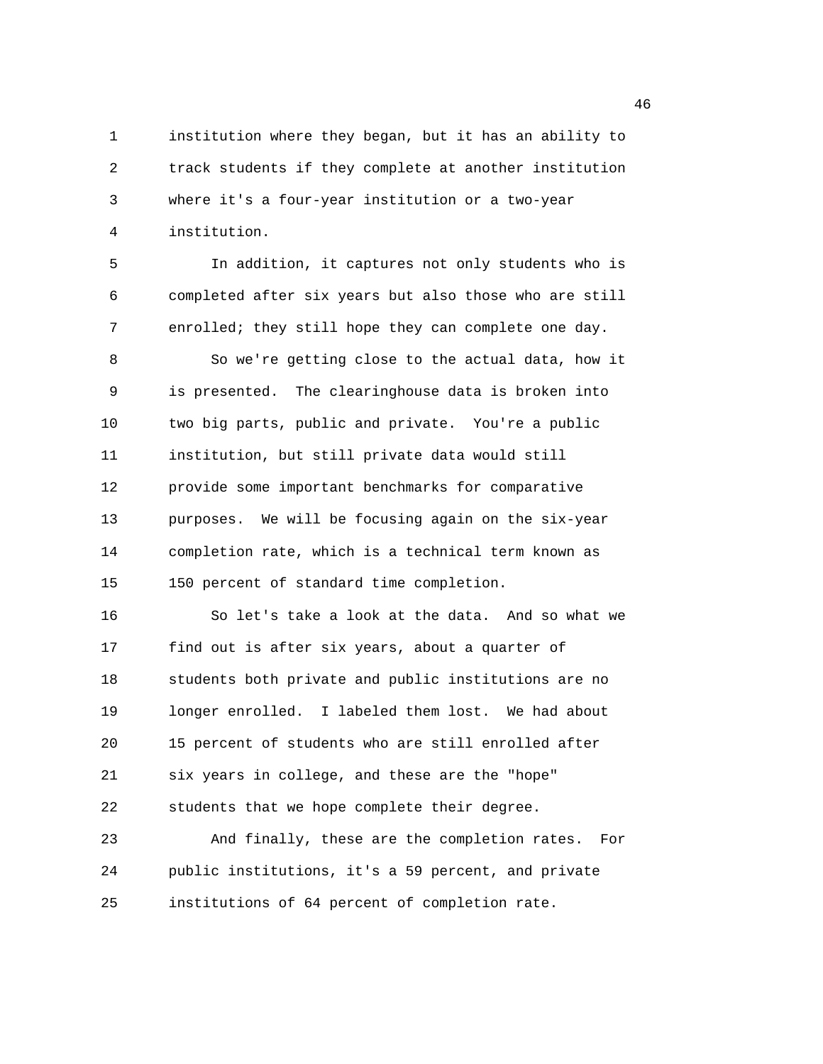1 institution where they began, but it has an ability to 2 track students if they complete at another institution 3 where it's a four-year institution or a two-year 4 institution.

5 In addition, it captures not only students who is 6 completed after six years but also those who are still 7 enrolled; they still hope they can complete one day. 8 So we're getting close to the actual data, how it 9 is presented. The clearinghouse data is broken into 10 two big parts, public and private. You're a public 11 institution, but still private data would still 12 provide some important benchmarks for comparative 13 purposes. We will be focusing again on the six-year 14 completion rate, which is a technical term known as 15 150 percent of standard time completion. 16 So let's take a look at the data. And so what we 17 find out is after six years, about a quarter of 18 students both private and public institutions are no 19 longer enrolled. I labeled them lost. We had about 20 15 percent of students who are still enrolled after 21 six years in college, and these are the "hope" 22 students that we hope complete their degree. 23 And finally, these are the completion rates. For 24 public institutions, it's a 59 percent, and private

25 institutions of 64 percent of completion rate.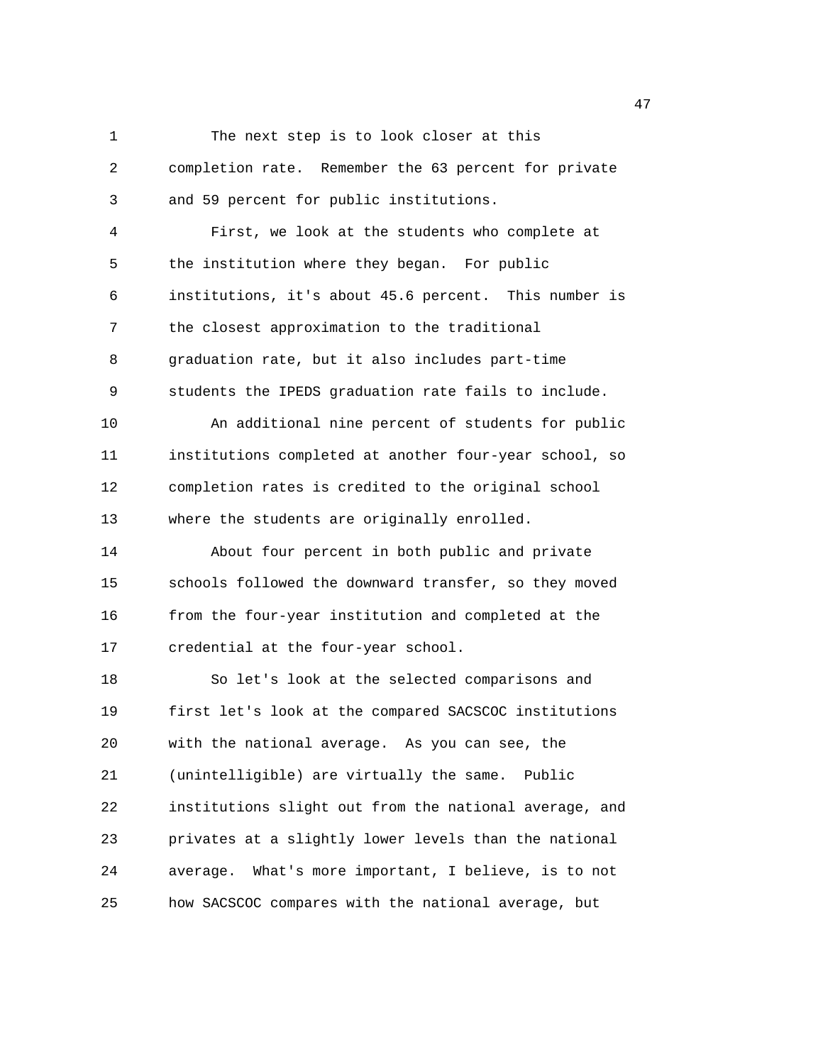1 The next step is to look closer at this 2 completion rate. Remember the 63 percent for private 3 and 59 percent for public institutions. 4 First, we look at the students who complete at 5 the institution where they began. For public 6 institutions, it's about 45.6 percent. This number is 7 the closest approximation to the traditional 8 graduation rate, but it also includes part-time 9 students the IPEDS graduation rate fails to include. 10 An additional nine percent of students for public 11 institutions completed at another four-year school, so 12 completion rates is credited to the original school 13 where the students are originally enrolled. 14 About four percent in both public and private 15 schools followed the downward transfer, so they moved 16 from the four-year institution and completed at the 17 credential at the four-year school. 18 So let's look at the selected comparisons and 19 first let's look at the compared SACSCOC institutions 20 with the national average. As you can see, the 21 (unintelligible) are virtually the same. Public 22 institutions slight out from the national average, and 23 privates at a slightly lower levels than the national 24 average. What's more important, I believe, is to not 25 how SACSCOC compares with the national average, but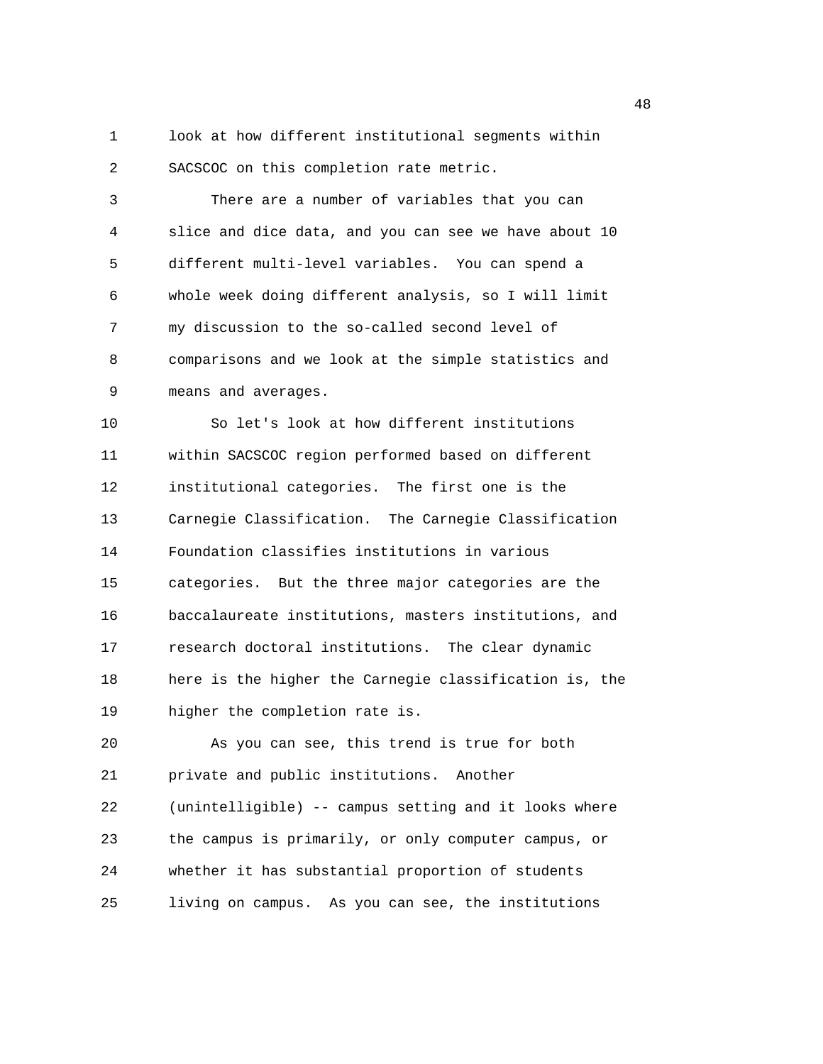1 look at how different institutional segments within 2 SACSCOC on this completion rate metric.

3 There are a number of variables that you can 4 slice and dice data, and you can see we have about 10 5 different multi-level variables. You can spend a 6 whole week doing different analysis, so I will limit 7 my discussion to the so-called second level of 8 comparisons and we look at the simple statistics and 9 means and averages.

10 So let's look at how different institutions 11 within SACSCOC region performed based on different 12 institutional categories. The first one is the 13 Carnegie Classification. The Carnegie Classification 14 Foundation classifies institutions in various 15 categories. But the three major categories are the 16 baccalaureate institutions, masters institutions, and 17 research doctoral institutions. The clear dynamic 18 here is the higher the Carnegie classification is, the 19 higher the completion rate is.

20 As you can see, this trend is true for both 21 private and public institutions. Another 22 (unintelligible) -- campus setting and it looks where 23 the campus is primarily, or only computer campus, or 24 whether it has substantial proportion of students 25 living on campus. As you can see, the institutions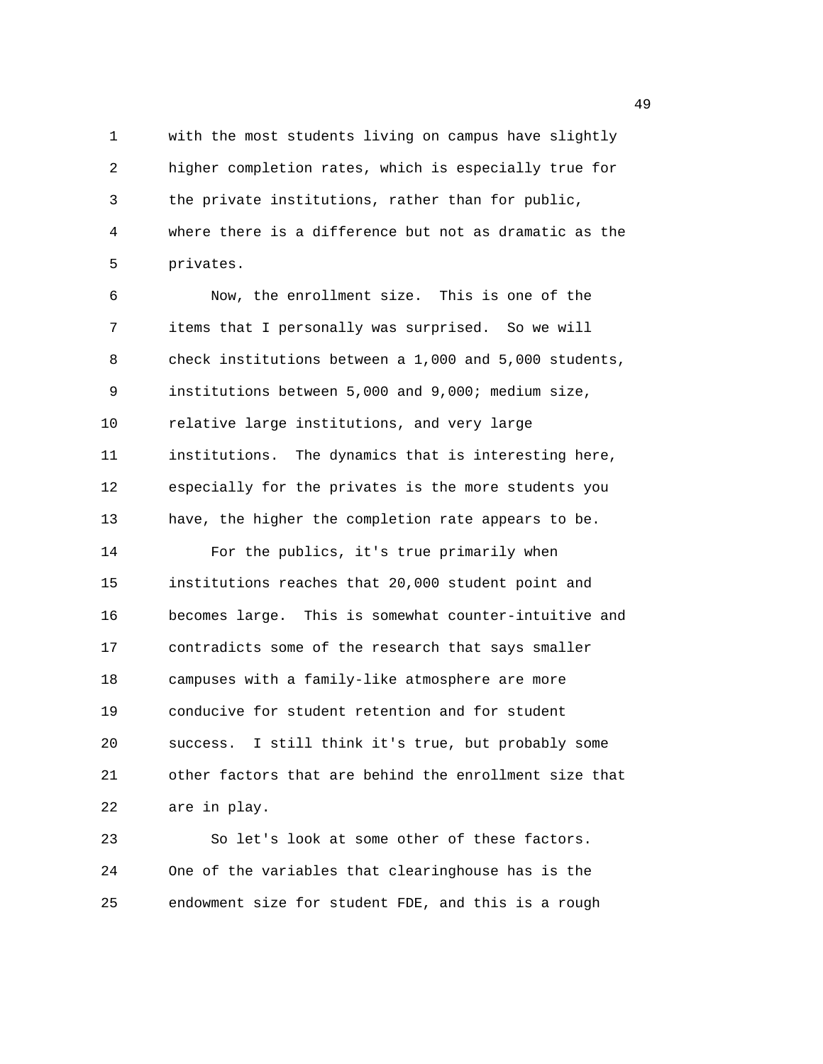1 with the most students living on campus have slightly 2 higher completion rates, which is especially true for 3 the private institutions, rather than for public, 4 where there is a difference but not as dramatic as the 5 privates.

6 Now, the enrollment size. This is one of the 7 items that I personally was surprised. So we will 8 check institutions between a 1,000 and 5,000 students, 9 institutions between 5,000 and 9,000; medium size, 10 relative large institutions, and very large 11 institutions. The dynamics that is interesting here, 12 especially for the privates is the more students you 13 have, the higher the completion rate appears to be. 14 For the publics, it's true primarily when 15 institutions reaches that 20,000 student point and 16 becomes large. This is somewhat counter-intuitive and 17 contradicts some of the research that says smaller 18 campuses with a family-like atmosphere are more 19 conducive for student retention and for student 20 success. I still think it's true, but probably some 21 other factors that are behind the enrollment size that 22 are in play.

23 So let's look at some other of these factors. 24 One of the variables that clearinghouse has is the 25 endowment size for student FDE, and this is a rough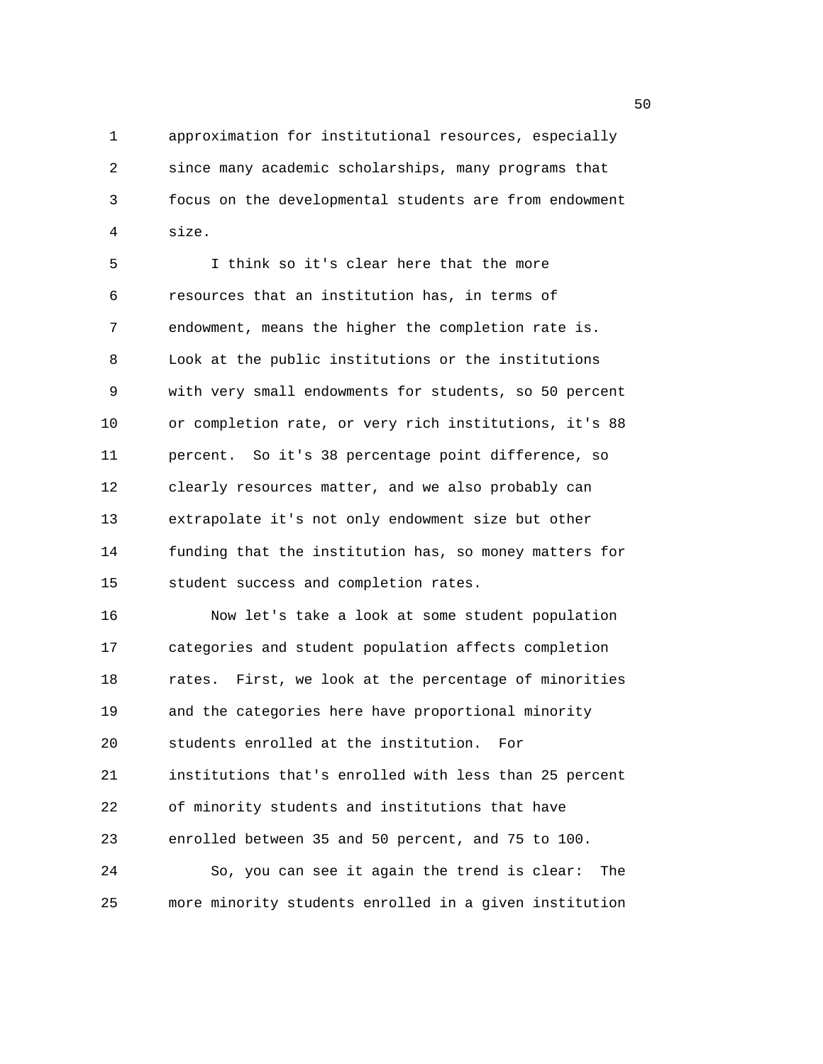1 approximation for institutional resources, especially 2 since many academic scholarships, many programs that 3 focus on the developmental students are from endowment 4 size.

5 I think so it's clear here that the more 6 resources that an institution has, in terms of 7 endowment, means the higher the completion rate is. 8 Look at the public institutions or the institutions 9 with very small endowments for students, so 50 percent 10 or completion rate, or very rich institutions, it's 88 11 percent. So it's 38 percentage point difference, so 12 clearly resources matter, and we also probably can 13 extrapolate it's not only endowment size but other 14 funding that the institution has, so money matters for 15 student success and completion rates.

16 Now let's take a look at some student population 17 categories and student population affects completion 18 rates. First, we look at the percentage of minorities 19 and the categories here have proportional minority 20 students enrolled at the institution. For 21 institutions that's enrolled with less than 25 percent 22 of minority students and institutions that have 23 enrolled between 35 and 50 percent, and 75 to 100. 24 So, you can see it again the trend is clear: The 25 more minority students enrolled in a given institution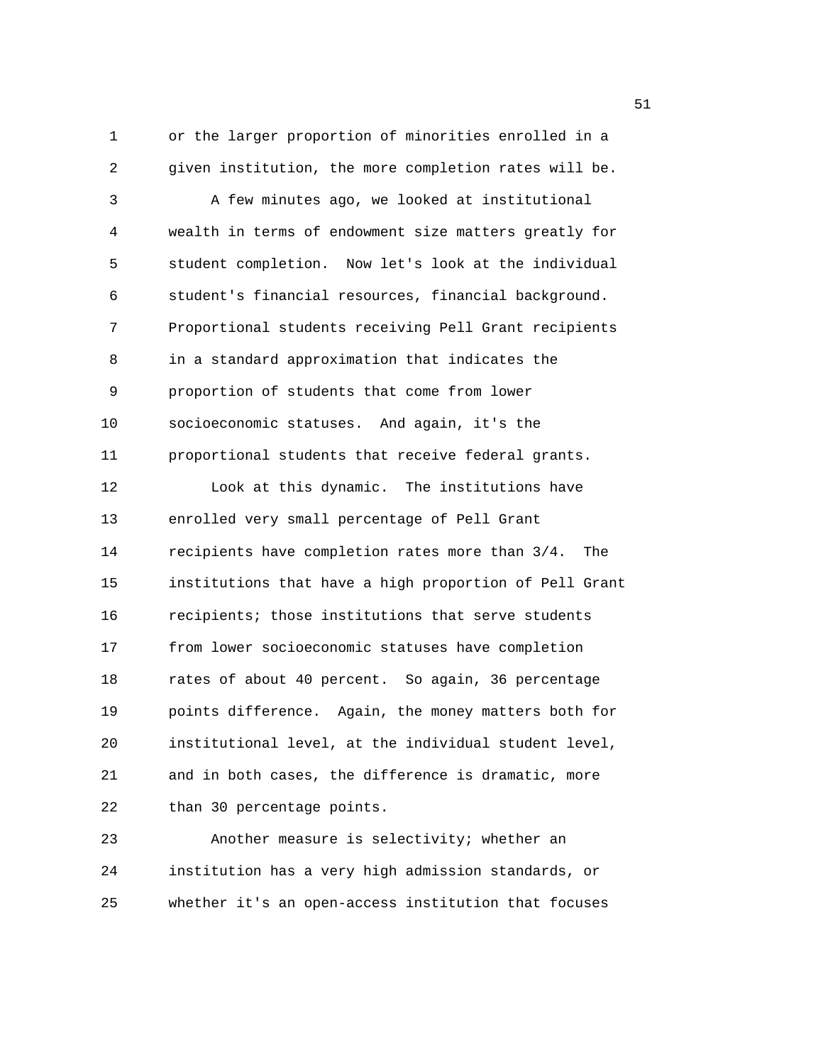1 or the larger proportion of minorities enrolled in a 2 given institution, the more completion rates will be. 3 A few minutes ago, we looked at institutional 4 wealth in terms of endowment size matters greatly for 5 student completion. Now let's look at the individual 6 student's financial resources, financial background. 7 Proportional students receiving Pell Grant recipients 8 in a standard approximation that indicates the 9 proportion of students that come from lower 10 socioeconomic statuses. And again, it's the 11 proportional students that receive federal grants. 12 Look at this dynamic. The institutions have 13 enrolled very small percentage of Pell Grant 14 recipients have completion rates more than 3/4. The 15 institutions that have a high proportion of Pell Grant 16 recipients; those institutions that serve students 17 from lower socioeconomic statuses have completion 18 rates of about 40 percent. So again, 36 percentage 19 points difference. Again, the money matters both for 20 institutional level, at the individual student level, 21 and in both cases, the difference is dramatic, more 22 than 30 percentage points.

23 Another measure is selectivity; whether an 24 institution has a very high admission standards, or 25 whether it's an open-access institution that focuses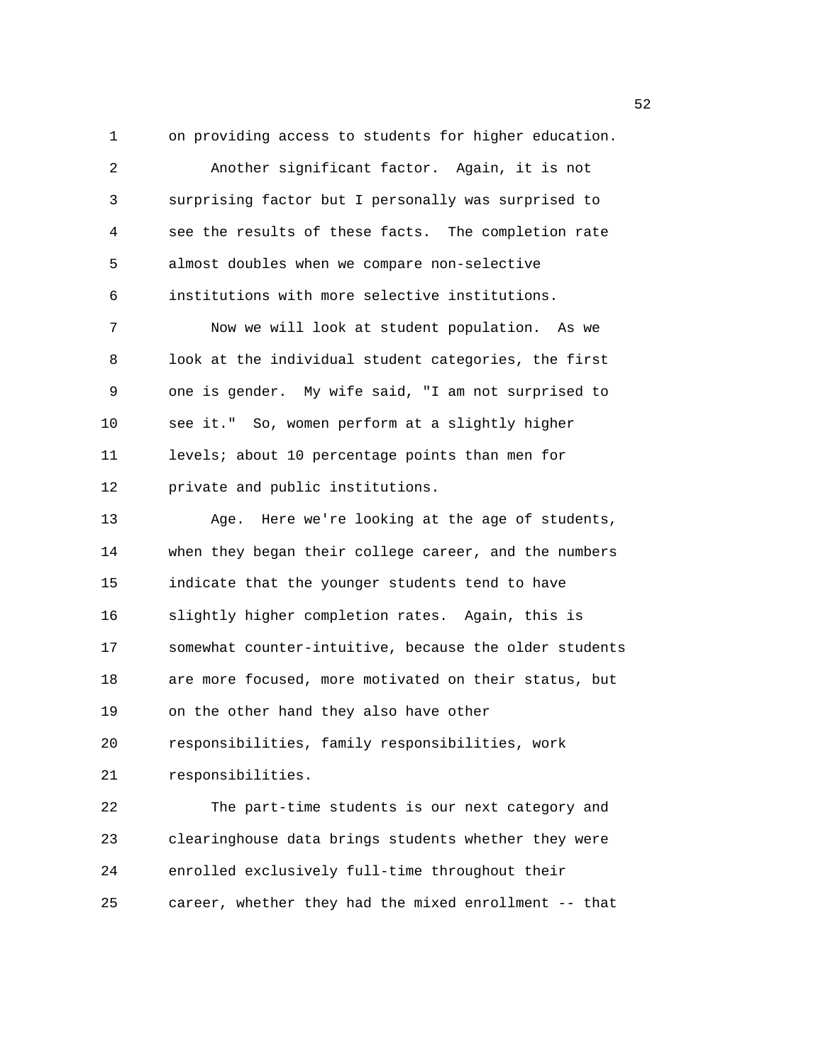1 on providing access to students for higher education. 2 Another significant factor. Again, it is not 3 surprising factor but I personally was surprised to 4 see the results of these facts. The completion rate 5 almost doubles when we compare non-selective

6 institutions with more selective institutions.

7 Now we will look at student population. As we 8 look at the individual student categories, the first 9 one is gender. My wife said, "I am not surprised to 10 see it." So, women perform at a slightly higher 11 levels; about 10 percentage points than men for 12 private and public institutions.

13 Age. Here we're looking at the age of students, 14 when they began their college career, and the numbers 15 indicate that the younger students tend to have 16 slightly higher completion rates. Again, this is 17 somewhat counter-intuitive, because the older students 18 are more focused, more motivated on their status, but 19 on the other hand they also have other 20 responsibilities, family responsibilities, work

21 responsibilities.

22 The part-time students is our next category and 23 clearinghouse data brings students whether they were 24 enrolled exclusively full-time throughout their 25 career, whether they had the mixed enrollment -- that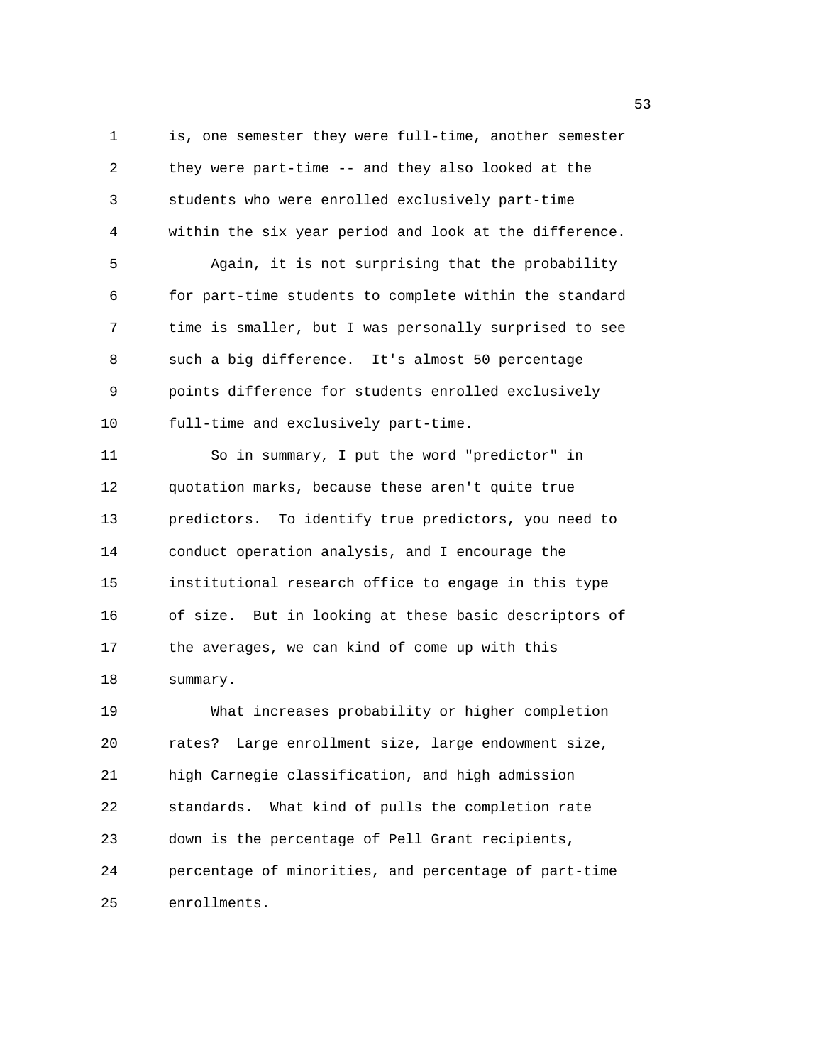1 is, one semester they were full-time, another semester 2 they were part-time -- and they also looked at the 3 students who were enrolled exclusively part-time 4 within the six year period and look at the difference. 5 Again, it is not surprising that the probability 6 for part-time students to complete within the standard 7 time is smaller, but I was personally surprised to see 8 such a big difference. It's almost 50 percentage 9 points difference for students enrolled exclusively 10 full-time and exclusively part-time. 11 So in summary, I put the word "predictor" in 12 quotation marks, because these aren't quite true 13 predictors. To identify true predictors, you need to 14 conduct operation analysis, and I encourage the 15 institutional research office to engage in this type 16 of size. But in looking at these basic descriptors of 17 the averages, we can kind of come up with this 18 summary. 19 What increases probability or higher completion 20 rates? Large enrollment size, large endowment size, 21 high Carnegie classification, and high admission 22 standards. What kind of pulls the completion rate 23 down is the percentage of Pell Grant recipients,

24 percentage of minorities, and percentage of part-time 25 enrollments.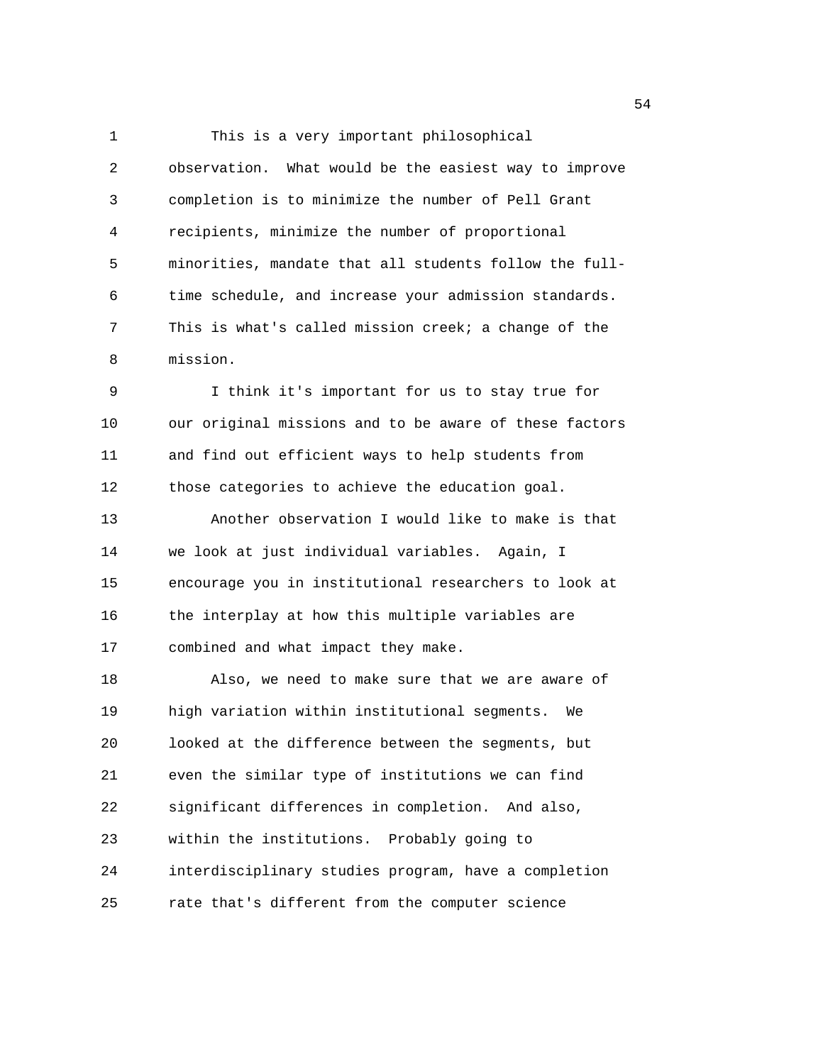1 This is a very important philosophical 2 observation. What would be the easiest way to improve 3 completion is to minimize the number of Pell Grant 4 recipients, minimize the number of proportional 5 minorities, mandate that all students follow the full-6 time schedule, and increase your admission standards. 7 This is what's called mission creek; a change of the 8 mission. 9 I think it's important for us to stay true for 10 our original missions and to be aware of these factors 11 and find out efficient ways to help students from 12 those categories to achieve the education goal. 13 Another observation I would like to make is that 14 we look at just individual variables. Again, I 15 encourage you in institutional researchers to look at 16 the interplay at how this multiple variables are 17 combined and what impact they make. 18 Also, we need to make sure that we are aware of 19 high variation within institutional segments. We 20 looked at the difference between the segments, but 21 even the similar type of institutions we can find 22 significant differences in completion. And also, 23 within the institutions. Probably going to 24 interdisciplinary studies program, have a completion 25 rate that's different from the computer science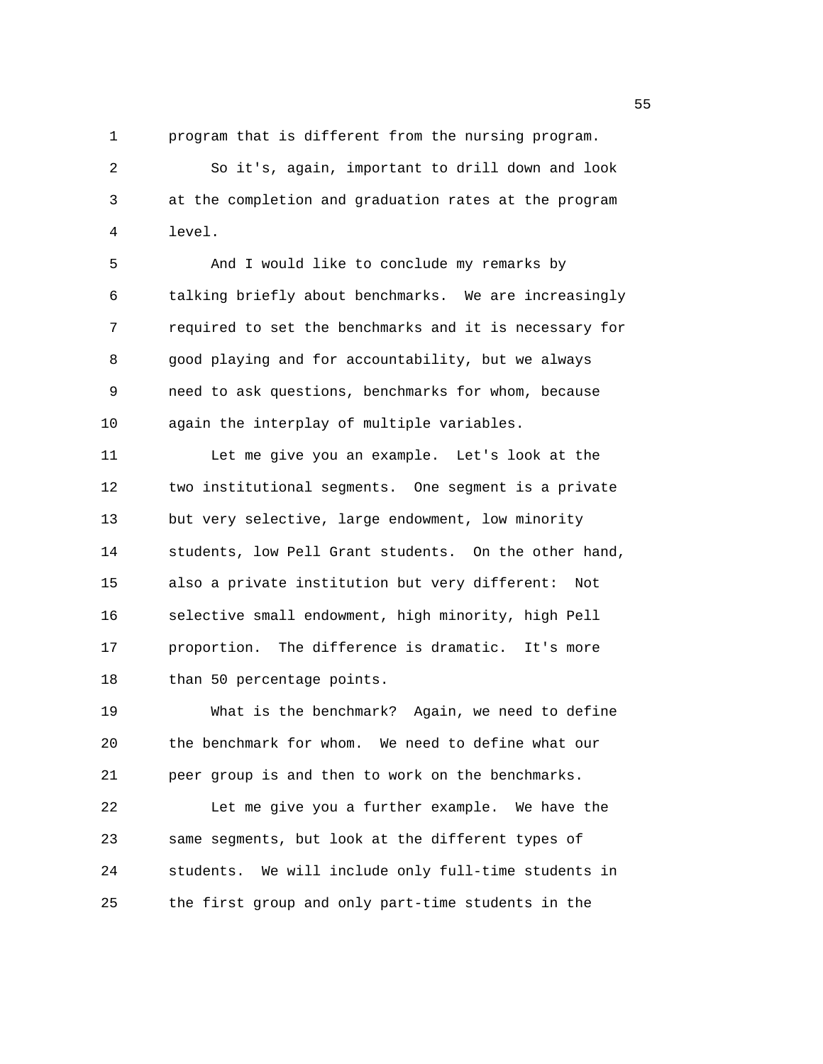1 program that is different from the nursing program.

2 So it's, again, important to drill down and look 3 at the completion and graduation rates at the program 4 level.

5 And I would like to conclude my remarks by 6 talking briefly about benchmarks. We are increasingly 7 required to set the benchmarks and it is necessary for 8 good playing and for accountability, but we always 9 need to ask questions, benchmarks for whom, because 10 again the interplay of multiple variables.

11 Let me give you an example. Let's look at the 12 two institutional segments. One segment is a private 13 but very selective, large endowment, low minority 14 students, low Pell Grant students. On the other hand, 15 also a private institution but very different: Not 16 selective small endowment, high minority, high Pell 17 proportion. The difference is dramatic. It's more 18 than 50 percentage points.

19 What is the benchmark? Again, we need to define 20 the benchmark for whom. We need to define what our 21 peer group is and then to work on the benchmarks. 22 Let me give you a further example. We have the 23 same segments, but look at the different types of 24 students. We will include only full-time students in 25 the first group and only part-time students in the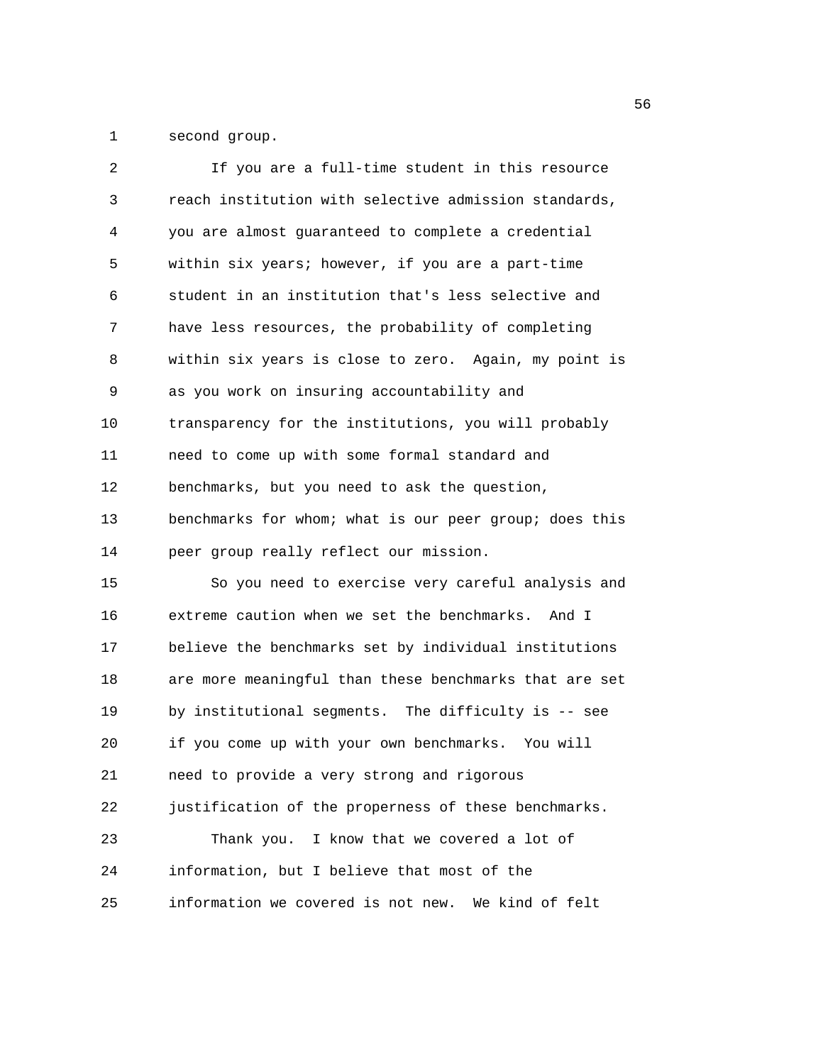1 second group.

| 2  | If you are a full-time student in this resource        |
|----|--------------------------------------------------------|
| 3  | reach institution with selective admission standards,  |
| 4  | you are almost guaranteed to complete a credential     |
| 5  | within six years; however, if you are a part-time      |
| 6  | student in an institution that's less selective and    |
| 7  | have less resources, the probability of completing     |
| 8  | within six years is close to zero. Again, my point is  |
| 9  | as you work on insuring accountability and             |
| 10 | transparency for the institutions, you will probably   |
| 11 | need to come up with some formal standard and          |
| 12 | benchmarks, but you need to ask the question,          |
| 13 | benchmarks for whom; what is our peer group; does this |
| 14 | peer group really reflect our mission.                 |
| 15 | So you need to exercise very careful analysis and      |
| 16 | extreme caution when we set the benchmarks. And I      |
| 17 | believe the benchmarks set by individual institutions  |
| 18 | are more meaningful than these benchmarks that are set |
| 19 | by institutional segments. The difficulty is -- see    |
| 20 | if you come up with your own benchmarks. You will      |
| 21 | need to provide a very strong and rigorous             |
| 22 | justification of the properness of these benchmarks.   |
| 23 | Thank you. I know that we covered a lot of             |
| 24 | information, but I believe that most of the            |
| 25 | information we covered is not new. We kind of felt     |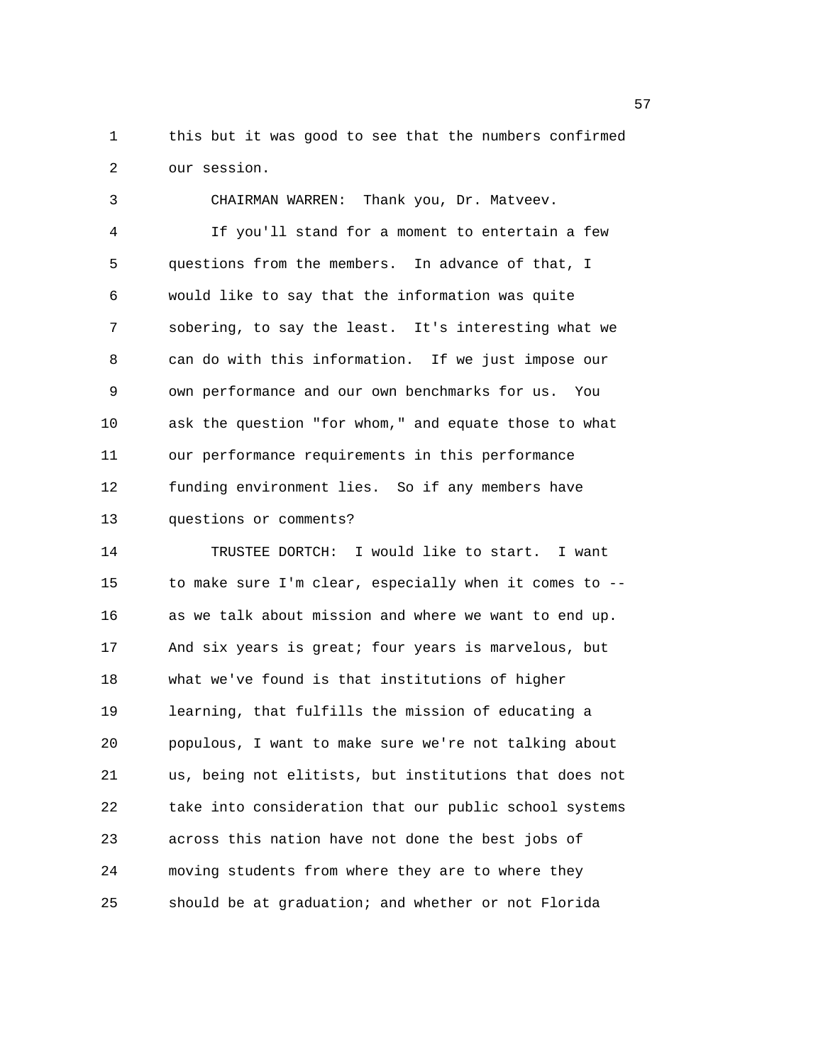1 this but it was good to see that the numbers confirmed 2 our session.

3 CHAIRMAN WARREN: Thank you, Dr. Matveev. 4 If you'll stand for a moment to entertain a few 5 questions from the members. In advance of that, I 6 would like to say that the information was quite 7 sobering, to say the least. It's interesting what we 8 can do with this information. If we just impose our 9 own performance and our own benchmarks for us. You 10 ask the question "for whom," and equate those to what 11 our performance requirements in this performance 12 funding environment lies. So if any members have 13 questions or comments?

14 TRUSTEE DORTCH: I would like to start. I want 15 to make sure I'm clear, especially when it comes to -- 16 as we talk about mission and where we want to end up. 17 And six years is great; four years is marvelous, but 18 what we've found is that institutions of higher 19 learning, that fulfills the mission of educating a 20 populous, I want to make sure we're not talking about 21 us, being not elitists, but institutions that does not 22 take into consideration that our public school systems 23 across this nation have not done the best jobs of 24 moving students from where they are to where they 25 should be at graduation; and whether or not Florida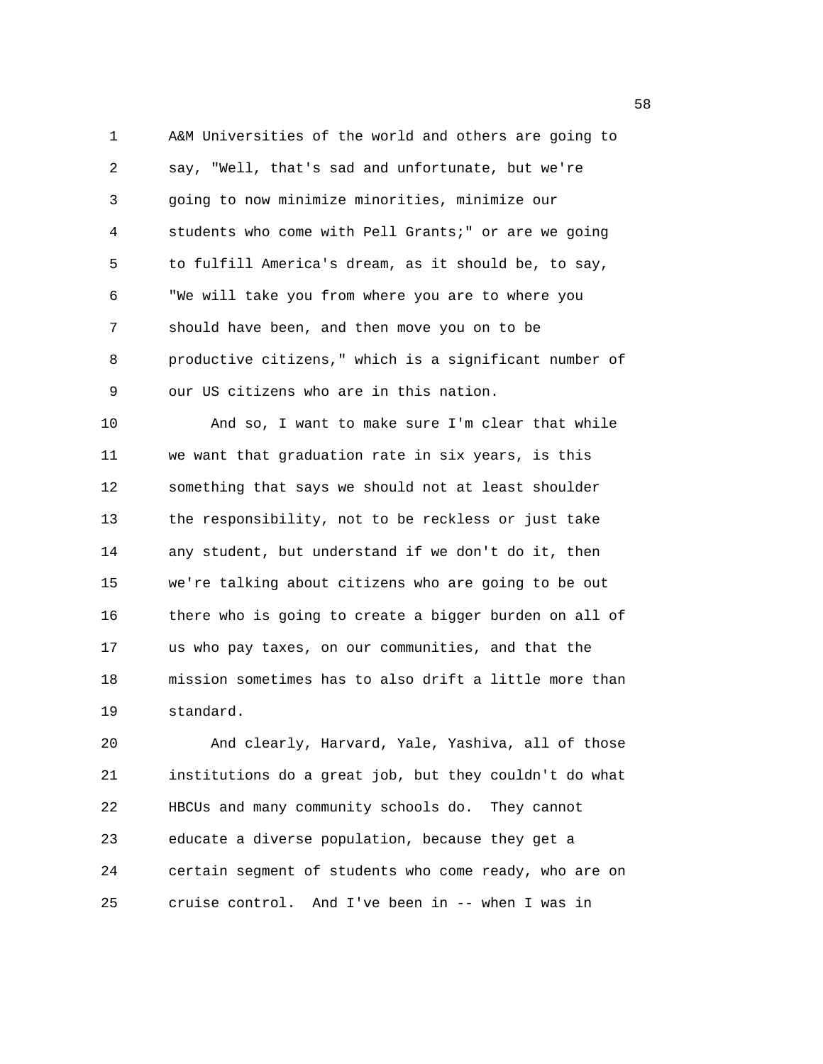1 A&M Universities of the world and others are going to 2 say, "Well, that's sad and unfortunate, but we're 3 going to now minimize minorities, minimize our 4 students who come with Pell Grants;" or are we going 5 to fulfill America's dream, as it should be, to say, 6 "We will take you from where you are to where you 7 should have been, and then move you on to be 8 productive citizens," which is a significant number of 9 our US citizens who are in this nation.

10 And so, I want to make sure I'm clear that while 11 we want that graduation rate in six years, is this 12 something that says we should not at least shoulder 13 the responsibility, not to be reckless or just take 14 any student, but understand if we don't do it, then 15 we're talking about citizens who are going to be out 16 there who is going to create a bigger burden on all of 17 us who pay taxes, on our communities, and that the 18 mission sometimes has to also drift a little more than 19 standard.

20 And clearly, Harvard, Yale, Yashiva, all of those 21 institutions do a great job, but they couldn't do what 22 HBCUs and many community schools do. They cannot 23 educate a diverse population, because they get a 24 certain segment of students who come ready, who are on 25 cruise control. And I've been in -- when I was in

the state of the state of the state of the state of the state of the state of the state of the state of the st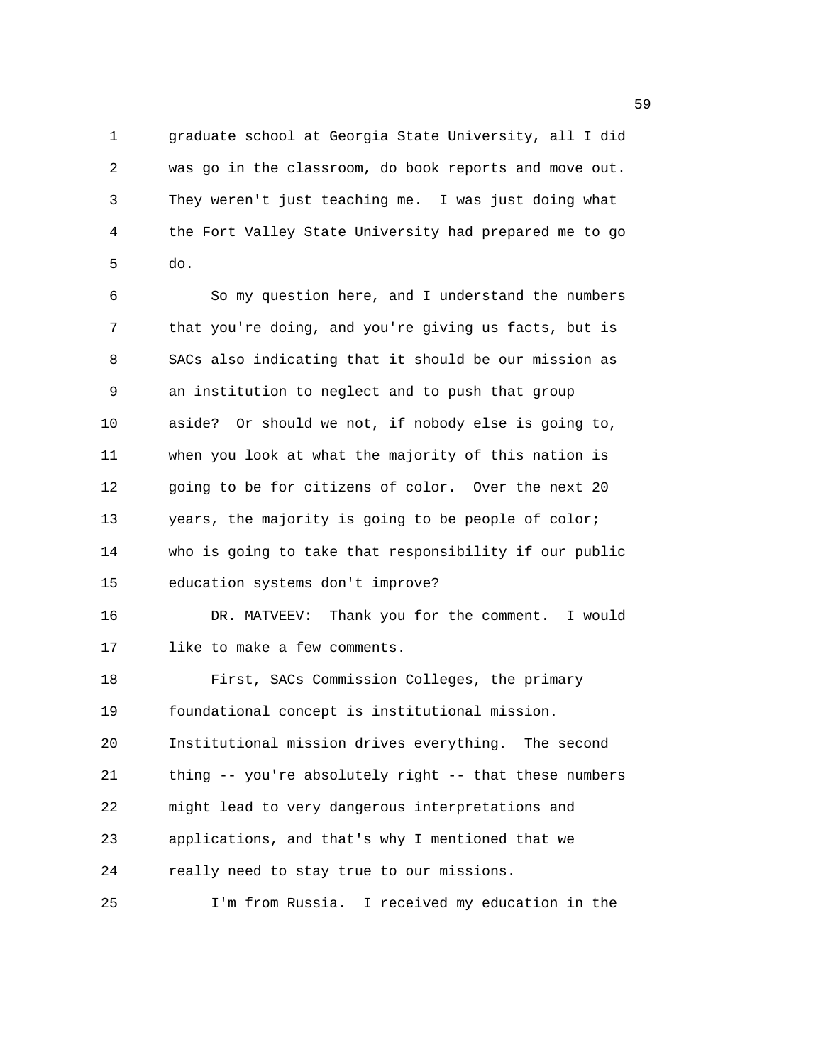1 graduate school at Georgia State University, all I did 2 was go in the classroom, do book reports and move out. 3 They weren't just teaching me. I was just doing what 4 the Fort Valley State University had prepared me to go 5 do.

6 So my question here, and I understand the numbers 7 that you're doing, and you're giving us facts, but is 8 SACs also indicating that it should be our mission as 9 an institution to neglect and to push that group 10 aside? Or should we not, if nobody else is going to, 11 when you look at what the majority of this nation is 12 going to be for citizens of color. Over the next 20 13 years, the majority is going to be people of color; 14 who is going to take that responsibility if our public 15 education systems don't improve? 16 DR. MATVEEV: Thank you for the comment. I would 17 like to make a few comments. 18 First, SACs Commission Colleges, the primary 19 foundational concept is institutional mission. 20 Institutional mission drives everything. The second 21 thing -- you're absolutely right -- that these numbers 22 might lead to very dangerous interpretations and 23 applications, and that's why I mentioned that we 24 really need to stay true to our missions. 25 I'm from Russia. I received my education in the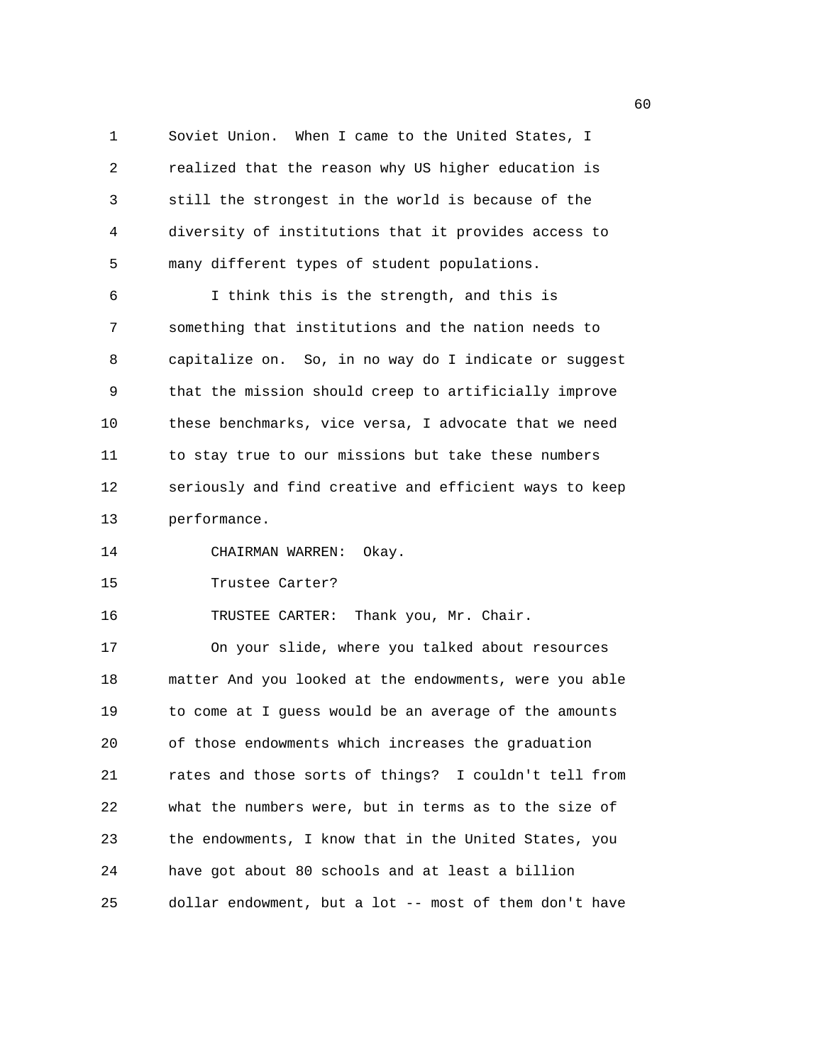1 Soviet Union. When I came to the United States, I 2 realized that the reason why US higher education is 3 still the strongest in the world is because of the 4 diversity of institutions that it provides access to 5 many different types of student populations.

6 I think this is the strength, and this is 7 something that institutions and the nation needs to 8 capitalize on. So, in no way do I indicate or suggest 9 that the mission should creep to artificially improve 10 these benchmarks, vice versa, I advocate that we need 11 to stay true to our missions but take these numbers 12 seriously and find creative and efficient ways to keep 13 performance.

14 CHAIRMAN WARREN: Okay.

15 Trustee Carter?

16 TRUSTEE CARTER: Thank you, Mr. Chair.

17 On your slide, where you talked about resources 18 matter And you looked at the endowments, were you able 19 to come at I guess would be an average of the amounts 20 of those endowments which increases the graduation 21 rates and those sorts of things? I couldn't tell from 22 what the numbers were, but in terms as to the size of 23 the endowments, I know that in the United States, you 24 have got about 80 schools and at least a billion 25 dollar endowment, but a lot -- most of them don't have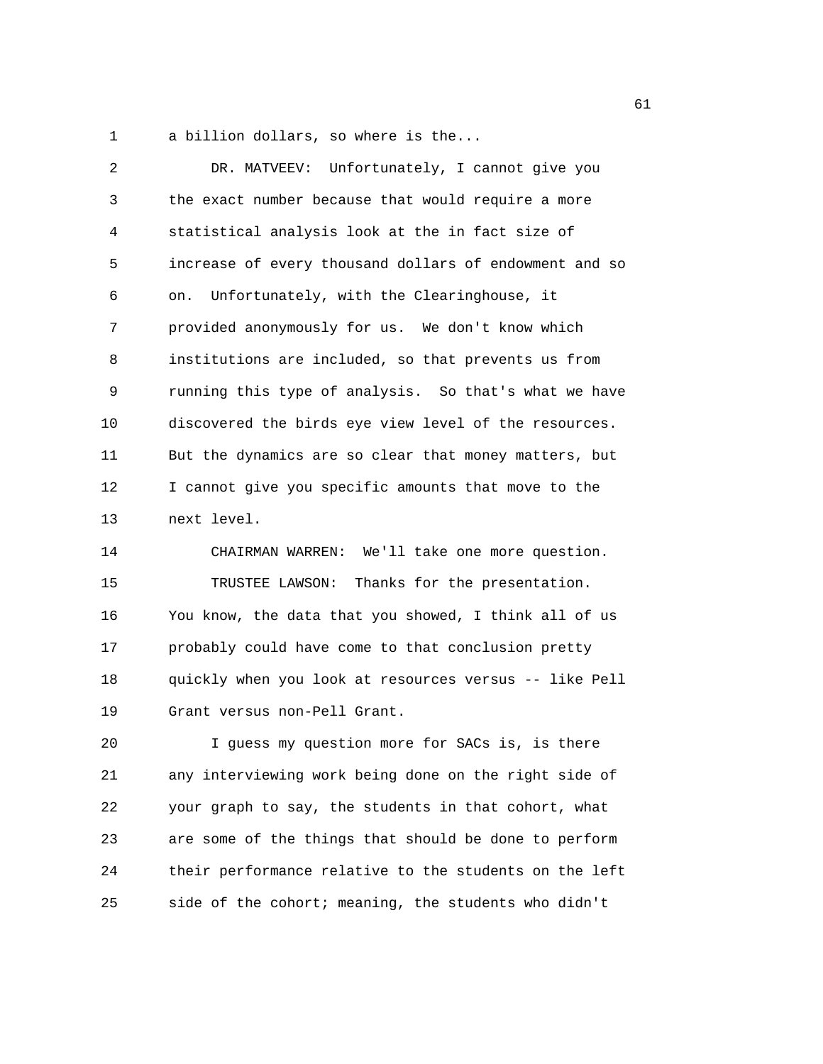1 a billion dollars, so where is the...

| 2             | DR. MATVEEV: Unfortunately, I cannot give you                                                              |
|---------------|------------------------------------------------------------------------------------------------------------|
| 3             | the exact number because that would require a more                                                         |
| 4             | statistical analysis look at the in fact size of                                                           |
| 5             | increase of every thousand dollars of endowment and so                                                     |
| 6             | Unfortunately, with the Clearinghouse, it<br>on.                                                           |
| 7             | provided anonymously for us. We don't know which                                                           |
| 8             | institutions are included, so that prevents us from                                                        |
| 9             | running this type of analysis. So that's what we have                                                      |
| 10            | discovered the birds eye view level of the resources.                                                      |
| 11            | But the dynamics are so clear that money matters, but                                                      |
| 12            | I cannot give you specific amounts that move to the                                                        |
| 13            | next level.                                                                                                |
| 14            | CHAIRMAN WARREN: We'll take one more question.                                                             |
| 15            | TRUSTEE LAWSON: Thanks for the presentation.                                                               |
| 16            | You know, the data that you showed, I think all of us                                                      |
| 17            | probably could have come to that conclusion pretty                                                         |
| 18            | quickly when you look at resources versus -- like Pell                                                     |
| 19            | Grant versus non-Pell Grant.                                                                               |
| 20            | I guess my question more for SACs is, is there                                                             |
| $\cap$ $\Box$ | الكرمان والأرادي والطروباني والمطالب ومروات والمتحدث والمرادي والمتحدث والمتحدث والمتحدث والمنافذ والمناور |

21 any interviewing work being done on the right side of 22 your graph to say, the students in that cohort, what 23 are some of the things that should be done to perform 24 their performance relative to the students on the left 25 side of the cohort; meaning, the students who didn't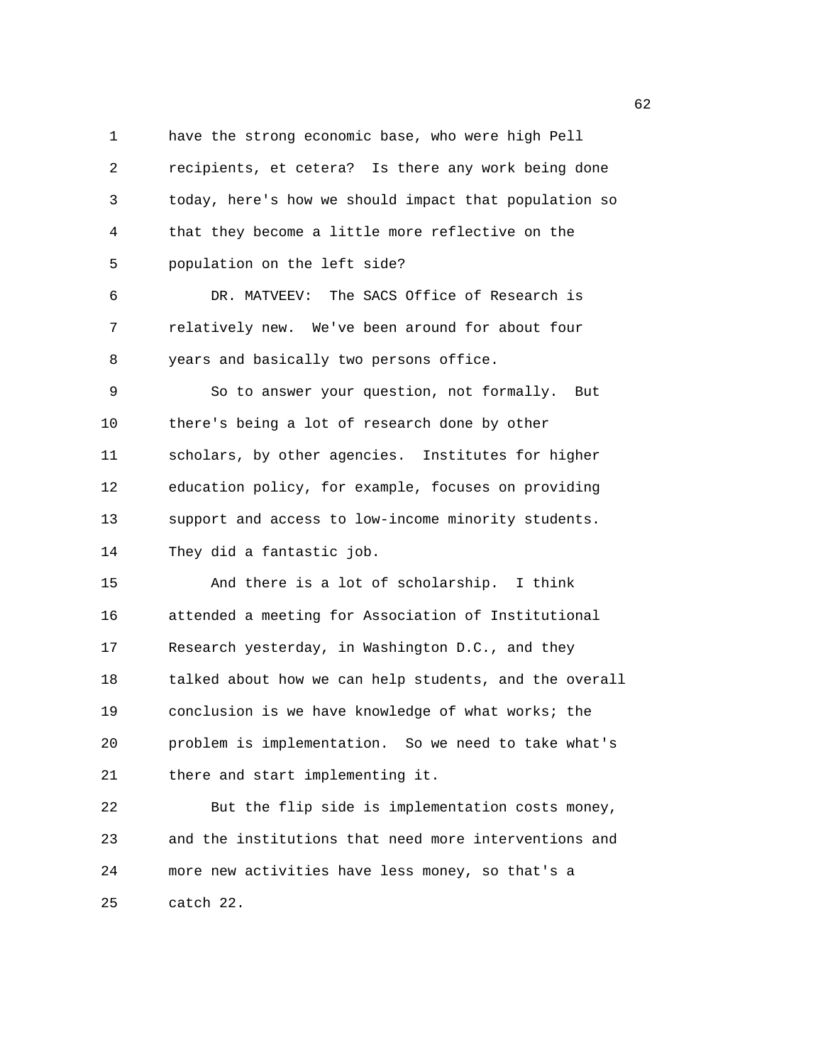1 have the strong economic base, who were high Pell 2 recipients, et cetera? Is there any work being done 3 today, here's how we should impact that population so 4 that they become a little more reflective on the 5 population on the left side?

6 DR. MATVEEV: The SACS Office of Research is 7 relatively new. We've been around for about four 8 years and basically two persons office.

9 So to answer your question, not formally. But 10 there's being a lot of research done by other 11 scholars, by other agencies. Institutes for higher 12 education policy, for example, focuses on providing 13 support and access to low-income minority students. 14 They did a fantastic job.

15 And there is a lot of scholarship. I think 16 attended a meeting for Association of Institutional 17 Research yesterday, in Washington D.C., and they 18 talked about how we can help students, and the overall 19 conclusion is we have knowledge of what works; the 20 problem is implementation. So we need to take what's 21 there and start implementing it.

22 But the flip side is implementation costs money, 23 and the institutions that need more interventions and 24 more new activities have less money, so that's a 25 catch 22.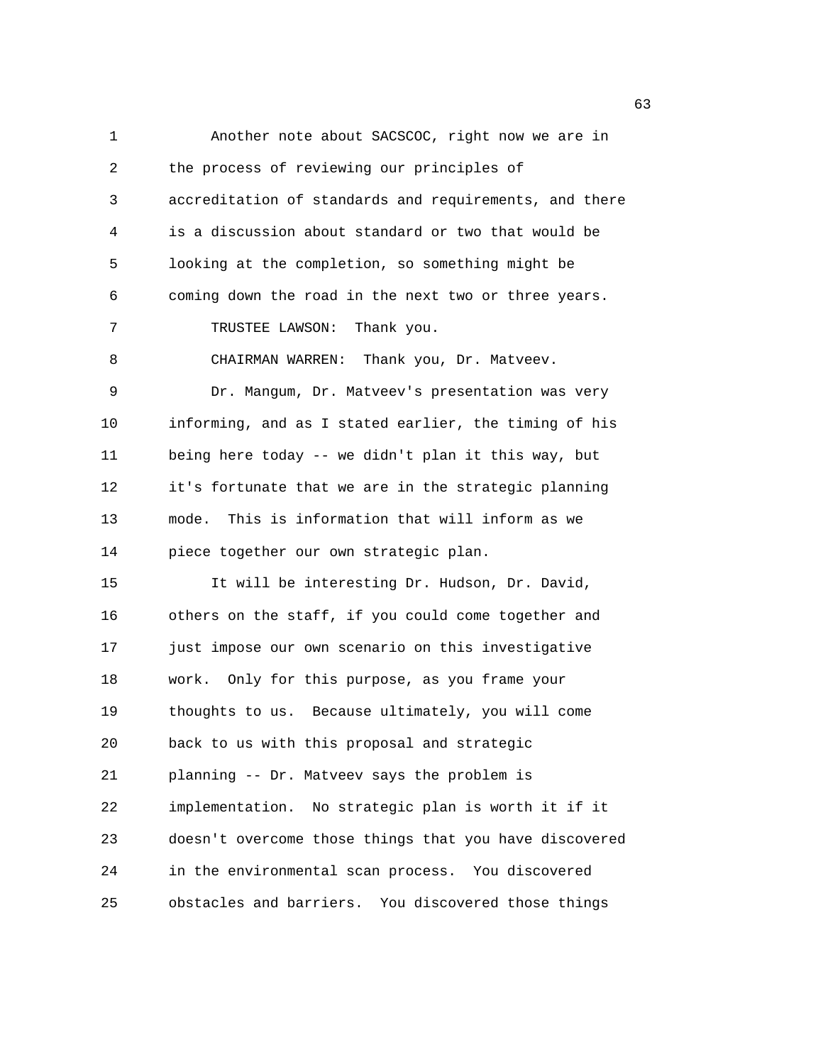1 Another note about SACSCOC, right now we are in 2 the process of reviewing our principles of 3 accreditation of standards and requirements, and there 4 is a discussion about standard or two that would be 5 looking at the completion, so something might be 6 coming down the road in the next two or three years. 7 TRUSTEE LAWSON: Thank you. 8 CHAIRMAN WARREN: Thank you, Dr. Matveev. 9 Dr. Mangum, Dr. Matveev's presentation was very 10 informing, and as I stated earlier, the timing of his 11 being here today -- we didn't plan it this way, but 12 it's fortunate that we are in the strategic planning 13 mode. This is information that will inform as we 14 piece together our own strategic plan. 15 It will be interesting Dr. Hudson, Dr. David, 16 others on the staff, if you could come together and 17 just impose our own scenario on this investigative 18 work. Only for this purpose, as you frame your 19 thoughts to us. Because ultimately, you will come 20 back to us with this proposal and strategic 21 planning -- Dr. Matveev says the problem is 22 implementation. No strategic plan is worth it if it 23 doesn't overcome those things that you have discovered 24 in the environmental scan process. You discovered 25 obstacles and barriers. You discovered those things

 $\sim$  63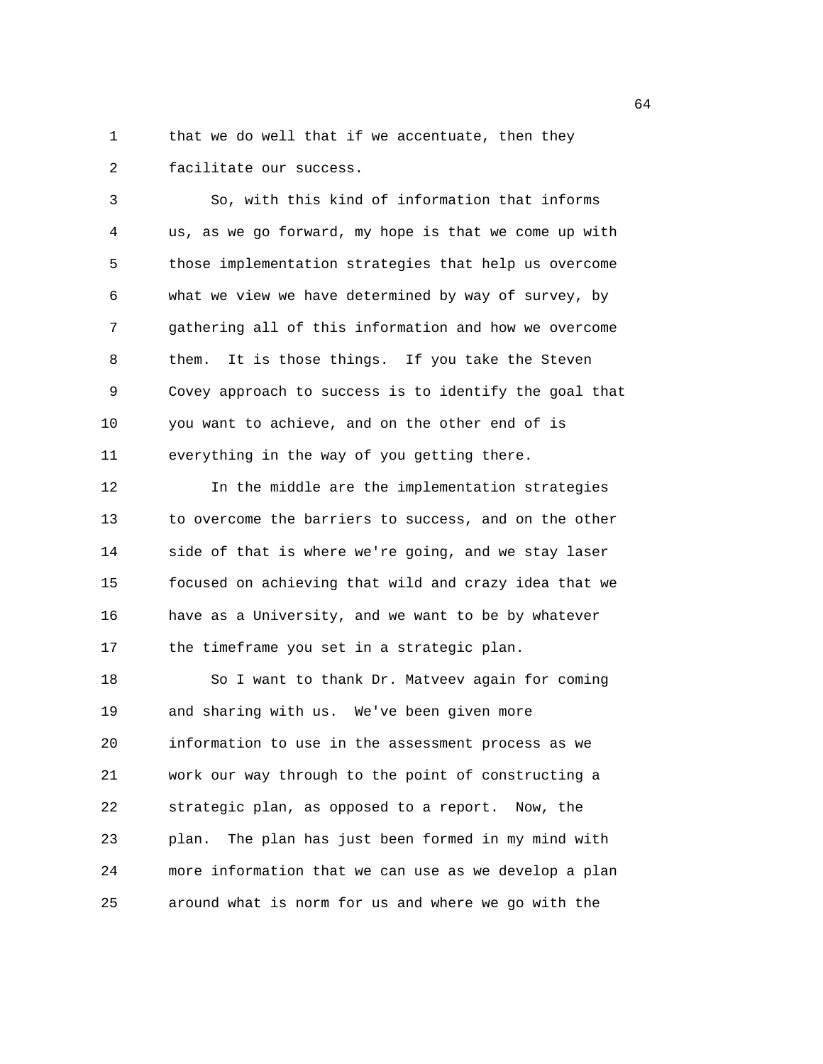1 that we do well that if we accentuate, then they 2 facilitate our success.

3 So, with this kind of information that informs 4 us, as we go forward, my hope is that we come up with 5 those implementation strategies that help us overcome 6 what we view we have determined by way of survey, by 7 gathering all of this information and how we overcome 8 them. It is those things. If you take the Steven 9 Covey approach to success is to identify the goal that 10 you want to achieve, and on the other end of is 11 everything in the way of you getting there.

12 In the middle are the implementation strategies 13 to overcome the barriers to success, and on the other 14 side of that is where we're going, and we stay laser 15 focused on achieving that wild and crazy idea that we 16 have as a University, and we want to be by whatever 17 the timeframe you set in a strategic plan.

18 So I want to thank Dr. Matveev again for coming 19 and sharing with us. We've been given more 20 information to use in the assessment process as we 21 work our way through to the point of constructing a 22 strategic plan, as opposed to a report. Now, the 23 plan. The plan has just been formed in my mind with 24 more information that we can use as we develop a plan 25 around what is norm for us and where we go with the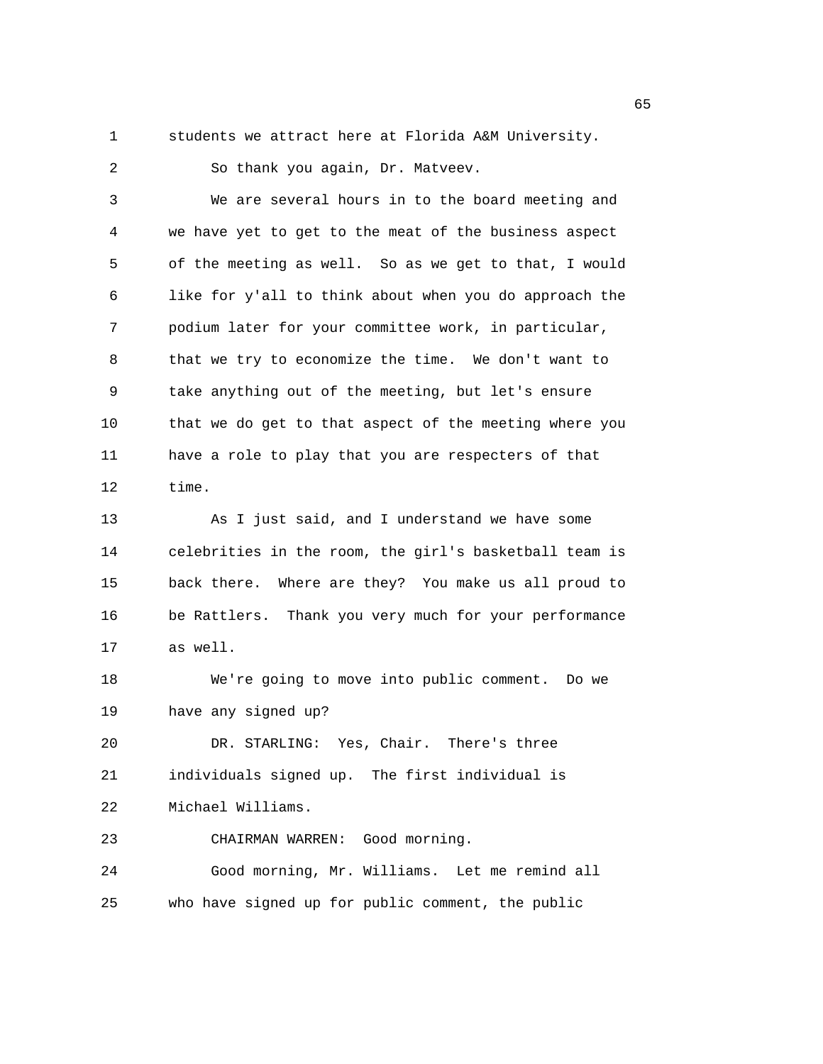1 students we attract here at Florida A&M University.

2 So thank you again, Dr. Matveev. 3 We are several hours in to the board meeting and 4 we have yet to get to the meat of the business aspect 5 of the meeting as well. So as we get to that, I would 6 like for y'all to think about when you do approach the 7 podium later for your committee work, in particular, 8 that we try to economize the time. We don't want to 9 take anything out of the meeting, but let's ensure 10 that we do get to that aspect of the meeting where you 11 have a role to play that you are respecters of that 12 time. 13 As I just said, and I understand we have some 14 celebrities in the room, the girl's basketball team is 15 back there. Where are they? You make us all proud to 16 be Rattlers. Thank you very much for your performance 17 as well. 18 We're going to move into public comment. Do we 19 have any signed up? 20 DR. STARLING: Yes, Chair. There's three 21 individuals signed up. The first individual is 22 Michael Williams. 23 CHAIRMAN WARREN: Good morning. 24 Good morning, Mr. Williams. Let me remind all 25 who have signed up for public comment, the public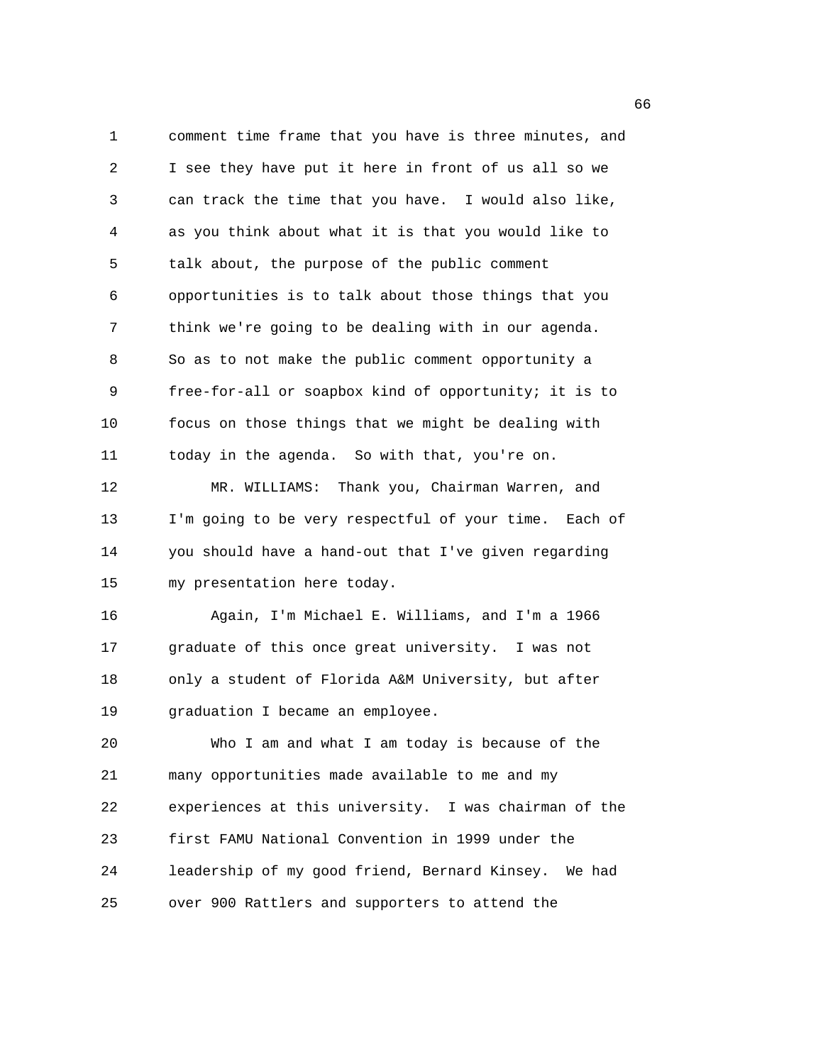1 comment time frame that you have is three minutes, and 2 I see they have put it here in front of us all so we 3 can track the time that you have. I would also like, 4 as you think about what it is that you would like to 5 talk about, the purpose of the public comment 6 opportunities is to talk about those things that you 7 think we're going to be dealing with in our agenda. 8 So as to not make the public comment opportunity a 9 free-for-all or soapbox kind of opportunity; it is to 10 focus on those things that we might be dealing with 11 today in the agenda. So with that, you're on. 12 MR. WILLIAMS: Thank you, Chairman Warren, and 13 I'm going to be very respectful of your time. Each of 14 you should have a hand-out that I've given regarding 15 my presentation here today. 16 Again, I'm Michael E. Williams, and I'm a 1966 17 graduate of this once great university. I was not 18 only a student of Florida A&M University, but after 19 graduation I became an employee. 20 Who I am and what I am today is because of the 21 many opportunities made available to me and my 22 experiences at this university. I was chairman of the 23 first FAMU National Convention in 1999 under the 24 leadership of my good friend, Bernard Kinsey. We had 25 over 900 Rattlers and supporters to attend the

 $\sim$  66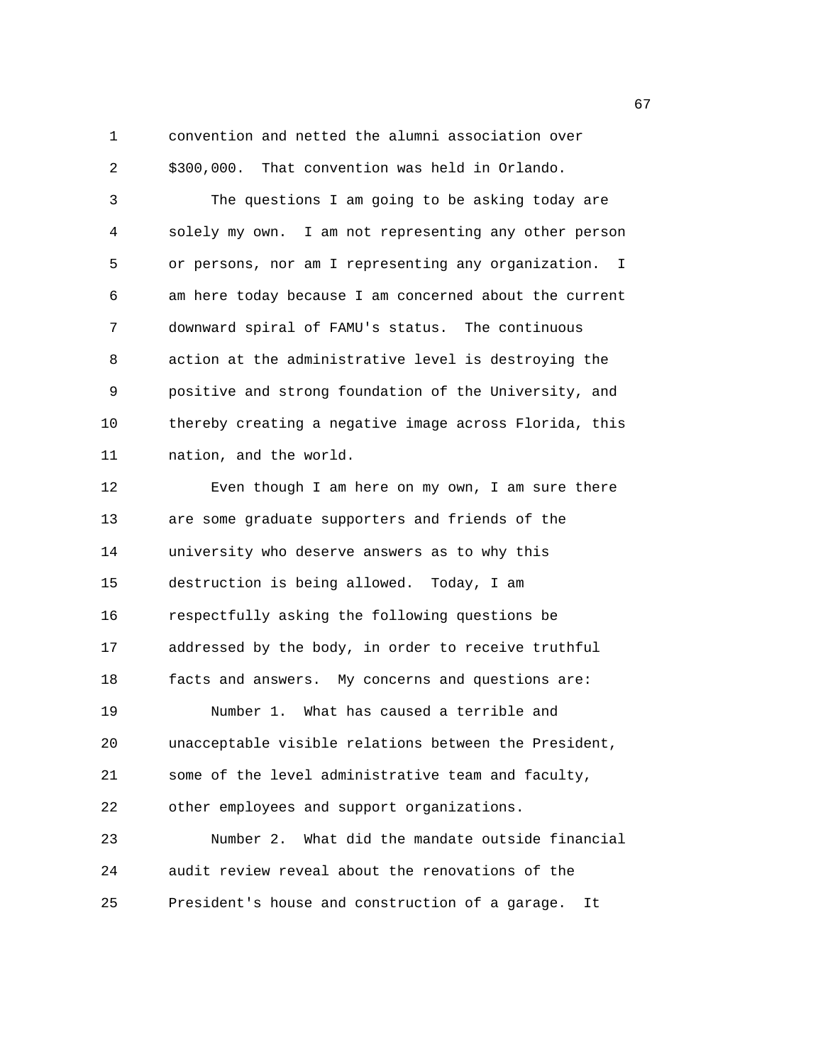1 convention and netted the alumni association over 2 \$300,000. That convention was held in Orlando.

3 The questions I am going to be asking today are 4 solely my own. I am not representing any other person 5 or persons, nor am I representing any organization. I 6 am here today because I am concerned about the current 7 downward spiral of FAMU's status. The continuous 8 action at the administrative level is destroying the 9 positive and strong foundation of the University, and 10 thereby creating a negative image across Florida, this 11 nation, and the world.

12 Even though I am here on my own, I am sure there 13 are some graduate supporters and friends of the 14 university who deserve answers as to why this 15 destruction is being allowed. Today, I am 16 respectfully asking the following questions be 17 addressed by the body, in order to receive truthful 18 facts and answers. My concerns and questions are: 19 Number 1. What has caused a terrible and 20 unacceptable visible relations between the President, 21 some of the level administrative team and faculty, 22 other employees and support organizations. 23 Number 2. What did the mandate outside financial 24 audit review reveal about the renovations of the 25 President's house and construction of a garage. It

 $\sim$  67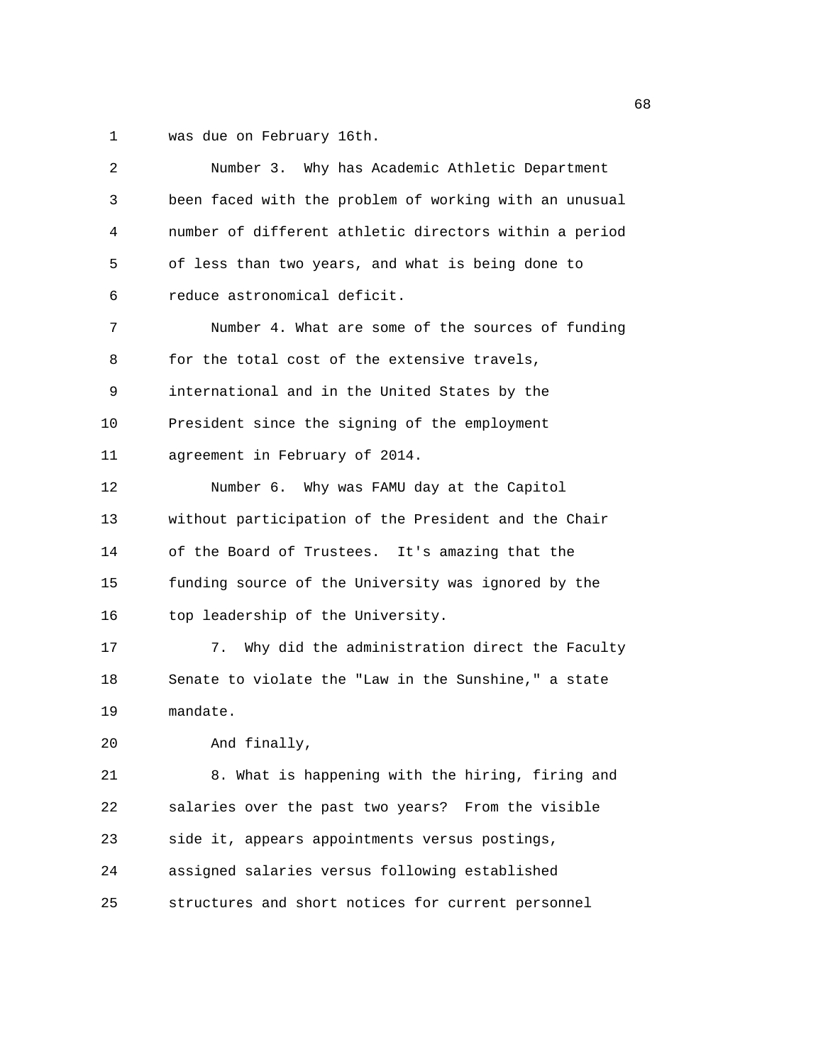1 was due on February 16th.

| Number 3. Why has Academic Athletic Department         |
|--------------------------------------------------------|
| been faced with the problem of working with an unusual |
| number of different athletic directors within a period |
| of less than two years, and what is being done to      |
| reduce astronomical deficit.                           |
| Number 4. What are some of the sources of funding      |
| for the total cost of the extensive travels,           |
| international and in the United States by the          |
| President since the signing of the employment          |
| agreement in February of 2014.                         |
| Number 6. Why was FAMU day at the Capitol              |
| without participation of the President and the Chair   |
| of the Board of Trustees. It's amazing that the        |
| funding source of the University was ignored by the    |
| top leadership of the University.                      |
| Why did the administration direct the Faculty<br>7.    |
| Senate to violate the "Law in the Sunshine," a state   |
| mandate.                                               |
| And finally,                                           |
| 8. What is happening with the hiring, firing and       |
| salaries over the past two years? From the visible     |
| side it, appears appointments versus postings,         |
| assigned salaries versus following established         |
| structures and short notices for current personnel     |
|                                                        |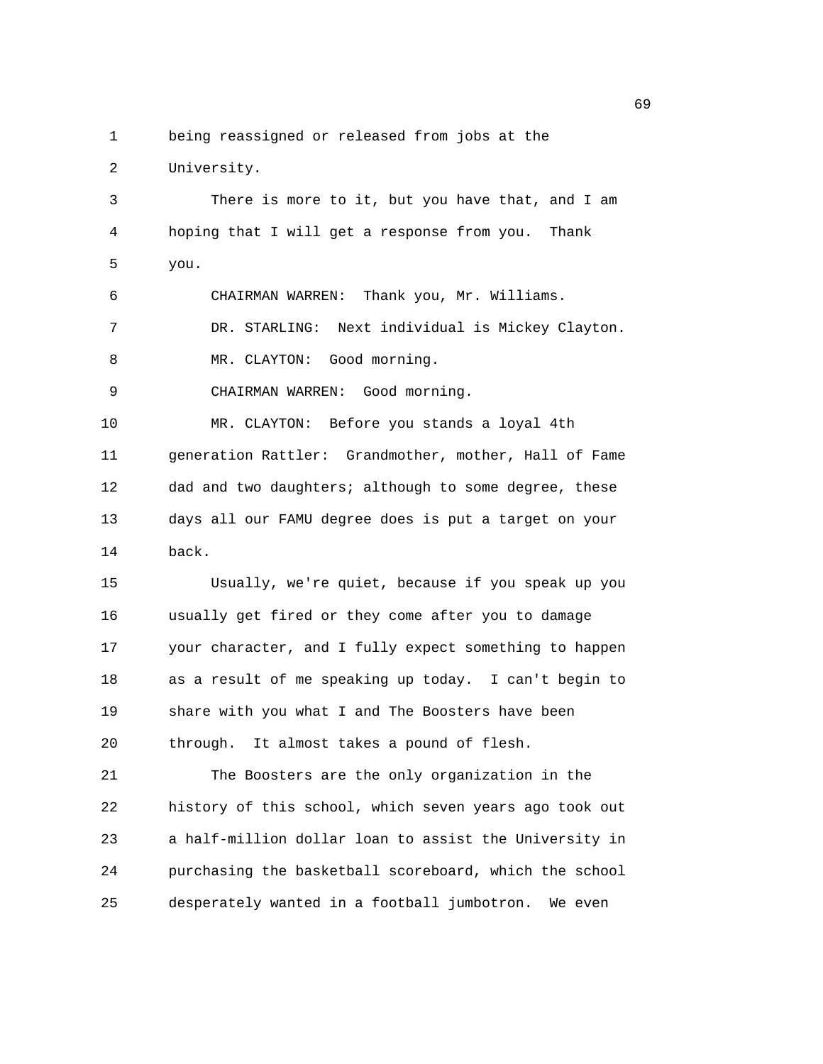1 being reassigned or released from jobs at the

2 University. 3 There is more to it, but you have that, and I am 4 hoping that I will get a response from you. Thank 5 you. 6 CHAIRMAN WARREN: Thank you, Mr. Williams. 7 DR. STARLING: Next individual is Mickey Clayton. 8 MR. CLAYTON: Good morning. 9 CHAIRMAN WARREN: Good morning. 10 MR. CLAYTON: Before you stands a loyal 4th 11 generation Rattler: Grandmother, mother, Hall of Fame 12 dad and two daughters; although to some degree, these 13 days all our FAMU degree does is put a target on your 14 back. 15 Usually, we're quiet, because if you speak up you 16 usually get fired or they come after you to damage 17 your character, and I fully expect something to happen 18 as a result of me speaking up today. I can't begin to 19 share with you what I and The Boosters have been 20 through. It almost takes a pound of flesh. 21 The Boosters are the only organization in the 22 history of this school, which seven years ago took out 23 a half-million dollar loan to assist the University in 24 purchasing the basketball scoreboard, which the school 25 desperately wanted in a football jumbotron. We even

 $\sim$  69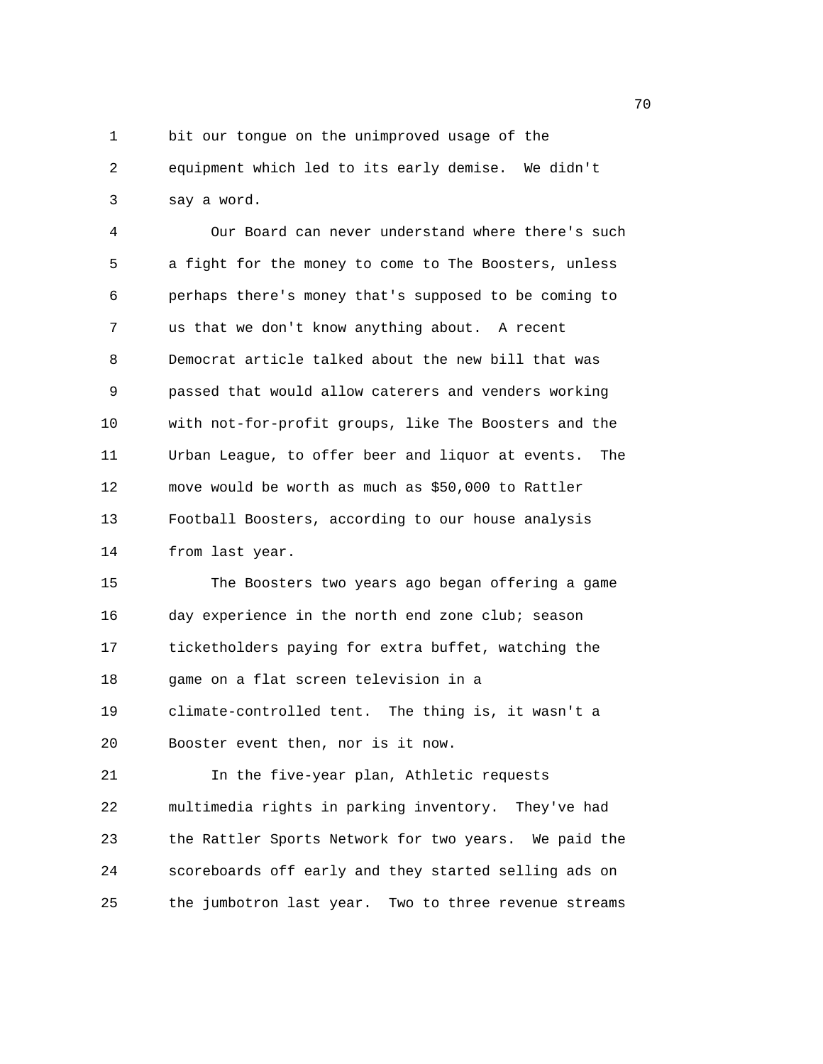1 bit our tongue on the unimproved usage of the 2 equipment which led to its early demise. We didn't

3 say a word.

4 Our Board can never understand where there's such 5 a fight for the money to come to The Boosters, unless 6 perhaps there's money that's supposed to be coming to 7 us that we don't know anything about. A recent 8 Democrat article talked about the new bill that was 9 passed that would allow caterers and venders working 10 with not-for-profit groups, like The Boosters and the 11 Urban League, to offer beer and liquor at events. The 12 move would be worth as much as \$50,000 to Rattler 13 Football Boosters, according to our house analysis 14 from last year.

15 The Boosters two years ago began offering a game 16 day experience in the north end zone club; season 17 ticketholders paying for extra buffet, watching the 18 game on a flat screen television in a 19 climate-controlled tent. The thing is, it wasn't a 20 Booster event then, nor is it now.

21 In the five-year plan, Athletic requests 22 multimedia rights in parking inventory. They've had 23 the Rattler Sports Network for two years. We paid the 24 scoreboards off early and they started selling ads on 25 the jumbotron last year. Two to three revenue streams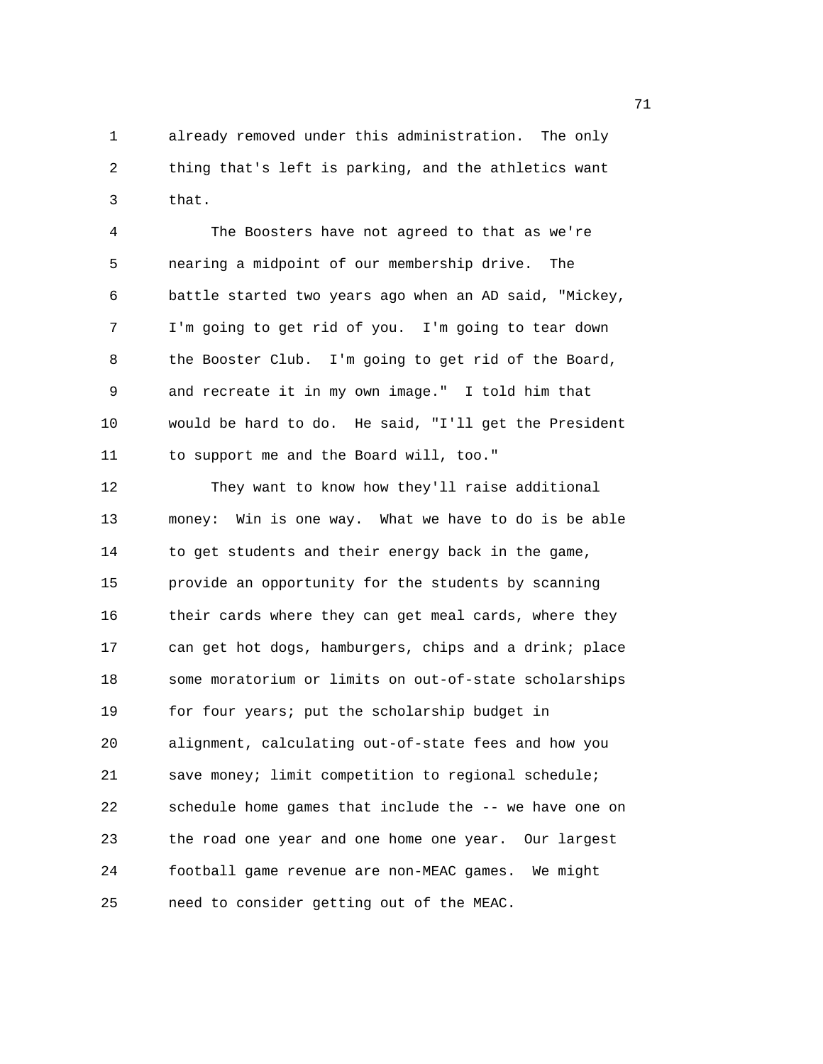1 already removed under this administration. The only 2 thing that's left is parking, and the athletics want 3 that.

4 The Boosters have not agreed to that as we're 5 nearing a midpoint of our membership drive. The 6 battle started two years ago when an AD said, "Mickey, 7 I'm going to get rid of you. I'm going to tear down 8 the Booster Club. I'm going to get rid of the Board, 9 and recreate it in my own image." I told him that 10 would be hard to do. He said, "I'll get the President 11 to support me and the Board will, too."

12 They want to know how they'll raise additional 13 money: Win is one way. What we have to do is be able 14 to get students and their energy back in the game, 15 provide an opportunity for the students by scanning 16 their cards where they can get meal cards, where they 17 can get hot dogs, hamburgers, chips and a drink; place 18 some moratorium or limits on out-of-state scholarships 19 for four years; put the scholarship budget in 20 alignment, calculating out-of-state fees and how you 21 save money; limit competition to regional schedule; 22 schedule home games that include the -- we have one on 23 the road one year and one home one year. Our largest 24 football game revenue are non-MEAC games. We might 25 need to consider getting out of the MEAC.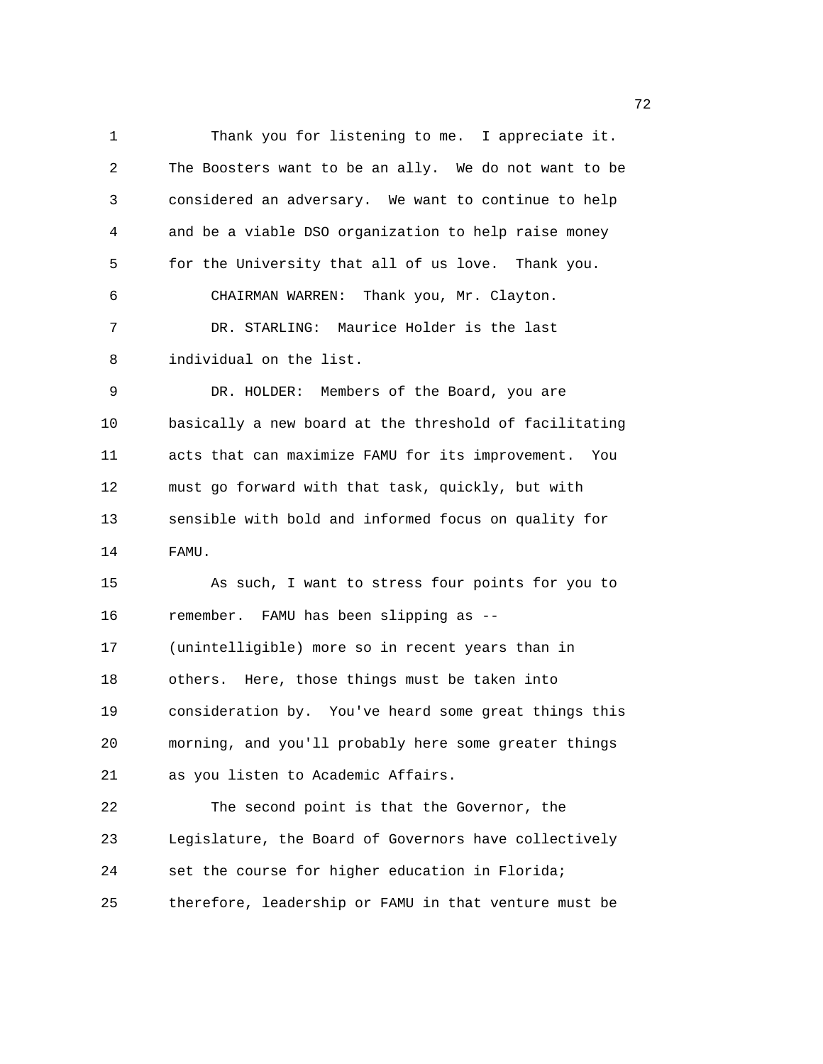1 Thank you for listening to me. I appreciate it. 2 The Boosters want to be an ally. We do not want to be 3 considered an adversary. We want to continue to help 4 and be a viable DSO organization to help raise money 5 for the University that all of us love. Thank you. 6 CHAIRMAN WARREN: Thank you, Mr. Clayton. 7 DR. STARLING: Maurice Holder is the last 8 individual on the list. 9 DR. HOLDER: Members of the Board, you are 10 basically a new board at the threshold of facilitating 11 acts that can maximize FAMU for its improvement. You 12 must go forward with that task, quickly, but with 13 sensible with bold and informed focus on quality for 14 FAMU. 15 As such, I want to stress four points for you to 16 remember. FAMU has been slipping as -- 17 (unintelligible) more so in recent years than in 18 others. Here, those things must be taken into 19 consideration by. You've heard some great things this 20 morning, and you'll probably here some greater things 21 as you listen to Academic Affairs. 22 The second point is that the Governor, the 23 Legislature, the Board of Governors have collectively 24 set the course for higher education in Florida; 25 therefore, leadership or FAMU in that venture must be

процесство производство в село в 1972 године в 1972 године в 1972 године в 1972 године в 1972 године в 1973 го<br>В 1973 године в 1973 године в 1973 године в 1973 године в 1973 године в 1973 године в 1973 године в 1973 годин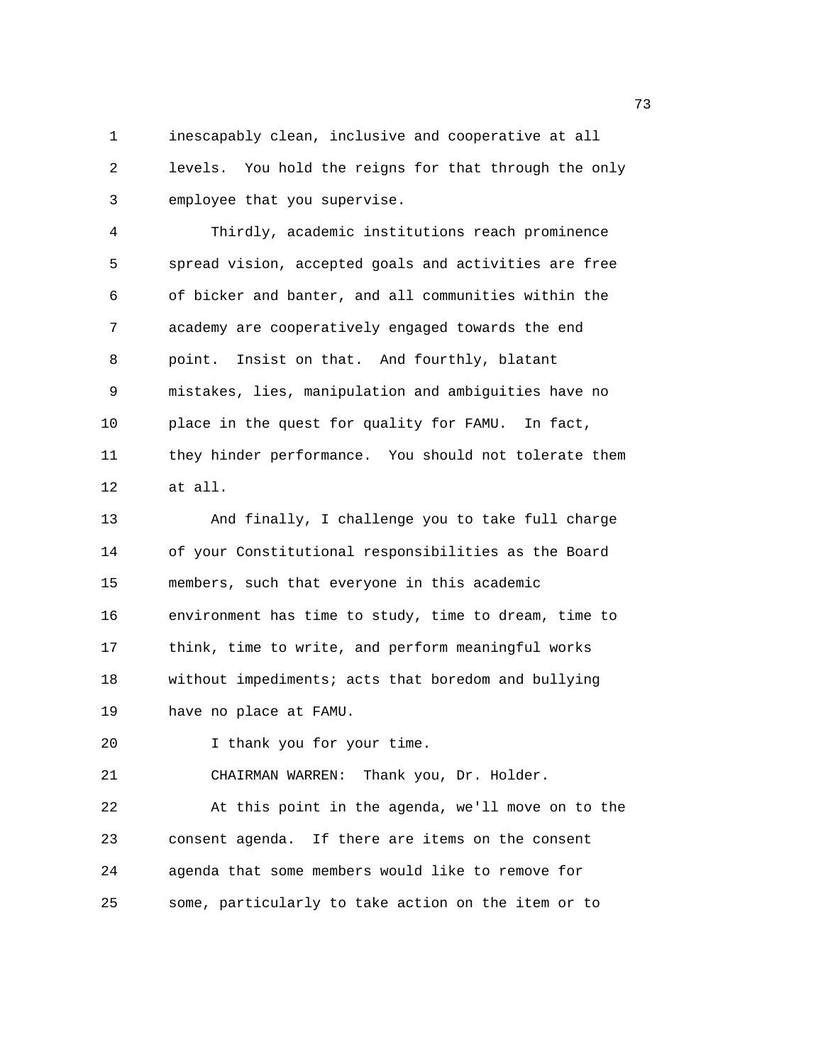1 inescapably clean, inclusive and cooperative at all 2 levels. You hold the reigns for that through the only 3 employee that you supervise.

4 Thirdly, academic institutions reach prominence 5 spread vision, accepted goals and activities are free 6 of bicker and banter, and all communities within the 7 academy are cooperatively engaged towards the end 8 point. Insist on that. And fourthly, blatant 9 mistakes, lies, manipulation and ambiguities have no 10 place in the quest for quality for FAMU. In fact, 11 they hinder performance. You should not tolerate them 12 at all.

13 And finally, I challenge you to take full charge 14 of your Constitutional responsibilities as the Board 15 members, such that everyone in this academic 16 environment has time to study, time to dream, time to 17 think, time to write, and perform meaningful works 18 without impediments; acts that boredom and bullying 19 have no place at FAMU.

20 I thank you for your time.

21 CHAIRMAN WARREN: Thank you, Dr. Holder.

22 At this point in the agenda, we'll move on to the 23 consent agenda. If there are items on the consent 24 agenda that some members would like to remove for 25 some, particularly to take action on the item or to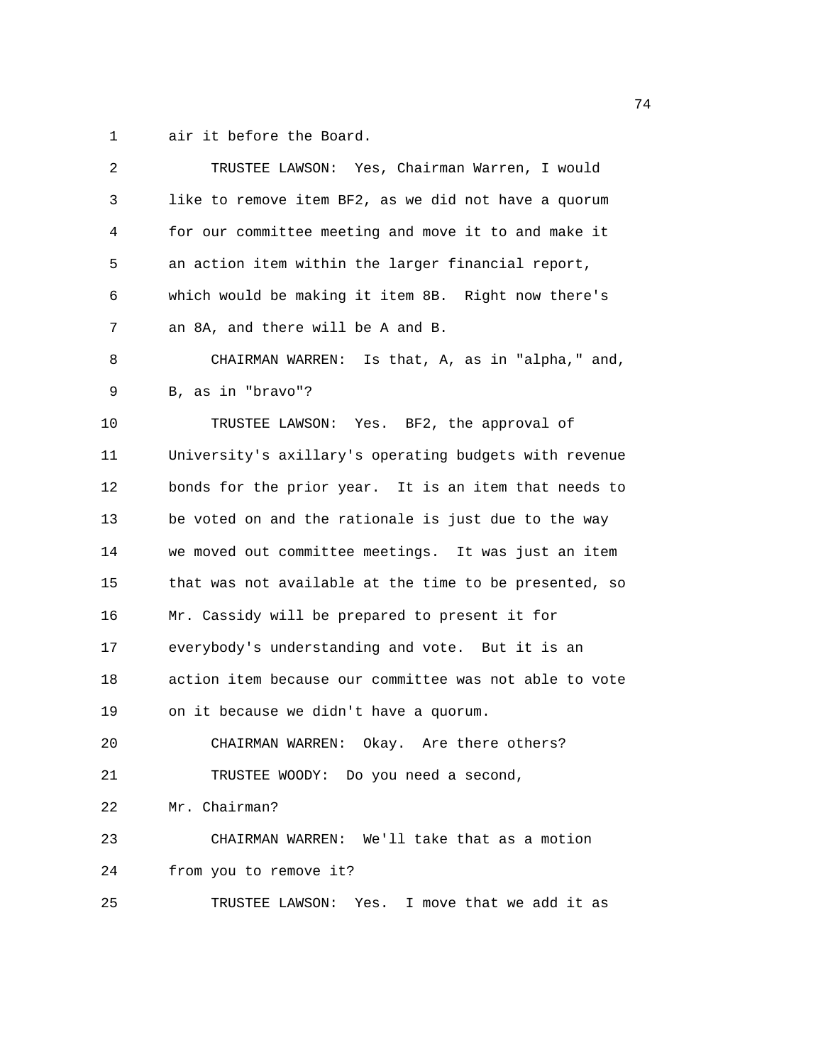1 air it before the Board.

| 2      | TRUSTEE LAWSON: Yes, Chairman Warren, I would          |
|--------|--------------------------------------------------------|
| 3      | like to remove item BF2, as we did not have a quorum   |
| 4      | for our committee meeting and move it to and make it   |
| 5      | an action item within the larger financial report,     |
| 6      | which would be making it item 8B. Right now there's    |
| 7      | an 8A, and there will be A and B.                      |
| 8      | CHAIRMAN WARREN: Is that, A, as in "alpha," and,       |
| 9      | B, as in "bravo"?                                      |
| $10\,$ | TRUSTEE LAWSON: Yes. BF2, the approval of              |
| 11     | University's axillary's operating budgets with revenue |
| 12     | bonds for the prior year. It is an item that needs to  |
| 13     | be voted on and the rationale is just due to the way   |
| 14     | we moved out committee meetings. It was just an item   |
| 15     | that was not available at the time to be presented, so |
| 16     | Mr. Cassidy will be prepared to present it for         |
| 17     | everybody's understanding and vote. But it is an       |
| 18     | action item because our committee was not able to vote |
| 19     | on it because we didn't have a quorum.                 |
| 20     | Okay. Are there others?<br>CHAIRMAN WARREN:            |
| 21     | TRUSTEE WOODY: Do you need a second,                   |
| 22     | Mr. Chairman?                                          |
| 23     | CHAIRMAN WARREN: We'll take that as a motion           |
| 24     | from you to remove it?                                 |
| 25     | TRUSTEE LAWSON: Yes. I move that we add it as          |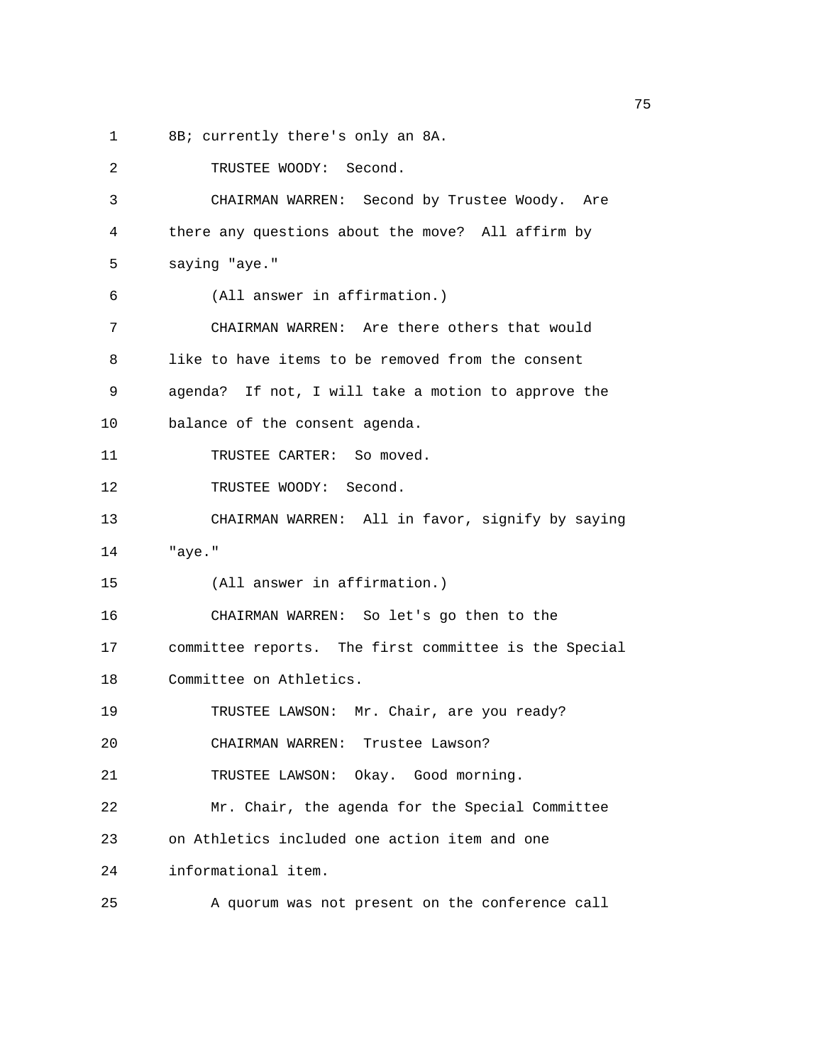1 8B; currently there's only an 8A.

| 2  | TRUSTEE WOODY: Second.                                |
|----|-------------------------------------------------------|
| 3  | CHAIRMAN WARREN: Second by Trustee Woody. Are         |
| 4  | there any questions about the move? All affirm by     |
| 5  | saying "aye."                                         |
| 6  | (All answer in affirmation.)                          |
| 7  | CHAIRMAN WARREN: Are there others that would          |
| 8  | like to have items to be removed from the consent     |
| 9  | agenda? If not, I will take a motion to approve the   |
| 10 | balance of the consent agenda.                        |
| 11 | TRUSTEE CARTER: So moved.                             |
| 12 | TRUSTEE WOODY: Second.                                |
| 13 | CHAIRMAN WARREN: All in favor, signify by saying      |
| 14 | "aye."                                                |
| 15 | (All answer in affirmation.)                          |
| 16 | CHAIRMAN WARREN: So let's go then to the              |
| 17 | committee reports. The first committee is the Special |
| 18 | Committee on Athletics.                               |
| 19 | TRUSTEE LAWSON: Mr. Chair, are you ready?             |
| 20 | CHAIRMAN WARREN: Trustee Lawson?                      |
| 21 | TRUSTEE LAWSON: Okay. Good morning.                   |
| 22 | Mr. Chair, the agenda for the Special Committee       |
| 23 | on Athletics included one action item and one         |
| 24 | informational item.                                   |
| 25 | A quorum was not present on the conference call       |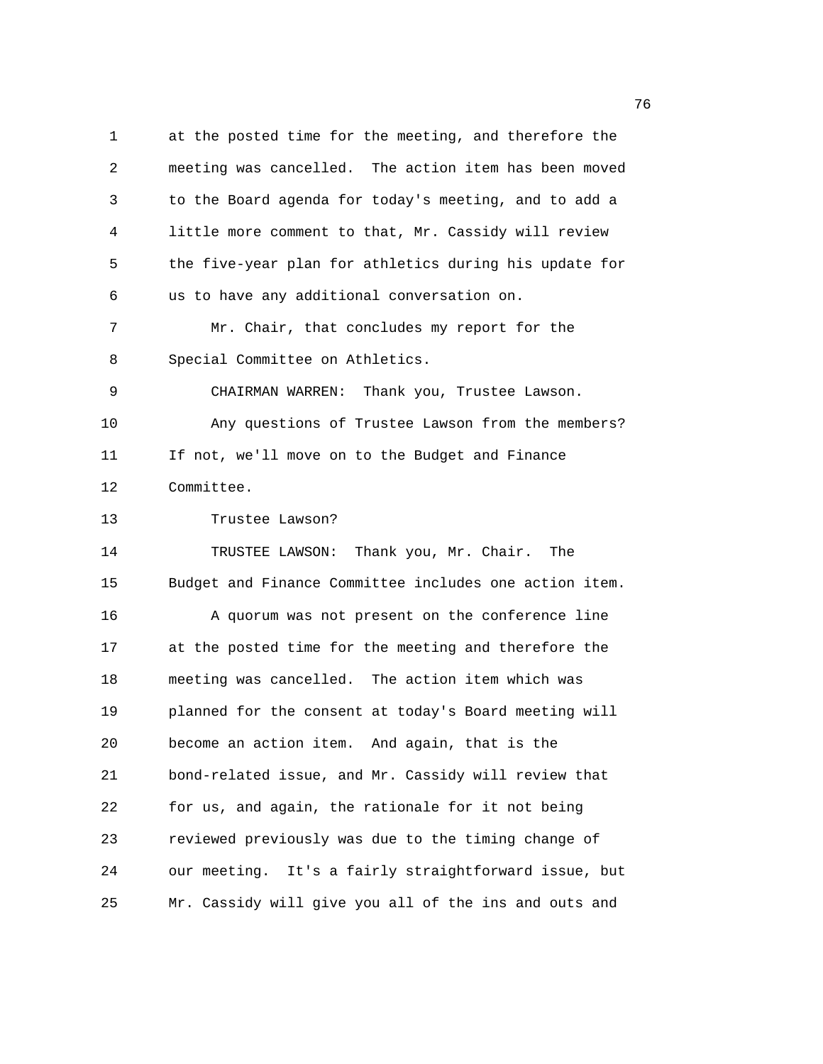1 at the posted time for the meeting, and therefore the 2 meeting was cancelled. The action item has been moved 3 to the Board agenda for today's meeting, and to add a 4 little more comment to that, Mr. Cassidy will review 5 the five-year plan for athletics during his update for 6 us to have any additional conversation on. 7 Mr. Chair, that concludes my report for the 8 Special Committee on Athletics. 9 CHAIRMAN WARREN: Thank you, Trustee Lawson. 10 Any questions of Trustee Lawson from the members? 11 If not, we'll move on to the Budget and Finance 12 Committee. 13 Trustee Lawson? 14 TRUSTEE LAWSON: Thank you, Mr. Chair. The 15 Budget and Finance Committee includes one action item. 16 A quorum was not present on the conference line 17 at the posted time for the meeting and therefore the 18 meeting was cancelled. The action item which was 19 planned for the consent at today's Board meeting will 20 become an action item. And again, that is the 21 bond-related issue, and Mr. Cassidy will review that 22 for us, and again, the rationale for it not being 23 reviewed previously was due to the timing change of 24 our meeting. It's a fairly straightforward issue, but 25 Mr. Cassidy will give you all of the ins and outs and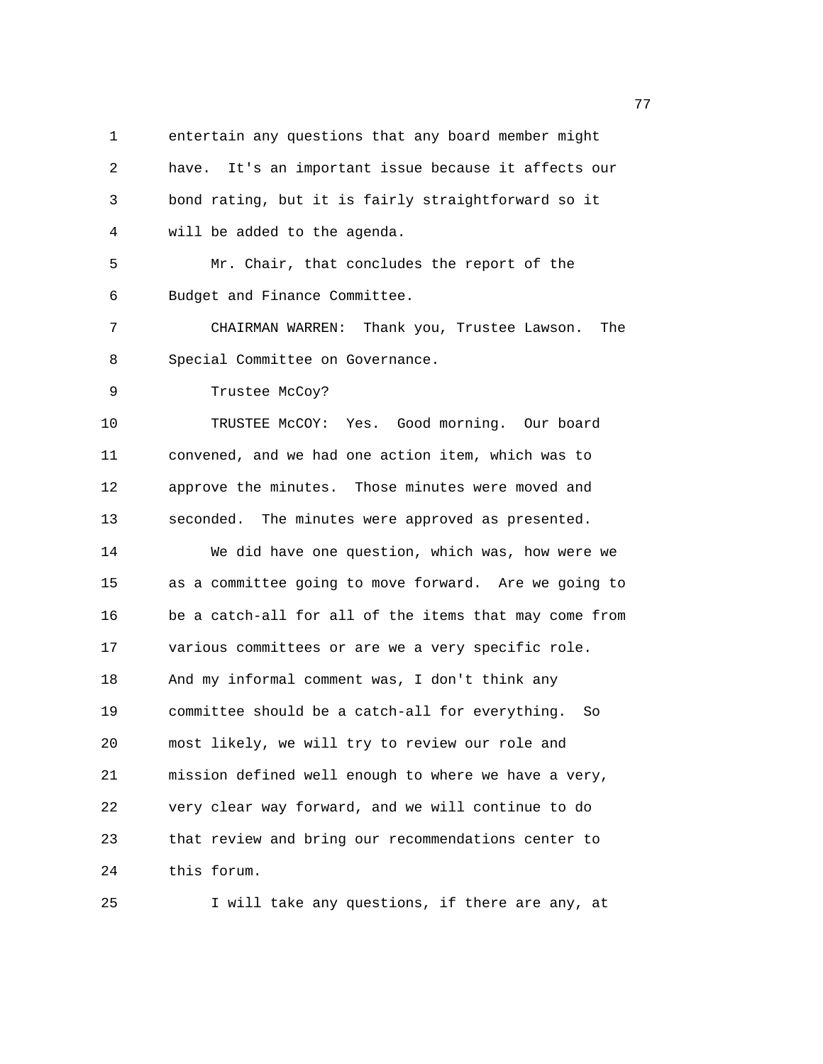1 entertain any questions that any board member might 2 have. It's an important issue because it affects our 3 bond rating, but it is fairly straightforward so it 4 will be added to the agenda. 5 Mr. Chair, that concludes the report of the 6 Budget and Finance Committee. 7 CHAIRMAN WARREN: Thank you, Trustee Lawson. The 8 Special Committee on Governance. 9 Trustee McCoy? 10 TRUSTEE McCOY: Yes. Good morning. Our board 11 convened, and we had one action item, which was to 12 approve the minutes. Those minutes were moved and 13 seconded. The minutes were approved as presented. 14 We did have one question, which was, how were we 15 as a committee going to move forward. Are we going to 16 be a catch-all for all of the items that may come from 17 various committees or are we a very specific role. 18 And my informal comment was, I don't think any 19 committee should be a catch-all for everything. So 20 most likely, we will try to review our role and 21 mission defined well enough to where we have a very, 22 very clear way forward, and we will continue to do 23 that review and bring our recommendations center to 24 this forum. 25 I will take any questions, if there are any, at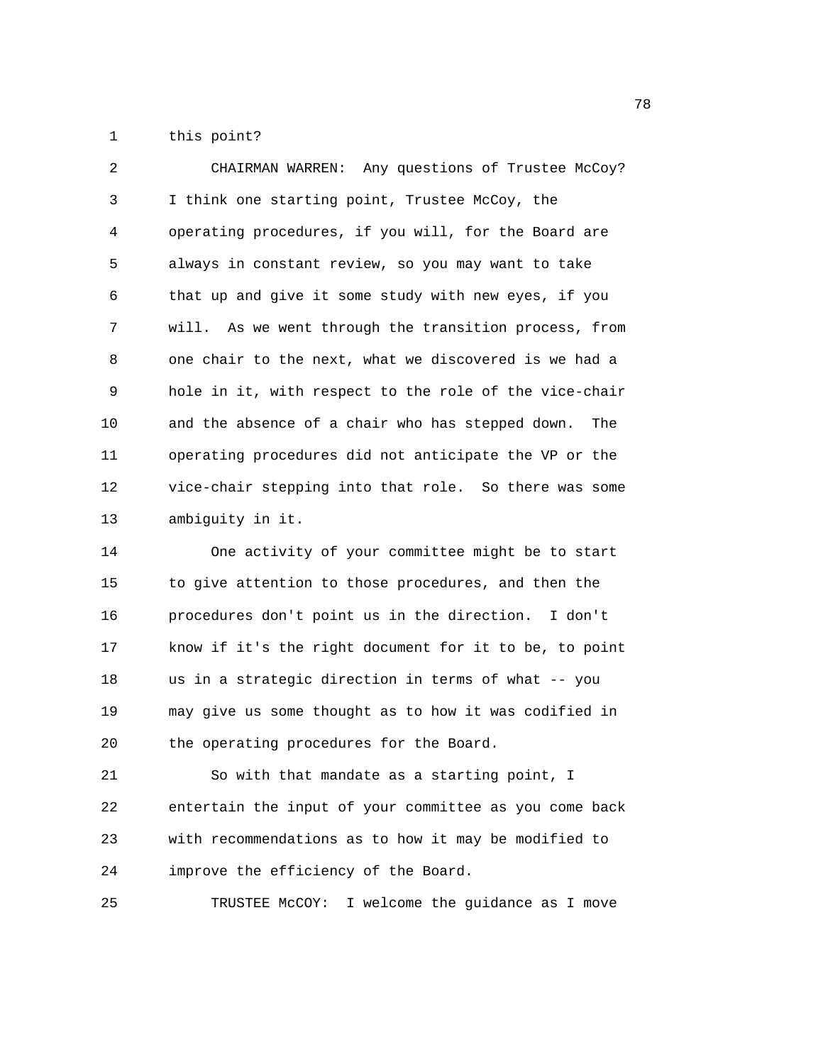1 this point?

2 CHAIRMAN WARREN: Any questions of Trustee McCoy? 3 I think one starting point, Trustee McCoy, the 4 operating procedures, if you will, for the Board are 5 always in constant review, so you may want to take 6 that up and give it some study with new eyes, if you 7 will. As we went through the transition process, from 8 one chair to the next, what we discovered is we had a 9 hole in it, with respect to the role of the vice-chair 10 and the absence of a chair who has stepped down. The 11 operating procedures did not anticipate the VP or the 12 vice-chair stepping into that role. So there was some 13 ambiguity in it.

14 One activity of your committee might be to start 15 to give attention to those procedures, and then the 16 procedures don't point us in the direction. I don't 17 know if it's the right document for it to be, to point 18 us in a strategic direction in terms of what -- you 19 may give us some thought as to how it was codified in 20 the operating procedures for the Board.

21 So with that mandate as a starting point, I 22 entertain the input of your committee as you come back 23 with recommendations as to how it may be modified to 24 improve the efficiency of the Board.

25 TRUSTEE McCOY: I welcome the guidance as I move

na a shekara ta 1972 a 1972 a 1972 a 1972 a 1972 a 1972 a 1972 a 1972 a 1972 a 1972 a 1972 a 1972 a 1972 a 19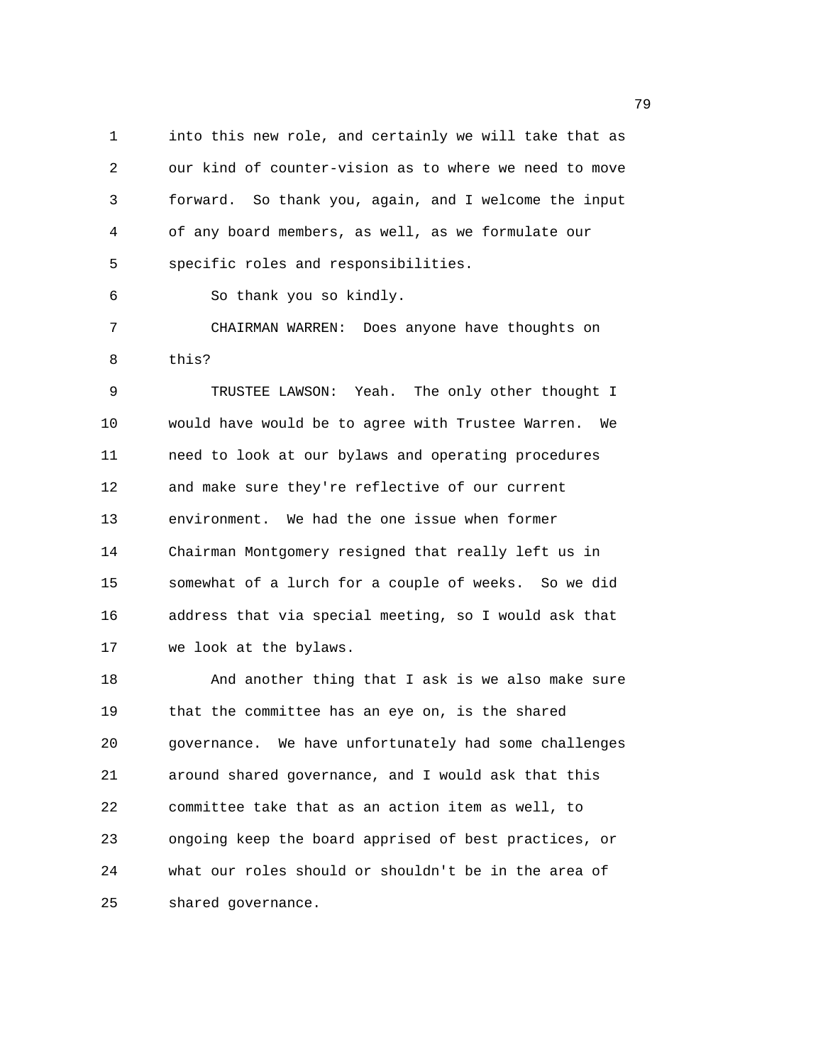1 into this new role, and certainly we will take that as 2 our kind of counter-vision as to where we need to move 3 forward. So thank you, again, and I welcome the input 4 of any board members, as well, as we formulate our 5 specific roles and responsibilities.

6 So thank you so kindly.

7 CHAIRMAN WARREN: Does anyone have thoughts on 8 this?

9 TRUSTEE LAWSON: Yeah. The only other thought I 10 would have would be to agree with Trustee Warren. We 11 need to look at our bylaws and operating procedures 12 and make sure they're reflective of our current 13 environment. We had the one issue when former 14 Chairman Montgomery resigned that really left us in 15 somewhat of a lurch for a couple of weeks. So we did 16 address that via special meeting, so I would ask that 17 we look at the bylaws.

18 And another thing that I ask is we also make sure 19 that the committee has an eye on, is the shared 20 governance. We have unfortunately had some challenges 21 around shared governance, and I would ask that this 22 committee take that as an action item as well, to 23 ongoing keep the board apprised of best practices, or 24 what our roles should or shouldn't be in the area of 25 shared governance.

ли в село в село во село во село во село во село во село во село во село во село во село во село во село во се<br>Постојата село во село во село во село во село во село во село во село во село во село во село во село во село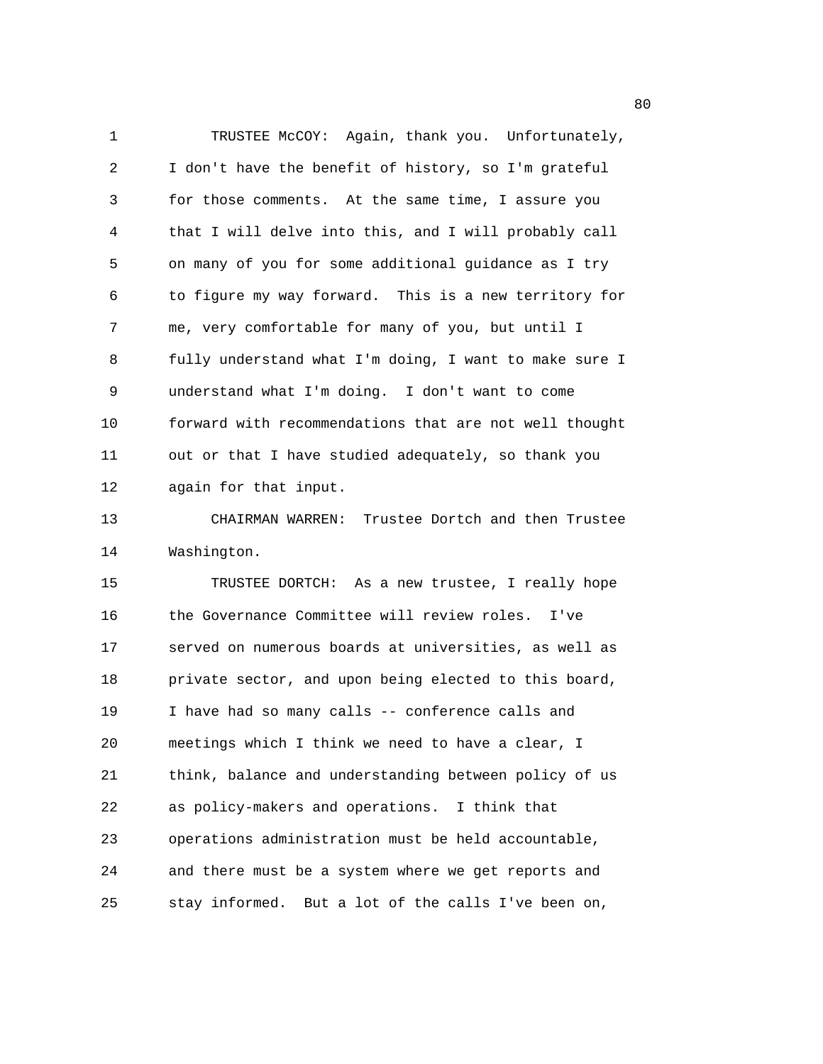1 TRUSTEE McCOY: Again, thank you. Unfortunately, 2 I don't have the benefit of history, so I'm grateful 3 for those comments. At the same time, I assure you 4 that I will delve into this, and I will probably call 5 on many of you for some additional guidance as I try 6 to figure my way forward. This is a new territory for 7 me, very comfortable for many of you, but until I 8 fully understand what I'm doing, I want to make sure I 9 understand what I'm doing. I don't want to come 10 forward with recommendations that are not well thought 11 out or that I have studied adequately, so thank you 12 again for that input. 13 CHAIRMAN WARREN: Trustee Dortch and then Trustee 14 Washington. 15 TRUSTEE DORTCH: As a new trustee, I really hope 16 the Governance Committee will review roles. I've 17 served on numerous boards at universities, as well as 18 private sector, and upon being elected to this board, 19 I have had so many calls -- conference calls and 20 meetings which I think we need to have a clear, I 21 think, balance and understanding between policy of us 22 as policy-makers and operations. I think that 23 operations administration must be held accountable, 24 and there must be a system where we get reports and 25 stay informed. But a lot of the calls I've been on,

en and the state of the state of the state of the state of the state of the state of the state of the state of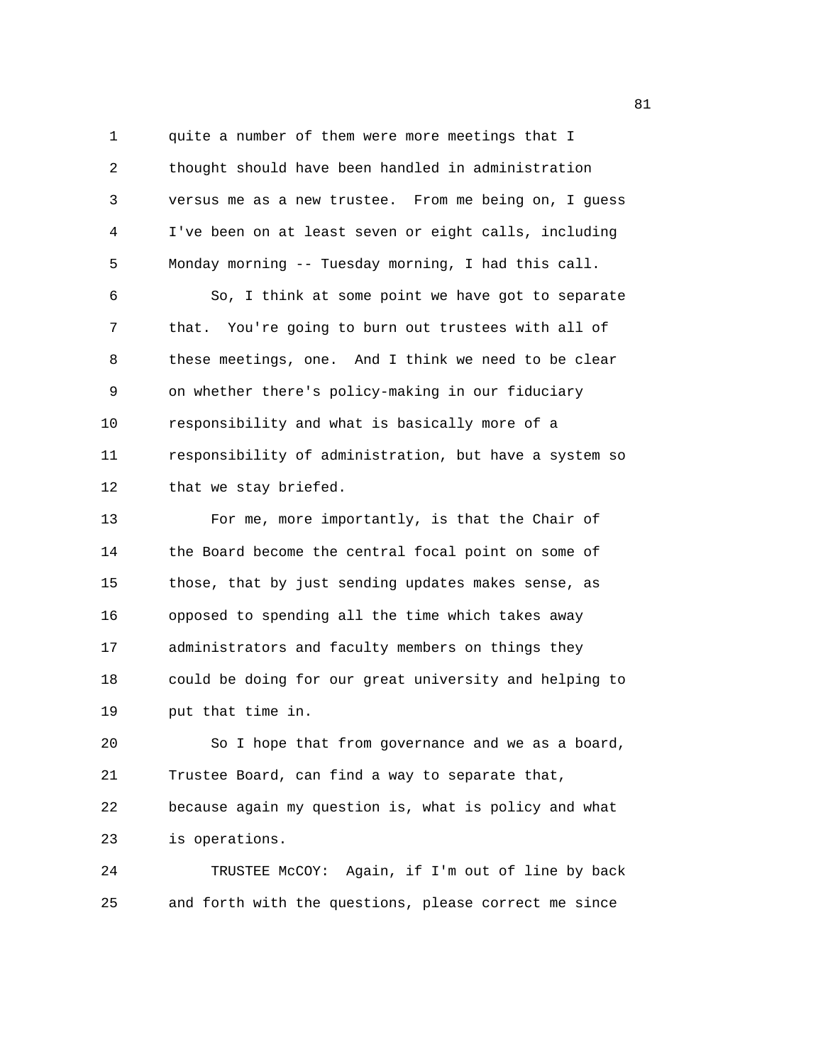1 quite a number of them were more meetings that I 2 thought should have been handled in administration 3 versus me as a new trustee. From me being on, I guess 4 I've been on at least seven or eight calls, including 5 Monday morning -- Tuesday morning, I had this call.

6 So, I think at some point we have got to separate 7 that. You're going to burn out trustees with all of 8 these meetings, one. And I think we need to be clear 9 on whether there's policy-making in our fiduciary 10 responsibility and what is basically more of a 11 responsibility of administration, but have a system so 12 that we stay briefed.

13 For me, more importantly, is that the Chair of 14 the Board become the central focal point on some of 15 those, that by just sending updates makes sense, as 16 opposed to spending all the time which takes away 17 administrators and faculty members on things they 18 could be doing for our great university and helping to 19 put that time in.

20 So I hope that from governance and we as a board, 21 Trustee Board, can find a way to separate that, 22 because again my question is, what is policy and what 23 is operations.

24 TRUSTEE McCOY: Again, if I'm out of line by back 25 and forth with the questions, please correct me since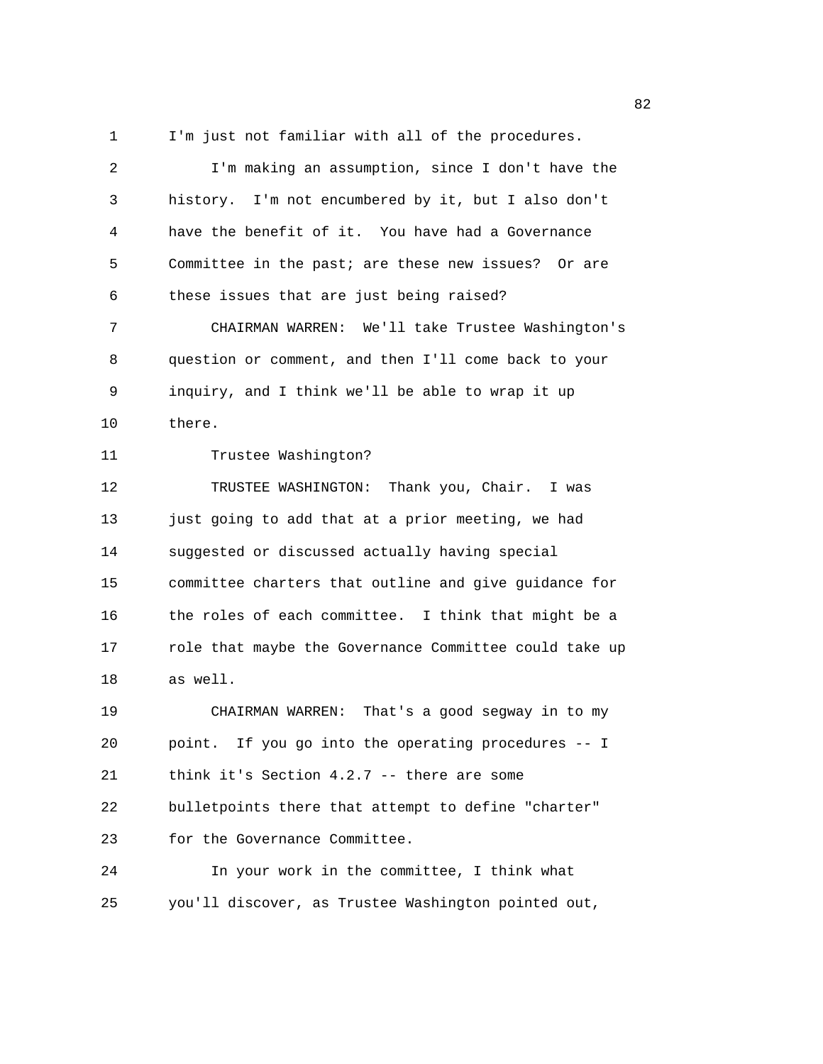1 I'm just not familiar with all of the procedures.

| 2                 | I'm making an assumption, since I don't have the       |
|-------------------|--------------------------------------------------------|
| 3                 | history. I'm not encumbered by it, but I also don't    |
| 4                 | have the benefit of it. You have had a Governance      |
| 5                 | Committee in the past; are these new issues? Or are    |
| 6                 | these issues that are just being raised?               |
| 7                 | CHAIRMAN WARREN: We'll take Trustee Washington's       |
| 8                 | question or comment, and then I'll come back to your   |
| 9                 | inquiry, and I think we'll be able to wrap it up       |
| 10                | there.                                                 |
| 11                | Trustee Washington?                                    |
| $12 \overline{ }$ | TRUSTEE WASHINGTON: Thank you, Chair. I was            |
| 13                | just going to add that at a prior meeting, we had      |
| 14                | suggested or discussed actually having special         |
| 15                | committee charters that outline and give guidance for  |
| 16                | the roles of each committee. I think that might be a   |
| 17                | role that maybe the Governance Committee could take up |
| 18                | as well.                                               |
| 19                | CHAIRMAN WARREN: That's a good segway in to my         |
| 20                | point. If you go into the operating procedures -- I    |
| 21                | think it's Section $4.2.7$ -- there are some           |
| 22                | bulletpoints there that attempt to define "charter"    |
| 23                | for the Governance Committee.                          |
| 24                | In your work in the committee, I think what            |
| 25                | you'll discover, as Trustee Washington pointed out,    |

experience of the state of the state of the state of the state of the state of the state of the state of the s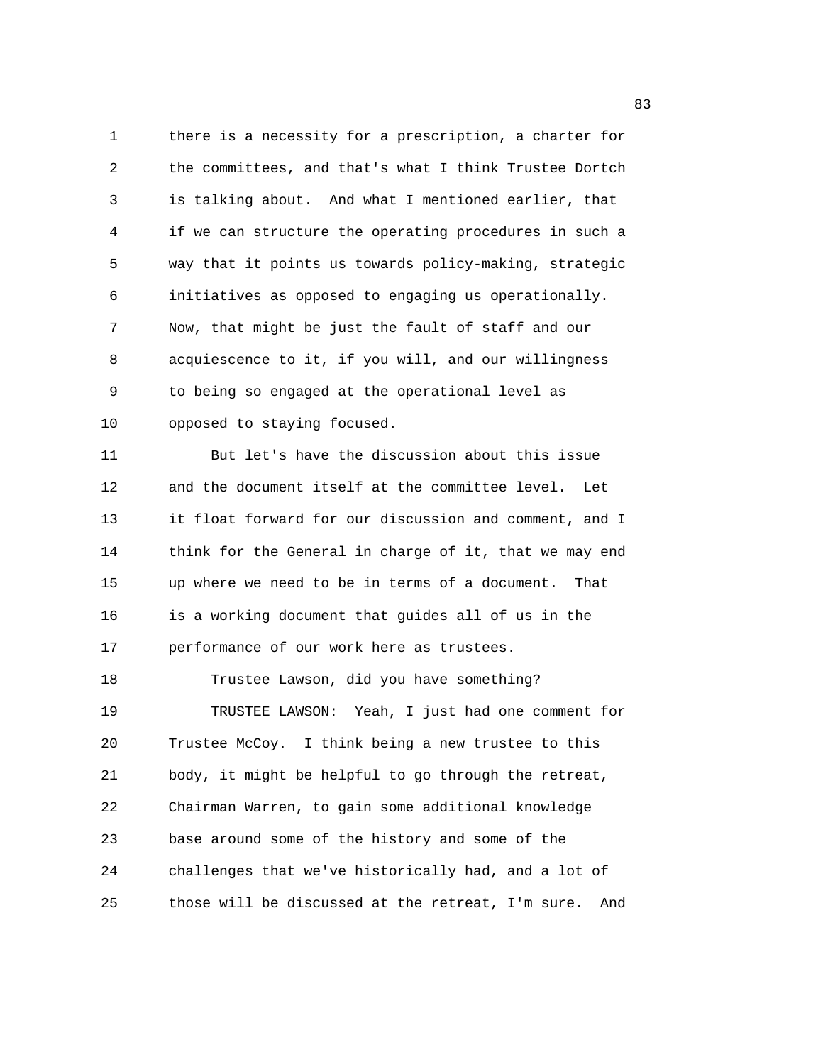1 there is a necessity for a prescription, a charter for 2 the committees, and that's what I think Trustee Dortch 3 is talking about. And what I mentioned earlier, that 4 if we can structure the operating procedures in such a 5 way that it points us towards policy-making, strategic 6 initiatives as opposed to engaging us operationally. 7 Now, that might be just the fault of staff and our 8 acquiescence to it, if you will, and our willingness 9 to being so engaged at the operational level as 10 opposed to staying focused.

11 But let's have the discussion about this issue 12 and the document itself at the committee level. Let 13 it float forward for our discussion and comment, and I 14 think for the General in charge of it, that we may end 15 up where we need to be in terms of a document. That 16 is a working document that guides all of us in the 17 performance of our work here as trustees.

18 Trustee Lawson, did you have something? 19 TRUSTEE LAWSON: Yeah, I just had one comment for 20 Trustee McCoy. I think being a new trustee to this 21 body, it might be helpful to go through the retreat, 22 Chairman Warren, to gain some additional knowledge 23 base around some of the history and some of the 24 challenges that we've historically had, and a lot of 25 those will be discussed at the retreat, I'm sure. And

en andere de la constantin de la constantin de la constantin de la constantin de la constantin de la constantin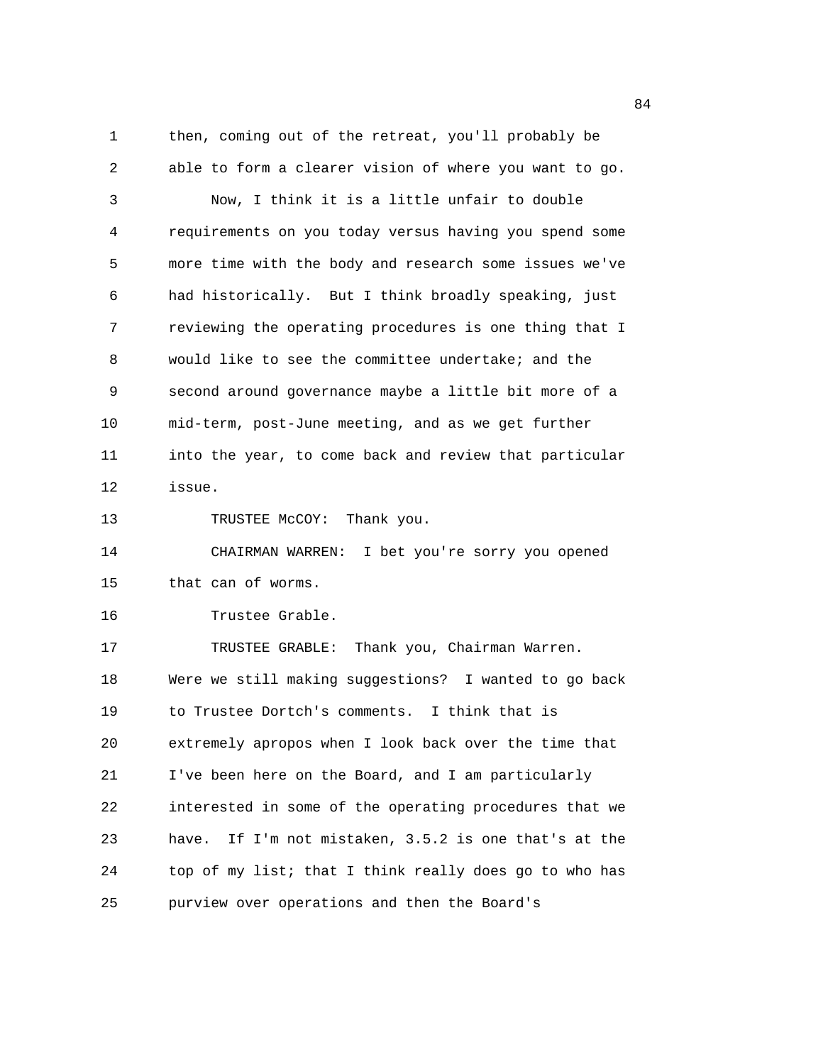1 then, coming out of the retreat, you'll probably be 2 able to form a clearer vision of where you want to go. 3 Now, I think it is a little unfair to double 4 requirements on you today versus having you spend some 5 more time with the body and research some issues we've 6 had historically. But I think broadly speaking, just 7 reviewing the operating procedures is one thing that I 8 would like to see the committee undertake; and the 9 second around governance maybe a little bit more of a 10 mid-term, post-June meeting, and as we get further 11 into the year, to come back and review that particular 12 issue. 13 TRUSTEE McCOY: Thank you. 14 CHAIRMAN WARREN: I bet you're sorry you opened 15 that can of worms. 16 Trustee Grable. 17 TRUSTEE GRABLE: Thank you, Chairman Warren. 18 Were we still making suggestions? I wanted to go back 19 to Trustee Dortch's comments. I think that is 20 extremely apropos when I look back over the time that 21 I've been here on the Board, and I am particularly 22 interested in some of the operating procedures that we 23 have. If I'm not mistaken, 3.5.2 is one that's at the 24 top of my list; that I think really does go to who has 25 purview over operations and then the Board's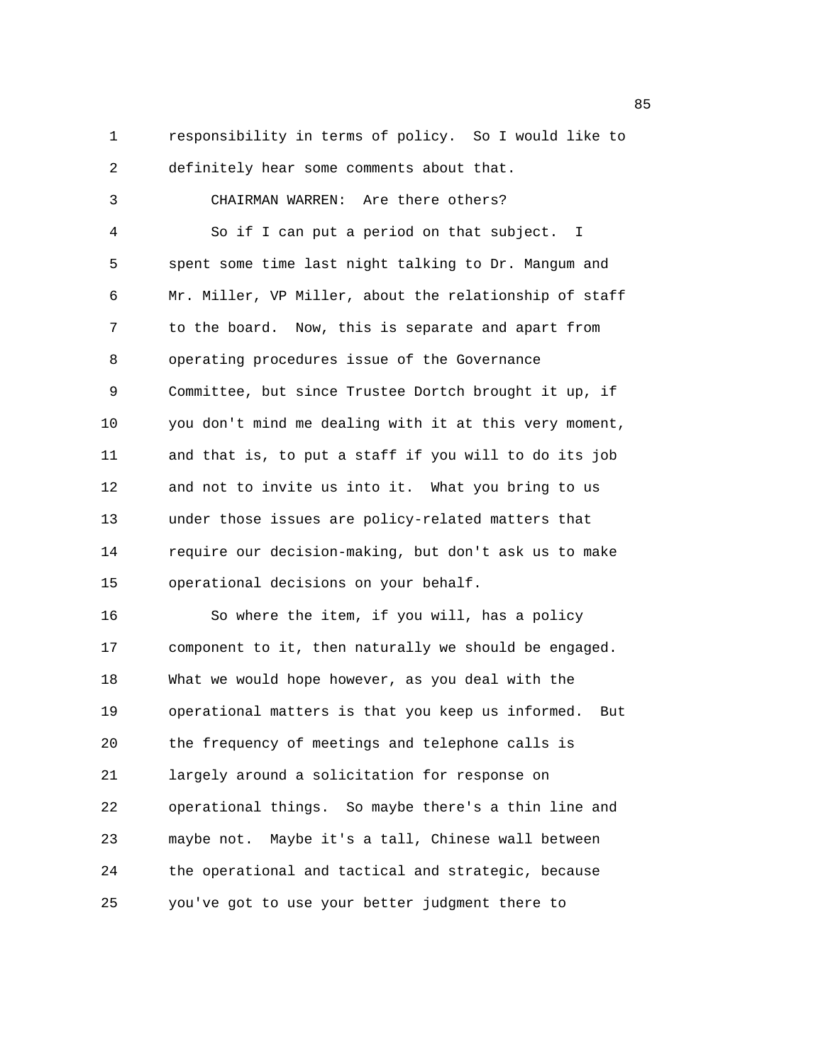2 definitely hear some comments about that. 3 CHAIRMAN WARREN: Are there others? 4 So if I can put a period on that subject. I 5 spent some time last night talking to Dr. Mangum and 6 Mr. Miller, VP Miller, about the relationship of staff 7 to the board. Now, this is separate and apart from 8 operating procedures issue of the Governance 9 Committee, but since Trustee Dortch brought it up, if 10 you don't mind me dealing with it at this very moment, 11 and that is, to put a staff if you will to do its job 12 and not to invite us into it. What you bring to us 13 under those issues are policy-related matters that 14 require our decision-making, but don't ask us to make 15 operational decisions on your behalf. 16 So where the item, if you will, has a policy 17 component to it, then naturally we should be engaged. 18 What we would hope however, as you deal with the 19 operational matters is that you keep us informed. But 20 the frequency of meetings and telephone calls is 21 largely around a solicitation for response on 22 operational things. So maybe there's a thin line and

1 responsibility in terms of policy. So I would like to

25 you've got to use your better judgment there to

23 maybe not. Maybe it's a tall, Chinese wall between

24 the operational and tactical and strategic, because

en andere de la constantin de la constantin de la constantin de la constantin de la constantin de la constantin<br>En 1930, en la constantin de la constantin de la constantin de la constantin de la constantin de la constantin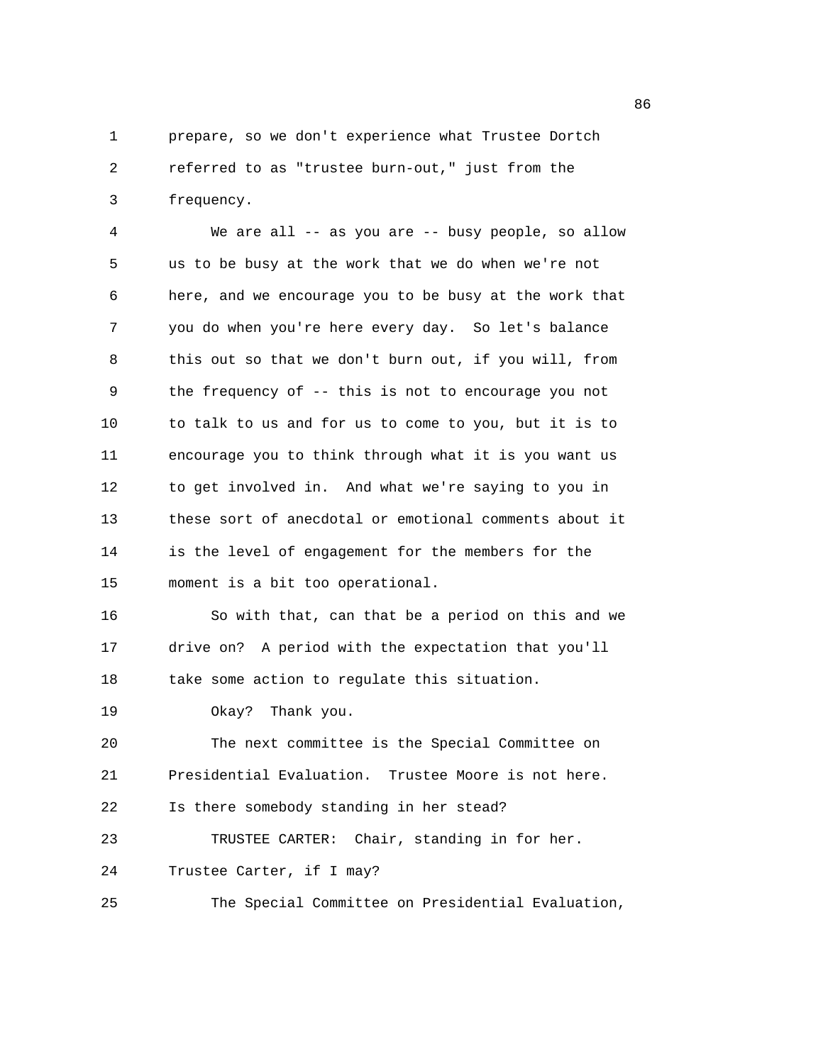1 prepare, so we don't experience what Trustee Dortch 2 referred to as "trustee burn-out," just from the 3 frequency.

4 We are all -- as you are -- busy people, so allow 5 us to be busy at the work that we do when we're not 6 here, and we encourage you to be busy at the work that 7 you do when you're here every day. So let's balance 8 this out so that we don't burn out, if you will, from 9 the frequency of -- this is not to encourage you not 10 to talk to us and for us to come to you, but it is to 11 encourage you to think through what it is you want us 12 to get involved in. And what we're saying to you in 13 these sort of anecdotal or emotional comments about it 14 is the level of engagement for the members for the 15 moment is a bit too operational.

16 So with that, can that be a period on this and we 17 drive on? A period with the expectation that you'll 18 take some action to regulate this situation.

19 Okay? Thank you.

20 The next committee is the Special Committee on 21 Presidential Evaluation. Trustee Moore is not here. 22 Is there somebody standing in her stead?

23 TRUSTEE CARTER: Chair, standing in for her.

24 Trustee Carter, if I may?

25 The Special Committee on Presidential Evaluation,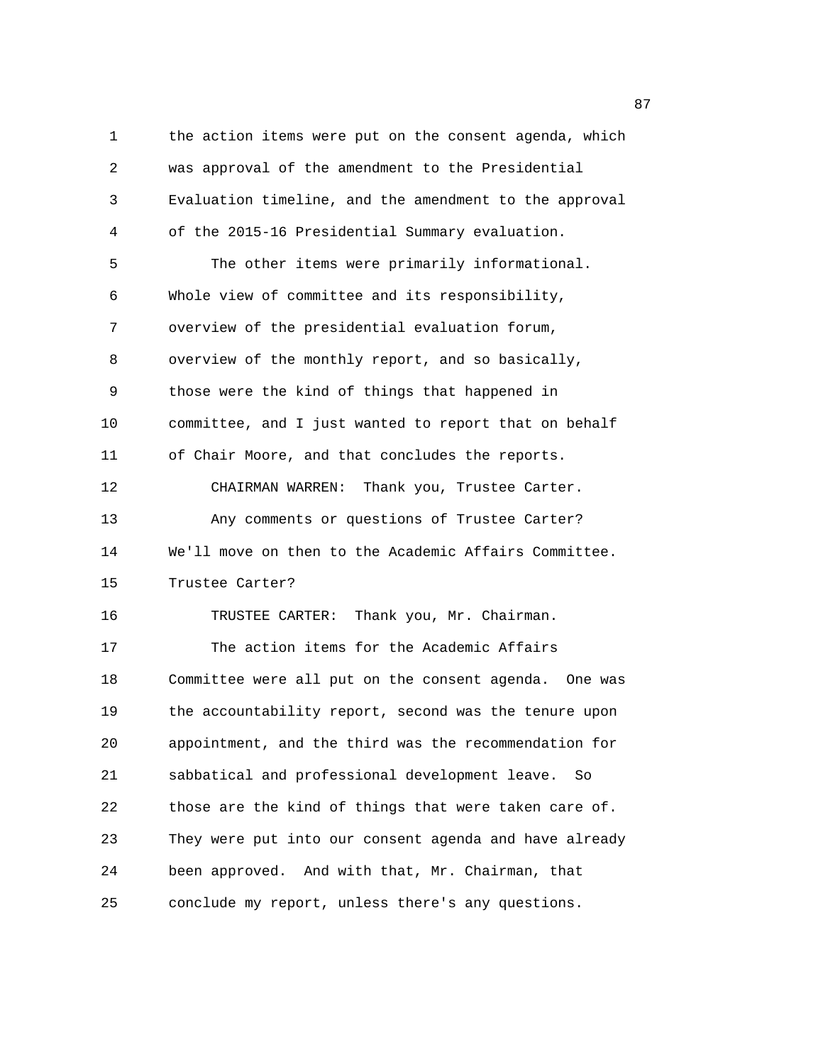1 the action items were put on the consent agenda, which 2 was approval of the amendment to the Presidential 3 Evaluation timeline, and the amendment to the approval 4 of the 2015-16 Presidential Summary evaluation. 5 The other items were primarily informational. 6 Whole view of committee and its responsibility, 7 overview of the presidential evaluation forum, 8 overview of the monthly report, and so basically, 9 those were the kind of things that happened in 10 committee, and I just wanted to report that on behalf 11 of Chair Moore, and that concludes the reports. 12 CHAIRMAN WARREN: Thank you, Trustee Carter. 13 Any comments or questions of Trustee Carter? 14 We'll move on then to the Academic Affairs Committee. 15 Trustee Carter? 16 TRUSTEE CARTER: Thank you, Mr. Chairman. 17 The action items for the Academic Affairs 18 Committee were all put on the consent agenda. One was 19 the accountability report, second was the tenure upon 20 appointment, and the third was the recommendation for 21 sabbatical and professional development leave. So 22 those are the kind of things that were taken care of. 23 They were put into our consent agenda and have already 24 been approved. And with that, Mr. Chairman, that 25 conclude my report, unless there's any questions.

en and the state of the state of the state of the state of the state of the state of the state of the state of the state of the state of the state of the state of the state of the state of the state of the state of the sta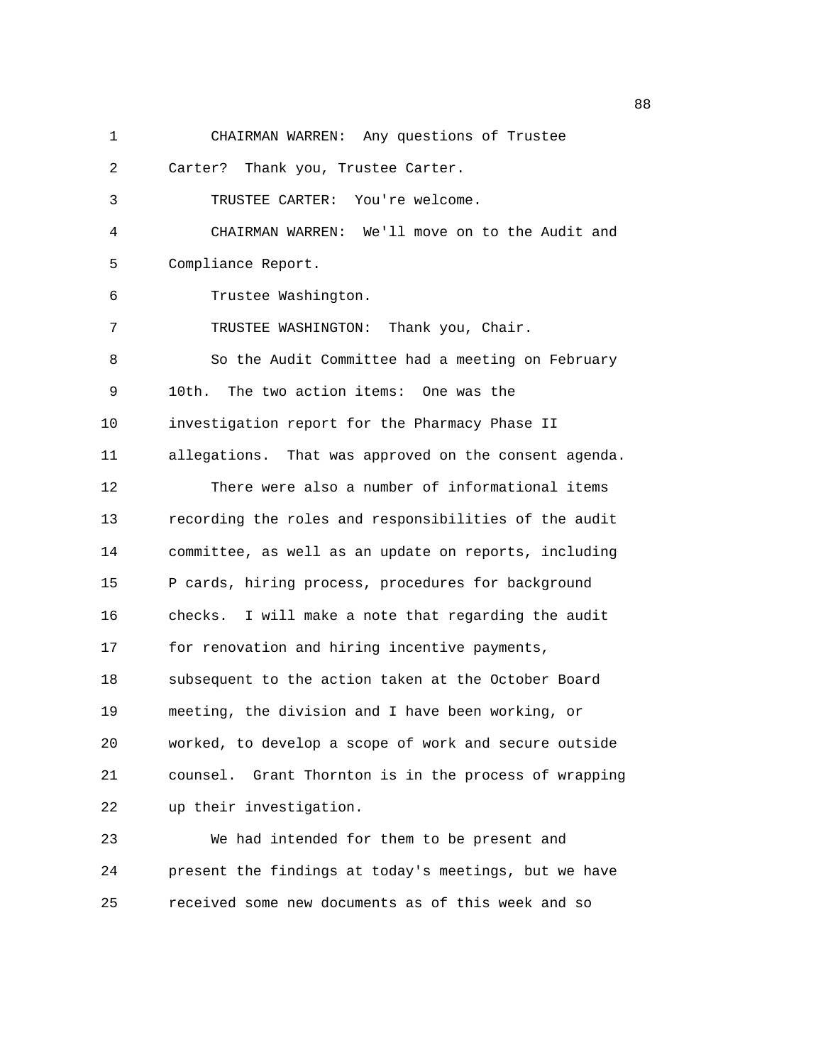1 CHAIRMAN WARREN: Any questions of Trustee 2 Carter? Thank you, Trustee Carter. 3 TRUSTEE CARTER: You're welcome. 4 CHAIRMAN WARREN: We'll move on to the Audit and 5 Compliance Report. 6 Trustee Washington. 7 TRUSTEE WASHINGTON: Thank you, Chair. 8 So the Audit Committee had a meeting on February 9 10th. The two action items: One was the 10 investigation report for the Pharmacy Phase II 11 allegations. That was approved on the consent agenda. 12 There were also a number of informational items 13 recording the roles and responsibilities of the audit 14 committee, as well as an update on reports, including 15 P cards, hiring process, procedures for background 16 checks. I will make a note that regarding the audit 17 for renovation and hiring incentive payments, 18 subsequent to the action taken at the October Board 19 meeting, the division and I have been working, or 20 worked, to develop a scope of work and secure outside 21 counsel. Grant Thornton is in the process of wrapping 22 up their investigation. 23 We had intended for them to be present and 24 present the findings at today's meetings, but we have

25 received some new documents as of this week and so

e e seu a constante de la constante de la constante de la constante de la constante de la constante de la cons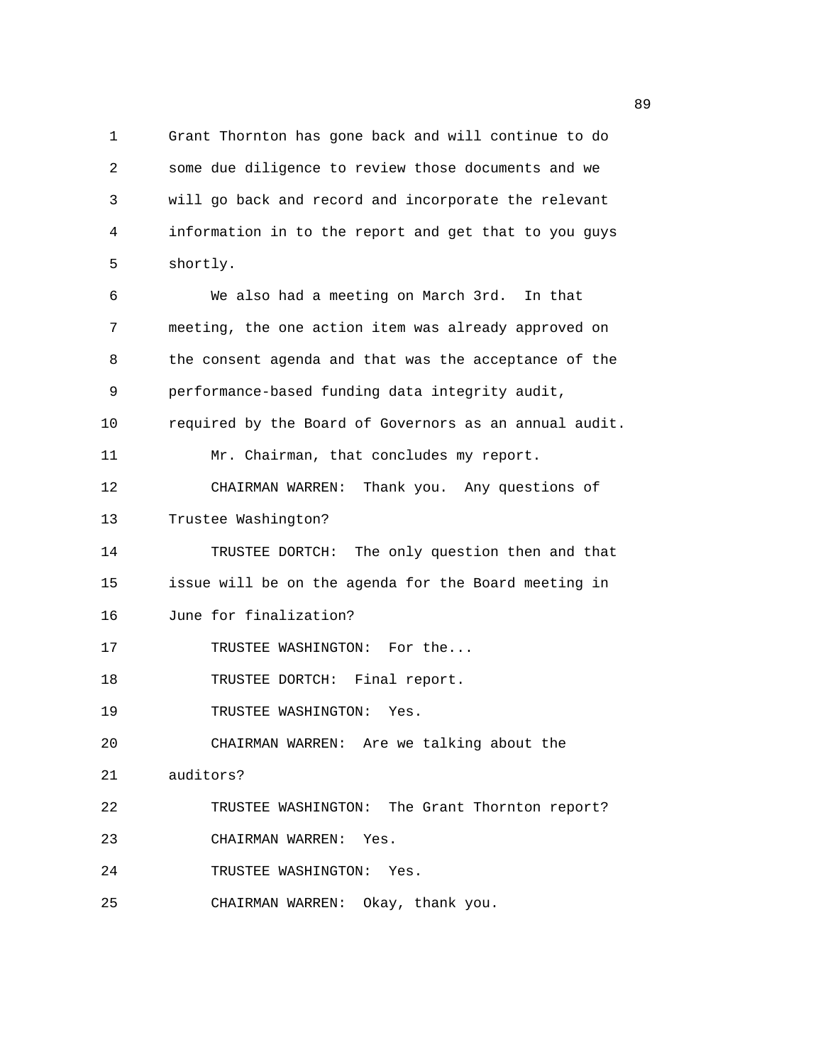1 Grant Thornton has gone back and will continue to do 2 some due diligence to review those documents and we 3 will go back and record and incorporate the relevant 4 information in to the report and get that to you guys 5 shortly.

6 We also had a meeting on March 3rd. In that 7 meeting, the one action item was already approved on 8 the consent agenda and that was the acceptance of the 9 performance-based funding data integrity audit, 10 required by the Board of Governors as an annual audit. 11 Mr. Chairman, that concludes my report. 12 CHAIRMAN WARREN: Thank you. Any questions of 13 Trustee Washington? 14 TRUSTEE DORTCH: The only question then and that 15 issue will be on the agenda for the Board meeting in 16 June for finalization? 17 TRUSTEE WASHINGTON: For the... 18 TRUSTEE DORTCH: Final report. 19 TRUSTEE WASHINGTON: Yes. 20 CHAIRMAN WARREN: Are we talking about the 21 auditors? 22 TRUSTEE WASHINGTON: The Grant Thornton report? 23 CHAIRMAN WARREN: Yes. 24 TRUSTEE WASHINGTON: Yes.

25 CHAIRMAN WARREN: Okay, thank you.

e e seu a seu a constante de la constante de la constante de la constante de la constante de la constante de l<br>En 1990, en la constante de la constante de la constante de la constante de la constante de la constante de la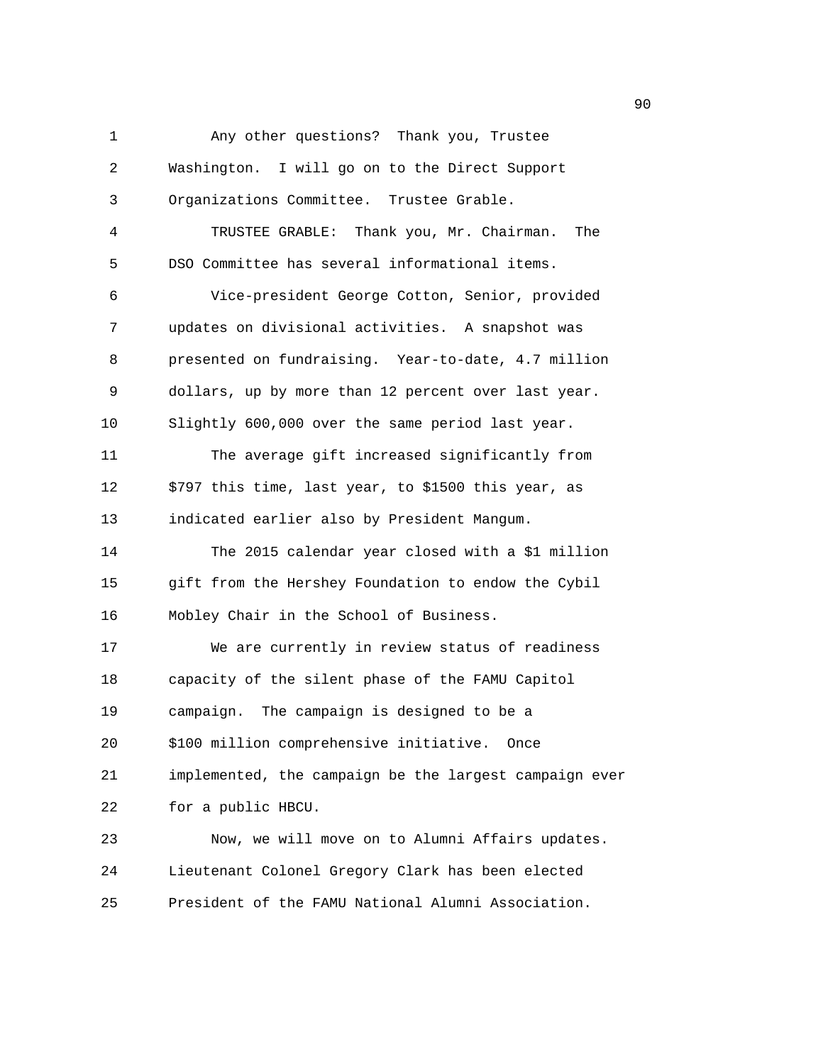1 Any other questions? Thank you, Trustee 2 Washington. I will go on to the Direct Support 3 Organizations Committee. Trustee Grable. 4 TRUSTEE GRABLE: Thank you, Mr. Chairman. The 5 DSO Committee has several informational items. 6 Vice-president George Cotton, Senior, provided 7 updates on divisional activities. A snapshot was 8 presented on fundraising. Year-to-date, 4.7 million 9 dollars, up by more than 12 percent over last year. 10 Slightly 600,000 over the same period last year. 11 The average gift increased significantly from 12 \$797 this time, last year, to \$1500 this year, as 13 indicated earlier also by President Mangum. 14 The 2015 calendar year closed with a \$1 million 15 gift from the Hershey Foundation to endow the Cybil 16 Mobley Chair in the School of Business. 17 We are currently in review status of readiness 18 capacity of the silent phase of the FAMU Capitol 19 campaign. The campaign is designed to be a 20 \$100 million comprehensive initiative. Once 21 implemented, the campaign be the largest campaign ever 22 for a public HBCU. 23 Now, we will move on to Alumni Affairs updates. 24 Lieutenant Colonel Gregory Clark has been elected 25 President of the FAMU National Alumni Association.

en de la construction de la construction de la construction de la construction de la construction de la constr<br>1900 : la construction de la construction de la construction de la construction de la construction de la const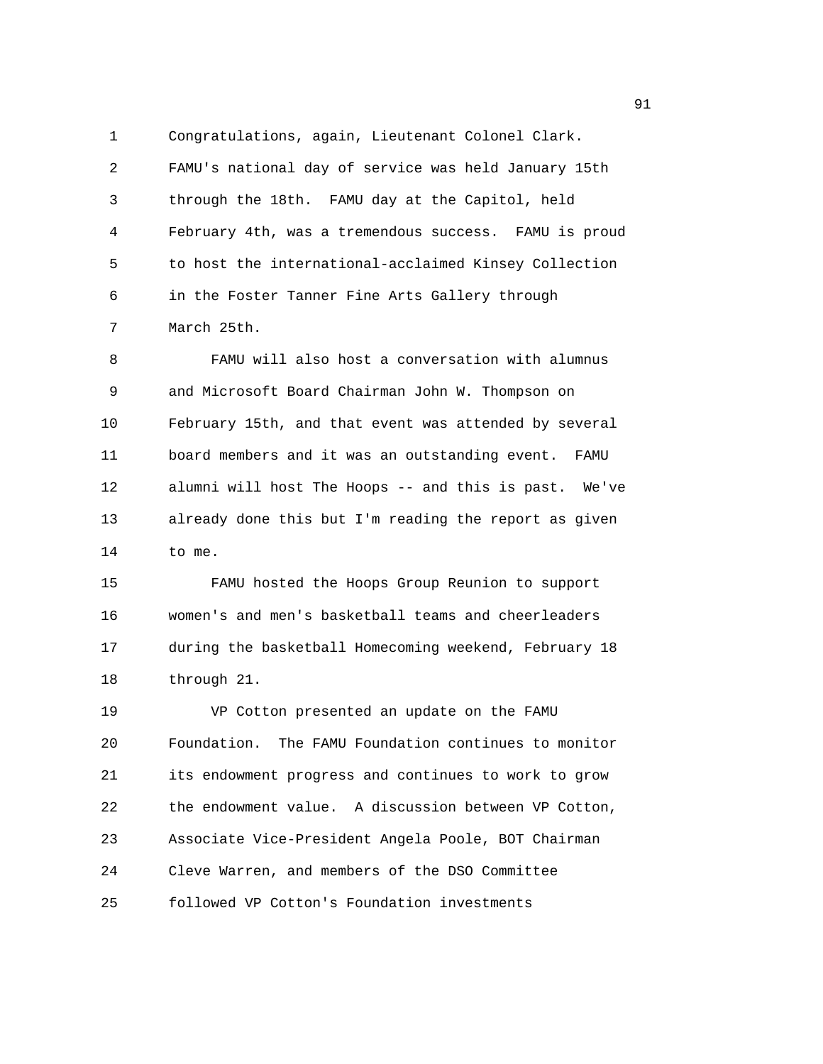1 Congratulations, again, Lieutenant Colonel Clark. 2 FAMU's national day of service was held January 15th 3 through the 18th. FAMU day at the Capitol, held 4 February 4th, was a tremendous success. FAMU is proud 5 to host the international-acclaimed Kinsey Collection 6 in the Foster Tanner Fine Arts Gallery through 7 March 25th.

8 FAMU will also host a conversation with alumnus 9 and Microsoft Board Chairman John W. Thompson on 10 February 15th, and that event was attended by several 11 board members and it was an outstanding event. FAMU 12 alumni will host The Hoops -- and this is past. We've 13 already done this but I'm reading the report as given 14 to me.

15 FAMU hosted the Hoops Group Reunion to support 16 women's and men's basketball teams and cheerleaders 17 during the basketball Homecoming weekend, February 18 18 through 21.

19 VP Cotton presented an update on the FAMU 20 Foundation. The FAMU Foundation continues to monitor 21 its endowment progress and continues to work to grow 22 the endowment value. A discussion between VP Cotton, 23 Associate Vice-President Angela Poole, BOT Chairman 24 Cleve Warren, and members of the DSO Committee 25 followed VP Cotton's Foundation investments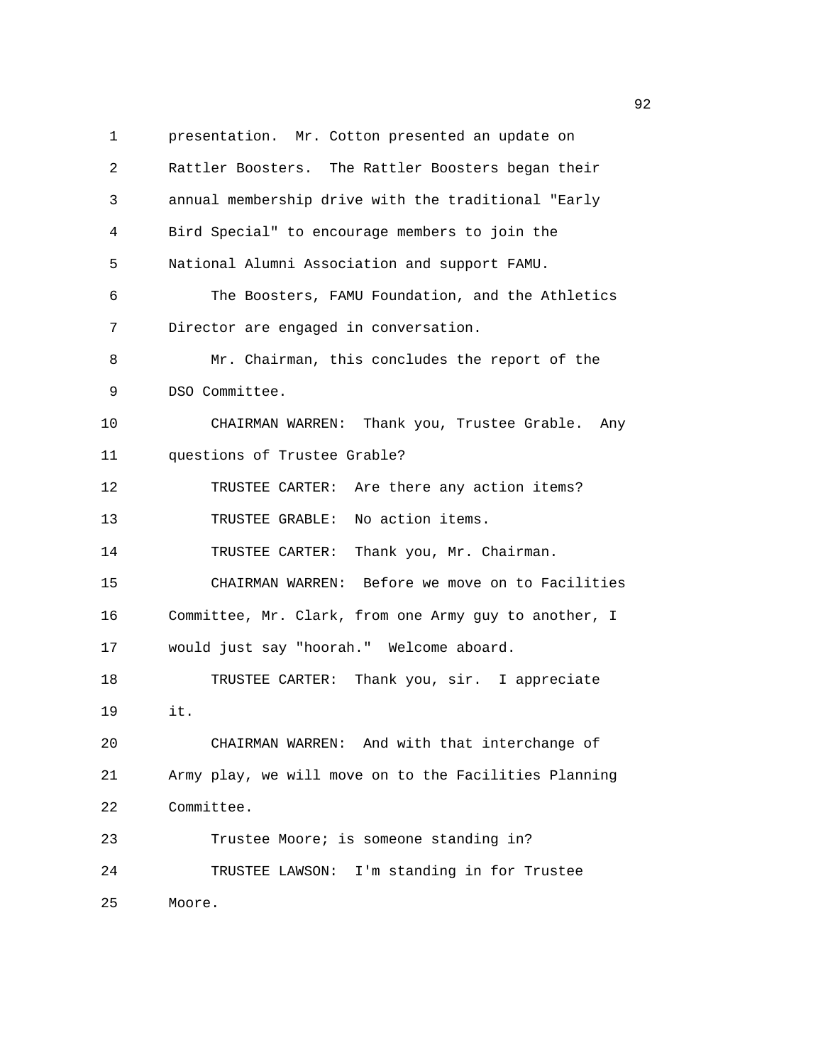1 presentation. Mr. Cotton presented an update on 2 Rattler Boosters. The Rattler Boosters began their 3 annual membership drive with the traditional "Early 4 Bird Special" to encourage members to join the 5 National Alumni Association and support FAMU. 6 The Boosters, FAMU Foundation, and the Athletics 7 Director are engaged in conversation. 8 Mr. Chairman, this concludes the report of the 9 DSO Committee. 10 CHAIRMAN WARREN: Thank you, Trustee Grable. Any 11 questions of Trustee Grable? 12 TRUSTEE CARTER: Are there any action items? 13 TRUSTEE GRABLE: No action items. 14 TRUSTEE CARTER: Thank you, Mr. Chairman. 15 CHAIRMAN WARREN: Before we move on to Facilities 16 Committee, Mr. Clark, from one Army guy to another, I 17 would just say "hoorah." Welcome aboard. 18 TRUSTEE CARTER: Thank you, sir. I appreciate 19 it. 20 CHAIRMAN WARREN: And with that interchange of 21 Army play, we will move on to the Facilities Planning 22 Committee. 23 Trustee Moore; is someone standing in? 24 TRUSTEE LAWSON: I'm standing in for Trustee 25 Moore.

 $\sim$  92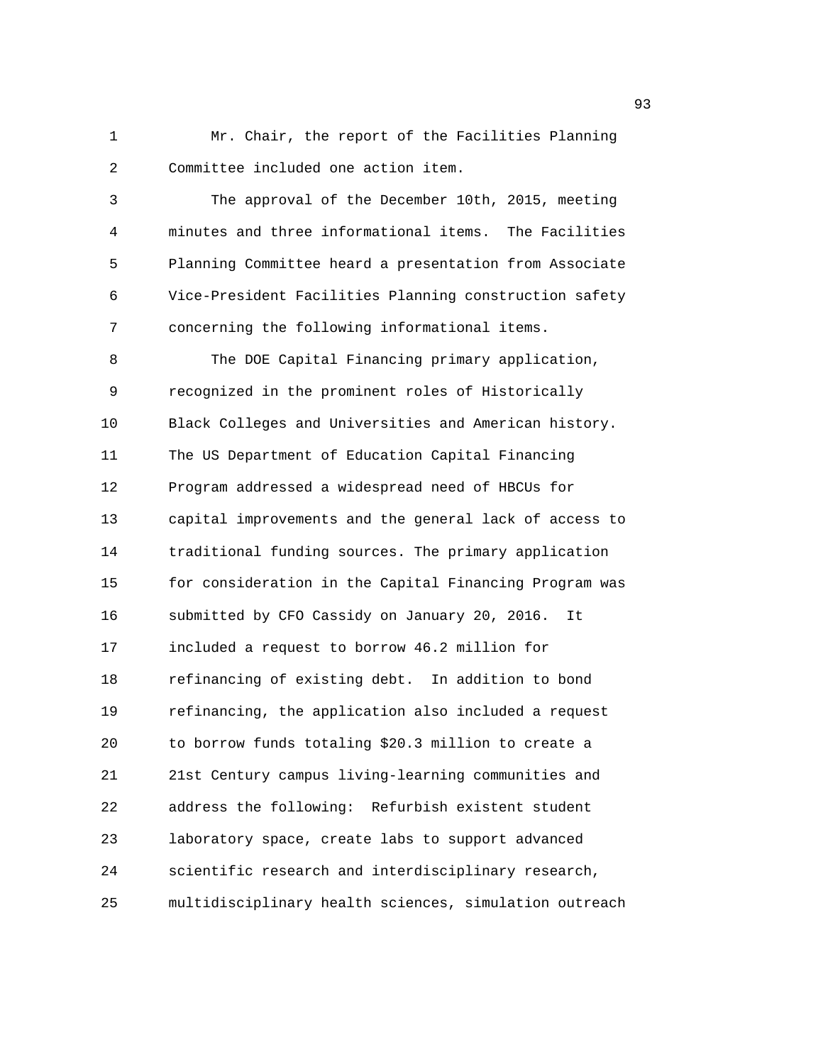1 Mr. Chair, the report of the Facilities Planning 2 Committee included one action item.

3 The approval of the December 10th, 2015, meeting 4 minutes and three informational items. The Facilities 5 Planning Committee heard a presentation from Associate 6 Vice-President Facilities Planning construction safety 7 concerning the following informational items.

8 The DOE Capital Financing primary application, 9 recognized in the prominent roles of Historically 10 Black Colleges and Universities and American history. 11 The US Department of Education Capital Financing 12 Program addressed a widespread need of HBCUs for 13 capital improvements and the general lack of access to 14 traditional funding sources. The primary application 15 for consideration in the Capital Financing Program was 16 submitted by CFO Cassidy on January 20, 2016. It 17 included a request to borrow 46.2 million for 18 refinancing of existing debt. In addition to bond 19 refinancing, the application also included a request 20 to borrow funds totaling \$20.3 million to create a 21 21st Century campus living-learning communities and 22 address the following: Refurbish existent student 23 laboratory space, create labs to support advanced 24 scientific research and interdisciplinary research, 25 multidisciplinary health sciences, simulation outreach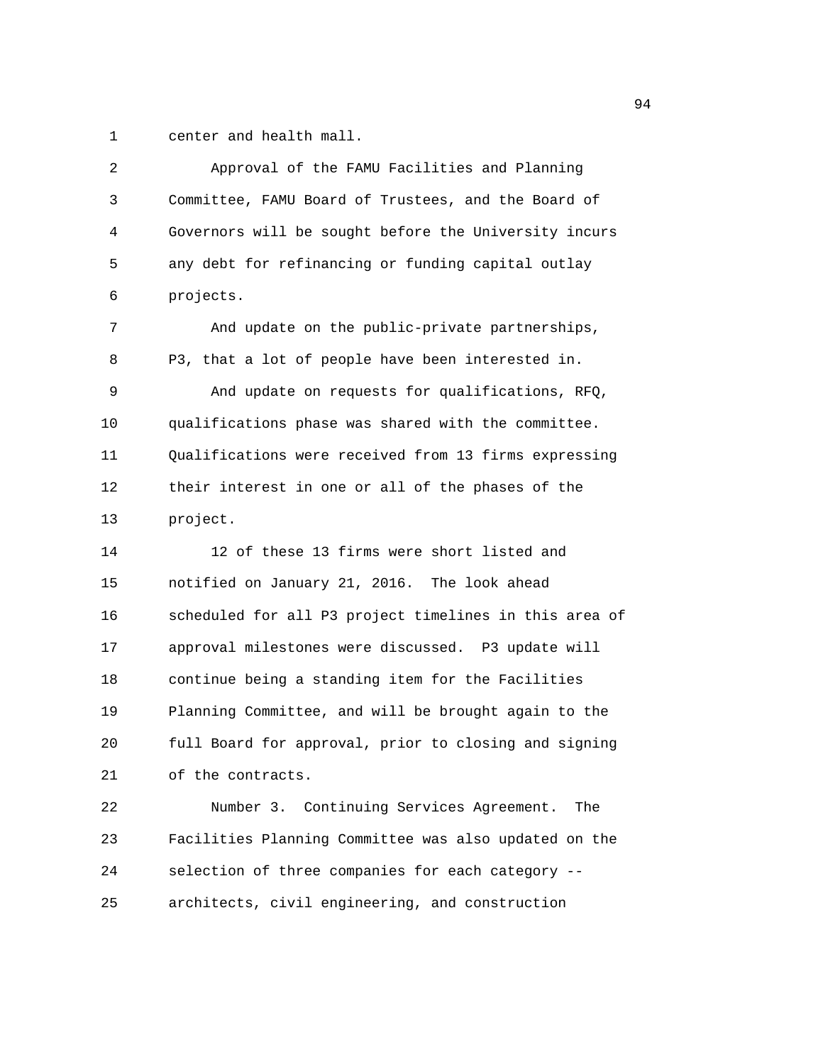1 center and health mall.

| 2  | Approval of the FAMU Facilities and Planning           |
|----|--------------------------------------------------------|
| 3  | Committee, FAMU Board of Trustees, and the Board of    |
| 4  | Governors will be sought before the University incurs  |
| 5  | any debt for refinancing or funding capital outlay     |
| 6  | projects.                                              |
| 7  | And update on the public-private partnerships,         |
| 8  | P3, that a lot of people have been interested in.      |
| 9  | And update on requests for qualifications, RFQ,        |
| 10 | qualifications phase was shared with the committee.    |
| 11 | Qualifications were received from 13 firms expressing  |
| 12 | their interest in one or all of the phases of the      |
| 13 | project.                                               |
| 14 | 12 of these 13 firms were short listed and             |
| 15 | notified on January 21, 2016. The look ahead           |
| 16 | scheduled for all P3 project timelines in this area of |
| 17 | approval milestones were discussed. P3 update will     |
| 18 | continue being a standing item for the Facilities      |
| 19 | Planning Committee, and will be brought again to the   |
| 20 | full Board for approval, prior to closing and signing  |
| 21 | of the contracts.                                      |
| 22 | Number 3. Continuing Services Agreement.<br>The        |
| 23 | Facilities Planning Committee was also updated on the  |
| 24 | selection of three companies for each category --      |
| 25 | architects, civil engineering, and construction        |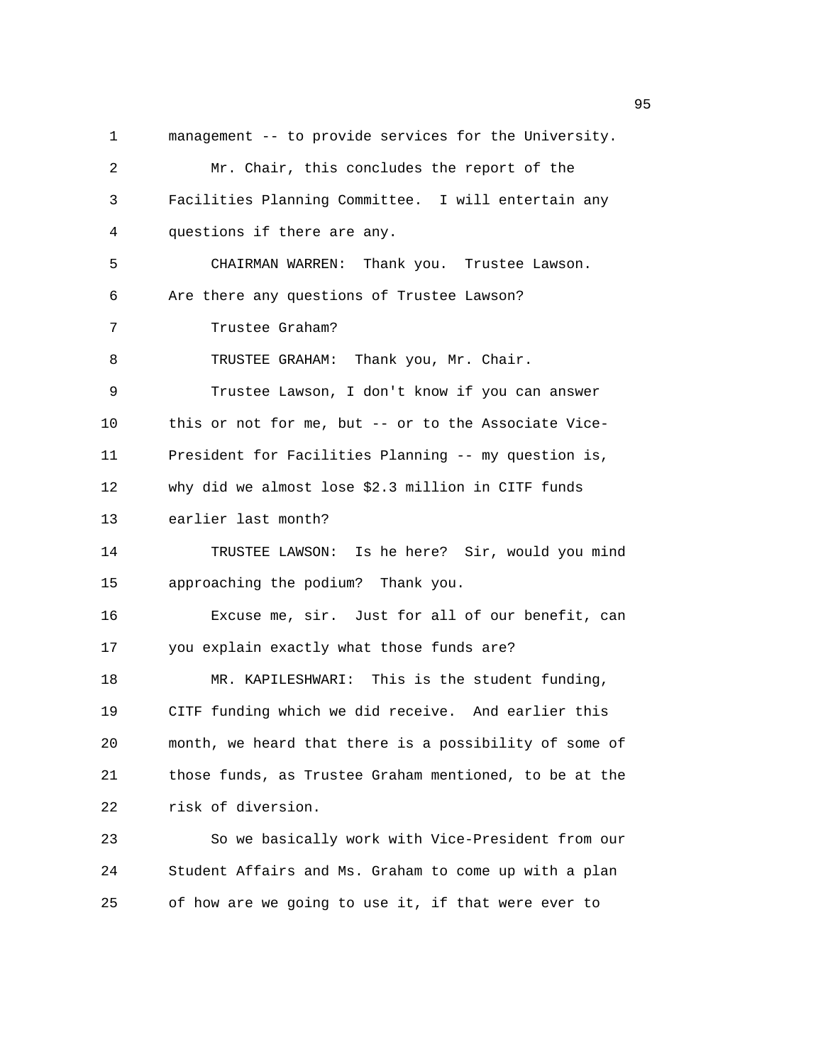1 management -- to provide services for the University. 2 Mr. Chair, this concludes the report of the 3 Facilities Planning Committee. I will entertain any 4 questions if there are any. 5 CHAIRMAN WARREN: Thank you. Trustee Lawson. 6 Are there any questions of Trustee Lawson? 7 Trustee Graham? 8 TRUSTEE GRAHAM: Thank you, Mr. Chair. 9 Trustee Lawson, I don't know if you can answer 10 this or not for me, but -- or to the Associate Vice-11 President for Facilities Planning -- my question is, 12 why did we almost lose \$2.3 million in CITF funds 13 earlier last month? 14 TRUSTEE LAWSON: Is he here? Sir, would you mind 15 approaching the podium? Thank you. 16 Excuse me, sir. Just for all of our benefit, can 17 you explain exactly what those funds are? 18 MR. KAPILESHWARI: This is the student funding, 19 CITF funding which we did receive. And earlier this 20 month, we heard that there is a possibility of some of 21 those funds, as Trustee Graham mentioned, to be at the 22 risk of diversion. 23 So we basically work with Vice-President from our 24 Student Affairs and Ms. Graham to come up with a plan 25 of how are we going to use it, if that were ever to

en 1995 en 1996 en 1996 en 1997 en 1998 en 1998 en 1999 en 1999 en 1999 en 1999 en 1999 en 1999 en 1999 en 19<br>De grote en 1999 en 1999 en 1999 en 1999 en 1999 en 1999 en 1999 en 1999 en 1999 en 1999 en 1999 en 1999 en 19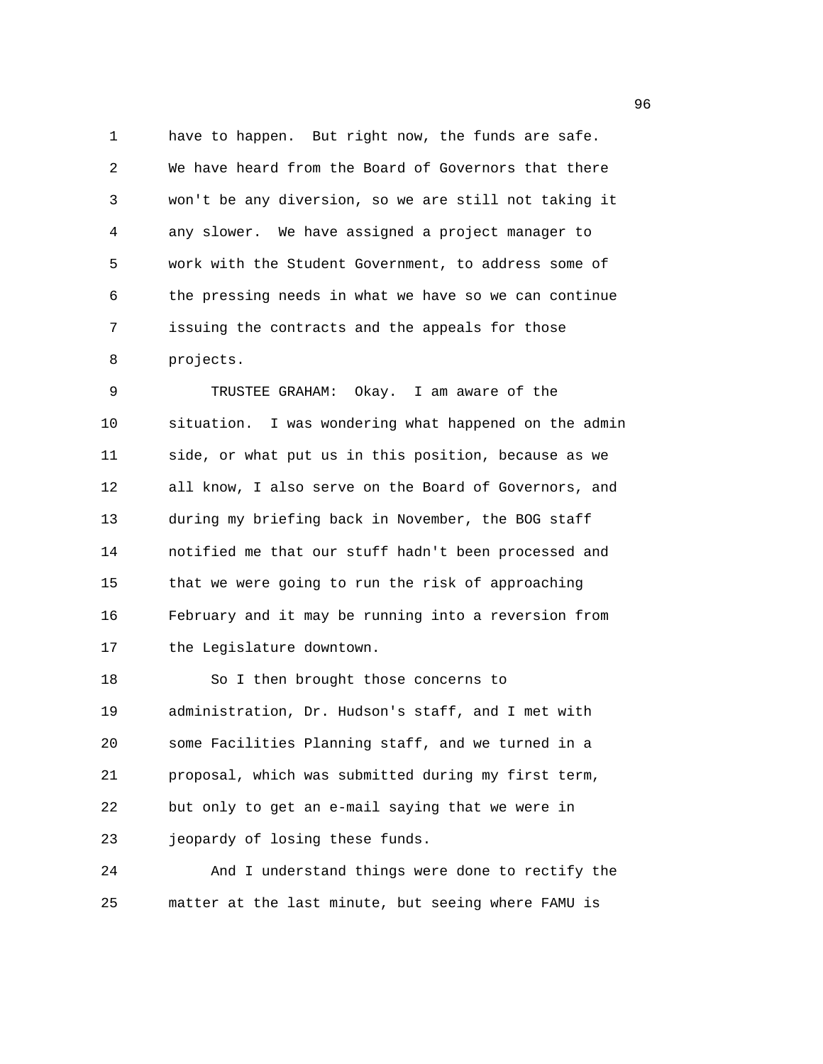1 have to happen. But right now, the funds are safe. 2 We have heard from the Board of Governors that there 3 won't be any diversion, so we are still not taking it 4 any slower. We have assigned a project manager to 5 work with the Student Government, to address some of 6 the pressing needs in what we have so we can continue 7 issuing the contracts and the appeals for those 8 projects.

9 TRUSTEE GRAHAM: Okay. I am aware of the 10 situation. I was wondering what happened on the admin 11 side, or what put us in this position, because as we 12 all know, I also serve on the Board of Governors, and 13 during my briefing back in November, the BOG staff 14 notified me that our stuff hadn't been processed and 15 that we were going to run the risk of approaching 16 February and it may be running into a reversion from 17 the Legislature downtown.

18 So I then brought those concerns to 19 administration, Dr. Hudson's staff, and I met with 20 some Facilities Planning staff, and we turned in a 21 proposal, which was submitted during my first term, 22 but only to get an e-mail saying that we were in 23 jeopardy of losing these funds.

24 And I understand things were done to rectify the 25 matter at the last minute, but seeing where FAMU is

en de la construction de la construction de la construction de la construction de la construction de la constr<br>1960 : la construction de la construction de la construction de la construction de la construction de la const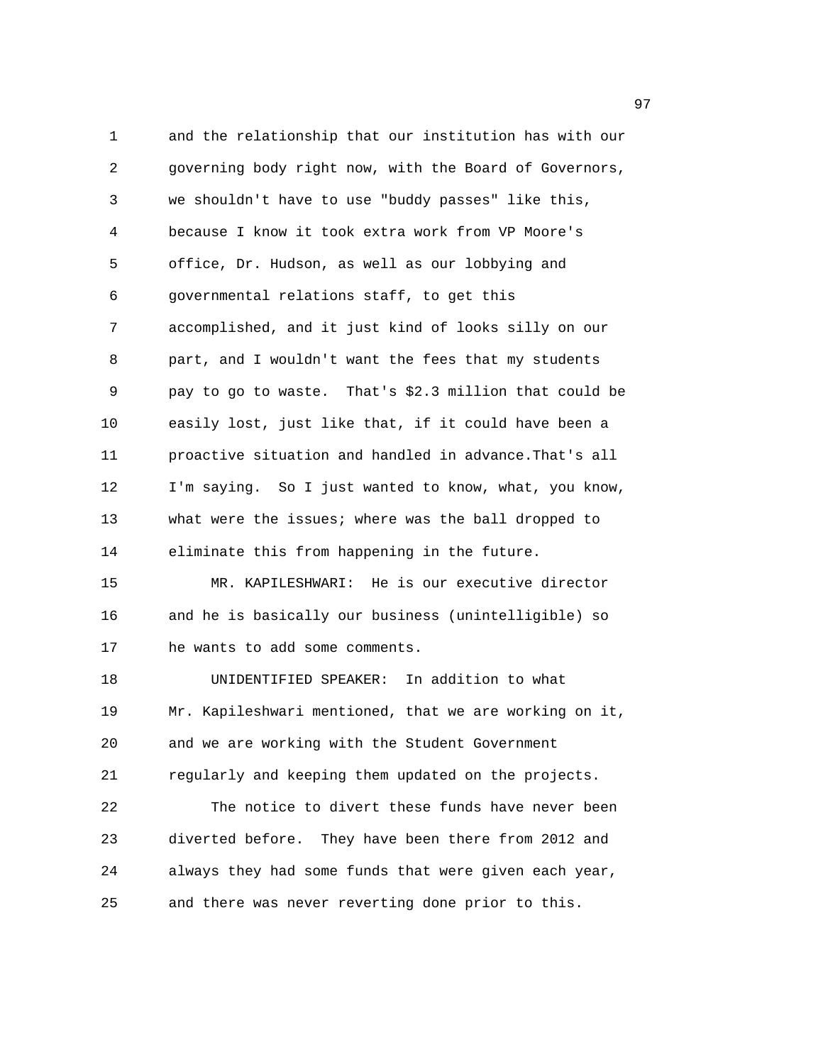1 and the relationship that our institution has with our 2 governing body right now, with the Board of Governors, 3 we shouldn't have to use "buddy passes" like this, 4 because I know it took extra work from VP Moore's 5 office, Dr. Hudson, as well as our lobbying and 6 governmental relations staff, to get this 7 accomplished, and it just kind of looks silly on our 8 part, and I wouldn't want the fees that my students 9 pay to go to waste. That's \$2.3 million that could be 10 easily lost, just like that, if it could have been a 11 proactive situation and handled in advance.That's all 12 I'm saying. So I just wanted to know, what, you know, 13 what were the issues; where was the ball dropped to 14 eliminate this from happening in the future. 15 MR. KAPILESHWARI: He is our executive director 16 and he is basically our business (unintelligible) so 17 he wants to add some comments. 18 UNIDENTIFIED SPEAKER: In addition to what 19 Mr. Kapileshwari mentioned, that we are working on it, 20 and we are working with the Student Government 21 regularly and keeping them updated on the projects. 22 The notice to divert these funds have never been 23 diverted before. They have been there from 2012 and 24 always they had some funds that were given each year, 25 and there was never reverting done prior to this.

е процесство в област 1972 година в 1972 година в 1972 година в 1972 година в 1973 година в 1973 година в 1973<br>В 1974 година в 1974 година в 1974 година в 1974 година в 1974 година в 1974 година в 1974 година в 1974 годин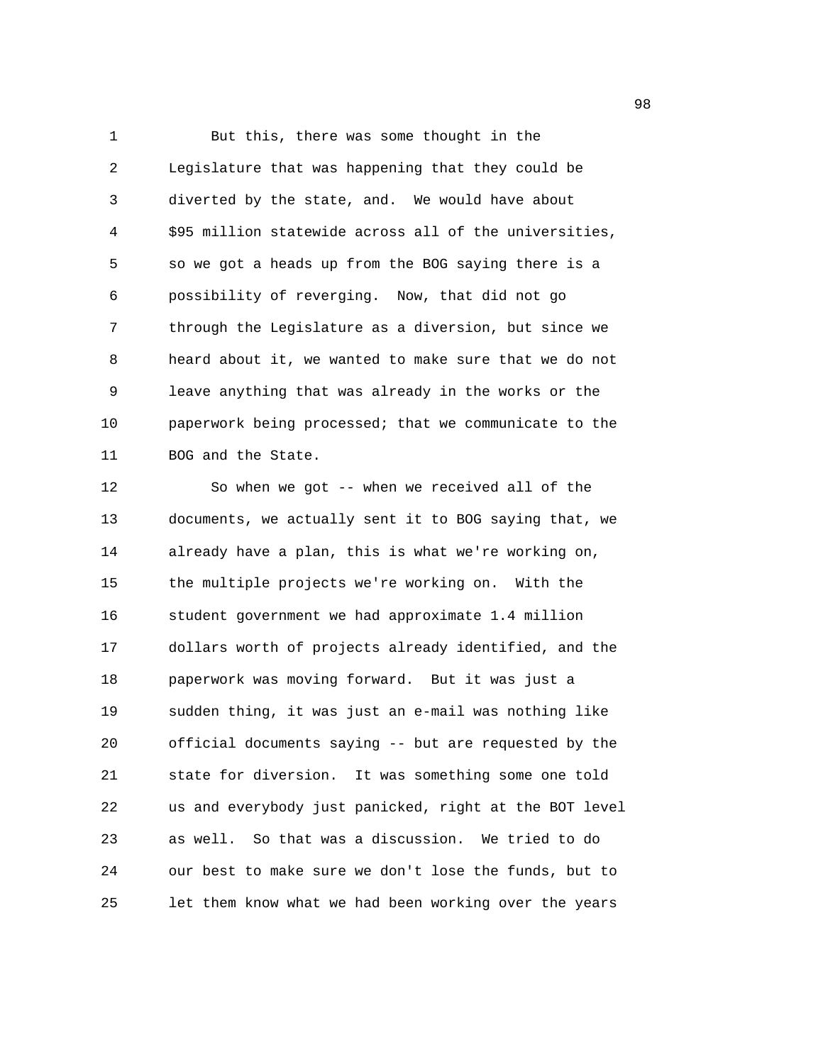1 But this, there was some thought in the 2 Legislature that was happening that they could be 3 diverted by the state, and. We would have about 4 \$95 million statewide across all of the universities, 5 so we got a heads up from the BOG saying there is a 6 possibility of reverging. Now, that did not go 7 through the Legislature as a diversion, but since we 8 heard about it, we wanted to make sure that we do not 9 leave anything that was already in the works or the 10 paperwork being processed; that we communicate to the 11 BOG and the State.

12 So when we got -- when we received all of the 13 documents, we actually sent it to BOG saying that, we 14 already have a plan, this is what we're working on, 15 the multiple projects we're working on. With the 16 student government we had approximate 1.4 million 17 dollars worth of projects already identified, and the 18 paperwork was moving forward. But it was just a 19 sudden thing, it was just an e-mail was nothing like 20 official documents saying -- but are requested by the 21 state for diversion. It was something some one told 22 us and everybody just panicked, right at the BOT level 23 as well. So that was a discussion. We tried to do 24 our best to make sure we don't lose the funds, but to 25 let them know what we had been working over the years

en 1980 en 1980 en 1980 en 1980 en 1980 en 1980 en 1980 en 1980 en 1980 en 1980 en 1980 en 1980 en 1980 en 19<br>De grootste grootste grootste grootste grootste grootste grootste grootste grootste grootste grootste grootste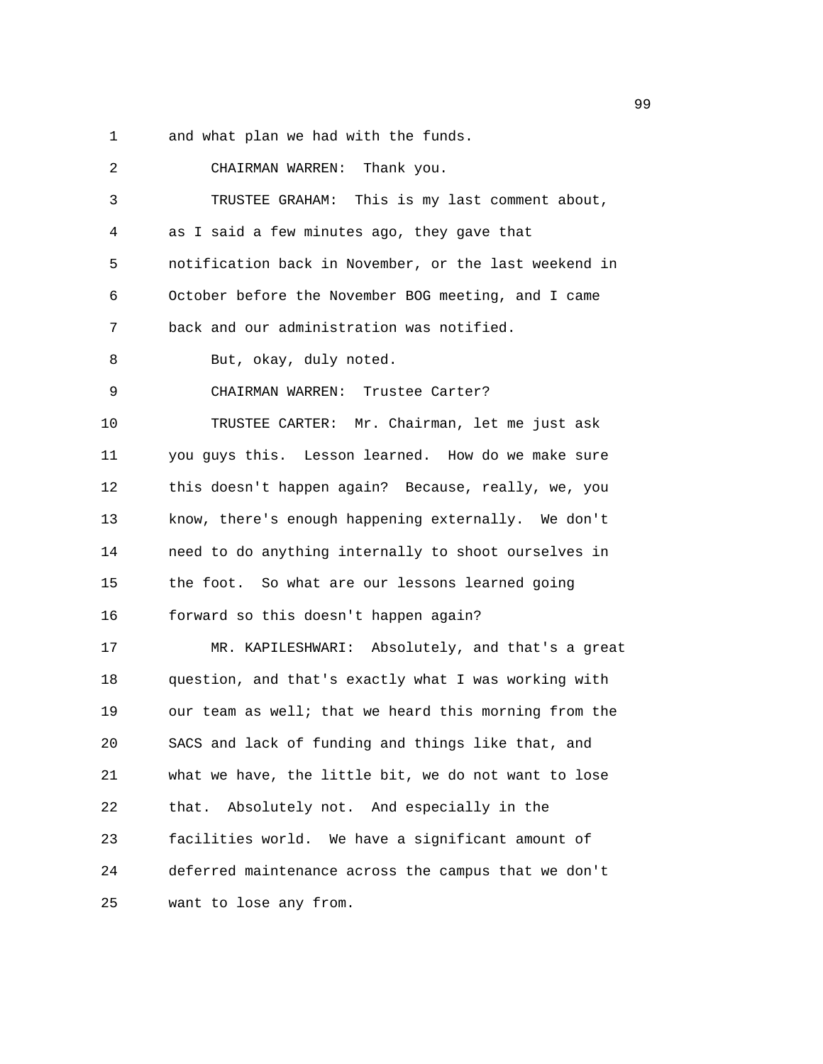1 and what plan we had with the funds.

| 2  | CHAIRMAN WARREN: Thank you.                           |
|----|-------------------------------------------------------|
| 3  | TRUSTEE GRAHAM: This is my last comment about,        |
| 4  | as I said a few minutes ago, they gave that           |
| 5  | notification back in November, or the last weekend in |
| 6  | October before the November BOG meeting, and I came   |
| 7  | back and our administration was notified.             |
| 8  | But, okay, duly noted.                                |
| 9  | CHAIRMAN WARREN: Trustee Carter?                      |
| 10 | TRUSTEE CARTER: Mr. Chairman, let me just ask         |
| 11 | you guys this. Lesson learned. How do we make sure    |
| 12 | this doesn't happen again? Because, really, we, you   |
| 13 | know, there's enough happening externally. We don't   |
| 14 | need to do anything internally to shoot ourselves in  |
| 15 | the foot. So what are our lessons learned going       |
| 16 | forward so this doesn't happen again?                 |
| 17 | MR. KAPILESHWARI: Absolutely, and that's a great      |
| 18 | question, and that's exactly what I was working with  |
| 19 | our team as well; that we heard this morning from the |
| 20 | SACS and lack of funding and things like that, and    |
| 21 | what we have, the little bit, we do not want to lose  |
| 22 | that. Absolutely not. And especially in the           |
| 23 | facilities world. We have a significant amount of     |
| 24 | deferred maintenance across the campus that we don't  |
| 25 | want to lose any from.                                |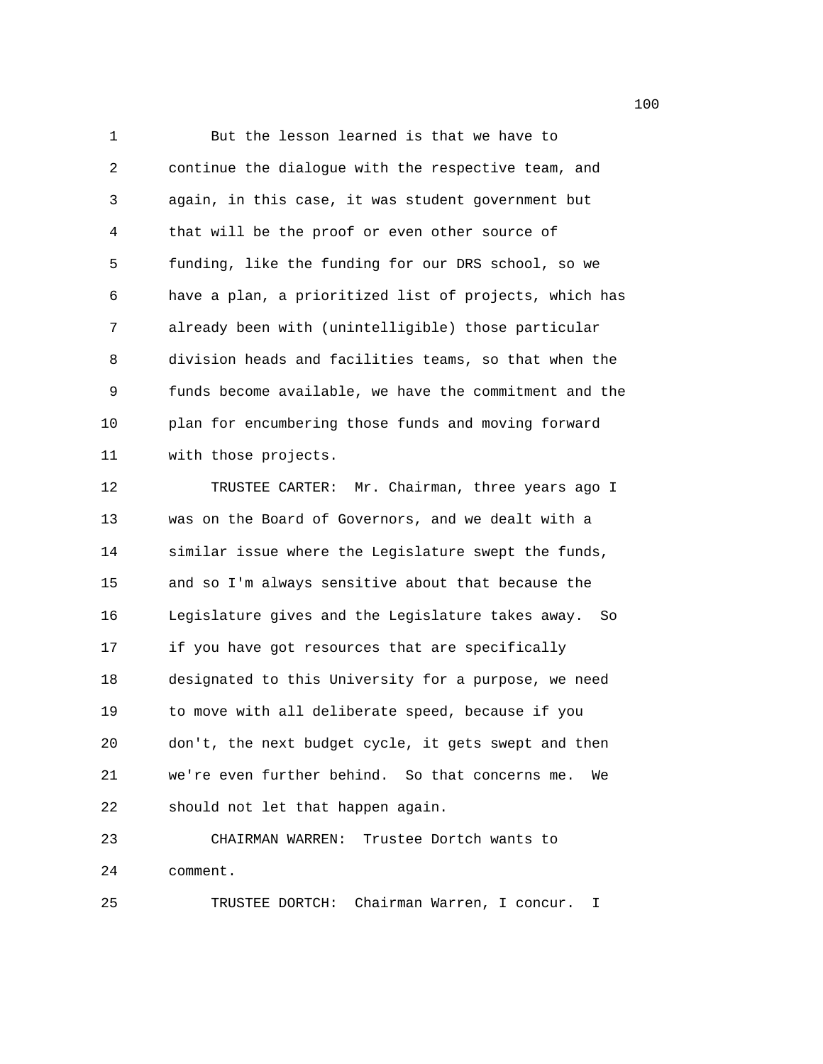1 But the lesson learned is that we have to 2 continue the dialogue with the respective team, and 3 again, in this case, it was student government but 4 that will be the proof or even other source of 5 funding, like the funding for our DRS school, so we 6 have a plan, a prioritized list of projects, which has 7 already been with (unintelligible) those particular 8 division heads and facilities teams, so that when the 9 funds become available, we have the commitment and the 10 plan for encumbering those funds and moving forward 11 with those projects. 12 TRUSTEE CARTER: Mr. Chairman, three years ago I 13 was on the Board of Governors, and we dealt with a 14 similar issue where the Legislature swept the funds, 15 and so I'm always sensitive about that because the

16 Legislature gives and the Legislature takes away. So 17 if you have got resources that are specifically 18 designated to this University for a purpose, we need 19 to move with all deliberate speed, because if you 20 don't, the next budget cycle, it gets swept and then 21 we're even further behind. So that concerns me. We 22 should not let that happen again.

23 CHAIRMAN WARREN: Trustee Dortch wants to 24 comment.

25 TRUSTEE DORTCH: Chairman Warren, I concur. I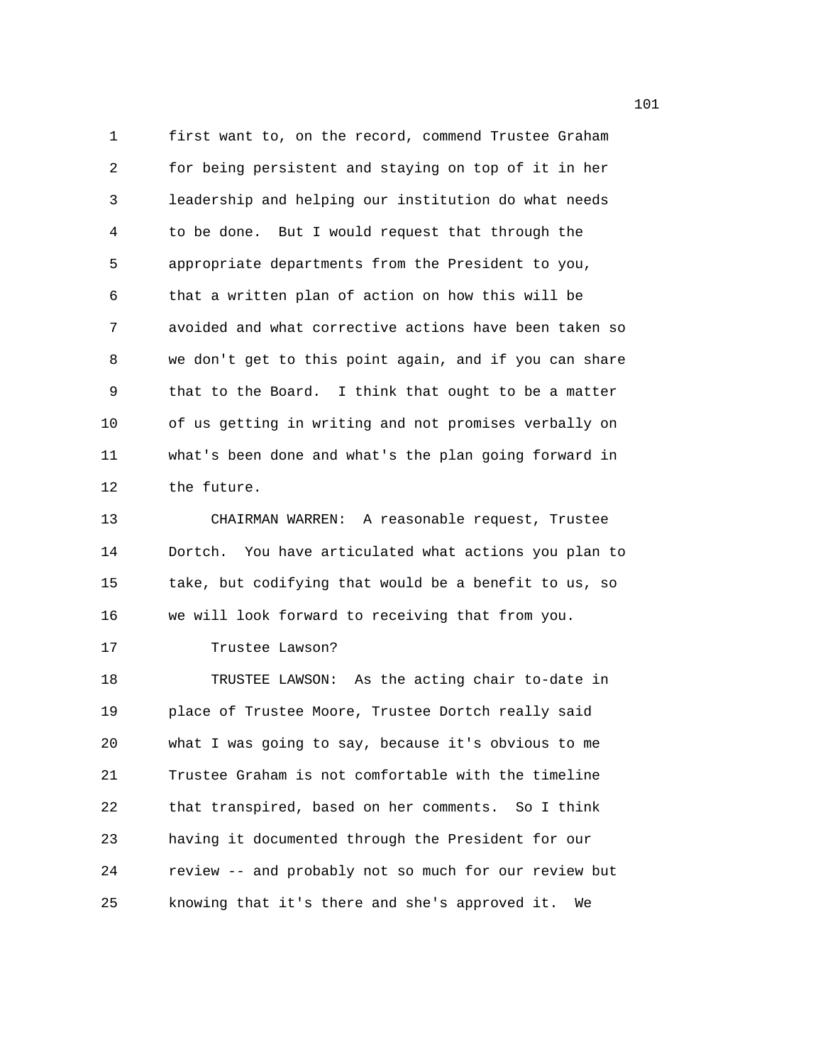1 first want to, on the record, commend Trustee Graham 2 for being persistent and staying on top of it in her 3 leadership and helping our institution do what needs 4 to be done. But I would request that through the 5 appropriate departments from the President to you, 6 that a written plan of action on how this will be 7 avoided and what corrective actions have been taken so 8 we don't get to this point again, and if you can share 9 that to the Board. I think that ought to be a matter 10 of us getting in writing and not promises verbally on 11 what's been done and what's the plan going forward in 12 the future.

13 CHAIRMAN WARREN: A reasonable request, Trustee 14 Dortch. You have articulated what actions you plan to 15 take, but codifying that would be a benefit to us, so 16 we will look forward to receiving that from you.

17 Trustee Lawson?

18 TRUSTEE LAWSON: As the acting chair to-date in 19 place of Trustee Moore, Trustee Dortch really said 20 what I was going to say, because it's obvious to me 21 Trustee Graham is not comfortable with the timeline 22 that transpired, based on her comments. So I think 23 having it documented through the President for our 24 review -- and probably not so much for our review but 25 knowing that it's there and she's approved it. We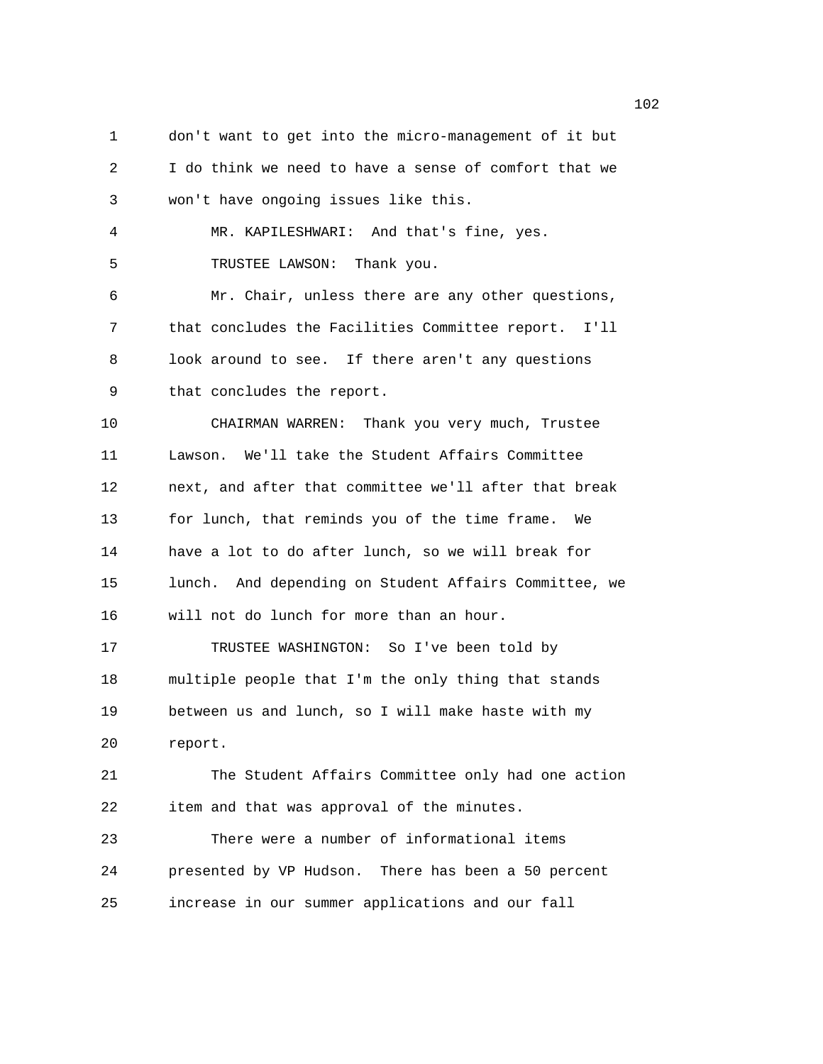1 don't want to get into the micro-management of it but 2 I do think we need to have a sense of comfort that we 3 won't have ongoing issues like this. 4 MR. KAPILESHWARI: And that's fine, yes. 5 TRUSTEE LAWSON: Thank you. 6 Mr. Chair, unless there are any other questions, 7 that concludes the Facilities Committee report. I'll 8 look around to see. If there aren't any questions 9 that concludes the report. 10 CHAIRMAN WARREN: Thank you very much, Trustee 11 Lawson. We'll take the Student Affairs Committee 12 next, and after that committee we'll after that break 13 for lunch, that reminds you of the time frame. We 14 have a lot to do after lunch, so we will break for 15 lunch. And depending on Student Affairs Committee, we 16 will not do lunch for more than an hour. 17 TRUSTEE WASHINGTON: So I've been told by 18 multiple people that I'm the only thing that stands 19 between us and lunch, so I will make haste with my 20 report. 21 The Student Affairs Committee only had one action 22 item and that was approval of the minutes. 23 There were a number of informational items 24 presented by VP Hudson. There has been a 50 percent 25 increase in our summer applications and our fall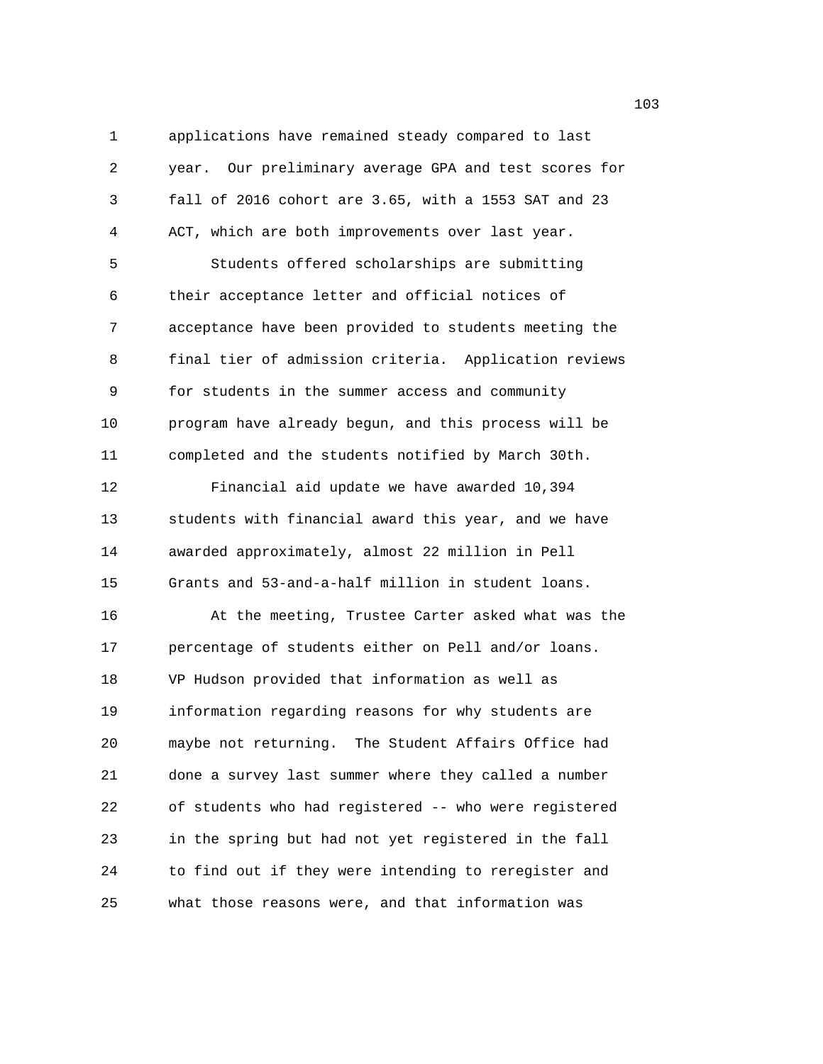1 applications have remained steady compared to last 2 year. Our preliminary average GPA and test scores for 3 fall of 2016 cohort are 3.65, with a 1553 SAT and 23 4 ACT, which are both improvements over last year. 5 Students offered scholarships are submitting 6 their acceptance letter and official notices of 7 acceptance have been provided to students meeting the 8 final tier of admission criteria. Application reviews 9 for students in the summer access and community 10 program have already begun, and this process will be 11 completed and the students notified by March 30th. 12 Financial aid update we have awarded 10,394 13 students with financial award this year, and we have 14 awarded approximately, almost 22 million in Pell 15 Grants and 53-and-a-half million in student loans. 16 At the meeting, Trustee Carter asked what was the 17 percentage of students either on Pell and/or loans. 18 VP Hudson provided that information as well as 19 information regarding reasons for why students are 20 maybe not returning. The Student Affairs Office had 21 done a survey last summer where they called a number 22 of students who had registered -- who were registered 23 in the spring but had not yet registered in the fall 24 to find out if they were intending to reregister and 25 what those reasons were, and that information was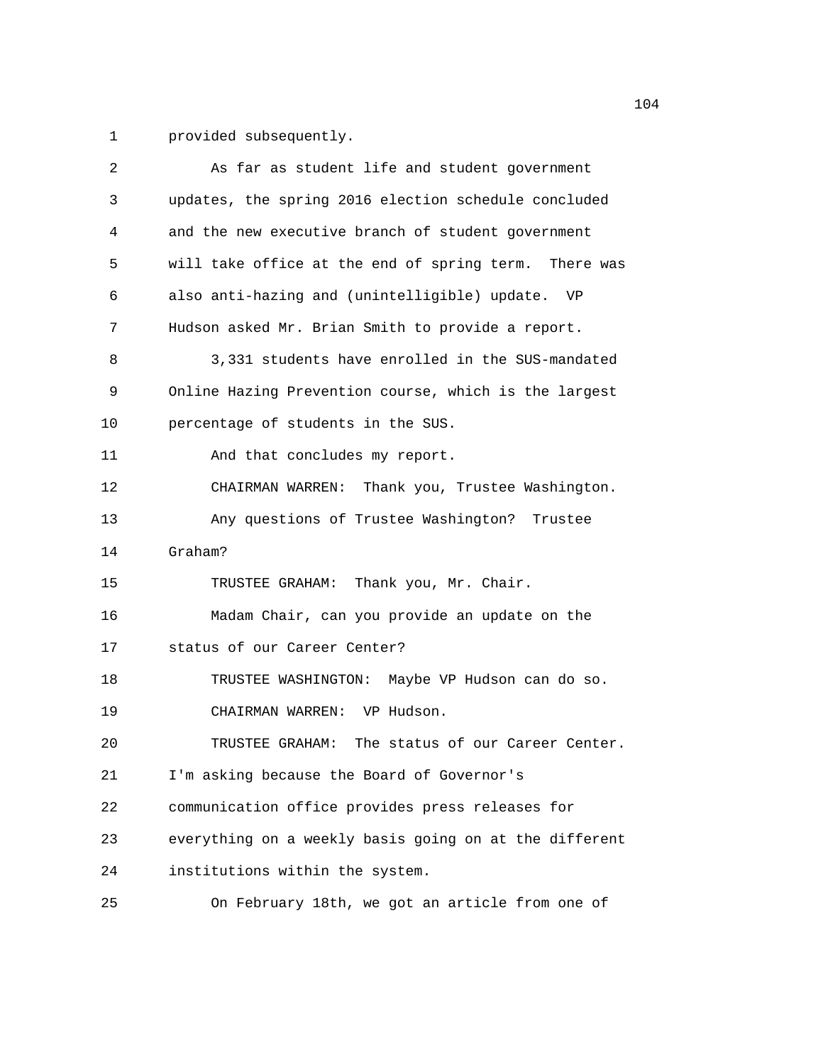1 provided subsequently.

| 2       | As far as student life and student government          |
|---------|--------------------------------------------------------|
| 3       | updates, the spring 2016 election schedule concluded   |
| 4       | and the new executive branch of student government     |
| 5       | will take office at the end of spring term. There was  |
| 6       | also anti-hazing and (unintelligible) update. VP       |
| 7       | Hudson asked Mr. Brian Smith to provide a report.      |
| 8       | 3,331 students have enrolled in the SUS-mandated       |
| 9       | Online Hazing Prevention course, which is the largest  |
| 10      | percentage of students in the SUS.                     |
| 11      | And that concludes my report.                          |
| 12      | CHAIRMAN WARREN: Thank you, Trustee Washington.        |
| 13      | Any questions of Trustee Washington? Trustee           |
| 14      | Graham?                                                |
| 15      | TRUSTEE GRAHAM: Thank you, Mr. Chair.                  |
| 16      | Madam Chair, can you provide an update on the          |
| $17 \,$ | status of our Career Center?                           |
| 18      | TRUSTEE WASHINGTON: Maybe VP Hudson can do so.         |
| 19      | CHAIRMAN WARREN: VP Hudson.                            |
| 20      | The status of our Career Center.<br>TRUSTEE GRAHAM:    |
| 21      | I'm asking because the Board of Governor's             |
| 22      | communication office provides press releases for       |
| 23      | everything on a weekly basis going on at the different |
| 24      | institutions within the system.                        |
| 25      | On February 18th, we got an article from one of        |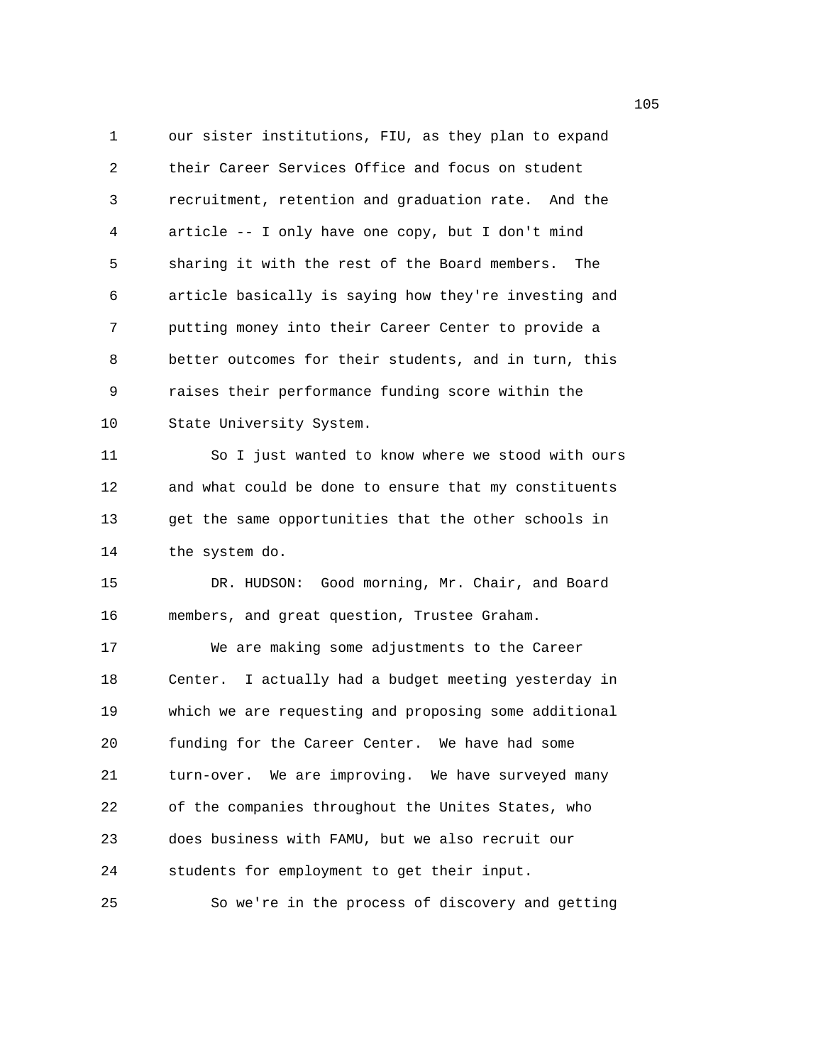1 our sister institutions, FIU, as they plan to expand 2 their Career Services Office and focus on student 3 recruitment, retention and graduation rate. And the 4 article -- I only have one copy, but I don't mind 5 sharing it with the rest of the Board members. The 6 article basically is saying how they're investing and 7 putting money into their Career Center to provide a 8 better outcomes for their students, and in turn, this 9 raises their performance funding score within the 10 State University System. 11 So I just wanted to know where we stood with ours 12 and what could be done to ensure that my constituents 13 get the same opportunities that the other schools in 14 the system do. 15 DR. HUDSON: Good morning, Mr. Chair, and Board 16 members, and great question, Trustee Graham. 17 We are making some adjustments to the Career 18 Center. I actually had a budget meeting yesterday in 19 which we are requesting and proposing some additional 20 funding for the Career Center. We have had some 21 turn-over. We are improving. We have surveyed many 22 of the companies throughout the Unites States, who 23 does business with FAMU, but we also recruit our 24 students for employment to get their input. 25 So we're in the process of discovery and getting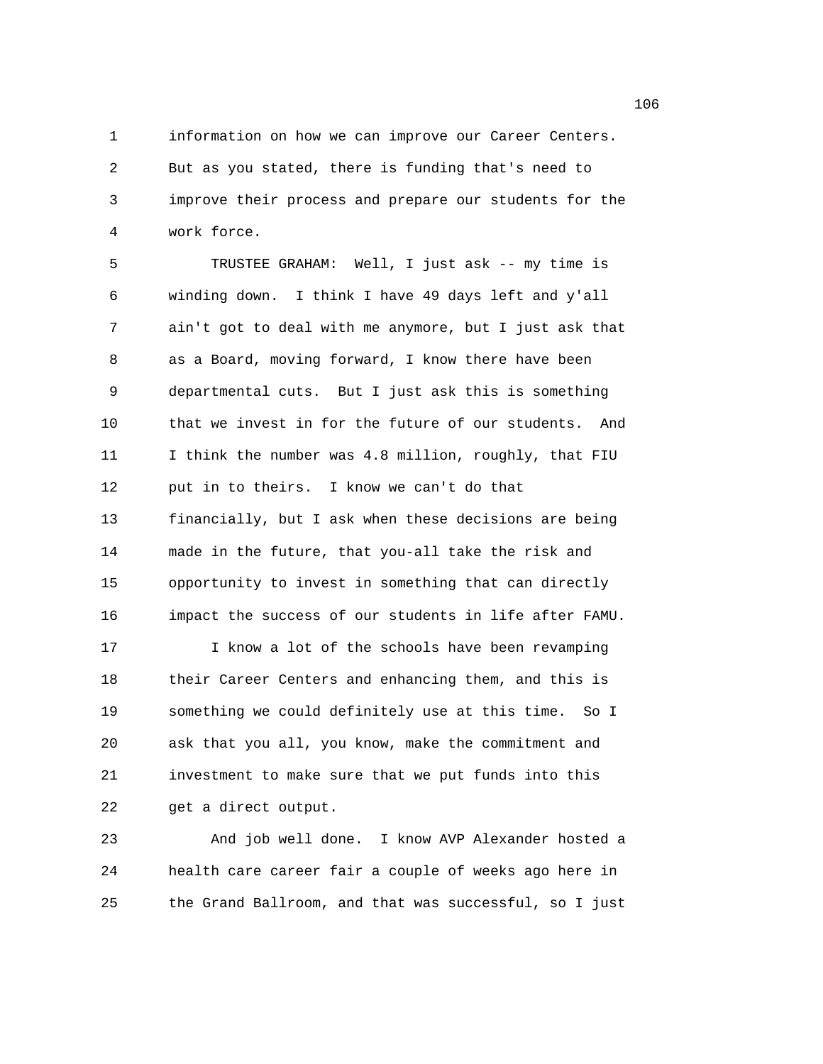1 information on how we can improve our Career Centers. 2 But as you stated, there is funding that's need to 3 improve their process and prepare our students for the 4 work force.

5 TRUSTEE GRAHAM: Well, I just ask -- my time is 6 winding down. I think I have 49 days left and y'all 7 ain't got to deal with me anymore, but I just ask that 8 as a Board, moving forward, I know there have been 9 departmental cuts. But I just ask this is something 10 that we invest in for the future of our students. And 11 I think the number was 4.8 million, roughly, that FIU 12 put in to theirs. I know we can't do that 13 financially, but I ask when these decisions are being 14 made in the future, that you-all take the risk and 15 opportunity to invest in something that can directly 16 impact the success of our students in life after FAMU. 17 I know a lot of the schools have been revamping 18 their Career Centers and enhancing them, and this is 19 something we could definitely use at this time. So I 20 ask that you all, you know, make the commitment and 21 investment to make sure that we put funds into this 22 get a direct output.

23 And job well done. I know AVP Alexander hosted a 24 health care career fair a couple of weeks ago here in 25 the Grand Ballroom, and that was successful, so I just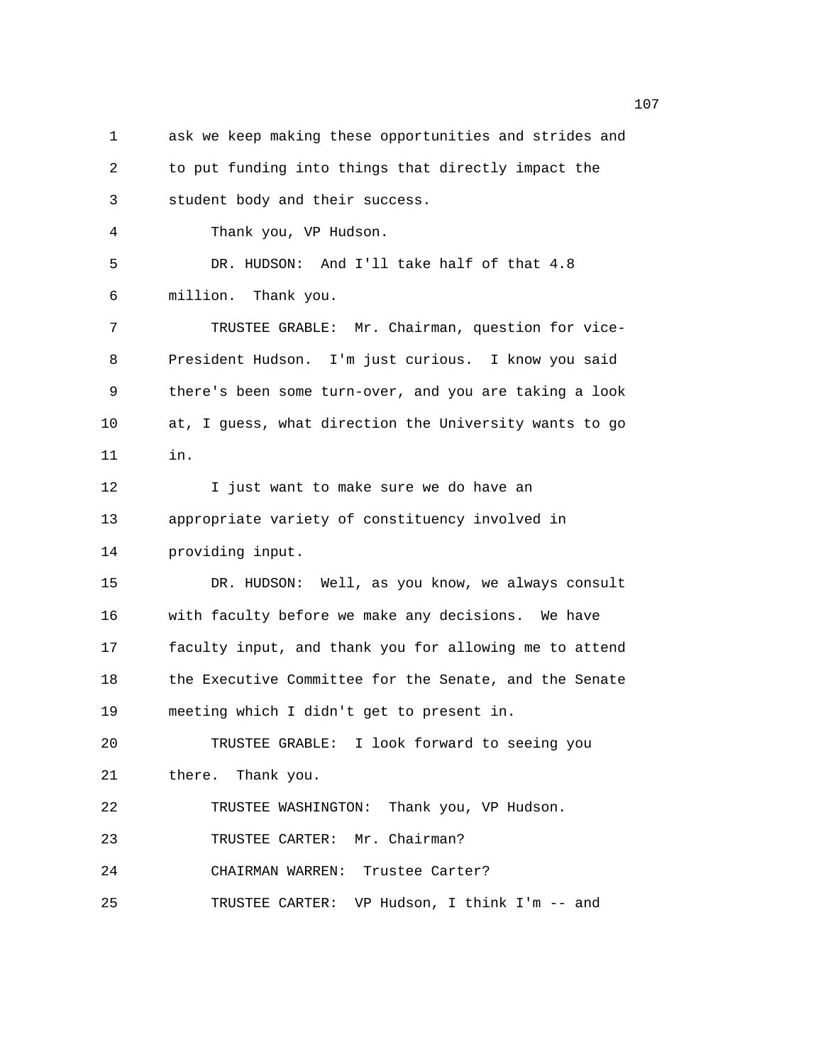1 ask we keep making these opportunities and strides and 2 to put funding into things that directly impact the 3 student body and their success. 4 Thank you, VP Hudson. 5 DR. HUDSON: And I'll take half of that 4.8 6 million. Thank you. 7 TRUSTEE GRABLE: Mr. Chairman, question for vice-8 President Hudson. I'm just curious. I know you said 9 there's been some turn-over, and you are taking a look 10 at, I guess, what direction the University wants to go 11 in. 12 I just want to make sure we do have an 13 appropriate variety of constituency involved in 14 providing input. 15 DR. HUDSON: Well, as you know, we always consult 16 with faculty before we make any decisions. We have 17 faculty input, and thank you for allowing me to attend 18 the Executive Committee for the Senate, and the Senate 19 meeting which I didn't get to present in. 20 TRUSTEE GRABLE: I look forward to seeing you 21 there. Thank you. 22 TRUSTEE WASHINGTON: Thank you, VP Hudson. 23 TRUSTEE CARTER: Mr. Chairman? 24 CHAIRMAN WARREN: Trustee Carter? 25 TRUSTEE CARTER: VP Hudson, I think I'm -- and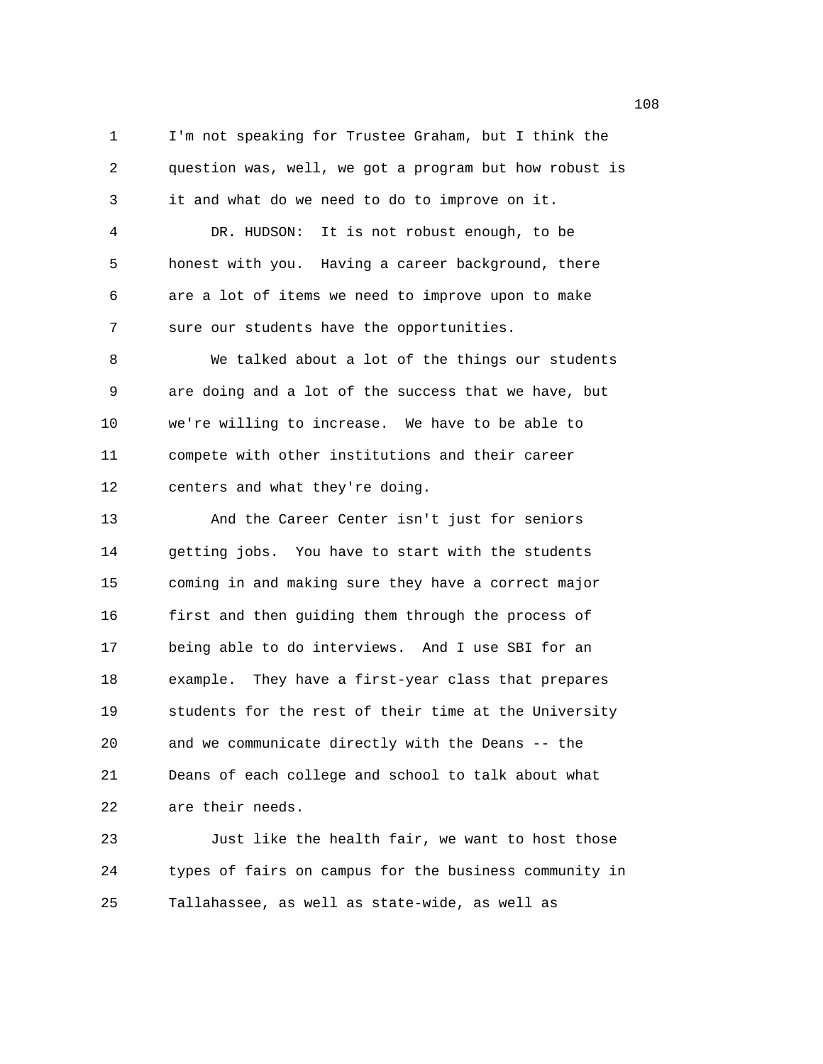1 I'm not speaking for Trustee Graham, but I think the 2 question was, well, we got a program but how robust is 3 it and what do we need to do to improve on it. 4 DR. HUDSON: It is not robust enough, to be 5 honest with you. Having a career background, there 6 are a lot of items we need to improve upon to make 7 sure our students have the opportunities.

8 We talked about a lot of the things our students 9 are doing and a lot of the success that we have, but 10 we're willing to increase. We have to be able to 11 compete with other institutions and their career 12 centers and what they're doing.

13 And the Career Center isn't just for seniors 14 getting jobs. You have to start with the students 15 coming in and making sure they have a correct major 16 first and then guiding them through the process of 17 being able to do interviews. And I use SBI for an 18 example. They have a first-year class that prepares 19 students for the rest of their time at the University 20 and we communicate directly with the Deans -- the 21 Deans of each college and school to talk about what 22 are their needs.

23 Just like the health fair, we want to host those 24 types of fairs on campus for the business community in 25 Tallahassee, as well as state-wide, as well as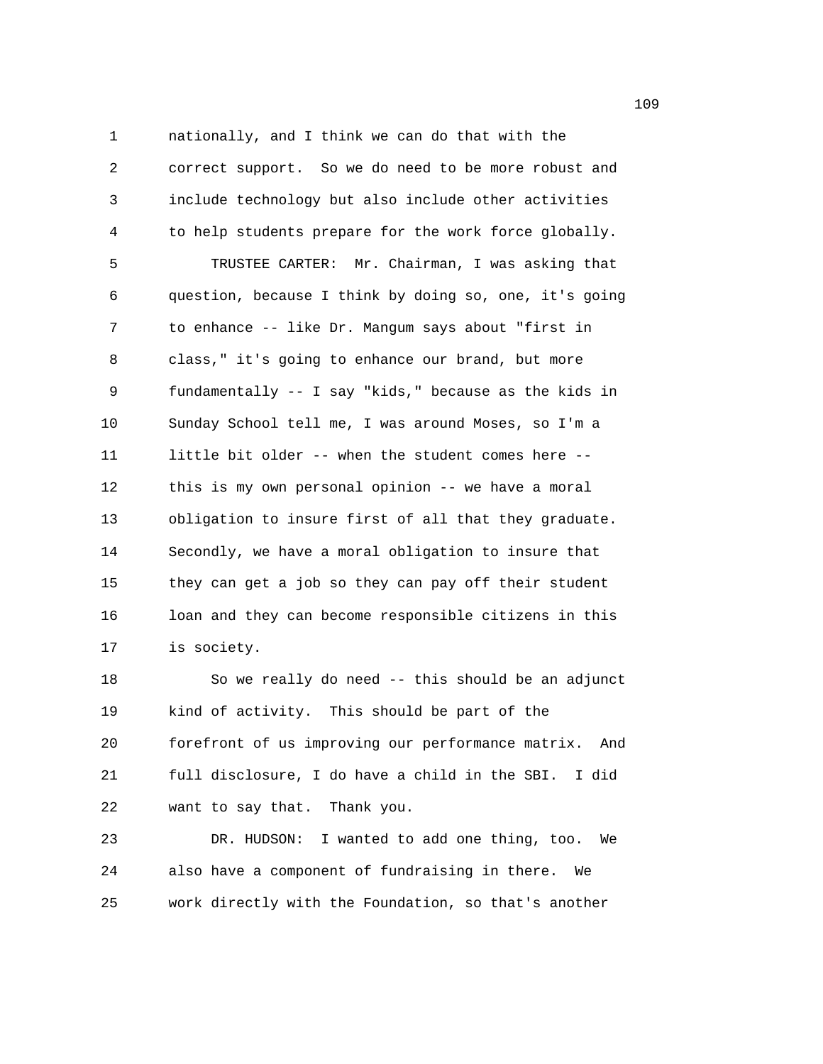1 nationally, and I think we can do that with the 2 correct support. So we do need to be more robust and 3 include technology but also include other activities 4 to help students prepare for the work force globally. 5 TRUSTEE CARTER: Mr. Chairman, I was asking that 6 question, because I think by doing so, one, it's going 7 to enhance -- like Dr. Mangum says about "first in 8 class," it's going to enhance our brand, but more 9 fundamentally -- I say "kids," because as the kids in 10 Sunday School tell me, I was around Moses, so I'm a 11 little bit older -- when the student comes here -- 12 this is my own personal opinion -- we have a moral 13 obligation to insure first of all that they graduate. 14 Secondly, we have a moral obligation to insure that 15 they can get a job so they can pay off their student 16 loan and they can become responsible citizens in this 17 is society.

18 So we really do need -- this should be an adjunct 19 kind of activity. This should be part of the 20 forefront of us improving our performance matrix. And 21 full disclosure, I do have a child in the SBI. I did 22 want to say that. Thank you.

23 DR. HUDSON: I wanted to add one thing, too. We 24 also have a component of fundraising in there. We 25 work directly with the Foundation, so that's another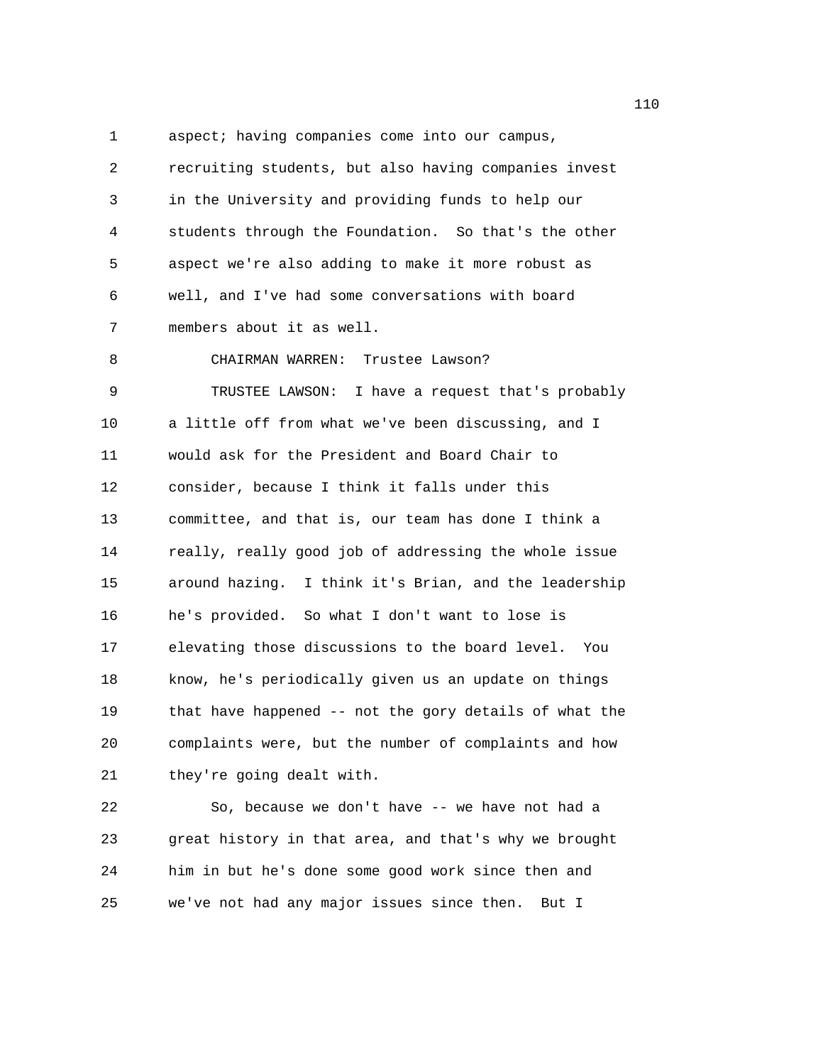1 aspect; having companies come into our campus, 2 recruiting students, but also having companies invest 3 in the University and providing funds to help our 4 students through the Foundation. So that's the other 5 aspect we're also adding to make it more robust as 6 well, and I've had some conversations with board 7 members about it as well. 8 CHAIRMAN WARREN: Trustee Lawson? 9 TRUSTEE LAWSON: I have a request that's probably 10 a little off from what we've been discussing, and I 11 would ask for the President and Board Chair to 12 consider, because I think it falls under this 13 committee, and that is, our team has done I think a 14 really, really good job of addressing the whole issue 15 around hazing. I think it's Brian, and the leadership 16 he's provided. So what I don't want to lose is 17 elevating those discussions to the board level. You 18 know, he's periodically given us an update on things 19 that have happened -- not the gory details of what the 20 complaints were, but the number of complaints and how 21 they're going dealt with.

22 So, because we don't have -- we have not had a 23 great history in that area, and that's why we brought 24 him in but he's done some good work since then and 25 we've not had any major issues since then. But I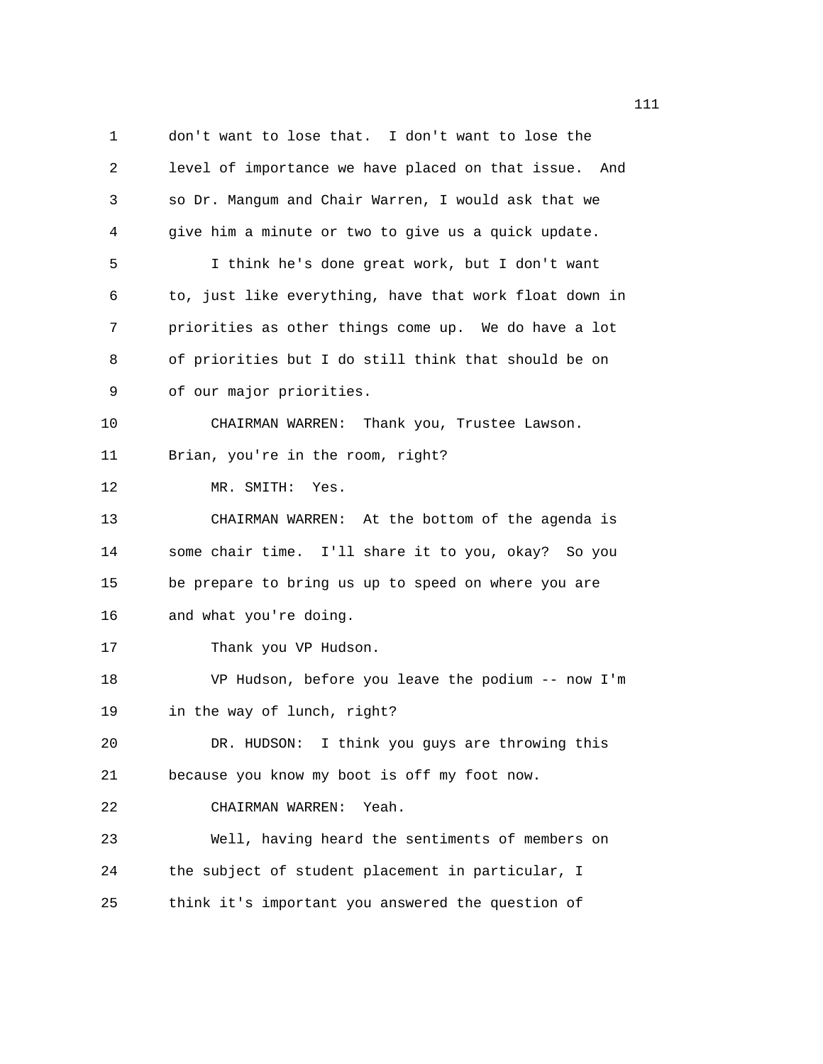1 don't want to lose that. I don't want to lose the 2 level of importance we have placed on that issue. And 3 so Dr. Mangum and Chair Warren, I would ask that we 4 give him a minute or two to give us a quick update. 5 I think he's done great work, but I don't want 6 to, just like everything, have that work float down in 7 priorities as other things come up. We do have a lot 8 of priorities but I do still think that should be on 9 of our major priorities. 10 CHAIRMAN WARREN: Thank you, Trustee Lawson. 11 Brian, you're in the room, right? 12 MR. SMITH: Yes. 13 CHAIRMAN WARREN: At the bottom of the agenda is 14 some chair time. I'll share it to you, okay? So you 15 be prepare to bring us up to speed on where you are 16 and what you're doing. 17 Thank you VP Hudson. 18 VP Hudson, before you leave the podium -- now I'm 19 in the way of lunch, right? 20 DR. HUDSON: I think you guys are throwing this 21 because you know my boot is off my foot now. 22 CHAIRMAN WARREN: Yeah. 23 Well, having heard the sentiments of members on 24 the subject of student placement in particular, I 25 think it's important you answered the question of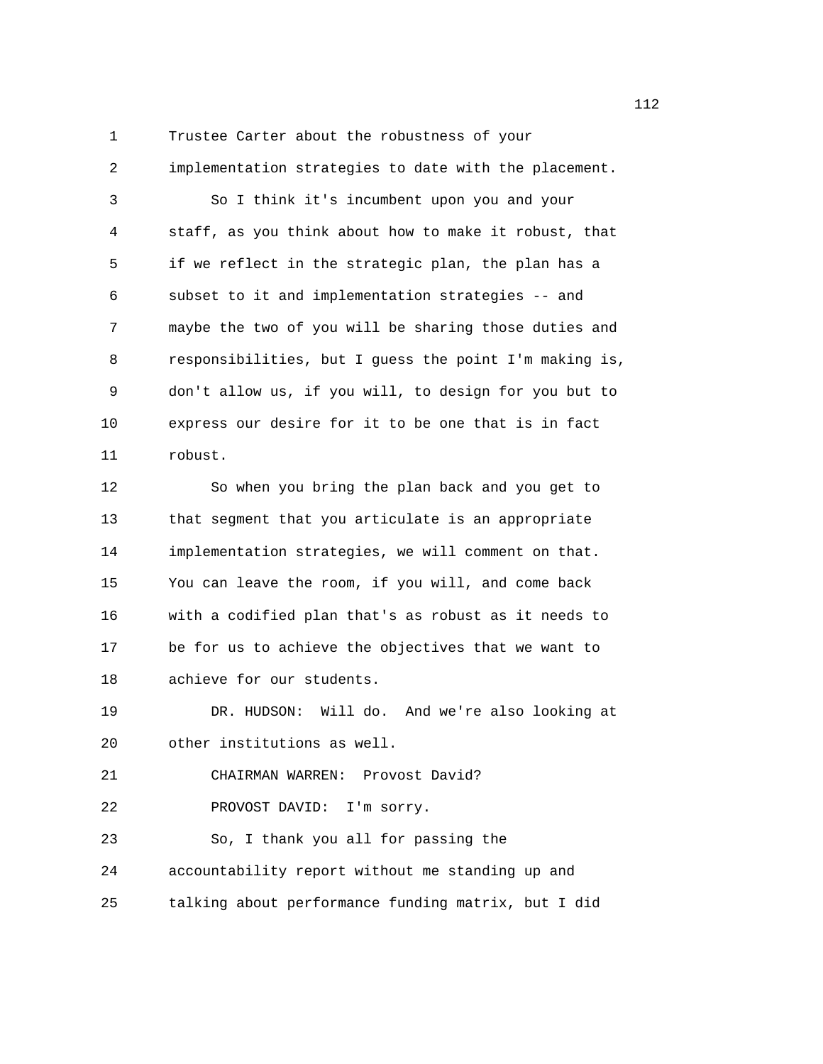1 Trustee Carter about the robustness of your

2 implementation strategies to date with the placement. 3 So I think it's incumbent upon you and your 4 staff, as you think about how to make it robust, that 5 if we reflect in the strategic plan, the plan has a 6 subset to it and implementation strategies -- and 7 maybe the two of you will be sharing those duties and 8 responsibilities, but I guess the point I'm making is, 9 don't allow us, if you will, to design for you but to 10 express our desire for it to be one that is in fact 11 robust.

12 So when you bring the plan back and you get to 13 that segment that you articulate is an appropriate 14 implementation strategies, we will comment on that. 15 You can leave the room, if you will, and come back 16 with a codified plan that's as robust as it needs to 17 be for us to achieve the objectives that we want to 18 achieve for our students.

19 DR. HUDSON: Will do. And we're also looking at 20 other institutions as well.

21 CHAIRMAN WARREN: Provost David?

22 PROVOST DAVID: I'm sorry.

23 So, I thank you all for passing the 24 accountability report without me standing up and

25 talking about performance funding matrix, but I did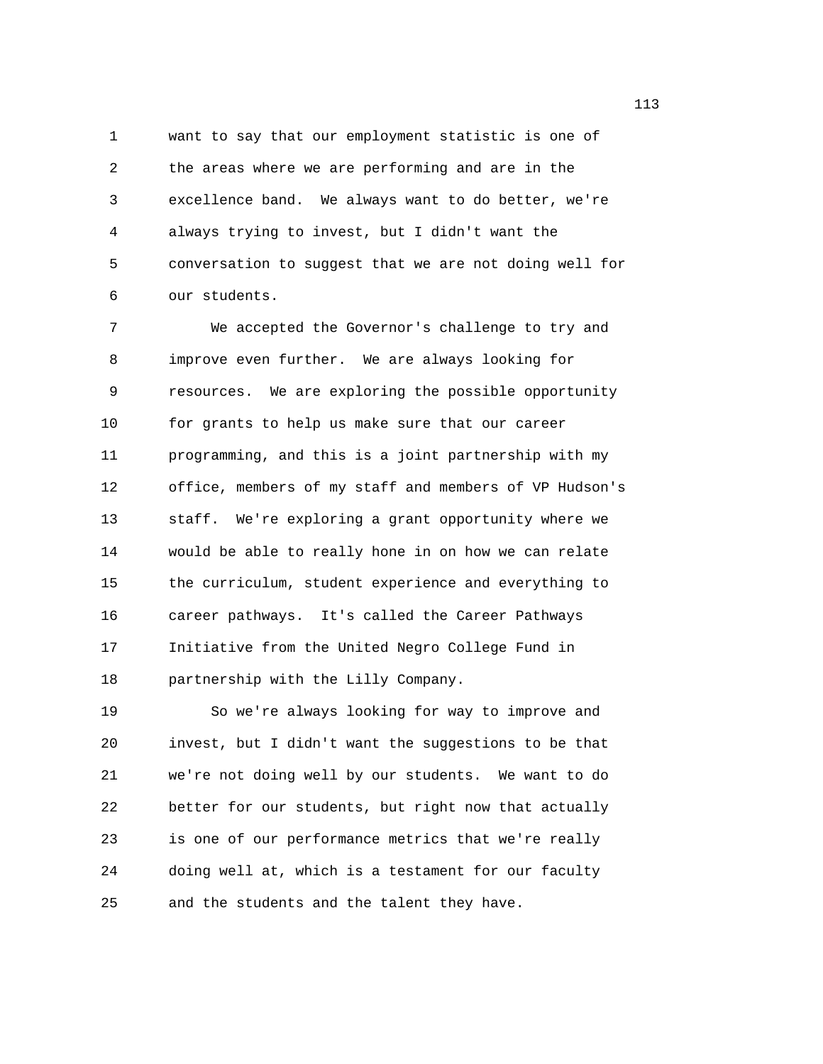1 want to say that our employment statistic is one of 2 the areas where we are performing and are in the 3 excellence band. We always want to do better, we're 4 always trying to invest, but I didn't want the 5 conversation to suggest that we are not doing well for 6 our students.

7 We accepted the Governor's challenge to try and 8 improve even further. We are always looking for 9 resources. We are exploring the possible opportunity 10 for grants to help us make sure that our career 11 programming, and this is a joint partnership with my 12 office, members of my staff and members of VP Hudson's 13 staff. We're exploring a grant opportunity where we 14 would be able to really hone in on how we can relate 15 the curriculum, student experience and everything to 16 career pathways. It's called the Career Pathways 17 Initiative from the United Negro College Fund in 18 partnership with the Lilly Company.

19 So we're always looking for way to improve and 20 invest, but I didn't want the suggestions to be that 21 we're not doing well by our students. We want to do 22 better for our students, but right now that actually 23 is one of our performance metrics that we're really 24 doing well at, which is a testament for our faculty 25 and the students and the talent they have.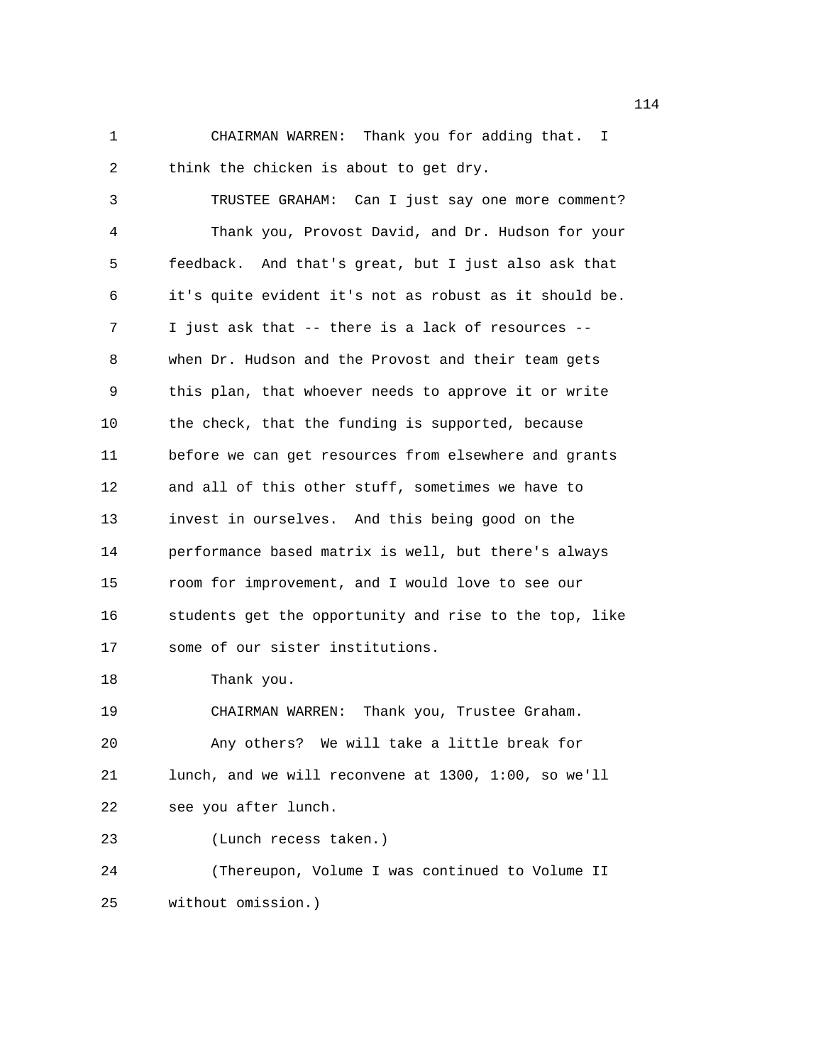1 CHAIRMAN WARREN: Thank you for adding that. I 2 think the chicken is about to get dry.

3 TRUSTEE GRAHAM: Can I just say one more comment? 4 Thank you, Provost David, and Dr. Hudson for your 5 feedback. And that's great, but I just also ask that 6 it's quite evident it's not as robust as it should be. 7 I just ask that -- there is a lack of resources -- 8 when Dr. Hudson and the Provost and their team gets 9 this plan, that whoever needs to approve it or write 10 the check, that the funding is supported, because 11 before we can get resources from elsewhere and grants 12 and all of this other stuff, sometimes we have to 13 invest in ourselves. And this being good on the 14 performance based matrix is well, but there's always 15 room for improvement, and I would love to see our 16 students get the opportunity and rise to the top, like 17 some of our sister institutions.

18 Thank you.

19 CHAIRMAN WARREN: Thank you, Trustee Graham. 20 Any others? We will take a little break for 21 lunch, and we will reconvene at 1300, 1:00, so we'll 22 see you after lunch.

23 (Lunch recess taken.)

24 (Thereupon, Volume I was continued to Volume II 25 without omission.)